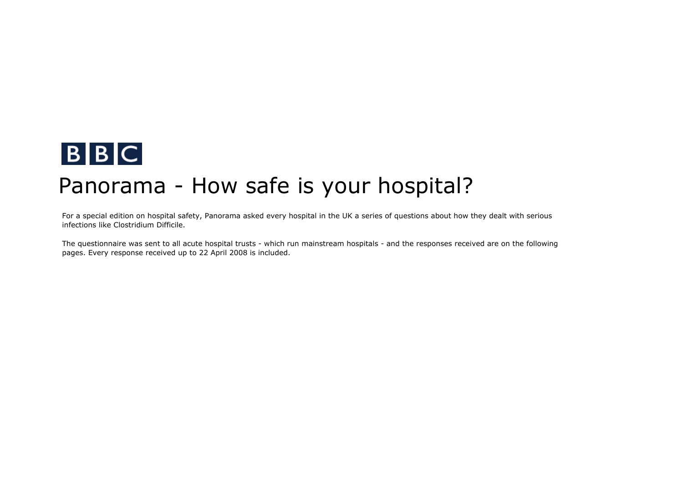

## Panorama - How safe is your hospital?

For a special edition on hospital safety, Panorama asked every hospital in the UK a series of questions about how they dealt with serious infections like Clostridium Difficile.

The questionnaire was sent to all acute hospital trusts - which run mainstream hospitals - and the responses received are on the following pages. Every response received up to 22 April 2008 is included.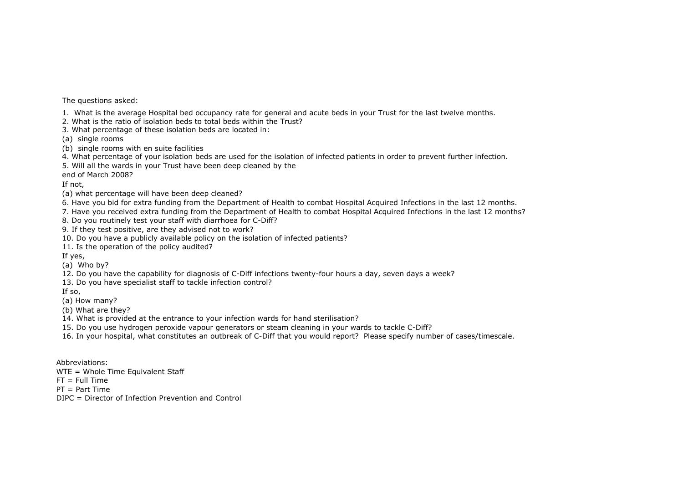The questions asked:

1. What is the average Hospital bed occupancy rate for general and acute beds in your Trust for the last twelve months.

2. What is the ratio of isolation beds to total beds within the Trust?

3. What percentage of these isolation beds are located in:

(a) single rooms

(b) single rooms with en suite facilities

4. What percentage of your isolation beds are used for the isolation of infected patients in order to prevent further infection.

5. Will all the wards in your Trust have been deep cleaned by the

end of March 2008?

If not,

(a) what percentage will have been deep cleaned?

6. Have you bid for extra funding from the Department of Health to combat Hospital Acquired Infections in the last 12 months.

7. Have you received extra funding from the Department of Health to combat Hospital Acquired Infections in the last 12 months?

8. Do you routinely test your staff with diarrhoea for C-Diff?

9. If they test positive, are they advised not to work?

10. Do you have a publicly available policy on the isolation of infected patients?

11. Is the operation of the policy audited?

If yes,

(a) Who by?

12. Do you have the capability for diagnosis of C-Diff infections twenty-four hours a day, seven days a week?

13. Do you have specialist staff to tackle infection control?

If so,

(a) How many?

(b) What are they?

14. What is provided at the entrance to your infection wards for hand sterilisation?

15. Do you use hydrogen peroxide vapour generators or steam cleaning in your wards to tackle C-Diff?

16. In your hospital, what constitutes an outbreak of C-Diff that you would report? Please specify number of cases/timescale.

Abbreviations:

WTE = Whole Time Equivalent Staff

 $FT = Full Time$ 

PT = Part Time

DIPC = Director of Infection Prevention and Control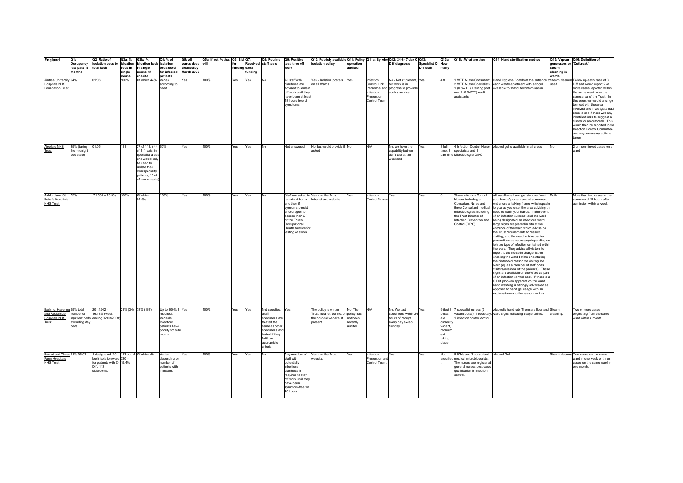| England                                                                       | Q1:                                       | Q2: Ratio of                                                                                                                   | Q3a: %            | Q3b: %                                                                                                                                                             | Q4: % of                                                                                                  | Q5: All                                | Q5a: If not, % that   Q6: Bid   Q7: |               |        | Q8: Routine                                                                                                                                              | Q9: Positive                                                                                                                                                      | Q10: Publicly available Q11: Policy Q11a: By who Q12: 24-hr 7-day C-Q13:                             |                                             |                                                                      |                                                                                                   |                             | Q13a:                                                                      | Q13b: What are they                                                                                                                                                                                   | Q14: Hand sterilisation method                                                                                                                                                                                                                                                                                                                                                                                                                                                                                                                                                                                                                                                                                                                                                                                                                                                                                                                                                                                                                                               |                                                  | Q15: Vapour Q16: Definition of                                                                                                                                                                                                                                                                                                                                                                                    |
|-------------------------------------------------------------------------------|-------------------------------------------|--------------------------------------------------------------------------------------------------------------------------------|-------------------|--------------------------------------------------------------------------------------------------------------------------------------------------------------------|-----------------------------------------------------------------------------------------------------------|----------------------------------------|-------------------------------------|---------------|--------|----------------------------------------------------------------------------------------------------------------------------------------------------------|-------------------------------------------------------------------------------------------------------------------------------------------------------------------|------------------------------------------------------------------------------------------------------|---------------------------------------------|----------------------------------------------------------------------|---------------------------------------------------------------------------------------------------|-----------------------------|----------------------------------------------------------------------------|-------------------------------------------------------------------------------------------------------------------------------------------------------------------------------------------------------|------------------------------------------------------------------------------------------------------------------------------------------------------------------------------------------------------------------------------------------------------------------------------------------------------------------------------------------------------------------------------------------------------------------------------------------------------------------------------------------------------------------------------------------------------------------------------------------------------------------------------------------------------------------------------------------------------------------------------------------------------------------------------------------------------------------------------------------------------------------------------------------------------------------------------------------------------------------------------------------------------------------------------------------------------------------------------|--------------------------------------------------|-------------------------------------------------------------------------------------------------------------------------------------------------------------------------------------------------------------------------------------------------------------------------------------------------------------------------------------------------------------------------------------------------------------------|
|                                                                               | Occupancy<br>rate past 12<br>months       | isolation beds to isloation<br>total beds                                                                                      | beds in<br>single | isloation beds isolation<br>in single<br>rooms w/                                                                                                                  | beds used<br>for infected                                                                                 | wards deep<br>cleaned by<br>March 2008 | will                                | funding extra | unding | Received staff tests                                                                                                                                     | test: time off<br>work                                                                                                                                            | isolation policy                                                                                     | operation<br>audited                        |                                                                      | Diff diagnosis                                                                                    | Specialist C-<br>Diff staff | How<br>many                                                                |                                                                                                                                                                                                       |                                                                                                                                                                                                                                                                                                                                                                                                                                                                                                                                                                                                                                                                                                                                                                                                                                                                                                                                                                                                                                                                              | generators or 'Outbreak'<br>steam<br>cleaning in |                                                                                                                                                                                                                                                                                                                                                                                                                   |
| Aintree University 94%<br><b>Hospitals NHS</b><br><b>Foundation Trus</b>      |                                           | 01:06                                                                                                                          | rooms<br>100%     | ensuite<br>Of which 44%                                                                                                                                            | patients<br>Varies<br>according to<br>need                                                                | Yes                                    | 100%                                | Yes           | Yes    | N <sub>0</sub>                                                                                                                                           | All staff with<br>diarrhoea are<br>advised to remain<br>off work until they<br>have been at leas<br>48 hours free of<br>symptoms                                  | Yes - Isolation posters Yes<br>on all Wards                                                          |                                             | Infection<br>Control Link<br>Infection<br>Prevention<br>Control Team | No - Not at present, Yes<br>but work is in<br>Personnel and progress to provude<br>such a service |                             | 4.8                                                                        | and 2 (0.5WTE) Audit<br>assistants                                                                                                                                                                    | 1 WTE Nurse Consultant, Hand Hygiene Boards at the entrance toSteam cleaners Follow up each case of C<br>2 WTE Nurse Specialists, each ward/department with alcogel<br>1 (0.8WTE) Training post available for hand decontamination                                                                                                                                                                                                                                                                                                                                                                                                                                                                                                                                                                                                                                                                                                                                                                                                                                           | wards<br>used                                    | Diff and would report 2 or<br>more cases reported within<br>the same week from the<br>same area of the Trust. In<br>this event we would arrange<br>to meet with the area<br>involved and investigate eacl<br>case to see if there wre any<br>identified links to suggest a<br>cluster or an outbreak. This<br>would then be reported to the<br>Infection Control Committee<br>and any necessary actions<br>taken. |
| Airedale NHS<br>Trust                                                         | 85% (taking<br>the midnight<br>bed state) | 01:05                                                                                                                          | 111               | 37 of 111. (44 60%<br>of 111 exist in<br>specialist areas<br>and would only<br>be used to<br>isolate their<br>own speciality<br>patients, 18 of<br>44 are en-suite |                                                                                                           | Yes                                    | 100%                                | Yes           | Yes    | No                                                                                                                                                       | Not answered                                                                                                                                                      | No, but would provide if No<br>asked                                                                 |                                             | N/A                                                                  | No, we have the<br>capability but we<br>don't test at the<br>weekend                              | Yes                         | 3 full                                                                     | time, 2 specialists and 1<br>part time Microbiologist DIPC                                                                                                                                            | 4 Infection Control Nurse Alcohol gel is available in all areas                                                                                                                                                                                                                                                                                                                                                                                                                                                                                                                                                                                                                                                                                                                                                                                                                                                                                                                                                                                                              | No.                                              | 2 or more linked cases on a<br>ward                                                                                                                                                                                                                                                                                                                                                                               |
| Ashford and St<br>Peter's Hospitals<br><b>NHS Trust</b>                       | 75%                                       | $71:535 = 13.3%$                                                                                                               | 100%              | Of which<br>54.5%                                                                                                                                                  | 100%                                                                                                      | Yes                                    | 100%                                | Yes           | Yes    | No                                                                                                                                                       | remain at home<br>and then if<br>symtoms persist<br>encouraged to<br>access their GP<br>or the Trusts<br>Occupational<br>Health Service for<br>testing of stools  | Staff are asked to Yes - on the Trust<br>Intranet and website                                        | Yes                                         | nfection<br><b>Control Nurses</b>                                    | Yes                                                                                               | Yes                         |                                                                            | Three Infection Control<br>Nurses including a<br>Consultant Nurse and<br>three Consultant medical<br>microbiologists including<br>the Trust Director of<br>Infection Prevention and<br>Control (DIPC) | All ward have hand gel stations, 'wash Both<br>your hands' posters and at some ward<br>entrances a 'talking frame' which speak<br>to you as you enter the area advising th<br>need to wash your hands. In the event<br>of an infection outbreak and the ward<br>being designated an infectious ward,<br>large signs are placed in situ at the<br>entrance of the ward which advise on<br>the Trust requirements to restrict<br>visiting, and the need to take barrier<br>precautions as necessary depending o<br>teh the type of infection contained withir<br>the ward. They advise all visitors to<br>report to the nurse in charge fist on<br>entering the ward before undertaking<br>their intended reason for visiting the<br>ward (eg as a member of staff or as<br>visitors/relations of the patients). These<br>signs are available on the Ward as part<br>of an infection control pack. If there is<br>C Diff problem apparent on the ward,<br>hand washing is strongly advocated as<br>opposed to hand gel usage with an<br>explanation as to the reason for this. |                                                  | More than two cases in the<br>same ward 48 hours after<br>admission within a week.                                                                                                                                                                                                                                                                                                                                |
| Barking, Havering 95% total<br>and Redbridge<br><b>Hospitals NHS</b><br>Trust | number of<br>excluding day<br><b>beds</b> | $201:1242 =$<br>16.18% (week<br>npatient beds, ending 02/03/2008)                                                              |                   | 21% (34) 78% (157)                                                                                                                                                 | Up to 100% if Yes<br>required.<br>Variable.<br>Infectious<br>natients have<br>priority for side<br>rooms. |                                        | 100%                                | Yes           | Yes    | Not specified. Yes<br>Staff<br>specimens are<br>treated the<br>same as other<br>specimens and<br>tested if they<br>fulfil the<br>appropriate<br>criteria |                                                                                                                                                                   | The policy is on the<br>Trust intranet, but not on policy has<br>the hospital website at<br>present. | No. The<br>not been<br>recently<br>audited. | N/A                                                                  | No. We test<br>specimens within 24<br>hours of receipt<br>every day except<br>Sunday.             | Yes                         | posts<br>are<br>currently<br>vacant<br>recruitm<br>ent<br>taking<br>place) | 9 (but 3 7 specialist nurses (3<br>infection control doctor                                                                                                                                           | Alcoholic hand rub. There are floor and Steam<br>vacant posts), 1 secretary, ward signs indicating usage points.                                                                                                                                                                                                                                                                                                                                                                                                                                                                                                                                                                                                                                                                                                                                                                                                                                                                                                                                                             | cleaning.                                        | Two or more cases<br>originating from the same<br>ward within a month.                                                                                                                                                                                                                                                                                                                                            |
| Barnet and Chase 91% 06-07<br>Farm Hospitals<br><b>NHS Trust</b>              |                                           | 1 designated (10 113 out of Of which 40<br>bed) isolation ward $730 =$<br>for patients with C- 15.4%<br>Diff. 113<br>siderooms |                   |                                                                                                                                                                    | Varies<br>depending on<br>number of<br>patients with<br>infection.                                        | Yes                                    | 100%                                | Yes           | Yes    | No                                                                                                                                                       | Anv member of<br>staff with<br>potentially<br>infectious<br>diarrhoea is<br>required to stav<br>off work until they<br>have been<br>symptom-free for<br>48 hours. | Yes - on the Trust<br>vebsite.                                                                       | Yes                                         | Infection<br>Prevention and<br>Control Team                          | Yes                                                                                               | Yes                         | Not                                                                        | 5 ICNs and 2 consultant Alcohol Gel.<br>specified medical microbiologists.<br>The nurses are registered<br>general nurses post-basic<br>qualification in infection<br>control.                        |                                                                                                                                                                                                                                                                                                                                                                                                                                                                                                                                                                                                                                                                                                                                                                                                                                                                                                                                                                                                                                                                              |                                                  | Steam cleaners Two cases on the same<br>ward in one week or three<br>cases on the same ward in<br>one month.                                                                                                                                                                                                                                                                                                      |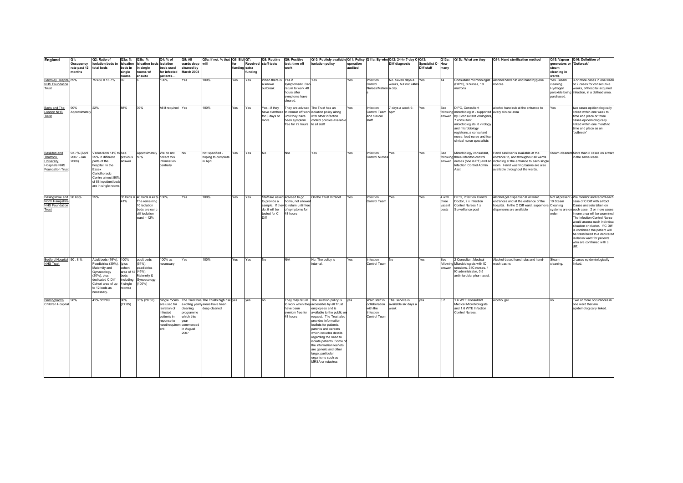| England                     | Q1:                     | Q2: Ratio of                              | Q3a: %             | Q3b: %                         | Q4: % of                  | Q5: All            | Q5a: If not, % that Q6: Bid Q7:                     |               |        | Q8: Routine          | Q9: Positive                                            | Q10: Publicly available Q11: Policy Q11a: By who Q12: 24-hr 7-day C-Q13: |           |                       |                      |                  | Q13a:  | Q13b: What are they                                      | Q14: Hand sterilisation method                                            |                          | Q15: Vapour Q16: Definition of                                       |
|-----------------------------|-------------------------|-------------------------------------------|--------------------|--------------------------------|---------------------------|--------------------|-----------------------------------------------------|---------------|--------|----------------------|---------------------------------------------------------|--------------------------------------------------------------------------|-----------|-----------------------|----------------------|------------------|--------|----------------------------------------------------------|---------------------------------------------------------------------------|--------------------------|----------------------------------------------------------------------|
|                             | Occupancy               | isolation beds to isloation               |                    | isloation beds isolation       |                           | wards deep will    |                                                     | for           |        | Received staff tests | test: time off                                          | isolation policy                                                         | operation |                       | Diff diagnosis       | Specialist C-How |        |                                                          |                                                                           | generators or 'Outbreak' |                                                                      |
|                             | rate past 12 total beds |                                           | beds in            | in single                      | beds used                 | cleaned by         |                                                     | funding extra |        |                      | work                                                    |                                                                          | audited   |                       |                      | Diff staff       | many   |                                                          |                                                                           | steam                    |                                                                      |
|                             | months                  |                                           | single<br>rooms    | rooms w/<br>ensuite            | for infected<br>patients  | March 2008         |                                                     |               | unding |                      |                                                         |                                                                          |           |                       |                      |                  |        |                                                          |                                                                           | cleaning in<br>wards     |                                                                      |
| Barnsley Hospital 89%       |                         | $75:450 = 16.7%$                          | 69                 |                                | 100%                      | Yes                | 100%                                                | Yes           | Yes    | When there is Yes if |                                                         | Yes                                                                      | Yes       | Infection             | No. Seven days a Yes |                  | 14     |                                                          | Consultant microbiologist Alcohol hand rub and hand hygiene               | Yes. Steam               | 3 or more cases in one week                                          |
| <b>NHS Foundation</b>       |                         |                                           |                    |                                |                           |                    |                                                     |               |        | a known              | symptomatic. Car                                        |                                                                          |           | Control               | weeks, but not 24hr  |                  |        | (DIPC), 3 nurses, 10                                     | notices                                                                   | cleaning.                | or 2 cases for consecutive                                           |
| Trust                       |                         |                                           |                    |                                |                           |                    |                                                     |               |        | outbreak.            | return to work 48                                       |                                                                          |           | Nurses/Matron a day.  |                      |                  |        | matrons                                                  |                                                                           | Hydrogen                 | weeks, of hospital acquired                                          |
|                             |                         |                                           |                    |                                |                           |                    |                                                     |               |        |                      | hours after                                             |                                                                          |           |                       |                      |                  |        |                                                          |                                                                           |                          | peroxide being infection, in a defined area.                         |
|                             |                         |                                           |                    |                                |                           |                    |                                                     |               |        |                      | symptoms have                                           |                                                                          |           |                       |                      |                  |        |                                                          |                                                                           | purchased.               |                                                                      |
|                             |                         |                                           |                    |                                |                           |                    |                                                     |               |        |                      | cleared.                                                |                                                                          |           |                       |                      |                  |        |                                                          |                                                                           |                          |                                                                      |
|                             |                         |                                           | 88%                | 39%                            | All if required Yes       |                    | 100%                                                |               |        | Yes - if they        | They are advised The Trust has an                       |                                                                          | Yes       | nfection              | 7 days a week 9-     |                  |        | DIPC, Consultant                                         | alcohol hand rub at the entrance to                                       |                          | two cases epidionologically                                          |
| Barts and The<br>London NHS | 90%<br>Approximatel     | 22%                                       |                    |                                |                           |                    |                                                     | Yes           | Yes    | have diarrhoea       |                                                         | to remain off work isolation policy along                                |           | Control Team          | 5 <sub>nm</sub>      | Yes              | See    | following microbiologist - supported every clinical area |                                                                           | Yes                      | linked within one week to                                            |
| Trust                       |                         |                                           |                    |                                |                           |                    |                                                     |               |        | for 3 days or        | until they have                                         | with other infection                                                     |           | and clinical          |                      |                  |        | answer by 3 consultant virologists.                      |                                                                           |                          | time and place or three                                              |
|                             |                         |                                           |                    |                                |                           |                    |                                                     |               |        | more                 | been symptom                                            | control policies available                                               |           | staff                 |                      |                  |        | consultant                                               |                                                                           |                          | cases epidemiologically                                              |
|                             |                         |                                           |                    |                                |                           |                    |                                                     |               |        |                      | free for 72 hours to all staff                          |                                                                          |           |                       |                      |                  |        | microbiologists, 8 virology                              |                                                                           |                          | linked within one month to                                           |
|                             |                         |                                           |                    |                                |                           |                    |                                                     |               |        |                      |                                                         |                                                                          |           |                       |                      |                  |        | and microbiology                                         |                                                                           |                          | time and place as an                                                 |
|                             |                         |                                           |                    |                                |                           |                    |                                                     |               |        |                      |                                                         |                                                                          |           |                       |                      |                  |        | registrars, a consultant                                 |                                                                           |                          | 'outbreak'                                                           |
|                             |                         |                                           |                    |                                |                           |                    |                                                     |               |        |                      |                                                         |                                                                          |           |                       |                      |                  |        | nurse, lead nurse and four<br>clinical nurse specialists |                                                                           |                          |                                                                      |
|                             |                         |                                           |                    |                                |                           |                    |                                                     |               |        |                      |                                                         |                                                                          |           |                       |                      |                  |        |                                                          |                                                                           |                          |                                                                      |
|                             |                         |                                           |                    |                                |                           |                    |                                                     |               |        |                      |                                                         |                                                                          |           |                       |                      |                  |        |                                                          |                                                                           |                          |                                                                      |
| Basildon and                | 93.7% (April            | Varies from 14% to See                    |                    | Approximately We do not        |                           | <b>No</b>          | Not specified -                                     | Yes           | Yes    | <b>No</b>            | N/A                                                     | Yes                                                                      | Yes       | nfection              | Yes                  | Yes              | See    | Microbiology consultant,                                 | Hand sanitiser is available at the                                        |                          | Steam cleaners More than 2 cases on a war                            |
| Thurrock                    | 2007 - Jan              | 25% in different                          | previous           | 50%                            | collect this              |                    | hoping to complete                                  |               |        |                      |                                                         |                                                                          |           | <b>Control Nurses</b> |                      |                  |        | following three infeciton control                        | entrance to, and throughout all wards                                     |                          | in the same week.                                                    |
| University                  | 2008)                   | parts of the                              | answer             |                                | information               |                    | in April                                            |               |        |                      |                                                         |                                                                          |           |                       |                      |                  |        |                                                          | answer nurses (one is PT) and an including at the entrance to each single |                          |                                                                      |
| <b>Hospitals NHS</b>        |                         | hospital. In the                          |                    |                                | centrally                 |                    |                                                     |               |        |                      |                                                         |                                                                          |           |                       |                      |                  |        | Infection Control Admin                                  | room. Hand washing basins are also                                        |                          |                                                                      |
| Foundation Trus             |                         | Essex                                     |                    |                                |                           |                    |                                                     |               |        |                      |                                                         |                                                                          |           |                       |                      |                  |        | Asst                                                     | available throughout the wards.                                           |                          |                                                                      |
|                             |                         | Cariothoracic                             |                    |                                |                           |                    |                                                     |               |        |                      |                                                         |                                                                          |           |                       |                      |                  |        |                                                          |                                                                           |                          |                                                                      |
|                             |                         | Centre almost 50%<br>of 88 inpatient beds |                    |                                |                           |                    |                                                     |               |        |                      |                                                         |                                                                          |           |                       |                      |                  |        |                                                          |                                                                           |                          |                                                                      |
|                             |                         | are in single rooms                       |                    |                                |                           |                    |                                                     |               |        |                      |                                                         |                                                                          |           |                       |                      |                  |        |                                                          |                                                                           |                          |                                                                      |
|                             |                         |                                           |                    |                                |                           |                    |                                                     |               |        |                      |                                                         |                                                                          |           |                       |                      |                  |        |                                                          |                                                                           |                          |                                                                      |
|                             |                         |                                           |                    |                                |                           |                    |                                                     |               |        |                      |                                                         |                                                                          |           |                       |                      |                  |        |                                                          |                                                                           |                          |                                                                      |
| Basingstoke and 90.68%      |                         | 25%                                       |                    | $35$ beds = 40 beds = 47% 100% |                           | Yes                | 100%                                                | Yes           | Yes    |                      | Staff are asked Advised to go                           | On the Trust Intranet                                                    | Yes       | Infection             | Yes                  | Yes              | 4 with | DIPC, Infection Control                                  | Alcohol gel dispenser at all ward                                         |                          | Not at present - We monitor and record each                          |
| North Hampshire             |                         |                                           | 41%                | The remaining                  |                           |                    |                                                     |               |        | to provide a         | home, not allower                                       |                                                                          |           | Control Team          |                      |                  | three  | Doctor, 2 x Infection                                    | entrances and at the entrance of the                                      | 10 Steam                 | case of C Diff with a Root                                           |
| <b>NHS Foundation</b>       |                         |                                           |                    | 10 isolation<br>beds are our c |                           |                    |                                                     |               |        | do, it will be       | sample. If they to return until free<br>of symptoms for |                                                                          |           |                       |                      |                  | vacant | Control Nurses 1 x<br>Surveillance post                  | hospital. In the C Diff ward, supernova<br>dispensers are available       | Cleaning                 | Cause analysis taken on<br>systems are on each case. 2 or more cases |
| Trust                       |                         |                                           |                    | diff isolation                 |                           |                    |                                                     |               |        | tested for C         | 48 hours                                                |                                                                          |           |                       |                      |                  | posts  |                                                          |                                                                           | order                    | in one area will be examined                                         |
|                             |                         |                                           |                    | ward = $12%$                   |                           |                    |                                                     |               |        | Diff                 |                                                         |                                                                          |           |                       |                      |                  |        |                                                          |                                                                           |                          | The Infection Control Nurse                                          |
|                             |                         |                                           |                    |                                |                           |                    |                                                     |               |        |                      |                                                         |                                                                          |           |                       |                      |                  |        |                                                          |                                                                           |                          | would assess each individua                                          |
|                             |                         |                                           |                    |                                |                           |                    |                                                     |               |        |                      |                                                         |                                                                          |           |                       |                      |                  |        |                                                          |                                                                           |                          | situation or cluster. If C Diff                                      |
|                             |                         |                                           |                    |                                |                           |                    |                                                     |               |        |                      |                                                         |                                                                          |           |                       |                      |                  |        |                                                          |                                                                           |                          | is confirmed the patient will                                        |
|                             |                         |                                           |                    |                                |                           |                    |                                                     |               |        |                      |                                                         |                                                                          |           |                       |                      |                  |        |                                                          |                                                                           |                          | be transferred to a dedicate                                         |
|                             |                         |                                           |                    |                                |                           |                    |                                                     |               |        |                      |                                                         |                                                                          |           |                       |                      |                  |        |                                                          |                                                                           |                          | isolation ward for patients                                          |
|                             |                         |                                           |                    |                                |                           |                    |                                                     |               |        |                      |                                                         |                                                                          |           |                       |                      |                  |        |                                                          |                                                                           |                          | who are confirmed with c<br>dift                                     |
|                             |                         |                                           |                    |                                |                           |                    |                                                     |               |        |                      |                                                         |                                                                          |           |                       |                      |                  |        |                                                          |                                                                           |                          |                                                                      |
|                             |                         |                                           |                    |                                |                           |                    |                                                     |               |        |                      |                                                         |                                                                          |           |                       |                      |                  |        |                                                          |                                                                           |                          |                                                                      |
| Bedford Hospital 90 . 8 %   |                         | Adult beds (16%), 100%                    |                    | adult beds                     | 100% as                   | Yes                | 100%                                                | Yes           | Yes    | No                   | N/A                                                     | No. The policy is                                                        | Yes       | Infection             | No                   | Yes              | See    | 2 Consultant Medical                                     | Alcohol-based hand rubs and hand-                                         | Steam                    | 2 cases epidemiologically                                            |
| <b>NHS Trust</b>            |                         | Paediatrics (39%).                        | (plus              | $(51\%)$                       | ecessary                  |                    |                                                     |               |        |                      |                                                         | internal.                                                                |           | Control Team          |                      |                  |        | following Microbiologists with IC                        | vash basins                                                               | cleaning.                | linked.                                                              |
|                             |                         | Maternity and                             | cohort             | peadiatrics                    |                           |                    |                                                     |               |        |                      |                                                         |                                                                          |           |                       |                      |                  |        | answer sessions, 3 IC nurses, 1                          |                                                                           |                          |                                                                      |
|                             |                         | Gynaecology                               | area of 12 (46%),  |                                |                           |                    |                                                     |               |        |                      |                                                         |                                                                          |           |                       |                      |                  |        | IC administrator, 0.5                                    |                                                                           |                          |                                                                      |
|                             |                         | (20%), plus                               | beds               | Maternity &                    |                           |                    |                                                     |               |        |                      |                                                         |                                                                          |           |                       |                      |                  |        | antimicrobial pharmacist                                 |                                                                           |                          |                                                                      |
|                             |                         | dedicated C.Diff                          | including          | Gynaecology                    |                           |                    |                                                     |               |        |                      |                                                         |                                                                          |           |                       |                      |                  |        |                                                          |                                                                           |                          |                                                                      |
|                             |                         | Cohort area of up<br>to 12 beds as        | 4 single<br>rooms) | 100%)                          |                           |                    |                                                     |               |        |                      |                                                         |                                                                          |           |                       |                      |                  |        |                                                          |                                                                           |                          |                                                                      |
|                             |                         | necessary.                                |                    |                                |                           |                    |                                                     |               |        |                      |                                                         |                                                                          |           |                       |                      |                  |        |                                                          |                                                                           |                          |                                                                      |
|                             |                         |                                           |                    |                                |                           |                    |                                                     |               |        |                      |                                                         |                                                                          |           |                       |                      |                  |        |                                                          |                                                                           |                          |                                                                      |
| Birmingham's                | 96%                     | 41% 85:209                                | 90%                | 33% (28:85)                    |                           |                    | Single rooms The Trust has The Trusts high risk yes |               | yes    | no                   |                                                         | They may return The isolation policy is yes                              |           | Ward staff in         | The service is       | yes              | 3.2    | 1.6 WTE Consultant                                       | alcohol gel                                                               | no                       | Two or more occurences in                                            |
| Children Hospita            |                         |                                           | (77:85)            |                                | are used for              |                    | a rolling yearly areas have been                    |               |        |                      |                                                         | to work when they accessible by all Trust                                |           | collaboration         | available six days a |                  |        | Medical Microbiologists                                  |                                                                           |                          | one ward that are                                                    |
|                             |                         |                                           |                    |                                | isolation of              | cleaning           | deep cleaned                                        |               |        |                      | have been                                               | employees and is                                                         |           | with the              | veek                 |                  |        | and 1.6 WTE Infection                                    |                                                                           |                          | epidemologically linked.                                             |
|                             |                         |                                           |                    |                                | infected                  | programme          |                                                     |               |        |                      | symtom free for                                         | available to the public or                                               |           | Infection             |                      |                  |        | <b>Control Nurses</b>                                    |                                                                           |                          |                                                                      |
|                             |                         |                                           |                    |                                | patients in<br>reponse to | which this<br>year |                                                     |               |        |                      | 48 hours                                                | request. The Trust also<br>provides information                          |           | Control Team          |                      |                  |        |                                                          |                                                                           |                          |                                                                      |
|                             |                         |                                           |                    |                                | need/requirem commenced   |                    |                                                     |               |        |                      |                                                         | leaflets for patients,                                                   |           |                       |                      |                  |        |                                                          |                                                                           |                          |                                                                      |
|                             |                         |                                           |                    |                                | ent                       | in August          |                                                     |               |        |                      |                                                         | parents and careers                                                      |           |                       |                      |                  |        |                                                          |                                                                           |                          |                                                                      |
|                             |                         |                                           |                    |                                |                           | 2007               |                                                     |               |        |                      |                                                         | which includes details                                                   |           |                       |                      |                  |        |                                                          |                                                                           |                          |                                                                      |
|                             |                         |                                           |                    |                                |                           |                    |                                                     |               |        |                      |                                                         | regarding the need to                                                    |           |                       |                      |                  |        |                                                          |                                                                           |                          |                                                                      |
|                             |                         |                                           |                    |                                |                           |                    |                                                     |               |        |                      |                                                         | isolate patients. Some o                                                 |           |                       |                      |                  |        |                                                          |                                                                           |                          |                                                                      |
|                             |                         |                                           |                    |                                |                           |                    |                                                     |               |        |                      |                                                         | the information leaflets                                                 |           |                       |                      |                  |        |                                                          |                                                                           |                          |                                                                      |
|                             |                         |                                           |                    |                                |                           |                    |                                                     |               |        |                      |                                                         | are generic and other                                                    |           |                       |                      |                  |        |                                                          |                                                                           |                          |                                                                      |
|                             |                         |                                           |                    |                                |                           |                    |                                                     |               |        |                      |                                                         | target particular<br>organisms such as                                   |           |                       |                      |                  |        |                                                          |                                                                           |                          |                                                                      |
|                             |                         |                                           |                    |                                |                           |                    |                                                     |               |        |                      |                                                         | MRSA or rotavirus                                                        |           |                       |                      |                  |        |                                                          |                                                                           |                          |                                                                      |
|                             |                         |                                           |                    |                                |                           |                    |                                                     |               |        |                      |                                                         |                                                                          |           |                       |                      |                  |        |                                                          |                                                                           |                          |                                                                      |
|                             |                         |                                           |                    |                                |                           |                    |                                                     |               |        |                      |                                                         |                                                                          |           |                       |                      |                  |        |                                                          |                                                                           |                          |                                                                      |
|                             |                         |                                           |                    |                                |                           |                    |                                                     |               |        |                      |                                                         |                                                                          |           |                       |                      |                  |        |                                                          |                                                                           |                          |                                                                      |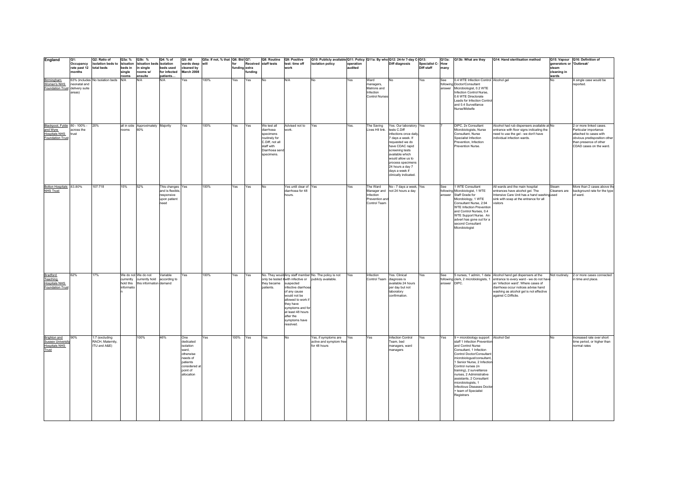| England                                                                              | lQ1:                                           | Q2: Ratio of                                       | Q3a: %                              | Q3b: %                                                                        | Q4: % of                                                              | Q5: All                                                                                                                | Q5a: If not, % that Q6: Bid Q7: |     |                                | Q8: Routine Q9: Positive                                                                                                |                                                                                                                                                                                    | Q10: Publicly available Q11: Policy Q11a: By who Q12: 24-hr 7-day C-Q13:                                         |                      |                                                                 |                                                                                                                                                                                                                                                            |                                        |                     | Q13a: Q13b: What are they                                                                                                                                                                                                                                                                                                                                                                                           | Q14: Hand sterilisation method                                                                                                                                                                                                                                                                 |                                                           | Q15: Vapour Q16: Definition of                                                                                                                                  |
|--------------------------------------------------------------------------------------|------------------------------------------------|----------------------------------------------------|-------------------------------------|-------------------------------------------------------------------------------|-----------------------------------------------------------------------|------------------------------------------------------------------------------------------------------------------------|---------------------------------|-----|--------------------------------|-------------------------------------------------------------------------------------------------------------------------|------------------------------------------------------------------------------------------------------------------------------------------------------------------------------------|------------------------------------------------------------------------------------------------------------------|----------------------|-----------------------------------------------------------------|------------------------------------------------------------------------------------------------------------------------------------------------------------------------------------------------------------------------------------------------------------|----------------------------------------|---------------------|---------------------------------------------------------------------------------------------------------------------------------------------------------------------------------------------------------------------------------------------------------------------------------------------------------------------------------------------------------------------------------------------------------------------|------------------------------------------------------------------------------------------------------------------------------------------------------------------------------------------------------------------------------------------------------------------------------------------------|-----------------------------------------------------------|-----------------------------------------------------------------------------------------------------------------------------------------------------------------|
|                                                                                      | Occupancy<br>rate past 12 total beds<br>months | isolation beds to isloation                        | beds in<br>single<br>rooms          | isloation beds isolation<br>in single<br>rooms w/<br>ensuite                  | beds used<br>for infected<br>patients                                 | wards deep<br>cleaned by<br>March 2008                                                                                 | will                            | for | funding extra<br><b>unding</b> | Received staff tests                                                                                                    | test: time off<br>work                                                                                                                                                             | isolation policy                                                                                                 | operation<br>audited |                                                                 | <b>Diff diagnosis</b>                                                                                                                                                                                                                                      | <b>Specialist C- How</b><br>Diff staff | many                |                                                                                                                                                                                                                                                                                                                                                                                                                     |                                                                                                                                                                                                                                                                                                | generators or 'Outbreak'<br>steam<br>cleaning in<br>wards |                                                                                                                                                                 |
| Birmingham<br>Women's NHS<br>Foundation Trust delivery suite                         | neonatal and<br>areas)                         | 63% (includes No Isolation beds N/A                |                                     | <b>N/A</b>                                                                    | N/A                                                                   | Yes                                                                                                                    | 100%                            | Yes | Yes                            | <b>No</b>                                                                                                               | N/A                                                                                                                                                                                | <b>No</b>                                                                                                        | Yes                  | Ward<br>managers,<br>Matrons and<br>Infection<br>Control Nurses | No                                                                                                                                                                                                                                                         | Yes                                    | See                 | 0.4 WTE Infection Control Alcohol gel<br>following Doctor/Consultant<br>answer Microbiologist, 0.2 WTE<br>Infection Control Nurse,<br>0.6 WTE Directorate<br>Leads for Infection Contro<br>and 0.4 Surveillance<br>Nurse/Midwife                                                                                                                                                                                    |                                                                                                                                                                                                                                                                                                | No                                                        | A single case would be<br>reported.                                                                                                                             |
| Blackpool, Fylde 80 - 100% -<br>and Wyre<br><b>Hospitals NHS</b><br>Foundation Trust | across the<br>trust                            | 20%                                                | rooms                               | all in side Approximately Majority<br>60%                                     |                                                                       | Yes                                                                                                                    | 100%                            | Yes | Yes                            | We test all<br>diarrhoea<br>specimens<br>routinely for<br>C.Diff, not all<br>staff with<br>Diarrhoea send<br>specimens. | Advised not to<br>work.                                                                                                                                                            | Yes                                                                                                              | Yes.                 | The Saving<br>Lives HII link. tests C.Diff                      | Yes. Our laboratory Yes<br>infections once daily<br>7 days a week. If<br>requested we do<br>have CDAC rapid<br>screening tests<br>available which<br>would allow us to<br>process specimens<br>24 hours a day 7<br>days a week if<br>clinically indicated. |                                        |                     | DIPC, 2x Consultant<br>Microbiologists, Nurse<br>Consultant, Nurse<br>Specialist Infection<br>Prevention, Infection<br>Prevention Nurse.                                                                                                                                                                                                                                                                            | Alcohol had rub dispensers available at No<br>entrance with floor signs indicating the<br>need to use the gel - we don't have<br>individual infection wards.                                                                                                                                   |                                                           | 2 or more linked cases.<br>Particular importance<br>attached to cases with<br>obvious predisposition other<br>than presence of other<br>CDAD cases on the ward. |
| Bolton Hospitals 83.80%<br>NHS Trust                                                 |                                                | 107:718                                            | 15%                                 | 52%                                                                           | This changes<br>and is flexible<br>responsive<br>upon patient<br>need | Yes                                                                                                                    | 100%                            | Yes | Yes                            | <b>No</b>                                                                                                               | Yes until clear of Yes<br>diarrhoea for 48<br>hours.                                                                                                                               |                                                                                                                  | Yes                  | The Ward<br>Infection<br>Prevention and<br>Control Team         | No - 7 days a week, Yes<br>Manager and not 24 hours a day                                                                                                                                                                                                  |                                        | See                 | 1 WTE Consultant<br>following Microbiologist, 1 WTE<br>answer Staff Grade for<br>Microbiology, 1 WTE<br>Consultant Nurse, 2.94<br><b>WTE Infection Prevention</b><br>and Control Nurses, 0.4<br>WTE Support Nurse. An<br>advert has gone out for a<br>second Consultant<br>Microbiologist                                                                                                                           | All wards and the main hospital<br>entrances have alcohol gel. The<br>Intensive Care Unit has a hand washingused<br>sink with soap at the entrance for all<br>visitors                                                                                                                         | Steam<br>Cleaners are                                     | More than 2 cases above th<br>background rate for the type<br>of ward.                                                                                          |
| Bradford<br>Teaching<br><b>Hospitals NHS</b><br>Foundation Trus                      | 62%                                            | 17%                                                | currently<br>hold this<br>informati | We do not We do not<br>currently hold according to<br>this information demand | Variable                                                              | Yes                                                                                                                    | 100%                            | Yes | Yes                            | they became<br>patients.                                                                                                | suspected<br>nfective diarrhor<br>of any cause<br>would not be<br>allowed to work<br>they have<br>symptoms and for<br>at least 48 hours<br>after the<br>symptoms have<br>resolved. | No. They would Any staff member No. The policy is not<br>only be tested if with infective or publicly available. | Yes                  | Infection<br>Control Team diagnosis is                          | Yes. Clinical<br>available 24 hours<br>per day but not<br>laboratory<br>confirmation.                                                                                                                                                                      | Yes                                    | See<br>answer DIPC. |                                                                                                                                                                                                                                                                                                                                                                                                                     | 5 nurses, 1 admin, 1 data Alcohol hand gel dispensers at the<br>following clerk, 2 microbiologists, 1 entrance to every ward - we do not have<br>an 'infection ward'. Where cases of<br>diarrhoea occur notices advise hand<br>washing as alcohol gel is not effective<br>against C.Difficile. |                                                           | Not routinely. 2 or more cases connected<br>n time and place.                                                                                                   |
| Brighton and<br><b>Sussex University</b><br><b>Hospitals NHS</b><br>Trust            | 90%                                            | 1:7 (excluding<br>RACH, Maternity,<br>ITU and A&E) |                                     | 100%                                                                          | 46%                                                                   | One<br>dedicated<br>isolation<br>ward,<br>otherwise<br>needs of<br>patients<br>considered at<br>point of<br>allocation | Yes                             |     | 100% Yes                       | Yes                                                                                                                     | No                                                                                                                                                                                 | Yes, if symptoms are Yes<br>active and symptom free<br>for 48 hours                                              |                      | Yes                                                             | Infection Control<br>Team, bed<br>managers, ward<br>managers                                                                                                                                                                                               | Yes                                    | Yes                 | 9 + microbiology support Alcohol Gel<br>staff 1 Infection Prevention<br>and Control Nurse<br>Consultant, 1 Infection<br>Control Doctor/Consultant<br>microbiologust/consultant,<br>1 Senior Nurse, 2 Infection<br>Control nurses (in<br>training), 2 surveillance<br>nurses, 2 Administrative<br>assistants, 2 Consultant<br>microbiologists, 1<br>Infectious Diseases Doctor<br>+ team of Specialist<br>Registrars |                                                                                                                                                                                                                                                                                                | No                                                        | Increased rate over short<br>time period, or higher than<br>normal rates                                                                                        |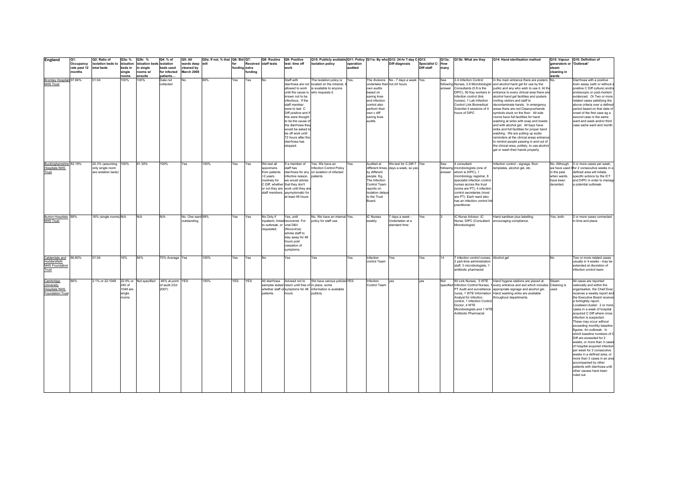| England                                         | Q1:                    | Q2: Ratio of                | Q3a: %             | Q3b: %                         | Q4: % of                  | Q5: All                          | Q5a: If not, % that   Q6: Bid   Q7: |               |               | Q8: Routine               | Q9: Positive                                                           | Q10: Publicly available Q11: Policy Q11a: By who Q12: 24-hr 7-day C-Q13: |           |                               |                                      |                  | Q13a: | Q13b: What are they                                   | Q14: Hand sterilisation method                                                                                              |                          | Q15: Vapour Q16: Definition of                                |
|-------------------------------------------------|------------------------|-----------------------------|--------------------|--------------------------------|---------------------------|----------------------------------|-------------------------------------|---------------|---------------|---------------------------|------------------------------------------------------------------------|--------------------------------------------------------------------------|-----------|-------------------------------|--------------------------------------|------------------|-------|-------------------------------------------------------|-----------------------------------------------------------------------------------------------------------------------------|--------------------------|---------------------------------------------------------------|
|                                                 | Occupancy              | isolation beds to isloation |                    | isloation beds isolation       |                           | wards deep                       | will                                | for           |               | Received staff tests      | test: time off                                                         | isolation policy                                                         | operation |                               | Diff diagnosis                       | Specialist C-How |       |                                                       |                                                                                                                             | generators or 'Outbreak' |                                                               |
|                                                 | rate past 12<br>months | total beds                  | beds in<br>single  | in single<br>rooms w/          | beds used<br>for infected | cleaned by<br>March 2008         |                                     | funding extra | <b>undina</b> |                           | work                                                                   |                                                                          | audited   |                               |                                      | Diff staff       | many  |                                                       |                                                                                                                             | steam<br>cleaning in     |                                                               |
|                                                 |                        |                             | rooms              | ensuite                        | patients                  |                                  |                                     |               |               |                           |                                                                        |                                                                          |           |                               |                                      |                  |       |                                                       |                                                                                                                             | wards                    |                                                               |
| Bromley Hospitals 97.86%                        |                        | 01:04                       | 100%               | 100%                           | Data not                  | No.                              | 66%                                 | Yes           | Yes           | No                        | Staff with                                                             | The Isolation policy is                                                  | Yes.      |                               | The divisions No - 7 days a week Yes |                  | See   | 2.4 Infection Control                                 | In the main entrance there are posters No.                                                                                  |                          | Diarrhoea with a positive                                     |
| <b>NHS Trust</b>                                |                        |                             |                    |                                | collected                 |                                  |                                     |               |               |                           |                                                                        | diarrhoea are not located on the intranet,                               |           | undertake their not 24 hours  |                                      |                  |       |                                                       | following Nurses, 2.8 Microbiologist and alcohol hand gel for use by the                                                    |                          | toxin assay (with or without                                  |
|                                                 |                        |                             |                    |                                |                           |                                  |                                     |               |               |                           | allowed to work                                                        | is available to anvone                                                   |           | own audits                    |                                      |                  |       | answer Consultants (0.8 is the                        | public and any who wish to use it. At the                                                                                   |                          | positive C Diff culture) and/o                                |
|                                                 |                        |                             |                    |                                |                           |                                  |                                     |               |               |                           | until the cause is who requests it.                                    |                                                                          |           | based on                      |                                      |                  |       | DIPC), 50 Key workers in                              | entrance to every clinical area there are                                                                                   |                          | endoscopic or post-mortem                                     |
|                                                 |                        |                             |                    |                                |                           |                                  |                                     |               |               |                           | known not to be<br>infectious. If the                                  |                                                                          |           | saving lives<br>and infection |                                      |                  |       | infection control (link<br>nurses), 1 Lab Infection   | alcohol hand gel facilities and posters<br>inviting visitors and staff to                                                   |                          | evidenced. Or Two or more<br>related cases satisfying the     |
|                                                 |                        |                             |                    |                                |                           |                                  |                                     |               |               |                           | staff member                                                           |                                                                          |           | control also                  |                                      |                  |       | Control Link Biomedical                               | decontaminate hands. In emergency                                                                                           |                          | above criteria over a defined                                 |
|                                                 |                        |                             |                    |                                |                           |                                  |                                     |               |               |                           | were to test C                                                         |                                                                          |           | perform their                 |                                      |                  |       | Scientist 4 sessions of 4                             | areas there are red Cleanyourhands                                                                                          |                          | period based on that date of                                  |
|                                                 |                        |                             |                    |                                |                           |                                  |                                     |               |               |                           | Diff positive and i                                                    |                                                                          |           | own c diff                    |                                      |                  |       | hours of DIPC                                         | symbols stuck on the floor. All side                                                                                        |                          | onset of the first case eg a                                  |
|                                                 |                        |                             |                    |                                |                           |                                  |                                     |               |               |                           | this were thought                                                      |                                                                          |           | saving lives                  |                                      |                  |       |                                                       | rooms have full facilities for hand                                                                                         |                          | second case in the same                                       |
|                                                 |                        |                             |                    |                                |                           |                                  |                                     |               |               |                           | to be the cause o<br>the diarrhoea the                                 |                                                                          |           | audits.                       |                                      |                  |       |                                                       | washing at sinks with soap and towels<br>and with alcohol gel. All bays have                                                |                          | ward and week and/or third<br>case same ward and month.       |
|                                                 |                        |                             |                    |                                |                           |                                  |                                     |               |               |                           | would be asked to                                                      |                                                                          |           |                               |                                      |                  |       |                                                       | sinks and full facilities for proper hand                                                                                   |                          |                                                               |
|                                                 |                        |                             |                    |                                |                           |                                  |                                     |               |               |                           | be off work until                                                      |                                                                          |           |                               |                                      |                  |       |                                                       | washing. We are putting up audio                                                                                            |                          |                                                               |
|                                                 |                        |                             |                    |                                |                           |                                  |                                     |               |               |                           | 72 hours after the                                                     |                                                                          |           |                               |                                      |                  |       |                                                       | reminders at the clinical areas entrance                                                                                    |                          |                                                               |
|                                                 |                        |                             |                    |                                |                           |                                  |                                     |               |               |                           | diarrhoea has                                                          |                                                                          |           |                               |                                      |                  |       |                                                       | to remind people passing in and out of                                                                                      |                          |                                                               |
|                                                 |                        |                             |                    |                                |                           |                                  |                                     |               |               |                           | stopped.                                                               |                                                                          |           |                               |                                      |                  |       |                                                       | the clinical area, politely, to use alcohol<br>gel or wash their hands properly.                                            |                          |                                                               |
|                                                 |                        |                             |                    |                                |                           |                                  |                                     |               |               |                           |                                                                        |                                                                          |           |                               |                                      |                  |       |                                                       |                                                                                                                             |                          |                                                               |
|                                                 |                        |                             |                    |                                |                           |                                  |                                     |               |               |                           |                                                                        |                                                                          |           |                               |                                      |                  |       |                                                       |                                                                                                                             |                          |                                                               |
| Buckinghamshire 82.19%                          |                        | 22.3% (assuming             | 100%               | 61.30%                         | 100%                      | Yes                              | 100%                                | Yes           | Yes           | We test all               | If a member of                                                         | Yes. We have an                                                          | Yes       | Audited at                    | We test for C.Diff 7 Yes             |                  | See   | 4 consultant                                          | Infection control - signage, floor                                                                                          | No. Although             | 3 or more cases per week,                                     |
| <b>Hospitals NHS</b>                            |                        | only single room            |                    |                                |                           |                                  |                                     |               |               | specimens                 | staff has                                                              | nfection Control Policy                                                  |           |                               | different times, days a week, so yes |                  |       | following microbiologists (one of                     | templates, alcohol gel, etc.                                                                                                |                          | we have used it for 2 consecutive weeks in a                  |
| Trust                                           |                        | are isolation beds)         |                    |                                |                           |                                  |                                     |               |               | from patients             |                                                                        | diarrhoea for any on isolation of infected                               |           | by different                  |                                      |                  |       | answer whom is DIPC), 1                               |                                                                                                                             | in the past              | defined area will initiate                                    |
|                                                 |                        |                             |                    |                                |                           |                                  |                                     |               |               | >2 years                  | infective reason. patients                                             |                                                                          |           | people. Eg.                   |                                      |                  |       | microbiology registrar, 8                             |                                                                                                                             | when wards               | specific actions by the ICT                                   |
|                                                 |                        |                             |                    |                                |                           |                                  |                                     |               |               | routinely for             | we would advise                                                        |                                                                          |           | The Infection<br>Control Team |                                      |                  |       | specialist infection control                          |                                                                                                                             | have been<br>decented.   | and DIPC in order to manage                                   |
|                                                 |                        |                             |                    |                                |                           |                                  |                                     |               |               |                           | C.Diff, whether that they don't<br>or not they are work until they are |                                                                          |           | reports on                    |                                      |                  |       | nurses across the trust<br>(some are PT), 4 infection |                                                                                                                             |                          | a potential outbreak.                                         |
|                                                 |                        |                             |                    |                                |                           |                                  |                                     |               |               |                           | staff members. asymptomatic for                                        |                                                                          |           | isolation delay               |                                      |                  |       | control secretaries (most                             |                                                                                                                             |                          |                                                               |
|                                                 |                        |                             |                    |                                |                           |                                  |                                     |               |               |                           | at least 48 hours                                                      |                                                                          |           | to the Trust                  |                                      |                  |       | are PT). Each ward also                               |                                                                                                                             |                          |                                                               |
|                                                 |                        |                             |                    |                                |                           |                                  |                                     |               |               |                           |                                                                        |                                                                          |           | Board.                        |                                      |                  |       | has an infection control link                         |                                                                                                                             |                          |                                                               |
|                                                 |                        |                             |                    |                                |                           |                                  |                                     |               |               |                           |                                                                        |                                                                          |           |                               |                                      |                  |       | practitioner.                                         |                                                                                                                             |                          |                                                               |
|                                                 |                        |                             |                    |                                |                           |                                  |                                     |               |               |                           |                                                                        |                                                                          |           |                               |                                      |                  |       |                                                       |                                                                                                                             |                          |                                                               |
| Burton Hospitals 88%<br><b>NHS Trust</b>        |                        | 16% (single rooms) N/A      |                    | <b>N/A</b>                     | N/A                       | No. One ward 99%<br>outstanding. |                                     | Yes           | Yes           | No Only if                | Yes, until<br>Inpatient, linked recovered. For                         | No. We have an internal Yes.<br>policy for staff use.                    |           | IC Nurses<br>weekly.          | days a week -<br>Undertaken at a     | Yes              |       | IC Nurse Advisor, IC<br>Nurse, DIPC (Consultant       | Hand sanitiser plus labelling<br>encouraging compliance.                                                                    | Yes, both.               | 2 or more cases connected<br>n time and place                 |
|                                                 |                        |                             |                    |                                |                           |                                  |                                     |               |               | to outbreak, or viral D&V |                                                                        |                                                                          |           |                               | standard time                        |                  |       | Microbiologist)                                       |                                                                                                                             |                          |                                                               |
|                                                 |                        |                             |                    |                                |                           |                                  |                                     |               |               | requested.                | (Novovirus)                                                            |                                                                          |           |                               |                                      |                  |       |                                                       |                                                                                                                             |                          |                                                               |
|                                                 |                        |                             |                    |                                |                           |                                  |                                     |               |               |                           | advise staff to                                                        |                                                                          |           |                               |                                      |                  |       |                                                       |                                                                                                                             |                          |                                                               |
|                                                 |                        |                             |                    |                                |                           |                                  |                                     |               |               |                           | stav away for 48                                                       |                                                                          |           |                               |                                      |                  |       |                                                       |                                                                                                                             |                          |                                                               |
|                                                 |                        |                             |                    |                                |                           |                                  |                                     |               |               |                           | hours post<br>cessation of                                             |                                                                          |           |                               |                                      |                  |       |                                                       |                                                                                                                             |                          |                                                               |
|                                                 |                        |                             |                    |                                |                           |                                  |                                     |               |               |                           | symptoms.                                                              |                                                                          |           |                               |                                      |                  |       |                                                       |                                                                                                                             |                          |                                                               |
| Calderdale and                                  | 86.80%                 | 01:04                       | 16%                | 84%                            | 70% Average Yes           |                                  | 100%                                | Yes           | Yes           | No                        | Yes                                                                    | Yes.                                                                     | Yes       | Infection                     | Yes                                  | Yes              | 14    | infection control nurses, Alcohol gel                 |                                                                                                                             | No                       | Two or more related cases                                     |
| Huddersfield                                    |                        |                             |                    |                                |                           |                                  |                                     |               |               |                           |                                                                        |                                                                          |           | control Team                  |                                      |                  |       | 3 part-time administration                            |                                                                                                                             |                          | usually in 4 weeks - may be                                   |
| <b>NHS Foundation</b>                           |                        |                             |                    |                                |                           |                                  |                                     |               |               |                           |                                                                        |                                                                          |           |                               |                                      |                  |       | staff, 3 microbiologists, 1                           |                                                                                                                             |                          | extended at discretion of                                     |
| Trust                                           |                        |                             |                    |                                |                           |                                  |                                     |               |               |                           |                                                                        |                                                                          |           |                               |                                      |                  |       | antibiotic pharmacist                                 |                                                                                                                             |                          | nfection control team                                         |
|                                                 |                        |                             |                    |                                |                           |                                  |                                     |               |               |                           |                                                                        |                                                                          |           |                               |                                      |                  |       |                                                       |                                                                                                                             |                          |                                                               |
| Cambridge                                       | 86%                    | 2.1% or 22:1048 22.9% or    |                    | Not specified 46% at point YES |                           |                                  | 100%                                | <b>YES</b>    | <b>YES</b>    |                           |                                                                        | All diarrhoea Advised not to We have various policies YES                |           | Infection                     | <b>VAS</b>                           | ves              | Not   |                                                       | 80 Link Nurses, 5 WTE Hand hygene stations are placed at                                                                    | Steam                    | All cases are reported                                        |
| University                                      |                        |                             | 240 of             |                                | of audit (Oct             |                                  |                                     |               |               |                           | samples tested return until free of in place, some                     |                                                                          |           | Control Team                  |                                      |                  |       |                                                       | specified Infection Control Nurses, 1 every entrance and exit which includes Cleaning is                                    |                          | nationally and within the                                     |
| <b>Hospitals NHS</b><br><b>Foundation Trust</b> |                        |                             | 1048 are<br>single |                                | 2007)                     |                                  |                                     |               |               | patients.                 | hours                                                                  | whether staff or symptoms for 48 information is available<br>publicly    |           |                               |                                      |                  |       |                                                       | PT Audit and surveillance appropriate signage and alcohol gel.<br>nurse, 1 WTE Information Hand washing sinks are available | used                     | organisation, the Chief Exec<br>receives a weekly report and  |
|                                                 |                        |                             | ooms               |                                |                           |                                  |                                     |               |               |                           |                                                                        |                                                                          |           |                               |                                      |                  |       | Analyst for infection                                 | throughout departments.                                                                                                     |                          | the Executive Board receives                                  |
|                                                 |                        |                             |                    |                                |                           |                                  |                                     |               |               |                           |                                                                        |                                                                          |           |                               |                                      |                  |       | control, 1 Infection Control                          |                                                                                                                             |                          | a fortnightly report.                                         |
|                                                 |                        |                             |                    |                                |                           |                                  |                                     |               |               |                           |                                                                        |                                                                          |           |                               |                                      |                  |       | Doctor, 4 WTE                                         |                                                                                                                             |                          | Localised cluster: 2 or more                                  |
|                                                 |                        |                             |                    |                                |                           |                                  |                                     |               |               |                           |                                                                        |                                                                          |           |                               |                                      |                  |       | Microbiologists and 1 WTE                             |                                                                                                                             |                          | cases in a week of hospital                                   |
|                                                 |                        |                             |                    |                                |                           |                                  |                                     |               |               |                           |                                                                        |                                                                          |           |                               |                                      |                  |       | Antibiotic Pharmacist                                 |                                                                                                                             |                          | acquired C Diff where cross                                   |
|                                                 |                        |                             |                    |                                |                           |                                  |                                     |               |               |                           |                                                                        |                                                                          |           |                               |                                      |                  |       |                                                       |                                                                                                                             |                          | infection is suspected.<br>These may occur without            |
|                                                 |                        |                             |                    |                                |                           |                                  |                                     |               |               |                           |                                                                        |                                                                          |           |                               |                                      |                  |       |                                                       |                                                                                                                             |                          | exceeding monthly baseline                                    |
|                                                 |                        |                             |                    |                                |                           |                                  |                                     |               |               |                           |                                                                        |                                                                          |           |                               |                                      |                  |       |                                                       |                                                                                                                             |                          | figures. An outbreak: In                                      |
|                                                 |                        |                             |                    |                                |                           |                                  |                                     |               |               |                           |                                                                        |                                                                          |           |                               |                                      |                  |       |                                                       |                                                                                                                             |                          | which baseline numbers of C                                   |
|                                                 |                        |                             |                    |                                |                           |                                  |                                     |               |               |                           |                                                                        |                                                                          |           |                               |                                      |                  |       |                                                       |                                                                                                                             |                          | Diff are exceeded for 2                                       |
|                                                 |                        |                             |                    |                                |                           |                                  |                                     |               |               |                           |                                                                        |                                                                          |           |                               |                                      |                  |       |                                                       |                                                                                                                             |                          | weeks; or more than 3 cases<br>of hospital acquired infection |
|                                                 |                        |                             |                    |                                |                           |                                  |                                     |               |               |                           |                                                                        |                                                                          |           |                               |                                      |                  |       |                                                       |                                                                                                                             |                          | per week for 2 consecutive                                    |
|                                                 |                        |                             |                    |                                |                           |                                  |                                     |               |               |                           |                                                                        |                                                                          |           |                               |                                      |                  |       |                                                       |                                                                                                                             |                          | weeks in a defined area; or                                   |
|                                                 |                        |                             |                    |                                |                           |                                  |                                     |               |               |                           |                                                                        |                                                                          |           |                               |                                      |                  |       |                                                       |                                                                                                                             |                          | more than 3 cases in an area                                  |
|                                                 |                        |                             |                    |                                |                           |                                  |                                     |               |               |                           |                                                                        |                                                                          |           |                               |                                      |                  |       |                                                       |                                                                                                                             |                          | accompanied by other                                          |
|                                                 |                        |                             |                    |                                |                           |                                  |                                     |               |               |                           |                                                                        |                                                                          |           |                               |                                      |                  |       |                                                       |                                                                                                                             |                          | patients with diarrhoea until<br>other causes have been       |
|                                                 |                        |                             |                    |                                |                           |                                  |                                     |               |               |                           |                                                                        |                                                                          |           |                               |                                      |                  |       |                                                       |                                                                                                                             |                          | ruled out.                                                    |
|                                                 |                        |                             |                    |                                |                           |                                  |                                     |               |               |                           |                                                                        |                                                                          |           |                               |                                      |                  |       |                                                       |                                                                                                                             |                          |                                                               |
|                                                 |                        |                             |                    |                                |                           |                                  |                                     |               |               |                           |                                                                        |                                                                          |           |                               |                                      |                  |       |                                                       |                                                                                                                             |                          |                                                               |
|                                                 |                        |                             |                    |                                |                           |                                  |                                     |               |               |                           |                                                                        |                                                                          |           |                               |                                      |                  |       |                                                       |                                                                                                                             |                          |                                                               |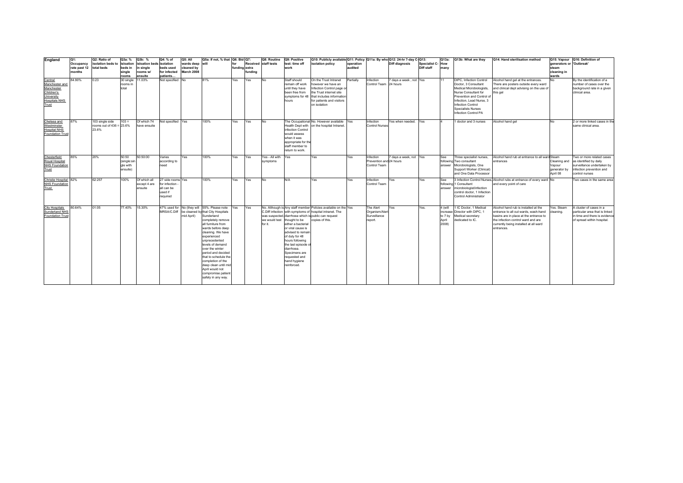| England                                                                                              | lQ1:<br>Occupancy<br>rate past 12<br>months | Q2: Ratio of<br>isolation beds to<br>total beds         | Q3a: %<br>isloation<br>beds in<br>single<br>rooms | Q3b: %<br>isloation beds isolation<br>in single<br>rooms w/<br>ensuite | Q4: % of<br>beds used<br>for infected<br>patients                       | O <sub>5</sub> : All<br>wards deep will<br>cleaned by<br>March 2008 | Q5a: If not. % that Q6: Bid Q7:                                                                                                                                                                                                                                                                                                                                                                                    | for<br>funding extra | fundina | Q8: Routine<br>Received staff tests | Q9: Positive<br>test: time off<br>work                                                                                                                                                                                                | Q10: Publicly available Q11: Policy   Q11a: By who Q12: 24-hr 7-day C-Q13:<br>isolation policy                                                                                                        | operation<br>audited |                                                        | <b>Diff diagnosis</b>  | Specialist C-How<br>Diff staff | Q13a:<br>many                                    | Q13b: What are they                                                                                                                                                                                                                    | Q14: Hand sterilisation method                                                                                                                                                                                      | generators or 'Outbreak'<br>steam<br>cleaning in<br>wards | Q15: Vapour Q16: Definition of                                                                                                               |
|------------------------------------------------------------------------------------------------------|---------------------------------------------|---------------------------------------------------------|---------------------------------------------------|------------------------------------------------------------------------|-------------------------------------------------------------------------|---------------------------------------------------------------------|--------------------------------------------------------------------------------------------------------------------------------------------------------------------------------------------------------------------------------------------------------------------------------------------------------------------------------------------------------------------------------------------------------------------|----------------------|---------|-------------------------------------|---------------------------------------------------------------------------------------------------------------------------------------------------------------------------------------------------------------------------------------|-------------------------------------------------------------------------------------------------------------------------------------------------------------------------------------------------------|----------------------|--------------------------------------------------------|------------------------|--------------------------------|--------------------------------------------------|----------------------------------------------------------------------------------------------------------------------------------------------------------------------------------------------------------------------------------------|---------------------------------------------------------------------------------------------------------------------------------------------------------------------------------------------------------------------|-----------------------------------------------------------|----------------------------------------------------------------------------------------------------------------------------------------------|
| Central<br>Manchester and<br>Manchester<br>Children's<br>University<br><b>Hospitals NHS</b><br>Trust | 84.90%                                      | 0.23                                                    | 30 single<br>rooms in<br>total                    | 11.03%                                                                 | Not specified No                                                        |                                                                     | 81%                                                                                                                                                                                                                                                                                                                                                                                                                | Yes                  | Yes     | <b>No</b>                           | Staff should<br>remain off work<br>until they have<br>been free from<br>hours                                                                                                                                                         | On the Trust Intranet<br>however we have an<br>Infection Control page or<br>the Trust internet site<br>symptoms for 48 that includes information<br>for patients and visitors<br>on isolation         | Partially            | Infection<br>Control Team 24 hours                     | 7 days a week, not Yes |                                |                                                  | DIPC, Infection Control<br>Doctor, 3 Consultant<br>Medical Microbiologists,<br>Nurse Consultant for<br>Prevention and Control of<br>Infection, Lead Nurse, 3<br>Infection Control<br><b>Specialists Nurses</b><br>Infection Control PA | Alcohol hand gel at the entrances.<br>There are posters outside every ward<br>and clinical dept advising on the use of<br>this gel                                                                                  | <b>No</b>                                                 | By the identification of a<br>number of cases over the<br>background rate in a given<br>clinical area.                                       |
| Chelsea and<br>Westminster<br><b>Hospital NHS</b><br><b>Foundation Trus</b>                          | 87%                                         | 103 single side<br>rooms out of $436 = 23.6\%$<br>23.6% | $103 =$                                           | Of which 74<br>have ensuite                                            | Not specified                                                           | Yes                                                                 | 100%                                                                                                                                                                                                                                                                                                                                                                                                               | Yes                  | Yes     | <b>No</b>                           | infection Control<br>would assess<br>when it was<br>appropriate for the<br>staff member to<br>return to work.                                                                                                                         | The Occupational No. However available Yes<br>Health Dept with on the hospital Intranet.                                                                                                              |                      | Infection<br>Control Nurses                            | Yes when needed.       | Yes                            |                                                  | 1 doctor and 3 nurses                                                                                                                                                                                                                  | Alcohol hand gel                                                                                                                                                                                                    | <b>No</b>                                                 | 2 or more linked cases in th<br>same clinical area.                                                                                          |
| Chesterfield<br>Royal Hospital<br><b>NHS Foundation</b><br>Trust                                     | 85%                                         | 20%                                                     | 50:50<br>(single:sin<br>gle with<br>ensuite)      | 50:50:00                                                               | Varies<br>according to<br>need                                          | Yes                                                                 | 100%                                                                                                                                                                                                                                                                                                                                                                                                               | Yes                  | Yes     | Yes - All with<br>symptoms          | Yes                                                                                                                                                                                                                                   | Yes                                                                                                                                                                                                   | Yes                  | nfection<br>Prevention and 24 hours<br>Control Team    | 7 days a week, not Yes |                                | See<br>following <sup>1</sup><br>answer          | Three specialist nurses,<br>Two consultant<br>Microbiologists, One<br>Support Worker (Clinical)<br>and One Data Processor                                                                                                              | Alcohol hand rub at entrance to all ward Steam<br>entrances                                                                                                                                                         | Vapour<br>generator by<br>80 IndA                         | Two or more related cases<br>Cleaning and as identified by daily<br>surveillance undertaken by<br>infection prevention and<br>control nurses |
| Christie Hospital 82%<br><b>NHS Foundation</b><br>Trust                                              |                                             | 62:257                                                  | 100%                                              | Of which all<br>except 4 are<br>ensuite                                | 27 side rooms Yes<br>for infection<br>all can be<br>used if<br>required |                                                                     | 100%                                                                                                                                                                                                                                                                                                                                                                                                               | Yes                  | Yes     | <b>No</b>                           | N/A                                                                                                                                                                                                                                   | Yes                                                                                                                                                                                                   | Yes                  | Infection<br>Control Team                              | Yes                    | Yes                            | See<br>following<br>answer                       | 1 Consultant<br>microbiologist/infection<br>control doctor, 1 Infection<br>Control Administrator                                                                                                                                       | 3 Infection Control Nurses, Alcohol rubs at entrance of every ward No<br>and every point of care                                                                                                                    |                                                           | Two cases in the same area                                                                                                                   |
| <b>City Hospitals</b><br><b>Sunderland NHS</b><br>Foundation Trus                                    | 80.64%                                      | 01:05                                                   | 77.40%                                            | 15.30%                                                                 | MRSA/C.Diff                                                             | mid April)                                                          | 47% used for No (they will 55%. Please note<br>be cleaned by that City Hospitals<br>Sunderland<br>completely remove<br>all furniture from<br>wards before deep<br>cleaning. We have<br>experienced<br>unprecedented<br>levels of demand<br>over the winter<br>period and decided<br>that to schedule the<br>completion of the<br>deep clean until mi<br>April would not<br>compromise patien<br>safety in any way. | Yes                  | Yes     | for it                              | we would test thought to be<br>either a bacterial<br>or viral cause is<br>advised to remain<br>of duty for 48<br>hours following<br>the last episode o<br>diarrhoea.<br>Specimens are<br>requested and<br>hand hygiene<br>reinforced. | No. Although is Any staff member Policies available on the Yes<br>C.Diff infection with symptoms of hospital intranet. The<br>was suspected, diarrhoea which is public can request<br>copies of this. |                      | The Alert<br>Organism/Alert<br>Surveillance<br>report. | Yes.                   | Yes.                           | 4 (will<br>increase<br>to 7 by<br>April<br>2008) | IC Doctor, 1 Medical<br>Director with DIPC. 1<br>Medical secretary<br>dedicated to IC.                                                                                                                                                 | Alcohol hand rub is installed at the<br>entrance to all out wards, wash-hand<br>basins are in place at the entrance to<br>the infection control ward and are<br>currently being installed at all ward<br>entrances. | Yes. Steam<br>cleaning.                                   | A cluster of cases in a<br>particular area that is linked<br>in time and there is evidence<br>of spread within hospital.                     |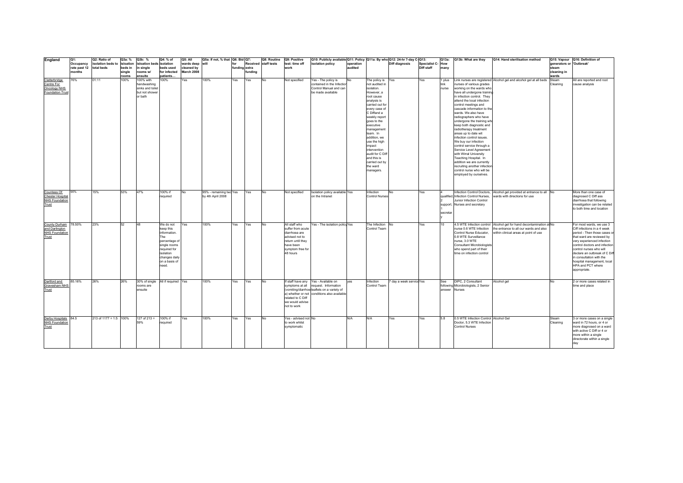| England                                 | Q1:                     | Q2: Ratio of                | Q3a: %  | Q3b: %                            | Q4: % of               | Q5: All         | Q5a: If not, % that   Q6: Bid   Q7: |               |         | Q8: Routine          | Q9: Positive                   | Q10: Publicly available Q11: Policy Q11a: By who Q12: 24-hr 7-day C-Q13: |           |                                |                         |                   | Q13a:         | Q13b: What are they                                      | Q14: Hand sterilisation method                                        |                          | Q15: Vapour Q16: Definition of |
|-----------------------------------------|-------------------------|-----------------------------|---------|-----------------------------------|------------------------|-----------------|-------------------------------------|---------------|---------|----------------------|--------------------------------|--------------------------------------------------------------------------|-----------|--------------------------------|-------------------------|-------------------|---------------|----------------------------------------------------------|-----------------------------------------------------------------------|--------------------------|--------------------------------|
|                                         | Occupancy               | isolation beds to isloation |         | isloation beds isolation          |                        | wards deep will |                                     | for           |         | Received staff tests | test: time off                 | isolation policy                                                         | operation |                                | Diff diagnosis          | Specialist C- How |               |                                                          |                                                                       | generators or 'Outbreak' |                                |
|                                         | rate past 12 total beds |                             | beds in | in single                         | beds used              | cleaned by      |                                     | funding extra |         |                      | work                           |                                                                          | audited   |                                |                         | Diff staff        | many          |                                                          |                                                                       | steam                    |                                |
|                                         | months                  |                             | single  | rooms w/                          | for infected           | March 2008      |                                     |               | fundina |                      |                                |                                                                          |           |                                |                         |                   |               |                                                          |                                                                       | cleaning in              |                                |
|                                         |                         |                             | rooms   | ensuite                           | patients               |                 |                                     |               |         |                      |                                |                                                                          |           |                                |                         |                   |               |                                                          |                                                                       | wards                    |                                |
| Clatterbridge                           | 76%                     | 01:11                       | 100%    | 100% with                         | 100%                   | Yes             | 100%                                | Yes           | Yes     | No                   | Not specified                  | Yes - The policy is                                                      | No        | The policy is Yes              |                         | Yes               | 1 plus        |                                                          | Link nurses are registered Alcohol gel and alcohol gel at all beds    | Steam                    | All are reported and root      |
| Centre For                              |                         |                             |         | handwashing                       |                        |                 |                                     |               |         |                      |                                | contained in the Infection                                               |           | not audited in                 |                         |                   | link          | nurses of various grades                                 |                                                                       | Cleaning                 | cause analysis                 |
| Oncology NHS                            |                         |                             |         | sinks and toilet                  |                        |                 |                                     |               |         |                      |                                | Control Manual and can                                                   |           | isolation.                     |                         |                   | nurse         | working on the wards who                                 |                                                                       |                          |                                |
| <b>Foundation Trust</b>                 |                         |                             |         | but not shower                    |                        |                 |                                     |               |         |                      |                                | be made available                                                        |           | However, a                     |                         |                   |               | have all undergone training                              |                                                                       |                          |                                |
|                                         |                         |                             |         | or bath                           |                        |                 |                                     |               |         |                      |                                |                                                                          |           | root cause                     |                         |                   |               | in infection control. They<br>attend the local infection |                                                                       |                          |                                |
|                                         |                         |                             |         |                                   |                        |                 |                                     |               |         |                      |                                |                                                                          |           | analysis is<br>carried out for |                         |                   |               | control meetings and                                     |                                                                       |                          |                                |
|                                         |                         |                             |         |                                   |                        |                 |                                     |               |         |                      |                                |                                                                          |           | every case of                  |                         |                   |               | cascade information to the                               |                                                                       |                          |                                |
|                                         |                         |                             |         |                                   |                        |                 |                                     |               |         |                      |                                |                                                                          |           | C Diffand a                    |                         |                   |               | wards. We also have                                      |                                                                       |                          |                                |
|                                         |                         |                             |         |                                   |                        |                 |                                     |               |         |                      |                                |                                                                          |           | weekly report                  |                         |                   |               | radiographers who have                                   |                                                                       |                          |                                |
|                                         |                         |                             |         |                                   |                        |                 |                                     |               |         |                      |                                |                                                                          |           | goes to the                    |                         |                   |               | undergone the training who                               |                                                                       |                          |                                |
|                                         |                         |                             |         |                                   |                        |                 |                                     |               |         |                      |                                |                                                                          |           | executive                      |                         |                   |               | keep both diagnostic and                                 |                                                                       |                          |                                |
|                                         |                         |                             |         |                                   |                        |                 |                                     |               |         |                      |                                |                                                                          |           | management                     |                         |                   |               | radiotherapy treatment                                   |                                                                       |                          |                                |
|                                         |                         |                             |         |                                   |                        |                 |                                     |               |         |                      |                                |                                                                          |           | team. In                       |                         |                   |               | areas up to date wit                                     |                                                                       |                          |                                |
|                                         |                         |                             |         |                                   |                        |                 |                                     |               |         |                      |                                |                                                                          |           | addition, we                   |                         |                   |               | infection control issues.                                |                                                                       |                          |                                |
|                                         |                         |                             |         |                                   |                        |                 |                                     |               |         |                      |                                |                                                                          |           | use the high                   |                         |                   |               | We buy our infection                                     |                                                                       |                          |                                |
|                                         |                         |                             |         |                                   |                        |                 |                                     |               |         |                      |                                |                                                                          |           | impact                         |                         |                   |               | control service through a                                |                                                                       |                          |                                |
|                                         |                         |                             |         |                                   |                        |                 |                                     |               |         |                      |                                |                                                                          |           | intervention                   |                         |                   |               | Service Level Agreement                                  |                                                                       |                          |                                |
|                                         |                         |                             |         |                                   |                        |                 |                                     |               |         |                      |                                |                                                                          |           | audit for C Dift               |                         |                   |               | with Wirral University                                   |                                                                       |                          |                                |
|                                         |                         |                             |         |                                   |                        |                 |                                     |               |         |                      |                                |                                                                          |           | and this is                    |                         |                   |               | Teaching Hospital. In                                    |                                                                       |                          |                                |
|                                         |                         |                             |         |                                   |                        |                 |                                     |               |         |                      |                                |                                                                          |           | carried out by                 |                         |                   |               | addition we are currently                                |                                                                       |                          |                                |
|                                         |                         |                             |         |                                   |                        |                 |                                     |               |         |                      |                                |                                                                          |           | the ward                       |                         |                   |               | recruiting another infection                             |                                                                       |                          |                                |
|                                         |                         |                             |         |                                   |                        |                 |                                     |               |         |                      |                                |                                                                          |           | managers.                      |                         |                   |               | control nurse who will be                                |                                                                       |                          |                                |
|                                         |                         |                             |         |                                   |                        |                 |                                     |               |         |                      |                                |                                                                          |           |                                |                         |                   |               | employed by ourselves.                                   |                                                                       |                          |                                |
|                                         |                         |                             |         |                                   |                        |                 |                                     |               |         |                      |                                |                                                                          |           |                                |                         |                   |               |                                                          |                                                                       |                          |                                |
|                                         |                         |                             |         |                                   |                        |                 |                                     |               |         |                      |                                |                                                                          |           |                                |                         |                   |               |                                                          |                                                                       |                          |                                |
|                                         |                         |                             |         |                                   |                        |                 |                                     |               |         |                      |                                |                                                                          |           |                                |                         |                   |               |                                                          |                                                                       |                          |                                |
| Countess Of                             | 90%                     | 15%                         | 53%     | 47%                               | 100% if                | <b>No</b>       | 95% - remaining two Yes             |               | Yes     | No                   | Not specified                  | Isolation policy available Yes                                           |           | Infection                      | <b>No</b>               | Yes               |               |                                                          | Infection Control Doctors, Alcohol gel provided at entrance to all No |                          | More than one case of          |
| Chester Hospital                        |                         |                             |         |                                   | required               |                 | by 4th April 2008                   |               |         |                      |                                | on the Intranet                                                          |           | <b>Control Nurses</b>          |                         |                   |               | qualified, Infection Control Nurses,                     | wards with directions for use                                         |                          | diagnosed C Diff ass           |
| <b>NHS Foundation</b>                   |                         |                             |         |                                   |                        |                 |                                     |               |         |                      |                                |                                                                          |           |                                |                         |                   |               | Junior Infection Control                                 |                                                                       |                          | diarrhoea that following       |
| Trust                                   |                         |                             |         |                                   |                        |                 |                                     |               |         |                      |                                |                                                                          |           |                                |                         |                   |               | support, Nurses and secretary                            |                                                                       |                          | investigation can be related   |
|                                         |                         |                             |         |                                   |                        |                 |                                     |               |         |                      |                                |                                                                          |           |                                |                         |                   |               |                                                          |                                                                       |                          | to both time and location      |
|                                         |                         |                             |         |                                   |                        |                 |                                     |               |         |                      |                                |                                                                          |           |                                |                         |                   | secretar      |                                                          |                                                                       |                          |                                |
|                                         |                         |                             |         |                                   |                        |                 |                                     |               |         |                      |                                |                                                                          |           |                                |                         |                   |               |                                                          |                                                                       |                          |                                |
|                                         | 78.50%                  | 23%                         | 52      | 48                                |                        |                 | 100%                                | Yes           | Yes     | <b>No</b>            | All staff who                  | Yes - The isolation policy Yes                                           |           | The Infection No               |                         | Yes               |               |                                                          | 4.5 WTE Infection control Alcohol gel for hand decontamination at No  |                          | For most wards, we use 3       |
| County Durham                           |                         |                             |         |                                   | We do not<br>keep this | Yes             |                                     |               |         |                      | suffer from acute              |                                                                          |           | Control Team                   |                         |                   | 10            | nurse 0.6 WTE Infection                                  | the entrance to all our wards and also                                |                          | Ciff infections in a 4 week    |
| and Darlington<br><b>NHS Foundation</b> |                         |                             |         |                                   | information.           |                 |                                     |               |         |                      | diarrhoea are                  |                                                                          |           |                                |                         |                   |               | Control Nurse Educator,                                  | within clinical areas at point of use                                 |                          | period - Then those cases or   |
| Trust                                   |                         |                             |         |                                   | The                    |                 |                                     |               |         |                      | advised not to                 |                                                                          |           |                                |                         |                   |               | 0.8 WTE Surveillance                                     |                                                                       |                          | that ward are reviewed by      |
|                                         |                         |                             |         |                                   | percentage of          |                 |                                     |               |         |                      | return until they              |                                                                          |           |                                |                         |                   |               | nurse, 3.0 WTE                                           |                                                                       |                          | very experienced infection     |
|                                         |                         |                             |         |                                   | single rooms           |                 |                                     |               |         |                      | have been                      |                                                                          |           |                                |                         |                   |               | Consultant Microbiologists                               |                                                                       |                          | control doctors and infection  |
|                                         |                         |                             |         |                                   | required for           |                 |                                     |               |         |                      | symptom free for               |                                                                          |           |                                |                         |                   |               | who spend part of their                                  |                                                                       |                          | control nurses who will        |
|                                         |                         |                             |         |                                   | isolation              |                 |                                     |               |         |                      | 48 hours                       |                                                                          |           |                                |                         |                   |               | time on infection control                                |                                                                       |                          | declare an outbreak of C Diff  |
|                                         |                         |                             |         |                                   | changes daily          |                 |                                     |               |         |                      |                                |                                                                          |           |                                |                         |                   |               |                                                          |                                                                       |                          | in consultation with the       |
|                                         |                         |                             |         |                                   | on a basis of          |                 |                                     |               |         |                      |                                |                                                                          |           |                                |                         |                   |               |                                                          |                                                                       |                          | hospital management, local     |
|                                         |                         |                             |         |                                   | need.                  |                 |                                     |               |         |                      |                                |                                                                          |           |                                |                         |                   |               |                                                          |                                                                       |                          | HPA and PCT where              |
|                                         |                         |                             |         |                                   |                        |                 |                                     |               |         |                      |                                |                                                                          |           |                                |                         |                   |               |                                                          |                                                                       |                          | appropriate.                   |
|                                         |                         |                             |         |                                   |                        |                 |                                     |               |         |                      |                                |                                                                          |           |                                |                         |                   |               |                                                          |                                                                       |                          |                                |
|                                         |                         |                             |         |                                   |                        |                 |                                     |               |         |                      |                                |                                                                          |           |                                |                         |                   |               |                                                          |                                                                       |                          |                                |
| Dartford and                            | 85.16%                  | 26%                         | 26%     | 30% of single All if required Yes |                        |                 | 100%                                | Yes           | Yes     | No                   |                                | If staff have any Yes - Available on                                     | ves       | Infection                      | 7 day a week serviceYes |                   | See           | DIPC, 2 Consultant                                       | Alcohol gel                                                           | No                       | 2 or more cases related in     |
| Gravesham NHS                           |                         |                             |         | rooms are                         |                        |                 |                                     |               |         |                      |                                | symptoms at all request. Information                                     |           | Control Team                   |                         |                   |               | following Microbiologists, 2 Senior                      |                                                                       |                          | time and place                 |
| Trust                                   |                         |                             |         | ensuite                           |                        |                 |                                     |               |         |                      |                                | (vomiting/diarrhoe leaflets on a variety of                              |           |                                |                         |                   | answer Nurses |                                                          |                                                                       |                          |                                |
|                                         |                         |                             |         |                                   |                        |                 |                                     |               |         |                      |                                | a) whether or not conditions also available                              |           |                                |                         |                   |               |                                                          |                                                                       |                          |                                |
|                                         |                         |                             |         |                                   |                        |                 |                                     |               |         |                      | related to C Diff              |                                                                          |           |                                |                         |                   |               |                                                          |                                                                       |                          |                                |
|                                         |                         |                             |         |                                   |                        |                 |                                     |               |         |                      | we would advise<br>not to work |                                                                          |           |                                |                         |                   |               |                                                          |                                                                       |                          |                                |
|                                         |                         |                             |         |                                   |                        |                 |                                     |               |         |                      |                                |                                                                          |           |                                |                         |                   |               |                                                          |                                                                       |                          |                                |
|                                         |                         |                             |         |                                   |                        |                 |                                     |               |         |                      |                                |                                                                          |           |                                |                         |                   |               |                                                          |                                                                       |                          |                                |
| Derby Hospitals 84.5                    |                         | $213$ of $1177 = 1:5$ 100%  |         | $127$ of $213 =$                  | 100% if                | Yes             | 100%                                | Yes           | Yes     | No                   | Yes - advised not No           |                                                                          | N/A       | N/A                            | Yes                     | Yes               | 5.8           | 0.5 WTE Infection Control Alcohol Gel                    |                                                                       | Steam                    | 3 or more cases on a single    |
| <b>NHS Foundation</b>                   |                         |                             |         | 59%                               | required               |                 |                                     |               |         |                      | to work whilst                 |                                                                          |           |                                |                         |                   |               | Doctor, 5.3 WTE Infection                                |                                                                       | Cleaning                 | ward in 72 hours, or 4 or      |
| Trust                                   |                         |                             |         |                                   |                        |                 |                                     |               |         |                      | symptomatic                    |                                                                          |           |                                |                         |                   |               | <b>Control Nurses</b>                                    |                                                                       |                          | more diagnosed on a ward       |
|                                         |                         |                             |         |                                   |                        |                 |                                     |               |         |                      |                                |                                                                          |           |                                |                         |                   |               |                                                          |                                                                       |                          | with active C Diff or 4 or     |
|                                         |                         |                             |         |                                   |                        |                 |                                     |               |         |                      |                                |                                                                          |           |                                |                         |                   |               |                                                          |                                                                       |                          | more within a single           |
|                                         |                         |                             |         |                                   |                        |                 |                                     |               |         |                      |                                |                                                                          |           |                                |                         |                   |               |                                                          |                                                                       |                          | directorate within a single    |
|                                         |                         |                             |         |                                   |                        |                 |                                     |               |         |                      |                                |                                                                          |           |                                |                         |                   |               |                                                          |                                                                       |                          | day                            |
|                                         |                         |                             |         |                                   |                        |                 |                                     |               |         |                      |                                |                                                                          |           |                                |                         |                   |               |                                                          |                                                                       |                          |                                |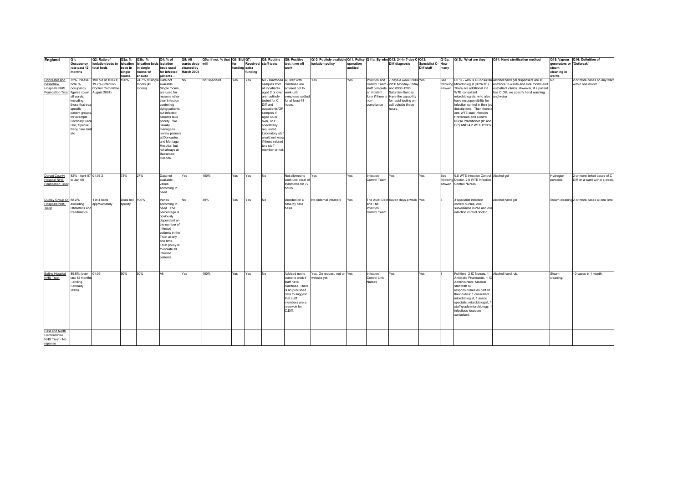| England                                                                              | Q1:                                                                                                                                                                                     | Q2: Ratio of                                                                      | Q3a: %                   | Q3b: %                                          | Q4: % of                                                                                                                                                                                                                                                                                             | Q5: All                       | Q5a: If not, % that Q6: Bid Q7: |                      |         | Q8: Routine                                                                                                                                                                                                                                                                                                                   | Q9: Positive                                                                                                                                                         | Q10: Publicly available Q11: Policy Q11a: By who Q12: 24-hr 7-day C-Q13: |                      |                                      |                                                                                                                                                                                                                                |                                        |      | Q13a: Q13b: What are they                                                                                                                                                                                                                                                                                                                   | Q14: Hand sterilisation method                                                                                                                                                            |                                   | Q15: Vapour Q16: Definition of                               |
|--------------------------------------------------------------------------------------|-----------------------------------------------------------------------------------------------------------------------------------------------------------------------------------------|-----------------------------------------------------------------------------------|--------------------------|-------------------------------------------------|------------------------------------------------------------------------------------------------------------------------------------------------------------------------------------------------------------------------------------------------------------------------------------------------------|-------------------------------|---------------------------------|----------------------|---------|-------------------------------------------------------------------------------------------------------------------------------------------------------------------------------------------------------------------------------------------------------------------------------------------------------------------------------|----------------------------------------------------------------------------------------------------------------------------------------------------------------------|--------------------------------------------------------------------------|----------------------|--------------------------------------|--------------------------------------------------------------------------------------------------------------------------------------------------------------------------------------------------------------------------------|----------------------------------------|------|---------------------------------------------------------------------------------------------------------------------------------------------------------------------------------------------------------------------------------------------------------------------------------------------------------------------------------------------|-------------------------------------------------------------------------------------------------------------------------------------------------------------------------------------------|-----------------------------------|--------------------------------------------------------------|
|                                                                                      | Occupancy<br>rate past 12 total beds                                                                                                                                                    | isolation beds to isloation                                                       | beds in                  | isloation beds isolation<br>in single           | beds used                                                                                                                                                                                                                                                                                            | wards deep will<br>cleaned by |                                 | for<br>funding extra |         | Received staff tests                                                                                                                                                                                                                                                                                                          | test: time off<br>work                                                                                                                                               | isolation policy                                                         | operation<br>audited |                                      | Diff diagnosis                                                                                                                                                                                                                 | <b>Specialist C- How</b><br>Diff staff | many |                                                                                                                                                                                                                                                                                                                                             |                                                                                                                                                                                           | generators or 'Outbreak'<br>steam |                                                              |
|                                                                                      | months                                                                                                                                                                                  |                                                                                   | single                   | rooms w/                                        | for infected                                                                                                                                                                                                                                                                                         | March 2008                    |                                 |                      | funding |                                                                                                                                                                                                                                                                                                                               |                                                                                                                                                                      |                                                                          |                      |                                      |                                                                                                                                                                                                                                |                                        |      |                                                                                                                                                                                                                                                                                                                                             |                                                                                                                                                                                           | cleaning in                       |                                                              |
|                                                                                      |                                                                                                                                                                                         |                                                                                   | rooms                    | ensuite                                         | patients.                                                                                                                                                                                                                                                                                            |                               |                                 |                      |         |                                                                                                                                                                                                                                                                                                                               |                                                                                                                                                                      |                                                                          |                      |                                      |                                                                                                                                                                                                                                |                                        |      |                                                                                                                                                                                                                                                                                                                                             |                                                                                                                                                                                           | wards                             |                                                              |
| Doncaster and<br>Bassetlaw<br><b>Hospitals NHS</b><br>Foundation Trust figures cover | 75%. Please<br>note %<br>occupancy<br>all wards.<br>including<br>those that trea<br>specific<br>patient groups<br>for example<br>Coronary Care<br>Unit, Special<br>Baby care Uni<br>etc | 198 out of 1003 =<br>19.7% (Infection<br>Control Committee<br><b>August 2007)</b> | 100%                     | 24.7% of single Data not<br>rooms (49<br>rooms) | available.<br>Single rooms<br>are used for<br>reasons other<br>than infection<br>control eg<br>dying patients<br>but infected<br>patients take<br>priority. We<br>usually<br>manage to<br>isolate patient<br>at Doncaster<br>and Montagu<br>Hospital, but<br>not always at<br>Bassetlaw<br>Hospital. | No                            | Not specified                   | Yes                  | Yes     | No - Diarrhoea All staff with<br>samples from<br>all inpatients<br>aged 2 or over work until<br>are routinely<br>tested for C<br>Diff and<br>outpatients/GP<br>samples if<br>aged 65 or<br>over, or if<br>specifically<br>requested.<br>Laboratory staf<br>would not know<br>if these related<br>to a staff<br>member or not. | diarrhoea are<br>advised not to<br>symptoms settled<br>for at least 48<br>hours.                                                                                     | Yes                                                                      | Yes                  | an incident<br>non-<br>compliance    | Infection and 7 days a week 0900-Yes<br>Control Team - 2200 Monday-Friday<br>staff complete and 0900-1200<br>Saturday-Sunday.<br>form if there is Have the capability<br>for rapid testing on-<br>call outside these<br>hours. |                                        | See  | following Microbiologist (0.8WTE).<br>answer There are additional 2.8<br><b>WTE consultant</b><br>microbiologists, who also and water<br>have resppponsibility for<br>infection control in their job<br>descriptions. Then there<br>one WTE lead Infection<br>Prevention and Control<br>Nurse Practitioner (IP and<br>CP) AND 4.2 WTE IPCPs | DIPC - who is a Consultant Alcohol hand gel dispensers are at<br>entrance to wards and side rooms and<br>outpatient clinics. However, if a patient<br>has C Diff, we specify hand washing |                                   | 2 or more cases on any ward<br>within one month              |
| Dorset County<br><b>Hospital NHS</b><br>Foundation Trust                             | 82% - April 07 01:07.2<br>to Jan 08                                                                                                                                                     |                                                                                   | 73%                      | 27%                                             | Data not<br>available -<br>varies<br>according to<br>need                                                                                                                                                                                                                                            | Yes                           | 100%                            | Yes                  | Yes     | No                                                                                                                                                                                                                                                                                                                            | Not allowed to<br>work until clear of<br>symptoms for 72<br>hours                                                                                                    | Yes                                                                      | Yes                  | Infection<br>Control Team            | Yes                                                                                                                                                                                                                            | Yes                                    | See  | 0.5 WTE Infection Control Alcohol gel<br>following Doctor, 2.8 WTE Infection<br>answer Control Nurses                                                                                                                                                                                                                                       |                                                                                                                                                                                           | Hydrogen<br>peroxide              | 2 or more linked cases of C<br>Diff on a ward within a week. |
| Dudley Group Of 88.2%<br><b>Hospitals NHS</b><br>Trust                               | excluding<br>Obstetrics and<br>Paedriatrics                                                                                                                                             | 1 in 4 beds<br>approximately                                                      | Does not 100%<br>specify |                                                 | Varies<br>according to<br>need. The<br>percentage is<br>obviously<br>dependent on<br>the number o<br>infected<br>patients in the<br>Trust at any<br>one time.<br>Trust policy is<br>to isolate all<br>infected<br>patients.                                                                          | No                            | 30%                             | Yes                  | Yes     | No                                                                                                                                                                                                                                                                                                                            | Decided on a<br>case by case<br>basis                                                                                                                                | No (internal intranet)                                                   | Yes                  | and The<br>Infection<br>Control Team | The Audit Dept Seven days a week Yes                                                                                                                                                                                           |                                        |      | 3 specialist infection<br>control nurses, one<br>surveillance nurse and one<br>infection control doctor                                                                                                                                                                                                                                     | Alcohol hand gel                                                                                                                                                                          |                                   | Steam cleaning 2 or more cases at one time                   |
| Ealing Hospital<br><b>NHS Trust</b>                                                  | 89.6% (over 01:06<br>last 12 months<br>ending<br>February<br>2008)                                                                                                                      |                                                                                   | 50%                      | 50%                                             | All                                                                                                                                                                                                                                                                                                  | Yes                           | 100%                            | Yes                  | Yes     | No                                                                                                                                                                                                                                                                                                                            | Advised not to<br>come to work if<br>staff have<br>diarrhoea. There<br>is no published<br>data to suggest<br>that staff<br>members are a<br>reservoir for<br>C.Diff. | Yes. On request, not on Yes<br>website yet.                              |                      | Infection<br>Control Link<br>Nurses  | Yes                                                                                                                                                                                                                            | Yes                                    |      | Full time: 2 IC Nurses, 1 Alcohol hand rub.<br>Antibiotic Pharmacist, 1 IC<br>Administrator. Medical<br>staff with IC<br>responsibilities as part of<br>their duties: 1 consultant<br>microbiologist, 1 assoc<br>specialist microbiologist, 1<br>staff grade microbiology,<br>infectious idseases<br>consultant.                            |                                                                                                                                                                                           | Steam<br>cleaning.                | 10 cases in 1 month.                                         |
| East and North<br>Hertfordshire<br>NHS Trust - No<br>reponse                         |                                                                                                                                                                                         |                                                                                   |                          |                                                 |                                                                                                                                                                                                                                                                                                      |                               |                                 |                      |         |                                                                                                                                                                                                                                                                                                                               |                                                                                                                                                                      |                                                                          |                      |                                      |                                                                                                                                                                                                                                |                                        |      |                                                                                                                                                                                                                                                                                                                                             |                                                                                                                                                                                           |                                   |                                                              |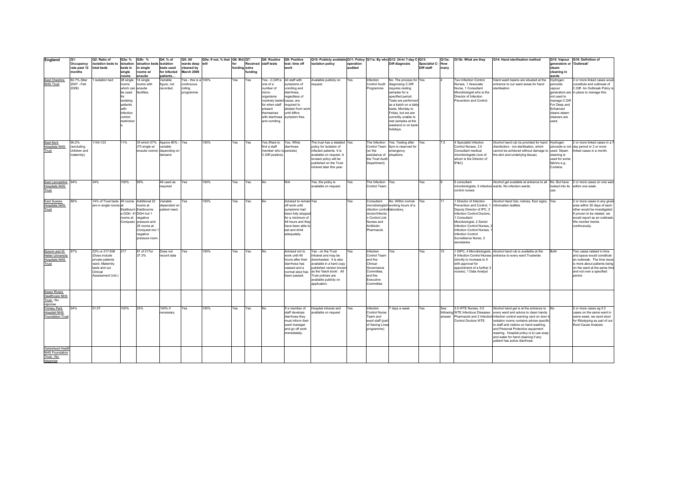| England                                      | Q1:          | Q2: Ratio of                             | Q3a: %             | Q3b: %                          | Q4: % of                      | Q5: All              | Q5a: If not, % that   Q6: Bid   Q7: |               |         | Q8: Routine                 | Q9: Positive                            | Q10: Publicly available Q11: Policy Q11a: By who Q12: 24-hr 7-day C-Q13: |           |                                    |                                              |                  | Q13a: | Q13b: What are they                                   | Q14: Hand sterilisation method                                                                                                               |                          | Q15: Vapour Q16: Definition of                             |
|----------------------------------------------|--------------|------------------------------------------|--------------------|---------------------------------|-------------------------------|----------------------|-------------------------------------|---------------|---------|-----------------------------|-----------------------------------------|--------------------------------------------------------------------------|-----------|------------------------------------|----------------------------------------------|------------------|-------|-------------------------------------------------------|----------------------------------------------------------------------------------------------------------------------------------------------|--------------------------|------------------------------------------------------------|
|                                              | Occupancy    | isolation beds to                        | isloation          | isloation beds isolation        |                               | wards deep           | will                                | for           |         | Received staff tests        | test: time off                          | isolation policy                                                         | operation |                                    | <b>Diff diagnosis</b>                        | Specialist C-How |       |                                                       |                                                                                                                                              | generators or 'Outbreak' |                                                            |
|                                              | rate past 12 | total beds                               | beds in            | in single                       | beds used                     | cleaned by           |                                     | funding extra |         |                             | work                                    |                                                                          | audited   |                                    |                                              | Diff staff       | many  |                                                       |                                                                                                                                              | steam                    |                                                            |
|                                              | months       |                                          | single             | rooms w/                        | for infected                  | March 2008           |                                     |               | fundina |                             |                                         |                                                                          |           |                                    |                                              |                  |       |                                                       |                                                                                                                                              | cleaning in              |                                                            |
|                                              | 82.7% (Mar   | isolation bed                            | rooms              | ensuite                         | patients.<br>Variable         | Yes - this is a 100% |                                     |               |         | Yes - C.Diff is             | All staff with                          |                                                                          |           |                                    |                                              |                  |       |                                                       |                                                                                                                                              | wards                    |                                                            |
| <b>East Cheshire</b><br><b>NHS Trust</b>     | 2007 - Feb   |                                          | 38 single          | 14 single                       |                               | continuous           |                                     | Yes           | Yes     | one of a                    | symptoms of                             | Available publicly on                                                    | Yes       | Infection<br>Control Audit         | No. The process for Yes<br>diagnosing C.Diff |                  |       | Two Infection Control<br>Nurses, 1 Associate          | Hand wash basins are situated at the<br>entrance to our ward areas for hand                                                                  | Hydrogen                 | 2 or more linked cases woul<br>constitute and outbreak of  |
|                                              | 2008)        |                                          | rooms<br>which can | rooms with<br>ensuite           | figure, not<br>recorded.      | rolling              |                                     |               |         | number of                   | vomiting and                            | request.                                                                 |           | Programme                          | requires resting                             |                  |       | Nurse, 1 Consultant                                   | sterilisation.                                                                                                                               | peroxide<br>vapour       | C.Diff. An Outbreak Policy i                               |
|                                              |              |                                          | be used            | facilities.                     |                               | programme            |                                     |               |         | micro-                      | diarrhoea,                              |                                                                          |           |                                    | samples for a                                |                  |       | Microbiologist who is the                             |                                                                                                                                              |                          | generators are in place to manage this.                    |
|                                              |              |                                          |                    |                                 |                               |                      |                                     |               |         | organisms                   | regardless of                           |                                                                          |           |                                    | specified period.                            |                  |       | Director of Infection                                 |                                                                                                                                              | not used to              |                                                            |
|                                              |              |                                          | isolating          |                                 |                               |                      |                                     |               |         | routinely tested cause, are |                                         |                                                                          |           |                                    | Tests are performed                          |                  |       | Prevention and Control.                               |                                                                                                                                              | manage C.Diff            |                                                            |
|                                              |              |                                          | patients           |                                 |                               |                      |                                     |               |         | for when staff required to  |                                         |                                                                          |           |                                    | as a batch on a daily                        |                  |       |                                                       |                                                                                                                                              | For Deep and             |                                                            |
|                                              |              |                                          | with               |                                 |                               |                      |                                     |               |         | present                     | abstain from work                       |                                                                          |           |                                    | basis, Monday to                             |                  |       |                                                       |                                                                                                                                              | Enhanced                 |                                                            |
|                                              |              |                                          | infection          |                                 |                               |                      |                                     |               |         | themselves                  | until 48hrs                             |                                                                          |           |                                    | Friday, but we are                           |                  |       |                                                       |                                                                                                                                              | cleans steam             |                                                            |
|                                              |              |                                          | control            |                                 |                               |                      |                                     |               |         |                             | with diarrhoea symptom free.            |                                                                          |           |                                    | currently unable to                          |                  |       |                                                       |                                                                                                                                              | cleaners are             |                                                            |
|                                              |              |                                          | estriction         |                                 |                               |                      |                                     |               |         | and vomiting.               |                                         |                                                                          |           |                                    | rest samples at the                          |                  |       |                                                       |                                                                                                                                              | used.                    |                                                            |
|                                              |              |                                          |                    |                                 |                               |                      |                                     |               |         |                             |                                         |                                                                          |           |                                    | weekend or on bank                           |                  |       |                                                       |                                                                                                                                              |                          |                                                            |
|                                              |              |                                          |                    |                                 |                               |                      |                                     |               |         |                             |                                         |                                                                          |           |                                    | holidays.                                    |                  |       |                                                       |                                                                                                                                              |                          |                                                            |
|                                              |              |                                          |                    |                                 |                               |                      |                                     |               |         |                             |                                         |                                                                          |           |                                    |                                              |                  |       |                                                       |                                                                                                                                              |                          |                                                            |
| East Kent                                    | 90.2%        | 1104:123                                 | 11%                |                                 | Of which 57% Approx 80% - Yes |                      | 100%                                | Yes           | Yes     | Yes (Rare to Yes. While     |                                         | The trust has a detailed Yes                                             |           | The Infection                      | Yes. Testing after                           | Yes              | 7.5   | 4 Specialist Infection                                | Alcohol hand rub (is provided for hand Hydrogen                                                                                              |                          | 2 or more linked cases in a                                |
| <b>Hospitals NHS</b>                         | excluding    |                                          |                    | (70 single w/                   | variable                      |                      |                                     |               |         | find a staff                | diarrhoea                               | policy for isolation of                                                  |           | Control Team                       | 6pm is reserved for                          |                  |       | Control Nurses, 3.5                                   | disinfection - not sterilisation, which                                                                                                      |                          | eroxide is not day period or 3 or more                     |
| Trust                                        | children and |                                          |                    | ensuite rooms)                  | depending on                  |                      |                                     |               |         | member who is persists)     |                                         | infected patients. It is                                                 |           | (w/ the                            | emergency                                    |                  |       | Consultant medical                                    | cannot be achieved without damage to                                                                                                         | used, Steam              | linked cases in a month.                                   |
|                                              | maternity)   |                                          |                    |                                 | demand                        |                      |                                     |               |         | C.Diff positive)            |                                         | available on request. A                                                  |           | assistance of                      | situations.                                  |                  |       | microbiologists (one of                               | the skin and underlying tissue).                                                                                                             | leaning is               |                                                            |
|                                              |              |                                          |                    |                                 |                               |                      |                                     |               |         |                             |                                         | revised policy will be                                                   |           | the Trust Audit                    |                                              |                  |       | whom is the Director of                               |                                                                                                                                              | used for some            |                                                            |
|                                              |              |                                          |                    |                                 |                               |                      |                                     |               |         |                             |                                         | published on the Trust                                                   |           | Department).                       |                                              |                  |       | IP&C)                                                 |                                                                                                                                              | abrics e.g.              |                                                            |
|                                              |              |                                          |                    |                                 |                               |                      |                                     |               |         |                             |                                         | intranet later this year.                                                |           |                                    |                                              |                  |       |                                                       |                                                                                                                                              | Curtains.                |                                                            |
|                                              |              |                                          |                    |                                 |                               |                      |                                     |               |         |                             |                                         |                                                                          |           |                                    |                                              |                  |       |                                                       |                                                                                                                                              |                          |                                                            |
|                                              |              |                                          |                    |                                 |                               |                      |                                     |               |         |                             |                                         |                                                                          |           |                                    |                                              |                  |       |                                                       |                                                                                                                                              |                          |                                                            |
| East Lancashire 94%                          |              | 34%                                      | 100%               | 59%                             | All used as                   | Yes                  | 100%                                | Yes           | Yes     | No                          | N/A                                     | Yes, the policy is                                                       | Yes       | he Infection Yes.                  |                                              | Yes              |       | 5 consultant                                          | Alcohol gel available at entrance to all No. But have 2 or more cases on one want<br>microbiologists, 5 infection wards. No infection wards. |                          |                                                            |
| <b>Hospitals NHS</b>                         |              |                                          |                    |                                 | required                      |                      |                                     |               |         |                             |                                         | available on request.                                                    |           | Control Team                       |                                              |                  |       | control nurses                                        |                                                                                                                                              |                          | looked into its within one week.                           |
| Trust                                        |              |                                          |                    |                                 |                               |                      |                                     |               |         |                             |                                         |                                                                          |           |                                    |                                              |                  |       |                                                       |                                                                                                                                              |                          |                                                            |
|                                              |              |                                          |                    |                                 |                               |                      |                                     |               |         |                             |                                         |                                                                          |           |                                    |                                              |                  |       |                                                       |                                                                                                                                              |                          |                                                            |
| East Sussex                                  | 86%          | 14% of Trust beds 45 rooms Additional 22 |                    |                                 | Variable<br>dependent on      | Yes                  | 100%                                | Yes           | Yes     | <b>No</b>                   | Advised to remain Yes<br>off work until |                                                                          | Yes       | Consultant                         | No. Within normal                            | Yes              |       | 1 Director of Infection                               | Alcohol Hand Gel, notices, floor signs, Yes<br>information leaflets                                                                          |                          | 2 or more cases in any give                                |
| <b>Hospitals NHS</b><br>Trust                |              | are in single rooms at                   |                    | ooms at<br>Eastbourn Eastbourne | patient need.                 |                      |                                     |               |         |                             | symptoms had                            |                                                                          |           | nfection control laboratory.       | microbiologist/i working hours of a          |                  |       | Prevention and Control,<br>Deputy Director of IPC, 2  |                                                                                                                                              |                          | area within 30 days of each<br>other would be investigated |
|                                              |              |                                          |                    | DGH, 41 DGH incl 1              |                               |                      |                                     |               |         |                             | been fully stopper                      |                                                                          |           | doctor/Infectio                    |                                              |                  |       | <b>Infection Control Doctors</b>                      |                                                                                                                                              |                          | If proven to be related, we                                |
|                                              |              |                                          |                    | rooms at negative               |                               |                      |                                     |               |         |                             | for a minimum of                        |                                                                          |           | n Control Link                     |                                              |                  |       | 1 Consultant                                          |                                                                                                                                              |                          | would report as an outbreak                                |
|                                              |              |                                          |                    | Conquest. pressure and          |                               |                      |                                     |               |         |                             | 48 hours and they                       |                                                                          |           | Nurses and                         |                                              |                  |       | Microbiologist, 2 Senior                              |                                                                                                                                              |                          | We monitor trends                                          |
|                                              |              |                                          |                    | 25 rooms at                     |                               |                      |                                     |               |         |                             | have been able t                        |                                                                          |           | Antibiotic                         |                                              |                  |       | Infection Control Nurses, 2                           |                                                                                                                                              |                          | continuously                                               |
|                                              |              |                                          |                    | Conquest incl                   |                               |                      |                                     |               |         |                             | eat and drink                           |                                                                          |           | Pharmacist.                        |                                              |                  |       | Infection Control Nurses,                             |                                                                                                                                              |                          |                                                            |
|                                              |              |                                          |                    | egative<br>pressure roon        |                               |                      |                                     |               |         |                             | adequately.                             |                                                                          |           |                                    |                                              |                  |       | Infection Control<br>Surveillance Nurse, 2            |                                                                                                                                              |                          |                                                            |
|                                              |              |                                          |                    |                                 |                               |                      |                                     |               |         |                             |                                         |                                                                          |           |                                    |                                              |                  |       | secretaries                                           |                                                                                                                                              |                          |                                                            |
|                                              |              |                                          |                    |                                 |                               |                      |                                     |               |         |                             |                                         |                                                                          |           |                                    |                                              |                  |       |                                                       |                                                                                                                                              |                          |                                                            |
| Epsom and St                                 | 87%          | 23% or 217:936                           | 217                | 81 of 217or                     | Does not                      | Yes                  | 100%                                | Yes           | Yes     | No                          | Advised not to                          | Yes - on the Trust                                                       | Yes       | Infection                          | Yes                                          | Yes              | 10    |                                                       | 1 DIPC, 4 Microbiologists, Alcohol hand rub is available at the                                                                              | Both                     | Two cases related in time                                  |
| <b>Helier University</b>                     |              | (Does include                            |                    | 37.3%                           | record data                   |                      |                                     |               |         |                             | work until 48                           | intranet and may be                                                      |           | Control Team                       |                                              |                  |       |                                                       | 4 Infection Control Nurses entrance to every ward Trustwide                                                                                  |                          | and space would constitute                                 |
| <b>Hospitals NHS</b>                         |              | private patients                         |                    |                                 |                               |                      |                                     |               |         |                             | hours after their                       | downloaded. It is also                                                   |           | and the                            |                                              |                  |       | (shortly to increase to 5                             |                                                                                                                                              |                          | an outbreak. The time issue                                |
| Trust                                        |              | ward, Maternity                          |                    |                                 |                               |                      |                                     |               |         |                             | diarrhoea has                           | available in a hard copy<br>published version known                      |           | Clinical                           |                                              |                  |       | with approval for                                     |                                                                                                                                              |                          | is more about patients being                               |
|                                              |              | beds and our<br>Clinical                 |                    |                                 |                               |                      |                                     |               |         |                             | ceased and a<br>normal stool has        | as the 'black book'. All                                                 |           | Governance<br>Committee.           |                                              |                  |       | appointment of a further 2<br>nurses), 1 Data Analyst |                                                                                                                                              |                          | on the ward at the same tin<br>and not over a specified    |
|                                              |              | Assessment Unit.)                        |                    |                                 |                               |                      |                                     |               |         |                             | been passed.                            | Trust policies are                                                       |           | and the                            |                                              |                  |       |                                                       |                                                                                                                                              |                          | period.                                                    |
|                                              |              |                                          |                    |                                 |                               |                      |                                     |               |         |                             |                                         | available publicly on                                                    |           | Executive                          |                                              |                  |       |                                                       |                                                                                                                                              |                          |                                                            |
|                                              |              |                                          |                    |                                 |                               |                      |                                     |               |         |                             |                                         | application.                                                             |           | Committee                          |                                              |                  |       |                                                       |                                                                                                                                              |                          |                                                            |
|                                              |              |                                          |                    |                                 |                               |                      |                                     |               |         |                             |                                         |                                                                          |           |                                    |                                              |                  |       |                                                       |                                                                                                                                              |                          |                                                            |
| <b>Essex Rivers</b><br><b>Healthcare NHS</b> |              |                                          |                    |                                 |                               |                      |                                     |               |         |                             |                                         |                                                                          |           |                                    |                                              |                  |       |                                                       |                                                                                                                                              |                          |                                                            |
| Trust - No                                   |              |                                          |                    |                                 |                               |                      |                                     |               |         |                             |                                         |                                                                          |           |                                    |                                              |                  |       |                                                       |                                                                                                                                              |                          |                                                            |
| reponse                                      |              |                                          |                    |                                 |                               |                      |                                     |               |         |                             |                                         |                                                                          |           |                                    |                                              |                  |       |                                                       |                                                                                                                                              |                          |                                                            |
| Frimley Park                                 | 94%          | 01:07                                    | 100%               | 25%                             | 100% if                       | Yes                  | 100%                                | Yes           | Yes     | No                          | If a member of                          | Hospital intranet and                                                    | Yes       | Infection                          | 7 days a week                                | Yes              | See   | 3.5 WTE Nurses, 0.5                                   | Alcohol hand gel is at the entrance to No                                                                                                    |                          | 2 or more cases eg if 2                                    |
| <b>Hospital NHS</b>                          |              |                                          |                    |                                 | necessary                     |                      |                                     |               |         |                             | staff develops                          | available on request                                                     |           | Control Nurse                      |                                              |                  |       |                                                       | following WTE Infectious Diseases every ward and advice to clean hands.                                                                      |                          | cases on the same ward in                                  |
| Foundation Trus                              |              |                                          |                    |                                 |                               |                      |                                     |               |         |                             | diarrhoea they                          |                                                                          |           | Team and                           |                                              |                  |       |                                                       | answer Pharmacist and 2 Infection Infection control warning card on door t                                                                   |                          | same week, we send stool                                   |
|                                              |              |                                          |                    |                                 |                               |                      |                                     |               |         |                             | must inform their<br>ward manager       |                                                                          |           | ward staff (par<br>of Saving Live: |                                              |                  |       | Control Doctors WTE                                   | isolation rooms contains advise specific<br>to staff and visitors on hand washing                                                            |                          | for Ribotyping as part of our<br>Root Cause Analysis       |
|                                              |              |                                          |                    |                                 |                               |                      |                                     |               |         |                             | and go off work                         |                                                                          |           | programme)                         |                                              |                  |       |                                                       | and Personal Protective equipment                                                                                                            |                          |                                                            |
|                                              |              |                                          |                    |                                 |                               |                      |                                     |               |         |                             | immediately.                            |                                                                          |           |                                    |                                              |                  |       |                                                       | wearing. Hospital policy is to use soap                                                                                                      |                          |                                                            |
|                                              |              |                                          |                    |                                 |                               |                      |                                     |               |         |                             |                                         |                                                                          |           |                                    |                                              |                  |       |                                                       | and water for hand cleaning if any                                                                                                           |                          |                                                            |
|                                              |              |                                          |                    |                                 |                               |                      |                                     |               |         |                             |                                         |                                                                          |           |                                    |                                              |                  |       |                                                       | patient has active diarrhoea                                                                                                                 |                          |                                                            |
| Gateshead Health                             |              |                                          |                    |                                 |                               |                      |                                     |               |         |                             |                                         |                                                                          |           |                                    |                                              |                  |       |                                                       |                                                                                                                                              |                          |                                                            |
| <b>NHS Foundation</b>                        |              |                                          |                    |                                 |                               |                      |                                     |               |         |                             |                                         |                                                                          |           |                                    |                                              |                  |       |                                                       |                                                                                                                                              |                          |                                                            |
| Trust - No.                                  |              |                                          |                    |                                 |                               |                      |                                     |               |         |                             |                                         |                                                                          |           |                                    |                                              |                  |       |                                                       |                                                                                                                                              |                          |                                                            |
| response                                     |              |                                          |                    |                                 |                               |                      |                                     |               |         |                             |                                         |                                                                          |           |                                    |                                              |                  |       |                                                       |                                                                                                                                              |                          |                                                            |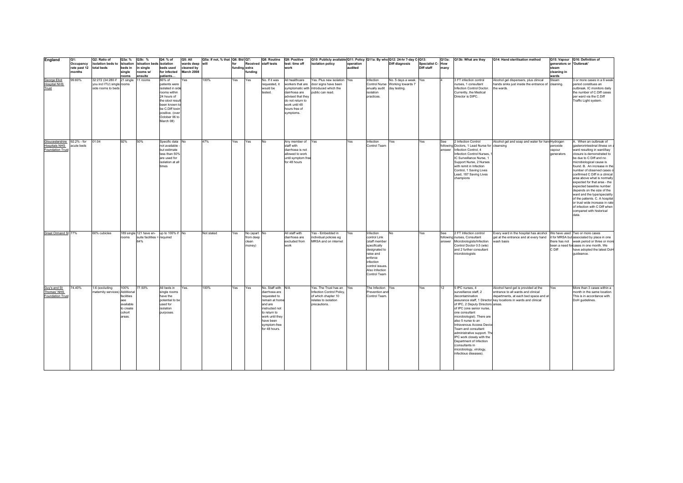| England                                                                 | Q1:<br>Occupancy       | Q2: Ratio of<br>isolation beds to isloation                                     | Q3a: %                                                                  | Q3b: %<br>isloation beds isolation | Q4: % of<br>Q5: All<br>wards deep                                                                                                                                                                      | Q5a: If not, % that   Q6: Bid   Q7:<br>will | for           |                                              | Q8: Routine<br>Received staff tests                                                                                                                                                 | Q9: Positive<br>test: time off                                                                                          | Q10: Publicly available Q11: Policy Q11a: By who Q12: 24-hr 7-day C-Q13:<br>isolation policy                                      | operation |                                                                                                                                                                      | Diff diagnosis                                                            | Specialist C-How |      | Q13a: Q13b: What are they                                                                                                                                                                                                                                                                                                                                                                                             | Q14: Hand sterilisation method                                                                                                                                                        | generators or 'Outbreak'         | Q15: Vapour Q16: Definition of                                                                                                                                                                                                                                                                                                                                                                                                                                                                                                                                               |
|-------------------------------------------------------------------------|------------------------|---------------------------------------------------------------------------------|-------------------------------------------------------------------------|------------------------------------|--------------------------------------------------------------------------------------------------------------------------------------------------------------------------------------------------------|---------------------------------------------|---------------|----------------------------------------------|-------------------------------------------------------------------------------------------------------------------------------------------------------------------------------------|-------------------------------------------------------------------------------------------------------------------------|-----------------------------------------------------------------------------------------------------------------------------------|-----------|----------------------------------------------------------------------------------------------------------------------------------------------------------------------|---------------------------------------------------------------------------|------------------|------|-----------------------------------------------------------------------------------------------------------------------------------------------------------------------------------------------------------------------------------------------------------------------------------------------------------------------------------------------------------------------------------------------------------------------|---------------------------------------------------------------------------------------------------------------------------------------------------------------------------------------|----------------------------------|------------------------------------------------------------------------------------------------------------------------------------------------------------------------------------------------------------------------------------------------------------------------------------------------------------------------------------------------------------------------------------------------------------------------------------------------------------------------------------------------------------------------------------------------------------------------------|
|                                                                         | rate past 12<br>months | total beds                                                                      | beds in<br>single                                                       | in single<br>rooms w/              | beds used<br>cleaned by<br>for infected<br>March 2008                                                                                                                                                  |                                             | funding extra | <b>undina</b>                                |                                                                                                                                                                                     | work                                                                                                                    |                                                                                                                                   | audited   |                                                                                                                                                                      |                                                                           | Diff staff       | many |                                                                                                                                                                                                                                                                                                                                                                                                                       |                                                                                                                                                                                       | steam<br>cleaning in             |                                                                                                                                                                                                                                                                                                                                                                                                                                                                                                                                                                              |
| George Eliot<br><b>Hospital NHS</b><br>Trust                            | 99.60%                 | 32:272 (34:280 if 21 single<br>you incl ITU) single rooms<br>side rooms to beds | rooms                                                                   | ensuite<br>11 rooms                | patients<br>86% of<br>Yes<br>patients were<br>isolated in side<br>rooms within<br>24 hours of<br>the stool result<br>been known to<br>be C.Diff toxin<br>positive. (over<br>October 06 to<br>March 08) | 100%                                        | Yes           | Yes                                          | No. If it was<br>requested, it<br>would be<br>tested.                                                                                                                               | All healthcare<br>dairrhoea are<br>advised that they<br>do not return to<br>work until 48<br>hours free of<br>symptoms. | Yes. Plus new isolation Yes<br>workers that are door signs have been<br>symptomatic with introduced which the<br>public can read. |           | Infection<br>anually audit<br>isolation<br>practices.                                                                                                                | No. 5 days a week. Yes<br>Control Nurse Working towards 7<br>day testing. |                  |      | 3 FT infection control<br>nurses. 1 consultant<br>Infection Control Doctor.<br>Currently, the Medical<br>Director is DIPC.                                                                                                                                                                                                                                                                                            | Alcohol gel dispensers, plus clinical<br>hands sinks just inside the entrance of cleaning.<br>the wards.                                                                              | wards<br>Steam                   | 3 or more cases in a 6 week<br>period constitues an<br>outbreak. IC monitors daily<br>the number of C.Diff cases<br>per ward via the C.Diff<br>Traffic Light system.                                                                                                                                                                                                                                                                                                                                                                                                         |
| Gloucestershire 92.2% - for<br><b>Hospitals NHS</b><br>Foundation Trust | acute beds             | 01:04                                                                           | 92%                                                                     | 50%                                | Specific data No<br>not available -<br>but estimate<br>less than 50%<br>are used for<br>isolation at all<br>times                                                                                      | 47%                                         | Yes           | Yes                                          | <b>No</b>                                                                                                                                                                           | Any member of Yes<br>staff with<br>diarrhoea is not<br>allowed to work<br>until symptom free<br>for 48 hours            |                                                                                                                                   | Yes       | Infection<br>Control Team                                                                                                                                            | Yes                                                                       | Yes              | See  | 2 Infection Control<br>following Doctors, 1 Lead Nurse for cleansing<br>answer Infection Control, 4<br>Infection Control Nurses,<br>IC Surveillance Nurse, 1<br>Support Nurse, 2 Nurses<br>with remit in Infection<br>Control, 1 Saving Lives<br>Lead, 187 Saving Lives<br>champions                                                                                                                                  | Alcohol gel and soap and water for hand Hydrogen                                                                                                                                      | peroxide<br>vapour<br>generators | A. When an outbreak of<br>gasterorintestinal illness on<br>ward resulting in ward/bay<br>closure is demonstrated to<br>be due to C Diff and no<br>microbiological cause is<br>found. B. An increase in the<br>number of observed cases o<br>confirmed C Diff in a clinical<br>area above what is normally<br>expected for that area - the<br>expected baseline number<br>depends on the size of the<br>ward and the type/speciality<br>of the patients. C. A hospital<br>or trust wide increase in rate<br>of infection with C Diff when<br>compared with historical<br>data |
| Great Ormand St 77%                                                     |                        | 60% cubicles                                                                    | rooms                                                                   | suite facilities = required<br>64% | 189 single 121 have en- up to 100% if No                                                                                                                                                               | Not stated                                  | Yes           | No (apart No<br>from deep<br>clean<br>money) |                                                                                                                                                                                     | All staff with<br>diarrhoea are<br>excluded from<br>work                                                                | Yes - Embedded in<br>individual policies eg<br>MRSA and on internet                                                               | Yes       | Infection<br>control Link<br>(staff member<br>specifically<br>designated to<br>raise and<br>enforce<br>infection<br>control issues<br>Also Infection<br>Control Team | <b>No</b>                                                                 | Yes              | See  | 2 FT Infection control<br>following nurses, Consultant<br>answer Microbiologists/Infection<br>Control Doctor 0.5 (wte)<br>and 2 further consultant<br>microbiologists                                                                                                                                                                                                                                                 | Every ward in the hospital has alcohol We have used Two or more cases<br>gel at the entrance and at every hand<br>wash basis                                                          | C Diff                           | it for MRSA but associated by place in one<br>there has not week period or three or more<br>been a need for cases in one month. We<br>have adopted the latest DoH<br>quideance.                                                                                                                                                                                                                                                                                                                                                                                              |
| Guy's and St<br>Thomas' NHS<br>Foundation Trust                         | 74.40%                 | 1:6 (excluding<br>maternity services) Additional                                | 100%<br>facilities<br>aee<br>available<br>to create<br>cohort<br>areas. | 77.50%                             | All beds in<br>Yes.<br>single rooms<br>have the<br>potential to be<br>used for<br>isolation<br>purposes.                                                                                               | 100%                                        | Yes           | Yes                                          | No. Staff with N/A<br>diarrhoea are<br>requested to<br>remain at home<br>and are<br>instructed not<br>to return to<br>work until they<br>have been<br>symptom-free<br>for 48 hours. |                                                                                                                         | Yes. The Trust has an Yes<br>Infection Control Policy,<br>of which chapter 10<br>relates to isolation<br>precautions.             |           | he Infection Yes<br>Prevention and<br>Control Team                                                                                                                   |                                                                           | Yes              | 12   | 5 IPC nurses, 4<br>surveillance staff, 2<br>decontamination<br>of IPC, 2 Deputy Directors areas.<br>of IPC (one senior nurse,<br>one consultant<br>microbiologist). There are<br>also 5 nurse to an<br>Intravenous Access Device<br>Team and consultant<br>administrative support. The<br>IPC work closely with the<br>Department of Infection<br>(consultants in<br>microbiology, virology,<br>infectious diseases). | Alcohol hand gel is provided at the<br>entrance to all wards and clinical<br>departments, at each bed space and at<br>assurance staff, 1 Director key locations in wards and clinical | Yes                              | More than 3 cases within a<br>month in the same location<br>This is in accordance with<br>DoH guidelines.                                                                                                                                                                                                                                                                                                                                                                                                                                                                    |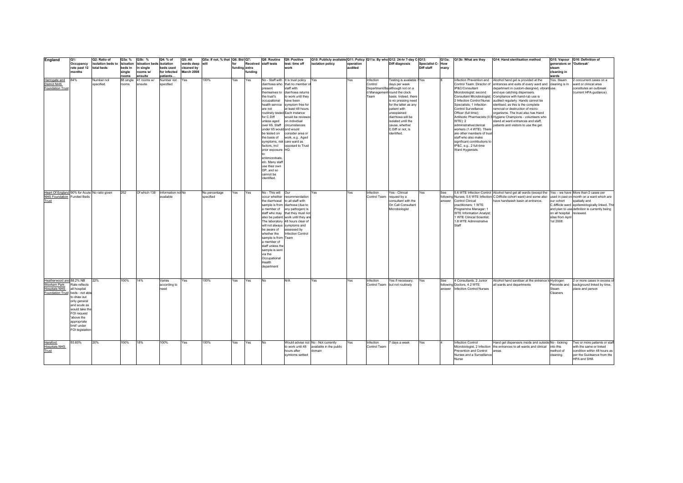| England                                       | Q1:<br>Occupancy                | Q2: Ratio of<br>isolation beds to isloation | Q3a: %             | Q3b: %<br>isloation beds isolation | Q4: % of                        | Q5: All<br>wards deep will | Q5a: If not, % that   Q6: Bid   Q7: | for           |        | Q8: Routine<br>Received staff tests      | Q9: Positive<br>test: time off                                   | Q10: Publicly available Q11: Policy Q11a: By who Q12: 24-hr 7-day C-Q13:<br>isolation policy | operation  |                           | Diff diagnosis                              | Specialist C- How | Q13a: | Q13b: What are they                                    | Q14: Hand sterilisation method                                                                                             | generators or 'Outbreak'  | Q15: Vapour Q16: Definition of                                                                 |
|-----------------------------------------------|---------------------------------|---------------------------------------------|--------------------|------------------------------------|---------------------------------|----------------------------|-------------------------------------|---------------|--------|------------------------------------------|------------------------------------------------------------------|----------------------------------------------------------------------------------------------|------------|---------------------------|---------------------------------------------|-------------------|-------|--------------------------------------------------------|----------------------------------------------------------------------------------------------------------------------------|---------------------------|------------------------------------------------------------------------------------------------|
|                                               | rate past 12 total beds         |                                             | beds in            | in single                          | beds used                       | cleaned by                 |                                     | funding extra |        |                                          | work                                                             |                                                                                              | audited    |                           |                                             | Diff staff        | many  |                                                        |                                                                                                                            | steam                     |                                                                                                |
|                                               | months                          |                                             | single             | rooms w/                           | for infected                    | <b>March 2008</b>          |                                     |               | undina |                                          |                                                                  |                                                                                              |            |                           |                                             |                   |       |                                                        |                                                                                                                            | cleaning in               |                                                                                                |
| Harrogate and                                 | 84%                             | Number not                                  | rooms<br>88 single | ensuite<br>41 rooms w/             | patients<br>Number not          | Yes                        | 100%                                | Yes           | Yes    |                                          | No - Staff with It is trust policy                               | Yes                                                                                          | Yes        | Infection                 | Testing is available 7Yes                   |                   |       |                                                        | Infection Prevention and Alcohol hand gel is provided at the                                                               | wards<br>Yes. Steam       | concurrent cases on a                                                                          |
| <b>District NHS</b>                           |                                 | specified.                                  | rooms              | ensuite                            | specified                       |                            |                                     |               |        |                                          | diarrhoea who that no member                                     |                                                                                              |            | Control                   | days per week                               |                   |       |                                                        | Control Team: Director of entrances and exits of every ward and cleaning is in                                             |                           | ward or clinical area                                                                          |
| Foundation Trust                              |                                 |                                             |                    |                                    |                                 |                            |                                     |               |        | present                                  | staff with                                                       |                                                                                              |            |                           | Department/Be although not on a             |                   |       | IP&C/Consultant                                        | department in custom-designed, vibrant use.                                                                                |                           | constitutes an outbreak                                                                        |
|                                               |                                 |                                             |                    |                                    |                                 |                            |                                     |               |        |                                          | themselves to diarrhoea returns                                  |                                                                                              |            | ream                      | d Management round the clock                |                   |       | Microbiologist: second                                 | and eve catching dispensers.                                                                                               |                           | (current HPA guidance).                                                                        |
|                                               |                                 |                                             |                    |                                    |                                 |                            |                                     |               |        | the trust's<br>occupational              | to work until they<br>have been                                  |                                                                                              |            |                           | basis. Indeed, there<br>is no pressing need |                   |       |                                                        | Consultant Microbiologist; Compliance with hand-rub use is<br>2 Infection Control Nurse audited regularly. Hands cannot be |                           |                                                                                                |
|                                               |                                 |                                             |                    |                                    |                                 |                            |                                     |               |        |                                          | health service symptom free for                                  |                                                                                              |            |                           | for the latter as any                       |                   |       | Specialists; 1 Infection                               | sterilised, as this is the complete                                                                                        |                           |                                                                                                |
|                                               |                                 |                                             |                    |                                    |                                 |                            |                                     |               |        | are not                                  | at least 48 hours.                                               |                                                                                              |            |                           | patient with                                |                   |       | Control Surveillance                                   | removal or destruction of micro-                                                                                           |                           |                                                                                                |
|                                               |                                 |                                             |                    |                                    |                                 |                            |                                     |               |        | for C.Diff                               | routinely tested Each instance<br>would be reviewe               |                                                                                              |            |                           | unexplained<br>diarrhoea will be            |                   |       | Officer (full time);                                   | organisms. The trust also has Hand<br>Antibiotic Pharmacists (0.5 Hygiene Champions - volunteers who                       |                           |                                                                                                |
|                                               |                                 |                                             |                    |                                    |                                 |                            |                                     |               |        | unless aged                              | on individual                                                    |                                                                                              |            |                           | isolated until the                          |                   |       | <b>WTE</b> ); 2                                        | stand at ward entrances and staff,                                                                                         |                           |                                                                                                |
|                                               |                                 |                                             |                    |                                    |                                 |                            |                                     |               |        |                                          | over 65. Staff circumstances                                     |                                                                                              |            |                           | cause, whether                              |                   |       | administrative/clerical                                | patients and visitors to use the gel.                                                                                      |                           |                                                                                                |
|                                               |                                 |                                             |                    |                                    |                                 |                            |                                     |               |        | under 65 would and would<br>be tested on | consider area or                                                 |                                                                                              |            |                           | C.Diff or not, is<br>identified.            |                   |       | workers (1.4 WTE). There<br>are other members of trust |                                                                                                                            |                           |                                                                                                |
|                                               |                                 |                                             |                    |                                    |                                 |                            |                                     |               |        | the basis of                             | work, e.g Aged                                                   |                                                                                              |            |                           |                                             |                   |       | staff who also make                                    |                                                                                                                            |                           |                                                                                                |
|                                               |                                 |                                             |                    |                                    |                                 |                            |                                     |               |        | symptoms, risk care ward as              |                                                                  |                                                                                              |            |                           |                                             |                   |       | significant contributions to                           |                                                                                                                            |                           |                                                                                                |
|                                               |                                 |                                             |                    |                                    |                                 |                            |                                     |               |        | prior exposure HQ.                       | factors, incl opposed to Trust                                   |                                                                                              |            |                           |                                             |                   |       | IP&C, e.g., 2 full-time<br>Ward Hygienists.            |                                                                                                                            |                           |                                                                                                |
|                                               |                                 |                                             |                    |                                    |                                 |                            |                                     |               |        |                                          |                                                                  |                                                                                              |            |                           |                                             |                   |       |                                                        |                                                                                                                            |                           |                                                                                                |
|                                               |                                 |                                             |                    |                                    |                                 |                            |                                     |               |        | entimicrobials                           |                                                                  |                                                                                              |            |                           |                                             |                   |       |                                                        |                                                                                                                            |                           |                                                                                                |
|                                               |                                 |                                             |                    |                                    |                                 |                            |                                     |               |        | etc. Many staff                          |                                                                  |                                                                                              |            |                           |                                             |                   |       |                                                        |                                                                                                                            |                           |                                                                                                |
|                                               |                                 |                                             |                    |                                    |                                 |                            |                                     |               |        | use their own<br>GP, and so              |                                                                  |                                                                                              |            |                           |                                             |                   |       |                                                        |                                                                                                                            |                           |                                                                                                |
|                                               |                                 |                                             |                    |                                    |                                 |                            |                                     |               |        | cannot be                                |                                                                  |                                                                                              |            |                           |                                             |                   |       |                                                        |                                                                                                                            |                           |                                                                                                |
|                                               |                                 |                                             |                    |                                    |                                 |                            |                                     |               |        | identified.                              |                                                                  |                                                                                              |            |                           |                                             |                   |       |                                                        |                                                                                                                            |                           |                                                                                                |
|                                               |                                 |                                             |                    |                                    |                                 |                            |                                     |               |        |                                          |                                                                  |                                                                                              |            |                           |                                             |                   |       |                                                        |                                                                                                                            |                           |                                                                                                |
| Heart Of England 90% for Acute No ratio given |                                 |                                             | 252                |                                    | Of which 138 Information not No |                            | No percentage                       | Yes           | Yes    | No - This will Our                       |                                                                  | Yes                                                                                          | Yes        | Infection                 | Yes - Clinical                              | Yes               | See   |                                                        | 5.6 WTE Infection Control Alcohol hand gel all wards (except the                                                           |                           | Yes - we have More than 2 cases per                                                            |
| NHS Foundation Funded Beds                    |                                 |                                             |                    |                                    | available                       |                            | specified                           |               |        |                                          | occur whether recommendation                                     |                                                                                              |            | Control Team              | request by a                                |                   |       |                                                        | following Nurses; 5.6 WTE Infection C.Difficile cohort ward) and some also                                                 |                           | used in past on month on a ward which are                                                      |
| Trust                                         |                                 |                                             |                    |                                    |                                 |                            |                                     |               |        |                                          | the diarrhoeal to all staff with                                 |                                                                                              |            |                           | consultant with the                         |                   |       | answer Control Clinical                                | have handwash basin at entrance.                                                                                           | our cohort                | spatially and                                                                                  |
|                                               |                                 |                                             |                    |                                    |                                 |                            |                                     |               |        |                                          | sample is from diarhoea (due to<br>a member of any pathogen) is  |                                                                                              |            |                           | On Call Consultant<br>Microbiologist        |                   |       | practitioners; 1 WTE<br>Programme Manager; 1           |                                                                                                                            |                           | C.diffiicle ward epidemiologically linkedThis<br>and plan to use definition is currently being |
|                                               |                                 |                                             |                    |                                    |                                 |                            |                                     |               |        |                                          | staff who may that they must no                                  |                                                                                              |            |                           |                                             |                   |       | <b>WTE Information Analyst;</b>                        |                                                                                                                            | on all hospital reviewed. |                                                                                                |
|                                               |                                 |                                             |                    |                                    |                                 |                            |                                     |               |        |                                          | also be patient. work until they ar                              |                                                                                              |            |                           |                                             |                   |       | 1 WTE Clinical Scientist;                              |                                                                                                                            | sites from April          |                                                                                                |
|                                               |                                 |                                             |                    |                                    |                                 |                            |                                     |               |        |                                          | The laboratory 48 hours clear of<br>will not always symptoms and |                                                                                              |            |                           |                                             |                   |       | 1.8 WTE Administrative<br>Staff                        |                                                                                                                            | 1st 2008.                 |                                                                                                |
|                                               |                                 |                                             |                    |                                    |                                 |                            |                                     |               |        | be aware of                              | assessed by                                                      |                                                                                              |            |                           |                                             |                   |       |                                                        |                                                                                                                            |                           |                                                                                                |
|                                               |                                 |                                             |                    |                                    |                                 |                            |                                     |               |        | whether the                              | <b>Infection Control</b>                                         |                                                                                              |            |                           |                                             |                   |       |                                                        |                                                                                                                            |                           |                                                                                                |
|                                               |                                 |                                             |                    |                                    |                                 |                            |                                     |               |        | sample is from Team<br>a member of       |                                                                  |                                                                                              |            |                           |                                             |                   |       |                                                        |                                                                                                                            |                           |                                                                                                |
|                                               |                                 |                                             |                    |                                    |                                 |                            |                                     |               |        | staff unless the                         |                                                                  |                                                                                              |            |                           |                                             |                   |       |                                                        |                                                                                                                            |                           |                                                                                                |
|                                               |                                 |                                             |                    |                                    |                                 |                            |                                     |               |        | sample is sent                           |                                                                  |                                                                                              |            |                           |                                             |                   |       |                                                        |                                                                                                                            |                           |                                                                                                |
|                                               |                                 |                                             |                    |                                    |                                 |                            |                                     |               |        | via the<br>Occupational                  |                                                                  |                                                                                              |            |                           |                                             |                   |       |                                                        |                                                                                                                            |                           |                                                                                                |
|                                               |                                 |                                             |                    |                                    |                                 |                            |                                     |               |        | Health                                   |                                                                  |                                                                                              |            |                           |                                             |                   |       |                                                        |                                                                                                                            |                           |                                                                                                |
|                                               |                                 |                                             |                    |                                    |                                 |                            |                                     |               |        | department                               |                                                                  |                                                                                              |            |                           |                                             |                   |       |                                                        |                                                                                                                            |                           |                                                                                                |
|                                               |                                 |                                             |                    |                                    |                                 |                            |                                     |               |        |                                          |                                                                  |                                                                                              |            |                           |                                             |                   |       |                                                        |                                                                                                                            |                           |                                                                                                |
| Heatherwood and 88.2% NB                      |                                 | 22%                                         | 100%               | 14%                                | Varies                          | Yes                        | 100%                                | Yes           | Yes    | No                                       | N/A                                                              | Yes                                                                                          | Yes        | Infection                 | Yes if necessary,                           | Yes               | See   | 4 Consultants, 2 Junior                                | Alcohol hand sanitiser at the entrance to Hydrogen                                                                         |                           | 2 or more cases in excess o                                                                    |
| Wexham Park                                   | Rate reflects                   |                                             |                    |                                    | according to                    |                            |                                     |               |        |                                          |                                                                  |                                                                                              |            |                           | Control Team but not routinely              |                   |       | following Doctors, 4.2 WTE                             | all wards and departments                                                                                                  | Peroxide and              | background linked by time,                                                                     |
| <b>Hospitals NHS</b>                          | all hospital                    |                                             |                    |                                    | need                            |                            |                                     |               |        |                                          |                                                                  |                                                                                              |            |                           |                                             |                   |       | answer Infection Control Nurses                        |                                                                                                                            | Steam                     | place and person                                                                               |
| Foundation Trust beds - not able              | to draw out                     |                                             |                    |                                    |                                 |                            |                                     |               |        |                                          |                                                                  |                                                                                              |            |                           |                                             |                   |       |                                                        |                                                                                                                            | Cleaners                  |                                                                                                |
|                                               | only general                    |                                             |                    |                                    |                                 |                            |                                     |               |        |                                          |                                                                  |                                                                                              |            |                           |                                             |                   |       |                                                        |                                                                                                                            |                           |                                                                                                |
|                                               | and acute as                    |                                             |                    |                                    |                                 |                            |                                     |               |        |                                          |                                                                  |                                                                                              |            |                           |                                             |                   |       |                                                        |                                                                                                                            |                           |                                                                                                |
|                                               | would take the<br>FOI request   |                                             |                    |                                    |                                 |                            |                                     |               |        |                                          |                                                                  |                                                                                              |            |                           |                                             |                   |       |                                                        |                                                                                                                            |                           |                                                                                                |
|                                               | 'above the                      |                                             |                    |                                    |                                 |                            |                                     |               |        |                                          |                                                                  |                                                                                              |            |                           |                                             |                   |       |                                                        |                                                                                                                            |                           |                                                                                                |
|                                               | appropriate                     |                                             |                    |                                    |                                 |                            |                                     |               |        |                                          |                                                                  |                                                                                              |            |                           |                                             |                   |       |                                                        |                                                                                                                            |                           |                                                                                                |
|                                               | limit' under<br>FOI legislation |                                             |                    |                                    |                                 |                            |                                     |               |        |                                          |                                                                  |                                                                                              |            |                           |                                             |                   |       |                                                        |                                                                                                                            |                           |                                                                                                |
|                                               |                                 |                                             |                    |                                    |                                 |                            |                                     |               |        |                                          |                                                                  |                                                                                              |            |                           |                                             |                   |       |                                                        |                                                                                                                            |                           |                                                                                                |
|                                               |                                 |                                             |                    |                                    |                                 |                            |                                     |               |        |                                          |                                                                  |                                                                                              |            |                           |                                             |                   |       |                                                        |                                                                                                                            |                           |                                                                                                |
| Hereford<br><b>Hospitals NHS</b>              | 93.60%                          | 20%                                         | 100%               | 18%                                | 100%                            | Yes                        | 100%                                | Yes           | Yes    | No                                       | to work until 48                                                 | Would advise not No - Not currently<br>available in the public                               | <b>Yes</b> | Infection<br>Control Team | days a week                                 | Yes               |       | <b>Infection Control</b>                               | Hand gel dispensers inside and outside No - looking<br>Microbiologist, 2 Infection the entrances to all wards and clinical | into this                 | Two or more patients or staff<br>with the same or linked                                       |
| Trust                                         |                                 |                                             |                    |                                    |                                 |                            |                                     |               |        |                                          | hours after                                                      | domain                                                                                       |            |                           |                                             |                   |       | Prevention and Control                                 | lareas                                                                                                                     | method of                 | condition within 48 hours as                                                                   |
|                                               |                                 |                                             |                    |                                    |                                 |                            |                                     |               |        |                                          | symtoms settled                                                  |                                                                                              |            |                           |                                             |                   |       | Nurses and a Surveillance                              |                                                                                                                            | cleaning.                 | per the Guideance from the                                                                     |
|                                               |                                 |                                             |                    |                                    |                                 |                            |                                     |               |        |                                          |                                                                  |                                                                                              |            |                           |                                             |                   |       | Nurse                                                  |                                                                                                                            |                           | HPA and SHA                                                                                    |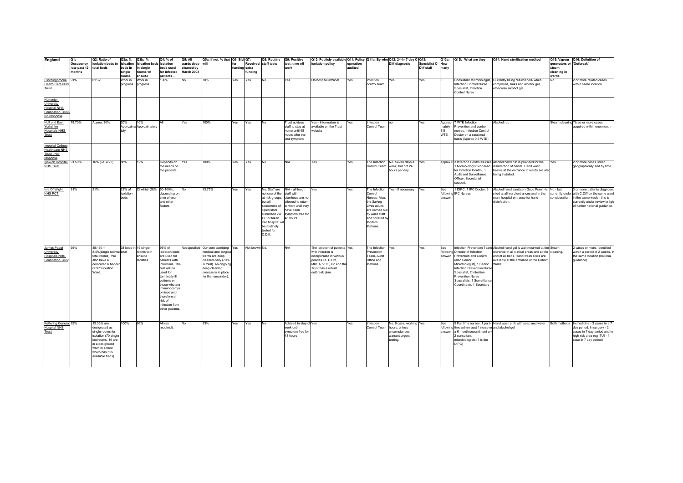| England                                                                                        | Q1:                                  | Q2: Ratio of                                                                                                                                             | Q3a: %               | Q3b: %                                | Q4: % of                                                                                                                                                                                                                                     | Q5: All                       | Q5a: If not, % that   Q6: Bid   Q7:                                                                                                                 |                      |               | Q8: Routine                                                                                                                                                               | Q9: Positive                                                                                                             | Q10: Publicly available Q11: Policy Q11a: By who Q12: 24-hr 7-day C-Q13:                                                                |                      |                                                                                                                                   |                                                                          |                                        | Q13a:                | Q13b: What are they                                                                                                                                                                                                                                   | Q14: Hand sterilisation method                                                                                                                                                                          |                                   | Q15: Vapour Q16: Definition of                                                                                              |
|------------------------------------------------------------------------------------------------|--------------------------------------|----------------------------------------------------------------------------------------------------------------------------------------------------------|----------------------|---------------------------------------|----------------------------------------------------------------------------------------------------------------------------------------------------------------------------------------------------------------------------------------------|-------------------------------|-----------------------------------------------------------------------------------------------------------------------------------------------------|----------------------|---------------|---------------------------------------------------------------------------------------------------------------------------------------------------------------------------|--------------------------------------------------------------------------------------------------------------------------|-----------------------------------------------------------------------------------------------------------------------------------------|----------------------|-----------------------------------------------------------------------------------------------------------------------------------|--------------------------------------------------------------------------|----------------------------------------|----------------------|-------------------------------------------------------------------------------------------------------------------------------------------------------------------------------------------------------------------------------------------------------|---------------------------------------------------------------------------------------------------------------------------------------------------------------------------------------------------------|-----------------------------------|-----------------------------------------------------------------------------------------------------------------------------|
|                                                                                                | Occupancy<br>rate past 12 total beds | isolation beds to isloation                                                                                                                              | beds in              | isloation beds isolation<br>in single | beds used                                                                                                                                                                                                                                    | wards deep will<br>cleaned by |                                                                                                                                                     | for<br>funding extra |               | Received staff tests                                                                                                                                                      | test: time off<br>work                                                                                                   | isolation policy                                                                                                                        | operation<br>audited |                                                                                                                                   | <b>Diff diagnosis</b>                                                    | <b>Specialist C- How</b><br>Diff staff | many                 |                                                                                                                                                                                                                                                       |                                                                                                                                                                                                         | generators or 'Outbreak'<br>steam |                                                                                                                             |
|                                                                                                | months                               |                                                                                                                                                          | single               | rooms w/                              | for infected                                                                                                                                                                                                                                 | March 2008                    |                                                                                                                                                     |                      | <b>undina</b> |                                                                                                                                                                           |                                                                                                                          |                                                                                                                                         |                      |                                                                                                                                   |                                                                          |                                        |                      |                                                                                                                                                                                                                                                       |                                                                                                                                                                                                         | cleaning in                       |                                                                                                                             |
|                                                                                                |                                      |                                                                                                                                                          | rooms                | ensuite                               | patients                                                                                                                                                                                                                                     |                               |                                                                                                                                                     |                      |               |                                                                                                                                                                           |                                                                                                                          |                                                                                                                                         |                      |                                                                                                                                   |                                                                          |                                        |                      |                                                                                                                                                                                                                                                       |                                                                                                                                                                                                         | wards                             |                                                                                                                             |
| <b>Hinchingbrooke</b><br>Health Care NHS<br>Trust                                              | 91%                                  | 01:32                                                                                                                                                    | Work in<br>progress  | Nork in<br>progress                   | 100%                                                                                                                                                                                                                                         | No                            | 70%                                                                                                                                                 | Yes                  | Yes           | No                                                                                                                                                                        | Yes                                                                                                                      | On hospital intranet                                                                                                                    | Yes                  | nfection<br>control team                                                                                                          | Yes                                                                      | Yes                                    |                      | Consultant Microbiologist,<br>Infection Control Nurse<br>Specialist, Infection<br>Control Nurse                                                                                                                                                       | Currently being refurbished- when<br>completed, sinks and alcohol gel,<br>otherwise alcohol gel                                                                                                         | No                                | 2 or more related cases<br>within same location                                                                             |
|                                                                                                |                                      |                                                                                                                                                          |                      |                                       |                                                                                                                                                                                                                                              |                               |                                                                                                                                                     |                      |               |                                                                                                                                                                           |                                                                                                                          |                                                                                                                                         |                      |                                                                                                                                   |                                                                          |                                        |                      |                                                                                                                                                                                                                                                       |                                                                                                                                                                                                         |                                   |                                                                                                                             |
| Homerton<br><b>University</b><br><b>Hospital NHS</b><br><b>Foundation Trust</b><br>No response |                                      |                                                                                                                                                          |                      |                                       |                                                                                                                                                                                                                                              |                               |                                                                                                                                                     |                      |               |                                                                                                                                                                           |                                                                                                                          |                                                                                                                                         |                      |                                                                                                                                   |                                                                          |                                        |                      |                                                                                                                                                                                                                                                       |                                                                                                                                                                                                         |                                   |                                                                                                                             |
| Hull and East                                                                                  | 78.70%                               | Approx 30%                                                                                                                                               | 20%                  | 10%                                   | ΔII                                                                                                                                                                                                                                          | Yes                           | 100%                                                                                                                                                | Yes                  | Yes           | No                                                                                                                                                                        | rust advises                                                                                                             | Yes - Information is                                                                                                                    | Yes                  | Infection                                                                                                                         | no.                                                                      | Yes                                    | Approxi              | 7 WTE Infection                                                                                                                                                                                                                                       | Alcohol rub                                                                                                                                                                                             |                                   | Steam cleaning Three or more cases                                                                                          |
| Yorkshire<br><b>Hospitals NHS</b><br>Trust                                                     |                                      |                                                                                                                                                          |                      | Approxima Approximately               |                                                                                                                                                                                                                                              |                               |                                                                                                                                                     |                      |               |                                                                                                                                                                           | staff to stay at<br>home until 48<br>hours after the<br>last symptom                                                     | available on the Trust<br>vebsite                                                                                                       |                      | Control Team                                                                                                                      |                                                                          |                                        | mately<br>7.5<br>WTE | Prevention and control<br>nurses. Infection Control<br>Doctor on a sessional<br>basis (Approx 0.5 WTE)                                                                                                                                                |                                                                                                                                                                                                         |                                   | acquired within one month                                                                                                   |
| Imperial College<br><b>Healthcare NHS</b><br>Trust - No<br>response                            |                                      |                                                                                                                                                          |                      |                                       |                                                                                                                                                                                                                                              |                               |                                                                                                                                                     |                      |               |                                                                                                                                                                           |                                                                                                                          |                                                                                                                                         |                      |                                                                                                                                   |                                                                          |                                        |                      |                                                                                                                                                                                                                                                       |                                                                                                                                                                                                         |                                   |                                                                                                                             |
| Ipswich Hospital 91.59%<br><b>NHS Trust</b>                                                    |                                      | 16% (i.e. 4:25)                                                                                                                                          | 88%                  | 12%                                   | Depends on Yes<br>the needs of<br>the patients                                                                                                                                                                                               |                               | 100%                                                                                                                                                | Yes                  | Yes           | No                                                                                                                                                                        | N/A                                                                                                                      | Yes                                                                                                                                     | Yes                  | Control Team                                                                                                                      | The Infection No. Seven days a Yes<br>week, but not 24<br>hours per day. |                                        |                      | for Infection Control, 1<br>Audit and Surveillance<br>Officer, Secretarial<br>support.                                                                                                                                                                | approx 6 3 Infection Control Nurses, Alcohol hand rub is provided for the<br>1 Microbiologist who lead disinfection of hands. Hand wash<br>basins at the entrance to wards are also<br>being installed. | Yes                               | 2 or more cases linked<br>geographically and by time.                                                                       |
| Isle Of Wight                                                                                  | 91%                                  | 21%                                                                                                                                                      | 21% of               | Of which 28%                          | 50-100%                                                                                                                                                                                                                                      |                               | 93.75%                                                                                                                                              | Yes                  | Yes           | No. Staff are                                                                                                                                                             | N/A - alhtough                                                                                                           | Yes                                                                                                                                     | Yes                  | The Infection                                                                                                                     | Yes - if necessary                                                       | Yes                                    | See                  | 1 DIPC, 1 IPC Doctor, 3                                                                                                                                                                                                                               | Alcohol hand sanitiser (GoJo Purell) is No - but                                                                                                                                                        |                                   | 3 or more patients diagnose                                                                                                 |
| NHS PCT                                                                                        |                                      |                                                                                                                                                          | isolation<br>beds    |                                       | depending on<br>time of year<br>and other<br>factors                                                                                                                                                                                         |                               |                                                                                                                                                     |                      |               | not one of the<br>at-risk groups.<br>but all<br>specimens of<br>liquid stool<br>submitted via<br>GP or taken<br>into hospital wi<br>be routinely<br>tested for<br>C.Diff. | staff with<br>diarrhoea are not<br>allowed to return<br>to work until they<br>have been<br>symptom free for<br>48 hours. |                                                                                                                                         |                      | Control<br>Nurses, Also.<br>the Saving<br>Lives aduits<br>are carried ou<br>by ward staff<br>and collated b<br>Modern<br>Matrons. |                                                                          |                                        | answer               | following IPC Nurses                                                                                                                                                                                                                                  | sited at all ward entrances and in the<br>main hospital entrance for hand<br>disinfection.                                                                                                              | currently under<br>consideration. | with C.Diff on the same wan<br>in the same week - this is<br>currently under review in ligh<br>of further national guidance |
| James Paget                                                                                    | 95%                                  | $38:450 =$                                                                                                                                               | 38 beds in 19 single |                                       | 95% of                                                                                                                                                                                                                                       |                               | Not specified Our core admitting Yes                                                                                                                |                      | Not known No. |                                                                                                                                                                           | N/A                                                                                                                      | The isolation of patients Yes                                                                                                           |                      | The Infection                                                                                                                     | Yes                                                                      | Yes                                    |                      |                                                                                                                                                                                                                                                       | Infection Prevention Team! Alcohol hand gel is wall mounted at the Steam                                                                                                                                |                                   | 2 cases or more, identified                                                                                                 |
| University<br><b>Hospitals NHS</b><br><b>Foundation Trust</b>                                  |                                      | 8.4%(single rooms: total<br>total rooms). We<br>also have a<br>dedicated 6 bedde<br>C.Diff Isolation<br>Ward.                                            |                      | rooms with<br>ensuite<br>facilities   | isolation beds<br>are used for<br>patients with<br>infections. The<br>rest will be<br>used for<br>terminally ill<br>patients or<br>those who are<br>immunocomp<br>omised and<br>therefore at<br>risk of<br>infection from<br>other patients. |                               | medical and surgica<br>wards are deep<br>cleaned daily (70%<br>in total). An ongoing<br>deep cleaning<br>process is in place<br>for the remainder). |                      |               |                                                                                                                                                                           |                                                                                                                          | with infection is<br>incorporated in various<br>policies i.e. C.Diff,<br>MRSA, VRE, etc and the<br>Trust has a robust<br>outbreak plan. |                      | Prevention<br>Team, Audit<br>Office and<br>Matrons                                                                                |                                                                          |                                        |                      | following Director of Infection<br>answer Prevention and Control<br>(also Senior<br>Microbiologist), 1 Senior<br>Infection Prevention Nurse<br>Specialist, 2 Infection<br>Prevention Nurse<br>Specialists, 1 Surveillance<br>Coordinator, 1 Secretary | entrance of all clinical areas and at the cleaning.<br>end of all beds. Hand wash sinks are<br>available at the entrance of the Cohort<br>Ward.                                                         |                                   | within a period of 2 weeks, i<br>the same location (national<br>quidance).                                                  |
| Kettering General 92%                                                                          |                                      | 13.33% are                                                                                                                                               | 100%                 | 66%                                   | All (as                                                                                                                                                                                                                                      | No                            | 83%                                                                                                                                                 | Yes                  | Yes           | <b>No</b>                                                                                                                                                                 | Advised to stay of Yes                                                                                                   |                                                                                                                                         | Yes                  | Infection                                                                                                                         | No. 6 days, working Yes                                                  |                                        | See                  |                                                                                                                                                                                                                                                       | 5 Full time nurses, 1 part- Hand wash sink with soap and water                                                                                                                                          |                                   | Both methods In medicine - 3 cases in a 7                                                                                   |
| <b>Hospital NHS</b><br>Trust                                                                   |                                      | designated as<br>single rooms for<br>isolation (70 single<br>bedrooms, 16 are<br>in a designated<br>ward in a trust<br>which has 525<br>available beds). |                      |                                       | required).                                                                                                                                                                                                                                   |                               |                                                                                                                                                     |                      |               |                                                                                                                                                                           | work until<br>symptom free for<br>48 hours                                                                               |                                                                                                                                         |                      | Control Team                                                                                                                      | hours, unless<br>circumstances<br>warrant urgent<br>testing.             |                                        |                      | following time admin asst 1 nurse or and alcohol gel<br>answer a 6 month secondment and<br>2 consultant<br>microbiologists (1 is the<br>DIPC)                                                                                                         |                                                                                                                                                                                                         |                                   | day period. In surgery - 2<br>cases in 7 day period and in<br>high risk area (eg ITU) - 1<br>case in 7 day period)          |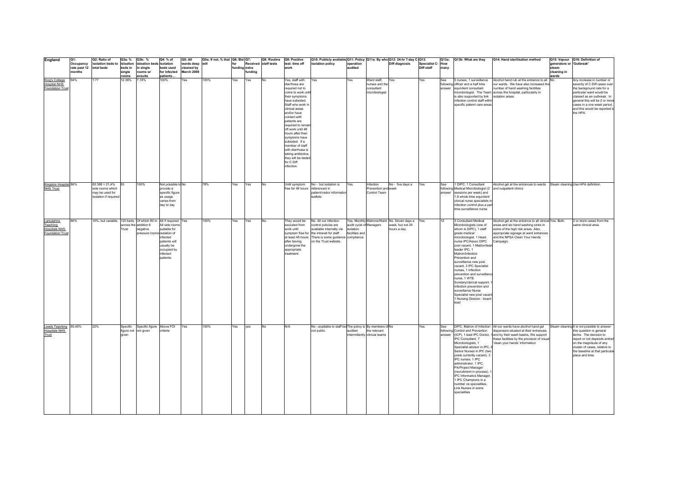| England                 | Q1:                     | Q2: Ratio of                                                     | Q3a: %          | Q3b: %                      | Q4: % of                  | Q5: All    | Q5a: If not, % that Q6: Bid Q7: |               |         | Q8: Routine Q9: Positive |                                        | Q10: Publicly available Q11: Policy Q11a: By who Q12: 24-hr 7-day C-Q13: |                         |                               |                                                |                          |      | Q13a: Q13b: What are they                                  | Q14: Hand sterilisation method                                           |                          | Q15: Vapour Q16: Definition of              |
|-------------------------|-------------------------|------------------------------------------------------------------|-----------------|-----------------------------|---------------------------|------------|---------------------------------|---------------|---------|--------------------------|----------------------------------------|--------------------------------------------------------------------------|-------------------------|-------------------------------|------------------------------------------------|--------------------------|------|------------------------------------------------------------|--------------------------------------------------------------------------|--------------------------|---------------------------------------------|
|                         | Occupancy               | isolation beds to isloation                                      |                 | sloation beds isolation     |                           | wards deep | will                            | for           |         | Received staff tests     | test: time off                         | isolation policy                                                         | operation               |                               | Diff diagnosis                                 | <b>Specialist C- How</b> |      |                                                            |                                                                          | generators or 'Outbreak' |                                             |
|                         | rate past 12 total beds |                                                                  | beds in         | in single                   | beds used                 | cleaned by |                                 | funding extra |         |                          | work                                   |                                                                          | audited                 |                               |                                                | Diff staff               | many |                                                            |                                                                          | steam                    |                                             |
|                         | months                  |                                                                  | single<br>rooms | rooms w/<br>ensuite         | for infected<br>patients. | March 2008 |                                 |               | funding |                          |                                        |                                                                          |                         |                               |                                                |                          |      |                                                            |                                                                          | cleaning in<br>wards     |                                             |
| King's College          | 94%                     | 1:77                                                             | 12.36%          | 7.18%                       | 100%                      | Yes        | 100%                            | Yes           | Yes     | No                       | Yes, staff with                        | Yes.                                                                     | Yes                     | Ward staff,                   | Yes                                            | Yes                      | See  | 5 nurses, 1 surveillance                                   | Alcohol hand rub at the entrance to all No                               |                          | Any increase in number or                   |
| <b>Hospital NHS</b>     |                         |                                                                  |                 |                             |                           |            |                                 |               |         |                          | diarrhoea are                          |                                                                          |                         | nurses and the                |                                                |                          |      | following officer and a half time                          | our wards. We have also increased the                                    |                          | severity of C Diff cases over               |
| <b>Foundation Trust</b> |                         |                                                                  |                 |                             |                           |            |                                 |               |         |                          | required not to                        |                                                                          |                         | consultant                    |                                                |                          |      | answer equivilent consultant                               | number of hand washing facilities                                        |                          | the background rate for a                   |
|                         |                         |                                                                  |                 |                             |                           |            |                                 |               |         |                          | come to work unt                       |                                                                          |                         | microbiologist                |                                                |                          |      |                                                            | microbiologist. The Team across the hospital, particularly in            |                          | particular ward would be                    |
|                         |                         |                                                                  |                 |                             |                           |            |                                 |               |         |                          | their symptoms                         |                                                                          |                         |                               |                                                |                          |      | is also supported by link                                  | isolation areas.                                                         |                          | classed as an outbreak. In                  |
|                         |                         |                                                                  |                 |                             |                           |            |                                 |               |         |                          | have subsided.                         |                                                                          |                         |                               |                                                |                          |      | infection control staff within                             |                                                                          |                          | general this will be 2 or more              |
|                         |                         |                                                                  |                 |                             |                           |            |                                 |               |         |                          | Staff who work in                      |                                                                          |                         |                               |                                                |                          |      | specific patient care areas.                               |                                                                          |                          | cases in a one week period                  |
|                         |                         |                                                                  |                 |                             |                           |            |                                 |               |         |                          | clinical areas                         |                                                                          |                         |                               |                                                |                          |      |                                                            |                                                                          |                          | and this would be reported to               |
|                         |                         |                                                                  |                 |                             |                           |            |                                 |               |         |                          | and/or have                            |                                                                          |                         |                               |                                                |                          |      |                                                            |                                                                          |                          | the HPA.                                    |
|                         |                         |                                                                  |                 |                             |                           |            |                                 |               |         |                          | contact with                           |                                                                          |                         |                               |                                                |                          |      |                                                            |                                                                          |                          |                                             |
|                         |                         |                                                                  |                 |                             |                           |            |                                 |               |         |                          | patients are                           |                                                                          |                         |                               |                                                |                          |      |                                                            |                                                                          |                          |                                             |
|                         |                         |                                                                  |                 |                             |                           |            |                                 |               |         |                          | required to rema                       |                                                                          |                         |                               |                                                |                          |      |                                                            |                                                                          |                          |                                             |
|                         |                         |                                                                  |                 |                             |                           |            |                                 |               |         |                          | off work until 48<br>hours after their |                                                                          |                         |                               |                                                |                          |      |                                                            |                                                                          |                          |                                             |
|                         |                         |                                                                  |                 |                             |                           |            |                                 |               |         |                          | symptoms have                          |                                                                          |                         |                               |                                                |                          |      |                                                            |                                                                          |                          |                                             |
|                         |                         |                                                                  |                 |                             |                           |            |                                 |               |         |                          | subsided. If a                         |                                                                          |                         |                               |                                                |                          |      |                                                            |                                                                          |                          |                                             |
|                         |                         |                                                                  |                 |                             |                           |            |                                 |               |         |                          | member of staff                        |                                                                          |                         |                               |                                                |                          |      |                                                            |                                                                          |                          |                                             |
|                         |                         |                                                                  |                 |                             |                           |            |                                 |               |         |                          | with diarrhoea is                      |                                                                          |                         |                               |                                                |                          |      |                                                            |                                                                          |                          |                                             |
|                         |                         |                                                                  |                 |                             |                           |            |                                 |               |         |                          | taking antibiotics,                    |                                                                          |                         |                               |                                                |                          |      |                                                            |                                                                          |                          |                                             |
|                         |                         |                                                                  |                 |                             |                           |            |                                 |               |         |                          | they will be tested                    |                                                                          |                         |                               |                                                |                          |      |                                                            |                                                                          |                          |                                             |
|                         |                         |                                                                  |                 |                             |                           |            |                                 |               |         |                          | for C Diff                             |                                                                          |                         |                               |                                                |                          |      |                                                            |                                                                          |                          |                                             |
|                         |                         |                                                                  |                 |                             |                           |            |                                 |               |         |                          | infection.                             |                                                                          |                         |                               |                                                |                          |      |                                                            |                                                                          |                          |                                             |
|                         |                         |                                                                  |                 |                             |                           |            |                                 |               |         |                          |                                        |                                                                          |                         |                               |                                                |                          |      |                                                            |                                                                          |                          |                                             |
|                         |                         |                                                                  |                 |                             |                           |            |                                 |               |         |                          |                                        |                                                                          |                         |                               |                                                |                          |      |                                                            |                                                                          |                          |                                             |
|                         |                         |                                                                  |                 |                             |                           |            |                                 |               |         |                          |                                        |                                                                          |                         |                               |                                                |                          |      |                                                            |                                                                          |                          |                                             |
| Kingston Hospital 86%   |                         | $83:388 = 21.4%$                                                 | <b>B3</b>       | 100%                        | Not possible to No        |            | 78%                             | Yes           | Yes     | No                       | Until symptom                          | No - but isolation is                                                    | Yes.                    | Infection                     | No - five days a                               | Yes                      | See  | 1 DIPC, 1 Consultant                                       | Alcohol gel at the entrances to wards Steam cleaning Use HPA definition. |                          |                                             |
| <b>NHS Trust</b>        |                         | side rooms which                                                 |                 |                             | provide a                 |            |                                 |               |         |                          | free for 48 hours referenced in        |                                                                          |                         | Prevention and week           |                                                |                          |      | following Medical Microbiologist (2 and outpatient clinics |                                                                          |                          |                                             |
|                         |                         | may be used for                                                  |                 |                             | specific figure           |            |                                 |               |         |                          |                                        | patient/visitor informatio                                               |                         | Control Team                  |                                                |                          |      | answer sessions per week) and                              |                                                                          |                          |                                             |
|                         |                         | isolation if required                                            |                 |                             | as usage                  |            |                                 |               |         |                          |                                        | leaflets                                                                 |                         |                               |                                                |                          |      | 1.8 whole time equivilent                                  |                                                                          |                          |                                             |
|                         |                         |                                                                  |                 |                             | varies from               |            |                                 |               |         |                          |                                        |                                                                          |                         |                               |                                                |                          |      | clinical nurse specialists in                              |                                                                          |                          |                                             |
|                         |                         |                                                                  |                 |                             | day to day                |            |                                 |               |         |                          |                                        |                                                                          |                         |                               |                                                |                          |      | infection control plus a part<br>time surveillance nurse   |                                                                          |                          |                                             |
|                         |                         |                                                                  |                 |                             |                           |            |                                 |               |         |                          |                                        |                                                                          |                         |                               |                                                |                          |      |                                                            |                                                                          |                          |                                             |
|                         |                         |                                                                  |                 |                             |                           |            |                                 |               |         |                          |                                        |                                                                          |                         |                               |                                                |                          |      |                                                            |                                                                          |                          |                                             |
| Lancashire              | 86%                     | 10%, but variable. 120 beds Of which 80 in  All if required. Yes |                 |                             |                           |            | 100%                            | Yes           | Yes     | No.                      | They would be                          | No. All our infection                                                    |                         |                               | Yes. Monthly Matrons/Ward No. Seven days a Yes |                          | 12   | 3 Consultant Medical                                       | Alcohol gel at the entrance to all clinical Yes. Both.                   |                          | 2 or more cases from the                    |
| Teaching                |                         |                                                                  |                 | across the addition 6       | All side rooms            |            |                                 |               |         |                          | excluded from                          | control policies are                                                     | audit cycle of Managers |                               | week, but not 24                               |                          |      | Microbiologists (one of                                    | areas and slo hand washing sinks in                                      |                          | same clinical area.                         |
| <b>Hospitals NHS</b>    |                         |                                                                  | Trust           | negative                    | suitable for              |            |                                 |               |         |                          | work until                             | available internally via                                                 | isolation               |                               | hours a day.                                   |                          |      | whom is DIPC), 1 staff                                     | some of the high risk areas. Also,                                       |                          |                                             |
| <b>Foundation Trust</b> |                         |                                                                  |                 | pressure rooms isolation of |                           |            |                                 |               |         |                          |                                        | symptom free for the intranet for staff.                                 | facilities and          |                               |                                                |                          |      | grade medical                                              | appropriate signage at ward entrances                                    |                          |                                             |
|                         |                         |                                                                  |                 |                             | infected                  |            |                                 |               |         |                          |                                        | at least 48 hours There is some guidance compliance                      |                         |                               |                                                |                          |      | microbiologist, 1 Head                                     | and the NPSA Clean Your Hands                                            |                          |                                             |
|                         |                         |                                                                  |                 |                             | patients will             |            |                                 |               |         |                          | after having                           | on the Trust website.                                                    |                         |                               |                                                |                          |      | nurse IPC/Assoc DIPC                                       | Campaign                                                                 |                          |                                             |
|                         |                         |                                                                  |                 |                             | usually be                |            |                                 |               |         |                          | undergone the                          |                                                                          |                         |                               |                                                |                          |      | post vacant, 1 Matron/tear                                 |                                                                          |                          |                                             |
|                         |                         |                                                                  |                 |                             | occupied by<br>infected   |            |                                 |               |         |                          | appropriate<br>treatment.              |                                                                          |                         |                               |                                                |                          |      | leader IPC, 1<br>Matron/Infection                          |                                                                          |                          |                                             |
|                         |                         |                                                                  |                 |                             | patients.                 |            |                                 |               |         |                          |                                        |                                                                          |                         |                               |                                                |                          |      | Prevention and                                             |                                                                          |                          |                                             |
|                         |                         |                                                                  |                 |                             |                           |            |                                 |               |         |                          |                                        |                                                                          |                         |                               |                                                |                          |      | surveillance new post                                      |                                                                          |                          |                                             |
|                         |                         |                                                                  |                 |                             |                           |            |                                 |               |         |                          |                                        |                                                                          |                         |                               |                                                |                          |      | vacant, 3 IPC Specialist                                   |                                                                          |                          |                                             |
|                         |                         |                                                                  |                 |                             |                           |            |                                 |               |         |                          |                                        |                                                                          |                         |                               |                                                |                          |      | nurses, 1 Infection                                        |                                                                          |                          |                                             |
|                         |                         |                                                                  |                 |                             |                           |            |                                 |               |         |                          |                                        |                                                                          |                         |                               |                                                |                          |      | prevention and surveillance                                |                                                                          |                          |                                             |
|                         |                         |                                                                  |                 |                             |                           |            |                                 |               |         |                          |                                        |                                                                          |                         |                               |                                                |                          |      | nurse, 1 WTE                                               |                                                                          |                          |                                             |
|                         |                         |                                                                  |                 |                             |                           |            |                                 |               |         |                          |                                        |                                                                          |                         |                               |                                                |                          |      | Scretary/clerical support,                                 |                                                                          |                          |                                             |
|                         |                         |                                                                  |                 |                             |                           |            |                                 |               |         |                          |                                        |                                                                          |                         |                               |                                                |                          |      | Infection prevention and                                   |                                                                          |                          |                                             |
|                         |                         |                                                                  |                 |                             |                           |            |                                 |               |         |                          |                                        |                                                                          |                         |                               |                                                |                          |      | surveillance Nurse                                         |                                                                          |                          |                                             |
|                         |                         |                                                                  |                 |                             |                           |            |                                 |               |         |                          |                                        |                                                                          |                         |                               |                                                |                          |      | Specialist new post vacant                                 |                                                                          |                          |                                             |
|                         |                         |                                                                  |                 |                             |                           |            |                                 |               |         |                          |                                        |                                                                          |                         |                               |                                                |                          |      | 1 Nursing Director - board                                 |                                                                          |                          |                                             |
|                         |                         |                                                                  |                 |                             |                           |            |                                 |               |         |                          |                                        |                                                                          |                         |                               |                                                |                          |      | lead                                                       |                                                                          |                          |                                             |
|                         |                         |                                                                  |                 |                             |                           |            |                                 |               |         |                          |                                        |                                                                          |                         |                               |                                                |                          |      |                                                            |                                                                          |                          |                                             |
|                         |                         |                                                                  |                 |                             |                           |            |                                 |               |         |                          |                                        |                                                                          |                         |                               |                                                |                          |      |                                                            |                                                                          |                          |                                             |
|                         |                         |                                                                  |                 |                             |                           |            |                                 |               |         |                          |                                        |                                                                          |                         |                               |                                                |                          |      |                                                            |                                                                          |                          |                                             |
|                         |                         |                                                                  |                 |                             |                           |            |                                 |               |         |                          |                                        |                                                                          |                         |                               |                                                |                          |      |                                                            |                                                                          |                          |                                             |
| Leeds Teaching          | 85 40%                  | 22%                                                              | Specific        | Specific figure Above FOI   |                           | Yes        | 100%                            | Yes           | yes     | <b>No</b>                | N/A                                    | No - available to staff but The policy is By members of No               |                         |                               |                                                | Yes                      | See  |                                                            | DIPC, Matron of Infection All our wards have alcohol hand gel            |                          | Steam cleaning It is not possible to answer |
| <b>Hospitals NHS</b>    |                         |                                                                  | figure not      | not given                   | criteria                  |            |                                 |               |         |                          |                                        | not public.                                                              | audited                 | the relevant                  |                                                |                          |      | following Control and Prevention                           | dispensers situated at their entrances                                   |                          | this question in general                    |
| Trust                   |                         |                                                                  |                 |                             |                           |            |                                 |               |         |                          |                                        |                                                                          |                         | intermittently clinical teams |                                                |                          |      |                                                            | answer (ICP), 1 lead IPC Doctor, 1 and by their wash basins, We support  |                          | terms. The decision to                      |
|                         |                         |                                                                  |                 |                             |                           |            |                                 |               |         |                          |                                        |                                                                          |                         |                               |                                                |                          |      | IPC Consultant, 7                                          | these facilities by the provision of visual                              |                          | report or not depends entirely              |
|                         |                         |                                                                  |                 |                             |                           |            |                                 |               |         |                          |                                        |                                                                          |                         |                               |                                                |                          |      | Microbiologists, 1                                         | 'clean your hands' information.                                          |                          | on the magnitude of any                     |
|                         |                         |                                                                  |                 |                             |                           |            |                                 |               |         |                          |                                        |                                                                          |                         |                               |                                                |                          |      | Specialist advisor in IPC, 5                               |                                                                          |                          | cluster of cases, relative to               |
|                         |                         |                                                                  |                 |                             |                           |            |                                 |               |         |                          |                                        |                                                                          |                         |                               |                                                |                          |      | Senior Nurses in IPC (two                                  |                                                                          |                          | the baseline at that particular             |
|                         |                         |                                                                  |                 |                             |                           |            |                                 |               |         |                          |                                        |                                                                          |                         |                               |                                                |                          |      | posts currently vacant), 3<br>IPC nurses, 1 IPC            |                                                                          |                          | place and time.                             |
|                         |                         |                                                                  |                 |                             |                           |            |                                 |               |         |                          |                                        |                                                                          |                         |                               |                                                |                          |      | administrator, 1 IPC,                                      |                                                                          |                          |                                             |
|                         |                         |                                                                  |                 |                             |                           |            |                                 |               |         |                          |                                        |                                                                          |                         |                               |                                                |                          |      | PA/Project Manager                                         |                                                                          |                          |                                             |
|                         |                         |                                                                  |                 |                             |                           |            |                                 |               |         |                          |                                        |                                                                          |                         |                               |                                                |                          |      | (recruitment in process).                                  |                                                                          |                          |                                             |
|                         |                         |                                                                  |                 |                             |                           |            |                                 |               |         |                          |                                        |                                                                          |                         |                               |                                                |                          |      | <b>IPC Informatics Manager</b>                             |                                                                          |                          |                                             |
|                         |                         |                                                                  |                 |                             |                           |            |                                 |               |         |                          |                                        |                                                                          |                         |                               |                                                |                          |      | 1 IPC Champions in a                                       |                                                                          |                          |                                             |
|                         |                         |                                                                  |                 |                             |                           |            |                                 |               |         |                          |                                        |                                                                          |                         |                               |                                                |                          |      | number os specialities                                     |                                                                          |                          |                                             |
|                         |                         |                                                                  |                 |                             |                           |            |                                 |               |         |                          |                                        |                                                                          |                         |                               |                                                |                          |      | Link Nurses in some                                        |                                                                          |                          |                                             |
|                         |                         |                                                                  |                 |                             |                           |            |                                 |               |         |                          |                                        |                                                                          |                         |                               |                                                |                          |      | specialities                                               |                                                                          |                          |                                             |
|                         |                         |                                                                  |                 |                             |                           |            |                                 |               |         |                          |                                        |                                                                          |                         |                               |                                                |                          |      |                                                            |                                                                          |                          |                                             |
|                         |                         |                                                                  |                 |                             |                           |            |                                 |               |         |                          |                                        |                                                                          |                         |                               |                                                |                          |      |                                                            |                                                                          |                          |                                             |
|                         |                         |                                                                  |                 |                             |                           |            |                                 |               |         |                          |                                        |                                                                          |                         |                               |                                                |                          |      |                                                            |                                                                          |                          |                                             |
|                         |                         |                                                                  |                 |                             |                           |            |                                 |               |         |                          |                                        |                                                                          |                         |                               |                                                |                          |      |                                                            |                                                                          |                          |                                             |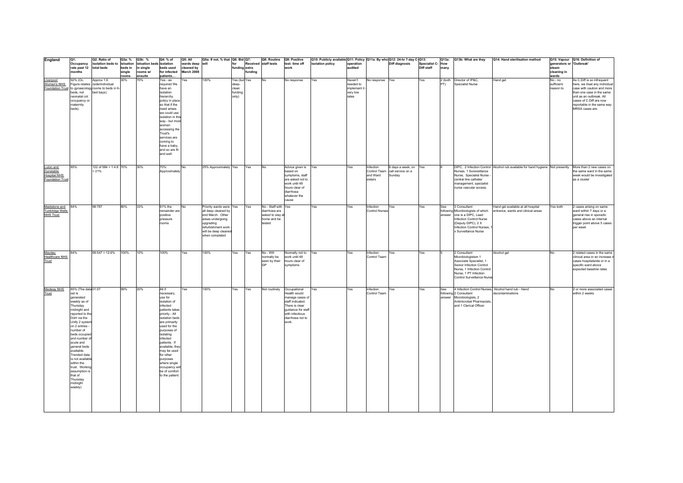| England                                                                 | Q1:                                                                                                                                                                                                                                                                                                                                                                                      | Q2: Ratio of                                                                                                      | Q3a: %                     | Q3b: %                           | Q4: % of                                                                                                                                                                                                                                                                                                                                    | Q5: All                  | Q5a: If not, % that   Q6: Bid   Q7:                                                                                                                                 |                                                    |        | Q8: Routine                                                                      | Q9: Positive                                                                                                                                               | Q10: Publicly available Q11: Policy Q11a: By who Q12: 24-hr 7-day C-Q13: |                                                          |                                  |                                                               |                   |               | Q13a: Q13b: What are they                                                                                                                                                      | Q14: Hand sterilisation method                                                                          |                                     | Q15: Vapour Q16: Definition of                                                                                                                                                                                                 |
|-------------------------------------------------------------------------|------------------------------------------------------------------------------------------------------------------------------------------------------------------------------------------------------------------------------------------------------------------------------------------------------------------------------------------------------------------------------------------|-------------------------------------------------------------------------------------------------------------------|----------------------------|----------------------------------|---------------------------------------------------------------------------------------------------------------------------------------------------------------------------------------------------------------------------------------------------------------------------------------------------------------------------------------------|--------------------------|---------------------------------------------------------------------------------------------------------------------------------------------------------------------|----------------------------------------------------|--------|----------------------------------------------------------------------------------|------------------------------------------------------------------------------------------------------------------------------------------------------------|--------------------------------------------------------------------------|----------------------------------------------------------|----------------------------------|---------------------------------------------------------------|-------------------|---------------|--------------------------------------------------------------------------------------------------------------------------------------------------------------------------------|---------------------------------------------------------------------------------------------------------|-------------------------------------|--------------------------------------------------------------------------------------------------------------------------------------------------------------------------------------------------------------------------------|
|                                                                         | Occupancy                                                                                                                                                                                                                                                                                                                                                                                | isolation beds to isloation                                                                                       |                            | isloation beds isolation         |                                                                                                                                                                                                                                                                                                                                             | wards deep               | lwill                                                                                                                                                               | for                                                |        | Received staff tests                                                             | test: time off                                                                                                                                             | solation policy                                                          | operation                                                |                                  | <b>Diff diagnosis</b>                                         | Specialist C- How |               |                                                                                                                                                                                |                                                                                                         | generators or 'Outbreak'            |                                                                                                                                                                                                                                |
|                                                                         | rate past 12<br><b>onths</b>                                                                                                                                                                                                                                                                                                                                                             | total beds                                                                                                        | beds in<br>single<br>rooms | in single<br>rooms w/<br>ensuite | beds used<br>for infected<br>patients.                                                                                                                                                                                                                                                                                                      | cleaned by<br>March 2008 |                                                                                                                                                                     | funding extra                                      | unding |                                                                                  | work                                                                                                                                                       |                                                                          | audited                                                  |                                  |                                                               | Diff staff        | many          |                                                                                                                                                                                |                                                                                                         | steam<br>cleaning in<br>wards       |                                                                                                                                                                                                                                |
| Liverpool<br>Women's NHS                                                | 92% (Oc.<br>beds, not<br>neonatal cot<br>occupancy or<br>maternity<br>beds).                                                                                                                                                                                                                                                                                                             | Approx 1:6<br>Figure relates (side/individual<br>Foundation Trust to gynaecology rooms to beds in 6<br>bed bays). | 30%                        | 70%                              | $\sqrt{es - as}$<br>required We<br>have an<br>isolation<br>hierarchy<br>policy in place<br>so that if the<br>need arises<br>we could use<br>isolation in this<br>way - but most<br>women<br>accessing the<br>Trust's<br>services are<br>coming to<br>have a baby<br>and so are fit<br>and well.                                             | Yes                      | 100%                                                                                                                                                                | Yes (but Yes<br>deep-<br>clean<br>funding<br>only) |        | No                                                                               | No response                                                                                                                                                | Yes                                                                      | Haven't<br>needed to<br>implement i<br>very low<br>rates | No response                      | Yes                                                           | Yes               | PT)           | 2 (both Director of IP&C,<br><b>Specialist Nurse</b>                                                                                                                           | Hand gel                                                                                                | No - no<br>sufficient<br>reason to. | As C.Diff is so infrequent<br>here, we treat any individual<br>case with caution and more<br>than one case in the same<br>unit as an outbreak. All<br>cases of C.Diff are now<br>reportable in the same way<br>MRSA cases are. |
| Luton and<br><b>Dunstable</b><br><b>Hospital NHS</b><br>Foundation Trus | 85%                                                                                                                                                                                                                                                                                                                                                                                      | 122 of 584 = 1:4.8 $70\%$<br>$= 21%$                                                                              |                            | 30%                              | 70%<br>Approximately                                                                                                                                                                                                                                                                                                                        | No                       | 25% Approximately Yes                                                                                                                                               |                                                    | Yes    | No                                                                               | Advice given is Yes<br>based on<br>symptoms staff<br>are asked not to<br>work until 48<br>hours clear of<br>diarrhoea<br>whatever the<br>cause             |                                                                          | Yes                                                      | Infection<br>and Ward<br>sisters | 6 days a week, on<br>Control Team call service on a<br>Sunday | Yes               |               | Nurses, 1 Sureveillance<br>Nurse. Specialist Nurse -<br>central line catheter<br>management, specialist<br>nurse vascular access.                                              | DIPC, 2 Infection Control Alcohol rub available for hand hygiene Not presently More than 2 new cases on |                                     | the same ward in the same<br>week would be investigated<br>as a cluster                                                                                                                                                        |
| Maidstone and<br><b>Tunbridge Wells</b><br><b>NHS Trust</b>             | 84%                                                                                                                                                                                                                                                                                                                                                                                      | 99:787                                                                                                            | 80%                        | 33%                              | 91% the<br>remainder are<br>positive<br>pressure<br>rooms                                                                                                                                                                                                                                                                                   | No                       | Priority wards were Yes<br>all deep cleaned by<br>end March. Other<br>areas undergoing<br>upgrading<br>refurbishment work<br>will be deep cleaner<br>when completed |                                                    | Yes    | No - Staff with Yes<br>diarrhoea are<br>asked to stay a<br>home and be<br>tested |                                                                                                                                                            | Yes                                                                      | Yes                                                      | Infection<br>Control Nurses      | Yes                                                           | Yes               | See<br>answer | 3 Consultant<br>following Microbiologists of which<br>one is a DIPC, Lead<br>Infection Control Nurse<br>(Deputy DIPC), 2 X<br>nfection Control Nurses,<br>< Surveillance Nurse | Hand gel available at all hospital<br>entrance, wards and clinical areas                                | Yes both                            | 2 cases arising on same<br>ward within 7 days or a<br>general rise in sporadic<br>cases above an internal<br>trigger point above 5 cases<br>per week                                                                           |
| Mayday<br><b>Healthcare NHS</b><br>Trust                                | 84%                                                                                                                                                                                                                                                                                                                                                                                      | $69:547 = 12.6%$                                                                                                  | 100%                       | 10%                              | 100%                                                                                                                                                                                                                                                                                                                                        | Yes                      | 100%                                                                                                                                                                | Yes                                                | Yes    | No - Will<br>normally be<br>seen by their                                        | Normally not to<br>work until 48<br>hours clear of<br>symptoms                                                                                             | Yes                                                                      | Yes                                                      | Infection<br>Control Team        | Yes                                                           | Yes               |               | 2 Consultant<br>Microbiologistsm 1<br>Associate Specialist, 1<br>Senior Infection Control<br>Nurse, 1 Infection Control<br>Nurse, 1 PT Infection<br>Control Surveillance Nurse | Alcohol gel                                                                                             | No                                  | 2 related cases in the same<br>clinical area or an increase i<br>cases hospitalwide or in a<br>specific ward above<br>expected baseline rates                                                                                  |
| Medway NHS<br>Trust                                                     | 85% (The data 01:07<br>set is<br>generated<br>weekly as of<br>Thursday<br>midnight and<br>reported to the<br>DoH via the<br>Unify 2 systen<br>on 2 entries -<br>number of<br>beds occupied<br>and number of<br>acute and<br>general beds<br>available<br>Trended data<br>is not available<br>within the<br>trust. Working<br>assumption is<br>that of<br>Thursdav<br>midnight<br>weekly) |                                                                                                                   | 99%                        | 20%                              | All if<br>necessary,<br>use for<br>isolation of<br>infected<br>patients takes<br>priority - All<br>isolation beds<br>are primarily<br>used for the<br>purposes of<br>isolating<br>infected<br>patients. If<br>available, they<br>may be used<br>for other<br>purposes<br>where single<br>occupancy will<br>be of comfort<br>to the patient. | Yes                      | 100%                                                                                                                                                                | Yes                                                | Yes    | Not routinely                                                                    | Occupational<br>Health would<br>manage cases of<br>staff indicated.<br>There is clear<br>guidance for staf<br>with infectious<br>diarrhoea not to<br>work. | Yes                                                                      | Yes                                                      | Infection<br>Control Team        | Yes                                                           | Yes               | See<br>answer | 4 Infection Control Nurses, Alcohol hand rub - Hand<br>following 2 Consultant<br>Microbiologists, 2<br>Antimicrobal Pharmacists,<br>and 1 Clerical Officer                     | econtaminations                                                                                         | No                                  | 2 or more associated cases<br>within 2 weeks                                                                                                                                                                                   |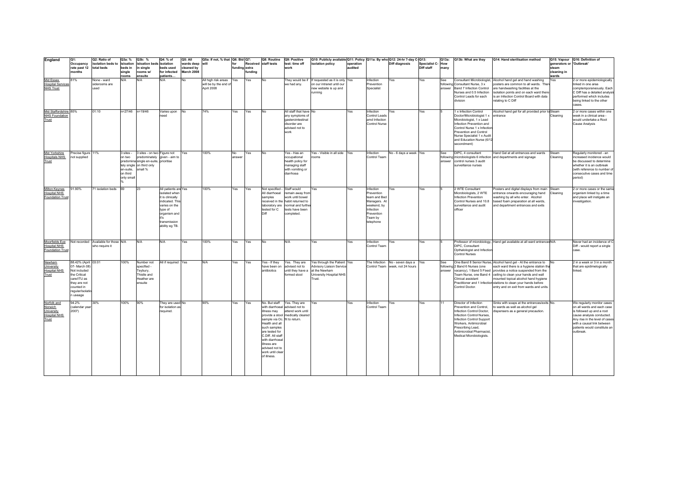| England                                                                     | IQ1:                                                                                                                                            | Q2: Ratio of                                           | Q3a: %                                                     | Q3b: %                                                                                                                                       | Q4: % of                                                                                                                                                           | <b>Q5: All</b>           | Q5a: If not, % that   Q6: Bid   Q7:                            |               |        | Q8: Routine                                                                                                                                                                                                                                                     | Q9: Positive                                                                                                                    | Q10: Publicly available Q11: Policy   Q11a: By who Q12: 24-hr 7-day C-Q13:                                           |           |                                                                                                                           |                                                                    |                   | Q13a:          | Q13b: What are they                                                                                                                                                                                                                                    | Q14: Hand sterilisation method                                                                                                                                                                                                                                                                                                                                                                   |                          | Q15: Vapour Q16: Definition of                                                                                                                                                                                                  |
|-----------------------------------------------------------------------------|-------------------------------------------------------------------------------------------------------------------------------------------------|--------------------------------------------------------|------------------------------------------------------------|----------------------------------------------------------------------------------------------------------------------------------------------|--------------------------------------------------------------------------------------------------------------------------------------------------------------------|--------------------------|----------------------------------------------------------------|---------------|--------|-----------------------------------------------------------------------------------------------------------------------------------------------------------------------------------------------------------------------------------------------------------------|---------------------------------------------------------------------------------------------------------------------------------|----------------------------------------------------------------------------------------------------------------------|-----------|---------------------------------------------------------------------------------------------------------------------------|--------------------------------------------------------------------|-------------------|----------------|--------------------------------------------------------------------------------------------------------------------------------------------------------------------------------------------------------------------------------------------------------|--------------------------------------------------------------------------------------------------------------------------------------------------------------------------------------------------------------------------------------------------------------------------------------------------------------------------------------------------------------------------------------------------|--------------------------|---------------------------------------------------------------------------------------------------------------------------------------------------------------------------------------------------------------------------------|
|                                                                             | Occupancy                                                                                                                                       | isolation beds to isloation                            |                                                            | isloation beds isolation                                                                                                                     |                                                                                                                                                                    | wards deep               | will                                                           |               |        | Received staff tests                                                                                                                                                                                                                                            | test: time off                                                                                                                  | isolation policy                                                                                                     | operation |                                                                                                                           | Diff diagnosis                                                     | Specialist C- How |                |                                                                                                                                                                                                                                                        |                                                                                                                                                                                                                                                                                                                                                                                                  | generators or 'Outbreak' |                                                                                                                                                                                                                                 |
|                                                                             | rate past 12<br>months                                                                                                                          | total beds                                             | beds in<br>single                                          | in sinale<br>rooms w/                                                                                                                        | beds used<br>for infected                                                                                                                                          | cleaned by<br>March 2008 |                                                                | funding extra | unding |                                                                                                                                                                                                                                                                 | work                                                                                                                            |                                                                                                                      | udited    |                                                                                                                           |                                                                    | Diff staff        | many           |                                                                                                                                                                                                                                                        |                                                                                                                                                                                                                                                                                                                                                                                                  | steam<br>cleaning in     |                                                                                                                                                                                                                                 |
|                                                                             |                                                                                                                                                 |                                                        | rooms                                                      | ensuite                                                                                                                                      | patients                                                                                                                                                           |                          |                                                                |               |        |                                                                                                                                                                                                                                                                 |                                                                                                                                 |                                                                                                                      |           |                                                                                                                           |                                                                    |                   |                |                                                                                                                                                                                                                                                        |                                                                                                                                                                                                                                                                                                                                                                                                  | wards                    |                                                                                                                                                                                                                                 |
| Mid Essex<br><b>Hospital Services</b><br><b>NHS Trust</b>                   | 81%                                                                                                                                             | None - ward<br>siderooms are<br>used                   | N/A                                                        | N/A                                                                                                                                          | N/A                                                                                                                                                                | No                       | All high risk areas Yes<br>will be by the end of<br>April 2008 |               | Yes    | No                                                                                                                                                                                                                                                              | we had anv.                                                                                                                     | They would be if If requested as it is only Yes<br>on our intranet until our<br>new website is up and<br>running     |           | Infection<br>Prevention<br>Specialist                                                                                     | Yes                                                                | Yes               | See<br>answer  | following Consultant Nurse, 3 x<br>Band 7 Infection Control<br>Nurses and 0.5 Infection<br>Control Leads for each<br>division                                                                                                                          | Consultant Microbiologist, Alcohol hand gel and hand washing<br>posters are common to all wards. The<br>are handwashing facilities at the<br>isolation points and on each ward there<br>is an Infection Control Board with data<br>relating to C Diff                                                                                                                                            | Yes                      | 2 or more epidemiologically<br>linked in one area<br>comptemporaneously. Each<br>C Diff has a detailed analysi<br>performed which includes<br>being linked to the other<br>cases.                                               |
| Mid Staffordshire 85%<br><b>NHS Foundation</b><br>Trust                     |                                                                                                                                                 | 01:10                                                  | n=27/46 n=19/46                                            |                                                                                                                                              | Varies upon<br>need                                                                                                                                                | <b>No</b>                | 74%                                                            | Yes           | Yes    | <b>No</b>                                                                                                                                                                                                                                                       | All staff that have No<br>any symptoms of<br>gasterointestinal<br>disorder are<br>advised not to<br>work                        |                                                                                                                      | Yes       | Infection<br>Control Leads<br>amd Infection<br>Control Nurse                                                              | Yes                                                                | Yes               | $\overline{5}$ | 1 x Infection Control<br>Doctor/Microbiologist 1 x entrance<br>Microbiologist, 1 x Lead<br>Infection Prevention and<br>Control Nurse 1 x Infection<br>Prevention and Control<br>Nurse Specialist 1 x Audit<br>and Education Nurse (6/12<br>secondment) | Alcohol hand gel for all provided prior to Steam                                                                                                                                                                                                                                                                                                                                                 | Cleaning                 | 2 or more cases within one<br>week in a clinical area -<br>would undertake a Root<br>Cause Analysis                                                                                                                             |
| Mid Yorkshire<br><b>Hospitals NHS</b><br>Trust                              | Precise figure 11%<br>not supplied                                                                                                              |                                                        | 3 sites -<br>on two<br>en-suite,<br>on third<br>only small | 3 sites - on two Figure not<br>predominately given - aim to<br>predomina single en-suite, prioritise<br>tely single on third only<br>small % |                                                                                                                                                                    | Yes                      | 100%                                                           | No.<br>answe  | Yes    | <b>No</b>                                                                                                                                                                                                                                                       | Yes - Has an<br>occupational<br>health policy for<br>managing staff<br>with vomiting or<br>diarrhoea                            | Yes - Visible in all side Yes<br>ooms                                                                                |           | Infection<br>Control Team                                                                                                 | No - 6 days a week                                                 | Yes               | See            | DIPC, 4 consultant<br>following microbiologists 6 infection<br>answer control nurses 3 audit<br>surveillance nurses                                                                                                                                    | Hand Gel at all entrances and wards<br>and departments and signage                                                                                                                                                                                                                                                                                                                               | Steam<br>Cleaning        | Regularly monitored - an<br>increased incidence would<br>be discussed to determine<br>whether it is an outbreak<br>(with reference to number of<br>consecutive cases and time<br>period)                                        |
| Milton Keynes<br><b>Hospital NHS</b><br>Foundation Trust                    | 91.90%                                                                                                                                          | 71 isolation beds                                      | 69                                                         | 23                                                                                                                                           | All patients are Yes<br>isolated when<br>it is clinically<br>indicated. This<br>varies on the<br>type of<br>organism and<br>it's<br>transmission<br>ability eg TB. |                          | 100%                                                           | Yes           | Yes    | Not specified - Staff would<br>All diarrhoeal<br>samples<br>laboratory are<br>tested for C<br>Diff                                                                                                                                                              | remain away from<br>work until bowel<br>received in the habit returned to<br>normal and furthe<br>tests have been<br>completed. | Yes                                                                                                                  | Yes       | Infection<br>Prevention<br>team and Bed<br>Managers. At<br>weekend, by<br>Infection<br>Prevention<br>Team by<br>telephone | Yes                                                                | Yes               | 15             | 2 WTE Consultant<br>Microbiologists, 2 WTE<br>Infection Prevention<br>Control Nurses and 10.8<br>surveillance and audit<br>officer                                                                                                                     | Posters and digital displays from main Steam<br>entrance onwards encouraging hand<br>washing by all who enter. Alcohol<br>based foam preparation at all wards,<br>and department entrances and exits                                                                                                                                                                                             | Cleaning                 | 2 or more cases or the same<br>organism linked by a time<br>and place will instigate an<br>investigation.                                                                                                                       |
| Moorfields Eye<br>Hospital NHS<br>Foundation Trust                          |                                                                                                                                                 | Not recorded Available for those N/A<br>who require it |                                                            | <b>N/A</b>                                                                                                                                   | N/A                                                                                                                                                                | Yes                      | 100%                                                           | Yes           | Yes    | <b>No</b>                                                                                                                                                                                                                                                       | N/A                                                                                                                             | Yes                                                                                                                  | Yes       | Infection<br>Control Team                                                                                                 | Yes                                                                | Yes               |                | DIPC, Consultant<br>Opthalologist and Infection<br>Control Nurses                                                                                                                                                                                      | Professor of microbiology, Hand gel available at all ward entrancesN/A                                                                                                                                                                                                                                                                                                                           |                          | Never had an incidence of (<br>Diff - would report a single<br>case.                                                                                                                                                            |
| Newham<br>University<br><b>Hospital NHS</b><br>Trust                        | 88.42% (April 03:01<br>07-March 08)<br>Not included<br>the Critical<br>care/ITU as<br>they are not<br>counted in<br>egular/isolatio<br>n useage |                                                        | 100%                                                       | Number not<br>specified -<br>Teybury,<br>Thistle and<br>Heather are<br>ensuite                                                               | All if required Yes                                                                                                                                                |                          | N/A                                                            | Yes           | Yes    | Yes - If they<br>have been on<br>antibiotics                                                                                                                                                                                                                    | Yes. They are<br>advised not to<br>until they have a<br>ormed stool                                                             | Yes through the Patient Yes<br><b>Advisory Liaison Service</b><br>at the Newham<br>University Hospital NHS<br>Trust. |           |                                                                                                                           | The Infection No - seven days a<br>Control Team week, not 24 hours | Yes               | See<br>answer  | following 2 Band 6 Nurses (one<br>Clinical assistant<br>Control Doctor.                                                                                                                                                                                | One Band 8 Senior Nurse, Alcohol hand gel - At the entrance to<br>each ward there is a hygiene station tha<br>vacancy), 1 Band 5 Fixed provides a notice suspended from the<br>Team Nurse, one Band 4 ceiling to clean your hands and wall<br>mounted topical alcohol hand hygiene<br>Practitioner and 1 Infection stations to clean your hands before<br>entry and on exit from wards and units | <b>No</b>                | 2 in a week or 3 in a month<br>that are epidimelogically<br>linked                                                                                                                                                              |
| Norfolk and<br><b>Norwich</b><br>University<br><b>Hospital NHS</b><br>Trust | 94.2%<br>calendar year<br>2007)                                                                                                                 | 30%                                                    | 100%                                                       | 90%                                                                                                                                          | They are used No<br>for isolation as<br>required.                                                                                                                  |                          | 90%                                                            | Yes           | Yes    | No. But staff<br>with diarrhoeal advised not to<br>illness may<br>sample via Oc. fit to return.<br>Health and all<br>such samples<br>are tested for<br>C.Diff. All staff<br>with diarrhoeal<br>illness are<br>advised not to<br>work until clear<br>of illness. | Yes. They are<br>attend work until<br>provide a stool medically cleared                                                         | Yes                                                                                                                  | Yes       | Infection<br>Control Team                                                                                                 | Yes                                                                | Yes               | 11             | Director of Infection<br>Prevention and Control.<br>Infection Control Doctor,<br>Infection Control Nurses<br>Infection Control Support<br>Workers, Antimicrobial<br>Prescribing Lead,<br>Antimicrobial Pharmacist.<br>Medical Microbiologists.         | Sinks with soaps at the entrances/exits No.<br>to wards as well as alcohol gel<br>dispensers as a general precaution.                                                                                                                                                                                                                                                                            |                          | We regularly monitor cases<br>on all wards and each case<br>is followed up and a root<br>cause analysis conducted.<br>Any rise in the level of cases<br>with a causal link between<br>patients would constitute an<br>outbreak. |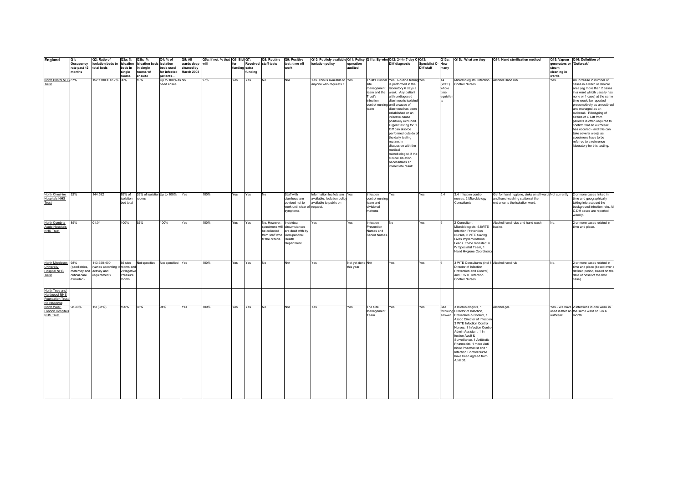| England                                                                    | Q1:                                                         | Q2: Ratio of                                                                | Q3a: %                                  | Q3b: %                                | Q4: % of                        | Q5: All                  | Q5a: If not, % that   Q6: Bid   Q7: |                      |         | Q8: Routine Q9: Positive                          |                                                                                                                         | Q10: Publicly available Q11: Policy Q11a: By who Q12: 24-hr 7-day C-Q13: |                               |                                                              |                                                                                                                                                                                                                                                                                                                                                                                                                                                                                                                     |                                |                                           | Q13a: Q13b: What are they                                                                                                                                                                                                                                                                                                                                                     | Q14: Hand sterilisation method                                                   |                                   | Q15: Vapour Q16: Definition of                                                                                                                                                                                                                                                                                                                                                                                                                                                                   |
|----------------------------------------------------------------------------|-------------------------------------------------------------|-----------------------------------------------------------------------------|-----------------------------------------|---------------------------------------|---------------------------------|--------------------------|-------------------------------------|----------------------|---------|---------------------------------------------------|-------------------------------------------------------------------------------------------------------------------------|--------------------------------------------------------------------------|-------------------------------|--------------------------------------------------------------|---------------------------------------------------------------------------------------------------------------------------------------------------------------------------------------------------------------------------------------------------------------------------------------------------------------------------------------------------------------------------------------------------------------------------------------------------------------------------------------------------------------------|--------------------------------|-------------------------------------------|-------------------------------------------------------------------------------------------------------------------------------------------------------------------------------------------------------------------------------------------------------------------------------------------------------------------------------------------------------------------------------|----------------------------------------------------------------------------------|-----------------------------------|--------------------------------------------------------------------------------------------------------------------------------------------------------------------------------------------------------------------------------------------------------------------------------------------------------------------------------------------------------------------------------------------------------------------------------------------------------------------------------------------------|
|                                                                            | Occupancy<br>rate past 12                                   | isolation beds to isloation<br>total beds                                   | beds in                                 | isloation beds isolation<br>in single | beds used                       | wards deep<br>cleaned by | lwill                               | for<br>funding extra |         | Received staff tests                              | test: time off<br>work                                                                                                  | isolation policy                                                         | operation<br>audited          |                                                              | <b>Diff diagnosis</b>                                                                                                                                                                                                                                                                                                                                                                                                                                                                                               | Specialist C-How<br>Diff staff | many                                      |                                                                                                                                                                                                                                                                                                                                                                               |                                                                                  | generators or 'Outbreak'<br>steam |                                                                                                                                                                                                                                                                                                                                                                                                                                                                                                  |
|                                                                            | months                                                      |                                                                             | single<br>rooms                         | rooms w/<br>ensuite                   | for infected<br>patients        | March 2008               |                                     |                      | funding |                                                   |                                                                                                                         |                                                                          |                               |                                                              |                                                                                                                                                                                                                                                                                                                                                                                                                                                                                                                     |                                |                                           |                                                                                                                                                                                                                                                                                                                                                                               |                                                                                  | cleaning in<br>wards              |                                                                                                                                                                                                                                                                                                                                                                                                                                                                                                  |
| North Bristol NHS 87%<br>Trust                                             |                                                             | 152:1180 = 12.7% 90%                                                        |                                         | 10%                                   | Up to 100% as No<br>need arises |                          | 97%                                 | Yes                  | Yes     | No                                                | N/A                                                                                                                     | res. This is available to Yes<br>anyone who requests it                  |                               | management<br>team and the<br>Trust's<br>infection<br>team   | Trust's clinical Yes. Routine testing Yes<br>is performed in the<br>laboratory 6 days a<br>week. Any patient<br>with undiagosed<br>diarrhoea is isolated<br>control nursing until a cause of<br>diarrhoea has been<br>established or an<br>infective cause<br>positively excluded.<br>Urgent testing for C<br>Diff can also be<br>performed outside a<br>the daily testing<br>routine, in<br>discussion with the<br>medical<br>microbiologist, if the<br>clinical situation<br>necessitates an<br>immediate result. |                                | 14<br>(WTE)<br>whole<br>time<br>equivilen | Microbiologists, Infection Alcohol Hand rub<br><b>Control Nurses</b>                                                                                                                                                                                                                                                                                                          |                                                                                  | Yes.                              | An increase in number of<br>cases in a ward or clinical<br>area (eg more than 2 cases<br>in a ward whicih usually has<br>none or 1 case) at the same<br>time would be reported<br>presumptively as an outbreal<br>and managed as an<br>outbreak. Ribotyping of<br>strains of C Diff from<br>patients is often required to<br>confirm that an outrbreak<br>has occured - and this can<br>take several weejs as<br>specimens have to be<br>referred to a reference<br>laboratory for this testing. |
| North Cheshire                                                             | 92%                                                         | 144:592                                                                     | 89% of                                  |                                       | 39% of isolation Up to 100%     | Yes                      | 100%                                | Yes                  | Yes     | <b>No</b>                                         | Staff with                                                                                                              | Information leaflets are Yes                                             |                               | Infection                                                    | Yes                                                                                                                                                                                                                                                                                                                                                                                                                                                                                                                 | Yes                            | 5.4                                       | 3.4 Infection control                                                                                                                                                                                                                                                                                                                                                         | Gel for hand hygiene, sinks on all wards Not currently 2 or more cases linked in |                                   |                                                                                                                                                                                                                                                                                                                                                                                                                                                                                                  |
| <b>Hospitals NHS</b><br>Trust                                              |                                                             |                                                                             | isolation<br>bed total                  | rooms                                 |                                 |                          |                                     |                      |         |                                                   | diarrhoea are<br>advised not to<br>work until clear of request.<br>symptoms.                                            | available. Isolation policy<br>available to public on                    |                               | control nursing<br>team and<br>divisional<br>matrons         |                                                                                                                                                                                                                                                                                                                                                                                                                                                                                                                     |                                |                                           | nurses, 2 Microbiology<br>Consultants                                                                                                                                                                                                                                                                                                                                         | and hand washing station at the<br>entrance to the isolation ward.               |                                   | time and geographically<br>taking into account the<br>background infection rate. A<br>C.Diff cases are reported<br>weekly.                                                                                                                                                                                                                                                                                                                                                                       |
| North Cumbria<br><b>Acute Hospitals</b><br><b>NHS Trust</b>                | 85%                                                         | 01:04                                                                       | 100%                                    | 52%                                   | 100%                            | Yes                      | 100%                                | Yes                  | Yes     | No. However,<br>be collected<br>fit the criteria. | Individual<br>specimens will circumstances<br>are dealt with by<br>from staff who Occupational<br>Health<br>Department. | Yes                                                                      | Yes                           | nfection<br>Prevention<br>Nurses and<br><b>Senior Nurses</b> | No                                                                                                                                                                                                                                                                                                                                                                                                                                                                                                                  | Yes                            |                                           | 2 Consultant<br>Microbiologists, 4.8WTE<br>Infection Prevention<br>Nurses, 2 WTE Saving<br>Lives Implementation<br>Leads. To be recruited: 6<br>IV Specialist Team, 1<br>Hand Hygiene Coordinator                                                                                                                                                                             | Alcohol hand rubs and hand wash<br>basins.                                       | No.                               | 2 or more cases related in<br>time and place.                                                                                                                                                                                                                                                                                                                                                                                                                                                    |
| North Middlesex 98%<br>University<br>Hospital NHS<br>Trust                 | paediatrics,<br>maternity and<br>critical care<br>excluded) | 113:350-400<br>varies according torooms and<br>activity and<br>requirement) | 55 side<br>Negative<br>ressure<br>ooms. |                                       | Not specified Not specified Yes |                          | 100%                                | Yes                  | Yes     | <b>No</b>                                         | N/A                                                                                                                     | Yes                                                                      | Not yet done N/A<br>this year |                                                              | Yes                                                                                                                                                                                                                                                                                                                                                                                                                                                                                                                 | Yes                            |                                           | 3 WTE Consultants (incl 1 Alcohol hand rub<br>Director of Infection<br>Prevention and Control)<br>and 3 WTE Infection<br>Control Nurses                                                                                                                                                                                                                                       |                                                                                  | No                                | 2 or more cases related in<br>time and place (based over<br>defined period, based on the<br>date of onset of the first<br>case).                                                                                                                                                                                                                                                                                                                                                                 |
| North Tees and<br>Hartlepool NHS<br><b>Foundation Trust</b><br>No response |                                                             |                                                                             |                                         |                                       |                                 |                          |                                     |                      |         |                                                   |                                                                                                                         |                                                                          |                               |                                                              |                                                                                                                                                                                                                                                                                                                                                                                                                                                                                                                     |                                |                                           |                                                                                                                                                                                                                                                                                                                                                                               |                                                                                  |                                   |                                                                                                                                                                                                                                                                                                                                                                                                                                                                                                  |
| North West<br><b>London Hospitals</b><br><b>NHS Trust</b>                  | 98.30%                                                      | 1:3(31%)                                                                    | 100%                                    | 98%                                   | 94%                             | Yes                      | 100%                                | Yes                  | Yes     | No                                                | N/A                                                                                                                     | Yes                                                                      | Yes                           | The Site<br>Management<br>Team                               | Yes                                                                                                                                                                                                                                                                                                                                                                                                                                                                                                                 | Yes                            | See<br>answer                             | 3 microbiologists, 1<br>following Director of Infection,<br>Prevention & Control, 1<br>Assoc Director of Infection,<br>3 WTE Infection Control<br>Nurses, 1 Infection Contro<br>Admin Assistant, 1 In<br>fection Audit &<br>Surveillance, 1 Antibiotic<br>Pharmacist. 1 more Anti<br>biotic Pharmacist and 1<br>Infection Control Nurse<br>have been agreed from<br>April 08. | Alcohol gel.                                                                     | outbreak.                         | Yes - We have 2 infections in one week in<br>used it after an the same ward or 3 in a<br>month.                                                                                                                                                                                                                                                                                                                                                                                                  |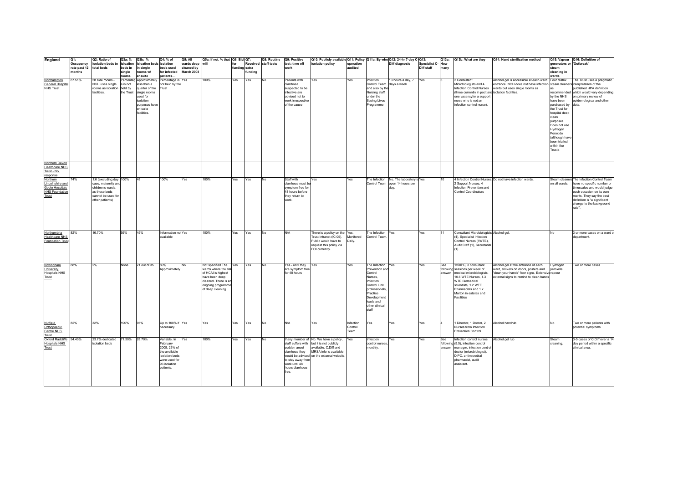| England                              | O1:                       | Q2: Ratio of                              | Q3a: %    | Q3b: %                                | Q4: % of                         | Q5: All                  | Q5a: If not, % that Q6: Bid Q7:           |                      |        | Q8: Routine          | Q9: Positive                      | Q10: Publicly available Q11: Policy Q11a: By who Q12: 24-hr 7-day C-Q13: |                      |                                    |                                         |                                |        | Q13a: Q13b: What are they                                  | Q14: Hand sterilisation method                                                           |                                   | Q15: Vapour Q16: Definition of                        |
|--------------------------------------|---------------------------|-------------------------------------------|-----------|---------------------------------------|----------------------------------|--------------------------|-------------------------------------------|----------------------|--------|----------------------|-----------------------------------|--------------------------------------------------------------------------|----------------------|------------------------------------|-----------------------------------------|--------------------------------|--------|------------------------------------------------------------|------------------------------------------------------------------------------------------|-----------------------------------|-------------------------------------------------------|
|                                      | Occupancy<br>rate past 12 | isolation beds to isloation<br>total beds | beds in   | isloation beds isolation<br>in single | beds used                        | wards deep<br>cleaned by | will                                      | for<br>funding extra |        | Received staff tests | test: time off<br>work            | isolation policy                                                         | operation<br>audited |                                    | Diff diagnosis                          | Specialist C-How<br>Diff staff | many   |                                                            |                                                                                          | generators or 'Outbreak'<br>steam |                                                       |
|                                      | months                    |                                           | single    | rooms w/                              | for infected                     | March 2008               |                                           |                      | undina |                      |                                   |                                                                          |                      |                                    |                                         |                                |        |                                                            |                                                                                          | cleaning in                       |                                                       |
|                                      |                           |                                           | rooms     | ensuite                               | patients.                        |                          |                                           |                      |        |                      |                                   |                                                                          |                      |                                    |                                         |                                |        |                                                            |                                                                                          | wards                             |                                                       |
| Northampton                          | 87.51%                    | 58 side rooms -                           | Percentag | Approximately                         | Percentage is                    | res                      | 100%                                      | Yes                  | Yes    | No                   | Patients with                     | Yes                                                                      | Yes                  | Infection                          | 13 hours a day, 7                       | Yes                            |        | 2 Consultant                                               | Alcohol gel is accessible at each ward                                                   | Four Matrix                       | The Trust uses a pragmatic                            |
| General Hospital<br><b>NHS Trust</b> |                           | NGH uses single                           | e is not  | less than a<br>quarter of the         | not held by the<br>Trust         |                          |                                           |                      |        |                      | diarrhoea<br>suspected to be      |                                                                          |                      | Control Team days a week           |                                         |                                |        | Microbiologists and 4                                      | entrance. NGH does not have infection steam cleaners interpretation of the               |                                   | published HPA definition                              |
|                                      |                           | rooms as isolation held by<br>facilities. | the Trust | single rooms                          |                                  |                          |                                           |                      |        |                      | nfective are                      |                                                                          |                      | and also by the<br>Nursing staff   |                                         |                                |        | (three currently in podt and isolation facilities.         | Infection Control Nurses wards but uses single rooms as                                  | recommended                       | which would vary depending                            |
|                                      |                           |                                           |           | used for                              |                                  |                          |                                           |                      |        |                      | advised not to                    |                                                                          |                      | under the                          |                                         |                                |        | one vacancyfor a support                                   |                                                                                          | by the NHS                        | on primary review of                                  |
|                                      |                           |                                           |           | isolation                             |                                  |                          |                                           |                      |        |                      | work irrespective                 |                                                                          |                      | Saving Lives                       |                                         |                                |        | nurse who is not an                                        |                                                                                          | have been                         | epidemological and other                              |
|                                      |                           |                                           |           | purposes have<br>en-suite             |                                  |                          |                                           |                      |        |                      | of the cause                      |                                                                          |                      | Programme                          |                                         |                                |        | infection control nurse).                                  |                                                                                          | purchased by<br>the Trust for     | data                                                  |
|                                      |                           |                                           |           | facilities.                           |                                  |                          |                                           |                      |        |                      |                                   |                                                                          |                      |                                    |                                         |                                |        |                                                            |                                                                                          | hospital deep                     |                                                       |
|                                      |                           |                                           |           |                                       |                                  |                          |                                           |                      |        |                      |                                   |                                                                          |                      |                                    |                                         |                                |        |                                                            |                                                                                          | clean                             |                                                       |
|                                      |                           |                                           |           |                                       |                                  |                          |                                           |                      |        |                      |                                   |                                                                          |                      |                                    |                                         |                                |        |                                                            |                                                                                          | purposes.                         |                                                       |
|                                      |                           |                                           |           |                                       |                                  |                          |                                           |                      |        |                      |                                   |                                                                          |                      |                                    |                                         |                                |        |                                                            |                                                                                          | Does not use                      |                                                       |
|                                      |                           |                                           |           |                                       |                                  |                          |                                           |                      |        |                      |                                   |                                                                          |                      |                                    |                                         |                                |        |                                                            |                                                                                          | Hydrogen<br>Peroxide              |                                                       |
|                                      |                           |                                           |           |                                       |                                  |                          |                                           |                      |        |                      |                                   |                                                                          |                      |                                    |                                         |                                |        |                                                            |                                                                                          | (although have                    |                                                       |
|                                      |                           |                                           |           |                                       |                                  |                          |                                           |                      |        |                      |                                   |                                                                          |                      |                                    |                                         |                                |        |                                                            |                                                                                          | been trialled                     |                                                       |
|                                      |                           |                                           |           |                                       |                                  |                          |                                           |                      |        |                      |                                   |                                                                          |                      |                                    |                                         |                                |        |                                                            |                                                                                          | within the                        |                                                       |
|                                      |                           |                                           |           |                                       |                                  |                          |                                           |                      |        |                      |                                   |                                                                          |                      |                                    |                                         |                                |        |                                                            |                                                                                          | Trust).                           |                                                       |
|                                      |                           |                                           |           |                                       |                                  |                          |                                           |                      |        |                      |                                   |                                                                          |                      |                                    |                                         |                                |        |                                                            |                                                                                          |                                   |                                                       |
| Northern Devon                       |                           |                                           |           |                                       |                                  |                          |                                           |                      |        |                      |                                   |                                                                          |                      |                                    |                                         |                                |        |                                                            |                                                                                          |                                   |                                                       |
| <b>Healthcare NHS</b>                |                           |                                           |           |                                       |                                  |                          |                                           |                      |        |                      |                                   |                                                                          |                      |                                    |                                         |                                |        |                                                            |                                                                                          |                                   |                                                       |
| Trust - No                           |                           |                                           |           |                                       |                                  |                          |                                           |                      |        |                      |                                   |                                                                          |                      |                                    |                                         |                                |        |                                                            |                                                                                          |                                   |                                                       |
| response<br>Northern                 | 74%                       | 1:6 (excluding day 100%                   |           | 48                                    | 100%                             | Yes                      | 100%                                      | Yes                  | Yes    | No                   | Staff with                        | Yes                                                                      | Yes                  |                                    | The Infection No. The laboratory is Yes |                                | 10     |                                                            | 4 Infection Control Nurses, Do not have infection wards.                                 |                                   | Steam cleaners The Infection Control Team             |
| Lincolnshire and                     |                           | case, maternity and                       |           |                                       |                                  |                          |                                           |                      |        |                      | diarrhoea must be                 |                                                                          |                      |                                    | Control Team open 14 hours per          |                                |        | 2 Support Nurses, 4                                        |                                                                                          | on all wards.                     | have no specific number or                            |
| Goole Hospitals                      |                           | children's wards,                         |           |                                       |                                  |                          |                                           |                      |        |                      | symptom free for                  |                                                                          |                      |                                    |                                         |                                |        | Infection Prevention and                                   |                                                                                          |                                   | timescales and would judge                            |
| <b>NHS Foundation</b>                |                           | as those beds<br>cannot be used for       |           |                                       |                                  |                          |                                           |                      |        |                      | 48 hours before<br>they return to |                                                                          |                      |                                    |                                         |                                |        | Control Coordinators                                       |                                                                                          |                                   | each occasion on its own<br>merits. They say the best |
| Trust                                |                           | other patients)                           |           |                                       |                                  |                          |                                           |                      |        |                      | work                              |                                                                          |                      |                                    |                                         |                                |        |                                                            |                                                                                          |                                   | definition is "a significant                          |
|                                      |                           |                                           |           |                                       |                                  |                          |                                           |                      |        |                      |                                   |                                                                          |                      |                                    |                                         |                                |        |                                                            |                                                                                          |                                   | change to the background                              |
|                                      |                           |                                           |           |                                       |                                  |                          |                                           |                      |        |                      |                                   |                                                                          |                      |                                    |                                         |                                |        |                                                            |                                                                                          |                                   | rate".                                                |
|                                      |                           |                                           |           |                                       |                                  |                          |                                           |                      |        |                      |                                   |                                                                          |                      |                                    |                                         |                                |        |                                                            |                                                                                          |                                   |                                                       |
|                                      |                           |                                           |           |                                       |                                  |                          |                                           |                      |        |                      |                                   |                                                                          |                      |                                    |                                         |                                |        |                                                            |                                                                                          |                                   |                                                       |
|                                      |                           |                                           |           |                                       |                                  |                          |                                           |                      |        |                      |                                   |                                                                          |                      |                                    |                                         |                                |        |                                                            |                                                                                          |                                   |                                                       |
|                                      |                           |                                           | 55%       | 45%                                   |                                  |                          | 100%                                      |                      |        |                      |                                   |                                                                          |                      |                                    |                                         |                                |        | Consultant Microbiologists Alcohol gel.                    |                                                                                          | No                                |                                                       |
| Northumbria<br><b>Healthcare NHS</b> | 82%                       | 16.70%                                    |           |                                       | Information not Yes<br>available |                          |                                           | Yes                  | Yes    | No                   | N/A                               | There is a policy on the Yes.<br>Trust Intranet (IC 05).                 | Monitored            | The Infection Yes.<br>Control Team |                                         | Yes                            | 111    | (4), Specialist Infection                                  |                                                                                          |                                   | 3 or more cases on a ward o<br>department.            |
| Foundation Trust                     |                           |                                           |           |                                       |                                  |                          |                                           |                      |        |                      |                                   | Public would have to                                                     | Daily.               |                                    |                                         |                                |        | Control Nurses (5WTE).                                     |                                                                                          |                                   |                                                       |
|                                      |                           |                                           |           |                                       |                                  |                          |                                           |                      |        |                      |                                   | request this policy via                                                  |                      |                                    |                                         |                                |        | Audit Staff (1), Secretarial                               |                                                                                          |                                   |                                                       |
|                                      |                           |                                           |           |                                       |                                  |                          |                                           |                      |        |                      |                                   | FOI currently.                                                           |                      |                                    |                                         |                                |        |                                                            |                                                                                          |                                   |                                                       |
|                                      |                           |                                           |           |                                       |                                  |                          |                                           |                      |        |                      |                                   |                                                                          |                      |                                    |                                         |                                |        |                                                            |                                                                                          |                                   |                                                       |
|                                      |                           |                                           |           |                                       |                                  |                          |                                           |                      |        |                      |                                   |                                                                          |                      |                                    |                                         |                                |        |                                                            |                                                                                          |                                   |                                                       |
| Nottingham                           | 88%                       | 2%                                        | None      | 21 out of 35                          | 80%                              | <b>No</b>                | Not specified The                         | Yes                  | Yes    | <b>No</b>            | Yes - until they                  | Yes                                                                      | Yes                  | The Infection Yes                  |                                         | Yes                            | See    | 1xDIPC, 3 consultant                                       | Alcohol gel at the entrance of each                                                      | Hydrogen                          | Two or more cases                                     |
| University<br><b>Hospitals NHS</b>   |                           |                                           |           |                                       | Approximately                    |                          | wards where the ris<br>of HCAI is highest |                      |        |                      | are symptom free<br>for 48 hours  |                                                                          |                      | Prevention and<br>Control          |                                         |                                | answer | following sessions per week of<br>medical microbiologists, | ward, stickers on doors, posters and<br>'clean your hands' floor signs, Extensive vapour | peroxide                          |                                                       |
| Trust                                |                           |                                           |           |                                       |                                  |                          | have been deep                            |                      |        |                      |                                   |                                                                          |                      | Nurses,                            |                                         |                                |        | 10.6 WTE Nurses, 1.3                                       | external signs to remind to clean hands                                                  |                                   |                                                       |
|                                      |                           |                                           |           |                                       |                                  |                          | cleaned. There is an                      |                      |        |                      |                                   |                                                                          |                      | Infection                          |                                         |                                |        | <b>WTE Biomedical</b>                                      |                                                                                          |                                   |                                                       |
|                                      |                           |                                           |           |                                       |                                  |                          | ongoing programm                          |                      |        |                      |                                   |                                                                          |                      | Control Link<br>professionals      |                                         |                                |        | scientists, 1.2 WTE<br>Pharmacists and 1 x                 |                                                                                          |                                   |                                                       |
|                                      |                           |                                           |           |                                       |                                  |                          | of deep cleaning.                         |                      |        |                      |                                   |                                                                          |                      | Practice                           |                                         |                                |        | Marton in estates and                                      |                                                                                          |                                   |                                                       |
|                                      |                           |                                           |           |                                       |                                  |                          |                                           |                      |        |                      |                                   |                                                                          |                      | Development                        |                                         |                                |        | <b>Facilities</b>                                          |                                                                                          |                                   |                                                       |
|                                      |                           |                                           |           |                                       |                                  |                          |                                           |                      |        |                      |                                   |                                                                          |                      | leads and                          |                                         |                                |        |                                                            |                                                                                          |                                   |                                                       |
|                                      |                           |                                           |           |                                       |                                  |                          |                                           |                      |        |                      |                                   |                                                                          |                      | other clinical<br>staff            |                                         |                                |        |                                                            |                                                                                          |                                   |                                                       |
|                                      |                           |                                           |           |                                       |                                  |                          |                                           |                      |        |                      |                                   |                                                                          |                      |                                    |                                         |                                |        |                                                            |                                                                                          |                                   |                                                       |
|                                      |                           |                                           |           |                                       |                                  |                          |                                           |                      |        |                      |                                   |                                                                          |                      |                                    |                                         |                                |        |                                                            |                                                                                          |                                   |                                                       |
| Nuffield<br>Orthopaedic              | 82%                       | 32%                                       | 100%      | 95%                                   | Up to 100% if Yes                |                          | Yes                                       | Yes                  | Yes    | No                   | N/A                               | Yes                                                                      | Infection            | Yes                                | Yes                                     | Yes                            |        | 1 Director, 1 Doctor, 2                                    | Alcohol handrub                                                                          | No                                | Two or more patients with                             |
|                                      |                           |                                           |           |                                       | necessary                        |                          |                                           |                      |        |                      |                                   |                                                                          | Control<br>Team      |                                    |                                         |                                |        | Nurses from Infection                                      |                                                                                          |                                   | potential symptoms                                    |
| Centre NHS<br>Trust                  |                           |                                           |           |                                       |                                  |                          |                                           |                      |        |                      |                                   |                                                                          |                      |                                    |                                         |                                |        | Prevention Control                                         |                                                                                          |                                   |                                                       |
| Oxford Radcliffe. 94.40%             |                           | 23.7% dedicated                           | 71.30%    | 28.70%                                | Variable. In                     | Yes                      | 100%                                      | Yes                  | Yes    | No                   |                                   | If any member of No. We have a policy,                                   | Yes                  | Infection                          | Yes                                     | Yes                            | See    | Infection control nurses                                   | Alcohol gel rub                                                                          | Steam                             | 3-5 cases of C.Diff over a 14                         |
| <b>Hospitals NHS</b>                 |                           | isolation beds                            |           |                                       | February                         |                          |                                           |                      |        |                      |                                   | staff suffers with but it is not publicly                                |                      | control nurses                     |                                         |                                |        | following (5.5), infection control                         |                                                                                          | cleaning.                         | day period within a specific                          |
| Trust                                |                           |                                           |           |                                       | 2008, 23% of                     |                          |                                           |                      |        |                      | sudden anset                      | available. C.Diff and<br>diarrhoea they MRSA info is available           |                      | monthly.                           |                                         |                                | answer | manager, infection control                                 |                                                                                          |                                   | clinical area                                         |
|                                      |                           |                                           |           |                                       | the available<br>isolation beds  |                          |                                           |                      |        |                      |                                   | would be advised on the external website.                                |                      |                                    |                                         |                                |        | doctor (microbiologist),<br>DIPC, antimicrobial            |                                                                                          |                                   |                                                       |
|                                      |                           |                                           |           |                                       | were used for                    |                          |                                           |                      |        |                      | to stay away from                 |                                                                          |                      |                                    |                                         |                                |        | pharmacist, audit                                          |                                                                                          |                                   |                                                       |
|                                      |                           |                                           |           |                                       | 93 isolation                     |                          |                                           |                      |        |                      | work until 48                     |                                                                          |                      |                                    |                                         |                                |        | assistant.                                                 |                                                                                          |                                   |                                                       |
|                                      |                           |                                           |           |                                       | patients.                        |                          |                                           |                      |        |                      | hours diarrhoea                   |                                                                          |                      |                                    |                                         |                                |        |                                                            |                                                                                          |                                   |                                                       |
|                                      |                           |                                           |           |                                       |                                  |                          |                                           |                      |        |                      | free.                             |                                                                          |                      |                                    |                                         |                                |        |                                                            |                                                                                          |                                   |                                                       |
|                                      |                           |                                           |           |                                       |                                  |                          |                                           |                      |        |                      |                                   |                                                                          |                      |                                    |                                         |                                |        |                                                            |                                                                                          |                                   |                                                       |
|                                      |                           |                                           |           |                                       |                                  |                          |                                           |                      |        |                      |                                   |                                                                          |                      |                                    |                                         |                                |        |                                                            |                                                                                          |                                   |                                                       |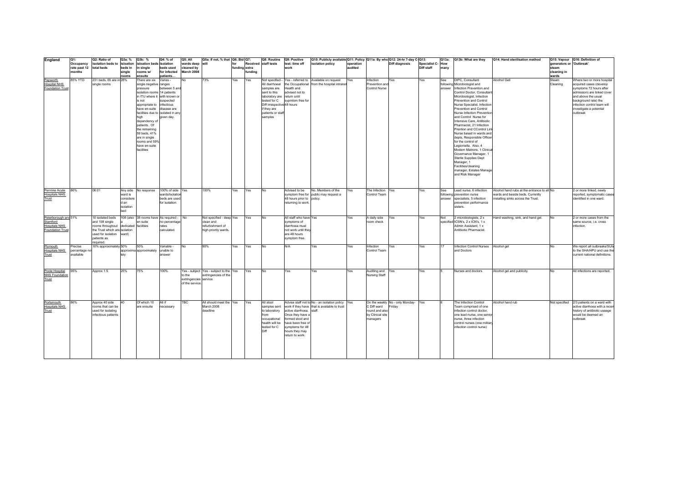| England                 | Q1:                     | Q2: Ratio of                          | Q3a: %    | Q3b: %                                   | Q4: % of         | Q5: All                | Q5a: If not, % that   Q6: Bid   Q7:    |               |         | Q8: Routine                 | Q9: Positive              | Q10: Publicly available Q11: Policy Q11a: By who Q12: 24-hr 7-day C-Q13: |           |                      |                                 |                  |      | Q13a: Q13b: What are they            | Q14: Hand sterilisation method              |                          | Q15: Vapour Q16: Definition of            |
|-------------------------|-------------------------|---------------------------------------|-----------|------------------------------------------|------------------|------------------------|----------------------------------------|---------------|---------|-----------------------------|---------------------------|--------------------------------------------------------------------------|-----------|----------------------|---------------------------------|------------------|------|--------------------------------------|---------------------------------------------|--------------------------|-------------------------------------------|
|                         | Occupancy               | isolation beds to isloation           |           | isloation beds isolation                 |                  | wards deep will        |                                        | for           |         | Received staff tests        | test: time off            | isolation policy                                                         | operation |                      | Diff diagnosis                  | Specialist C-How |      |                                      |                                             | generators or 'Outbreak' |                                           |
|                         | rate past 12 total beds |                                       | beds in   | in single                                | beds used        | cleaned by             |                                        | funding extra |         |                             | work                      |                                                                          | audited   |                      |                                 | Diff staff       | many |                                      |                                             | steam                    |                                           |
|                         | months                  |                                       | single    | rooms w/                                 | for infected     | March 2008             |                                        |               | fundina |                             |                           |                                                                          |           |                      |                                 |                  |      |                                      |                                             | cleaning in              |                                           |
|                         |                         |                                       | rooms     | ensuite                                  | patients         |                        |                                        |               |         |                             |                           |                                                                          |           |                      |                                 |                  |      |                                      |                                             | wards                    |                                           |
| Papworth                | 85% YTD                 | 231 beds, 65 are in 28%               |           | There are six                            | Varies -         | No                     | 73%                                    | Yes           | Yes     | Not specified -             |                           | Yes - referred to Available on request                                   | Yes       | Infection            | Yes                             | Yes              | See  | DIPC, Consultant                     | Alcohol Gell                                | Steam                    | Where two or more hospital                |
| <b>Hospital NHS</b>     |                         | single rooms                          |           | single negative ranges                   |                  |                        |                                        |               |         | All diarrhoeal              |                           | the Occupational from the hospital intranet                              |           | Prevention and       |                                 |                  |      | following Microbiologist and         |                                             | Cleaning                 | acquired cases (develop                   |
| <b>Foundation Trust</b> |                         |                                       |           | pressure                                 | between 5 and    |                        |                                        |               |         | samples are                 | Health and                |                                                                          |           | Control Nurse        |                                 |                  |      | answer Infection Prevention and      |                                             |                          | symptoms 72 hours after                   |
|                         |                         |                                       |           | isolation rooms 14 patients              |                  |                        |                                        |               |         | sent to this                | advised not to            |                                                                          |           |                      |                                 |                  |      | Control Doctor, Consultant           |                                             |                          | admission) are linked (over               |
|                         |                         |                                       |           | in ITU where it with known or            |                  |                        |                                        |               |         | laboratory are return until |                           |                                                                          |           |                      |                                 |                  |      | Microbiologist, Infection            |                                             |                          | and above the usual                       |
|                         |                         |                                       |           | is not                                   | suspected        |                        |                                        |               |         | tested for C                | svomtom free for          |                                                                          |           |                      |                                 |                  |      | Prevention and Control               |                                             |                          | background rate) the                      |
|                         |                         |                                       |           | appropriate to infectious                |                  |                        |                                        |               |         | Diff irrespective 48 hours  |                           |                                                                          |           |                      |                                 |                  |      | Nurse Specialist. Infection          |                                             |                          | infection control team will               |
|                         |                         |                                       |           | have en-suite                            | disease are      |                        |                                        |               |         | if they are                 |                           |                                                                          |           |                      |                                 |                  |      | Prevention and Control               |                                             |                          | investigate a potential                   |
|                         |                         |                                       |           | facilities due to isolated in any        |                  |                        |                                        |               |         | patients or staf            |                           |                                                                          |           |                      |                                 |                  |      | Nurse Infection Prevention           |                                             |                          | outbreak                                  |
|                         |                         |                                       |           | high                                     | given day.       |                        |                                        |               |         | samples                     |                           |                                                                          |           |                      |                                 |                  |      | and Control Nurse for                |                                             |                          |                                           |
|                         |                         |                                       |           |                                          |                  |                        |                                        |               |         |                             |                           |                                                                          |           |                      |                                 |                  |      | Intensive Care, Antibiotic           |                                             |                          |                                           |
|                         |                         |                                       |           | dependency of<br>patients. Of            |                  |                        |                                        |               |         |                             |                           |                                                                          |           |                      |                                 |                  |      | Pharmacist, 21 Infection             |                                             |                          |                                           |
|                         |                         |                                       |           | the remaining                            |                  |                        |                                        |               |         |                             |                           |                                                                          |           |                      |                                 |                  |      | Prention and CControl Link           |                                             |                          |                                           |
|                         |                         |                                       |           | 59 beds, 41%                             |                  |                        |                                        |               |         |                             |                           |                                                                          |           |                      |                                 |                  |      | Nurse based in wards and             |                                             |                          |                                           |
|                         |                         |                                       |           |                                          |                  |                        |                                        |               |         |                             |                           |                                                                          |           |                      |                                 |                  |      |                                      |                                             |                          |                                           |
|                         |                         |                                       |           | are in single                            |                  |                        |                                        |               |         |                             |                           |                                                                          |           |                      |                                 |                  |      | depts, Responsible Officer           |                                             |                          |                                           |
|                         |                         |                                       |           | rooms and 599                            |                  |                        |                                        |               |         |                             |                           |                                                                          |           |                      |                                 |                  |      | for the control of                   |                                             |                          |                                           |
|                         |                         |                                       |           | have en-suite                            |                  |                        |                                        |               |         |                             |                           |                                                                          |           |                      |                                 |                  |      | Legioniella. Also, 4                 |                                             |                          |                                           |
|                         |                         |                                       |           | facilities                               |                  |                        |                                        |               |         |                             |                           |                                                                          |           |                      |                                 |                  |      | Modern Matrons, 1 Clinical           |                                             |                          |                                           |
|                         |                         |                                       |           |                                          |                  |                        |                                        |               |         |                             |                           |                                                                          |           |                      |                                 |                  |      | Governance Manager, 1                |                                             |                          |                                           |
|                         |                         |                                       |           |                                          |                  |                        |                                        |               |         |                             |                           |                                                                          |           |                      |                                 |                  |      | <b>Sterile Supplies Dept</b>         |                                             |                          |                                           |
|                         |                         |                                       |           |                                          |                  |                        |                                        |               |         |                             |                           |                                                                          |           |                      |                                 |                  |      | Manager, 1                           |                                             |                          |                                           |
|                         |                         |                                       |           |                                          |                  |                        |                                        |               |         |                             |                           |                                                                          |           |                      |                                 |                  |      | Facilities/cleaning                  |                                             |                          |                                           |
|                         |                         |                                       |           |                                          |                  |                        |                                        |               |         |                             |                           |                                                                          |           |                      |                                 |                  |      | manager, Estates Manage              |                                             |                          |                                           |
|                         |                         |                                       |           |                                          |                  |                        |                                        |               |         |                             |                           |                                                                          |           |                      |                                 |                  |      | and Risk Manager                     |                                             |                          |                                           |
|                         |                         |                                       |           |                                          |                  |                        |                                        |               |         |                             |                           |                                                                          |           |                      |                                 |                  |      |                                      |                                             |                          |                                           |
|                         |                         |                                       |           |                                          |                  |                        |                                        |               |         |                             |                           |                                                                          |           |                      |                                 |                  |      |                                      |                                             |                          |                                           |
|                         |                         |                                       |           |                                          |                  |                        |                                        |               |         |                             |                           |                                                                          |           |                      |                                 |                  |      |                                      |                                             |                          |                                           |
| Pennine Acute           | 86%                     | 06:01                                 | Any side  | No response                              | 100% of side Yes |                        | 100%                                   | Yes           | Yes     | No                          |                           | Advised to be No. Members of the                                         | Yes       | The Infection Yes    |                                 | Yes              | See  | Lead nurse, 6 infection              | Alcohol hand rubs at the entrance to all No |                          | 2 or more linked, newly                   |
| <b>Hospitals NHS</b>    |                         |                                       | ward is   |                                          | wards/isolation  |                        |                                        |               |         |                             |                           | symptom free for public may request a                                    |           | Control Team         |                                 |                  |      | following prevention nurse           | wards and beside beds. Currently            |                          | reported, symptomatic cases               |
| Trust                   |                         |                                       | considere |                                          | beds are used    |                        |                                        |               |         |                             | 48 hours prior to policy. |                                                                          |           |                      |                                 |                  |      | answer specialists, 5 infection      | installing sinks across the Trust.          |                          | identified in one ward.                   |
|                         |                         |                                       | d an      |                                          | for isolation    |                        |                                        |               |         |                             | returning to work.        |                                                                          |           |                      |                                 |                  |      | prevention performance               |                                             |                          |                                           |
|                         |                         |                                       | isolation |                                          |                  |                        |                                        |               |         |                             |                           |                                                                          |           |                      |                                 |                  |      | sisters.                             |                                             |                          |                                           |
|                         |                         |                                       | bed       |                                          |                  |                        |                                        |               |         |                             |                           |                                                                          |           |                      |                                 |                  |      |                                      |                                             |                          |                                           |
|                         |                         |                                       |           |                                          |                  |                        |                                        |               |         |                             |                           |                                                                          |           |                      |                                 |                  |      |                                      |                                             |                          |                                           |
| Peterborough and 51%    |                         | 10 isolated beds                      |           | 108 (also 38 rooms have As required - No |                  |                        | Not specified - deep Yes               |               | Yes     | No                          | All staff who have Yes    |                                                                          | Yes       | A daily side         | Yes                             | Yes              | Not  | 2 microbiologists, 2 x               | Hand washing, sink, and hand gel.           | No.                      | 2 or more cases from the                  |
| Stamford                |                         | and 108 single                        |           | en suite                                 | no percentage    |                        | clean and                              |               |         |                             | symptoms of               |                                                                          |           | room check           |                                 |                  |      | specified ICSN's, 2 x ICN's, 1 x     |                                             |                          | same source, i.e. cross                   |
| <b>Hospitals NHS</b>    |                         | rooms throughout dedicated facilities |           |                                          | rates            |                        | refurbishment of                       |               |         |                             | diarrhoea must            |                                                                          |           |                      |                                 |                  |      | Admin Assistant, 1 x                 |                                             |                          | infection.                                |
| Foundation Trust        |                         | the Trust which are isolation         |           |                                          | calculated.      |                        | high priority wards.                   |               |         |                             | not work until they       |                                                                          |           |                      |                                 |                  |      | Antibiotic Pharmacist.               |                                             |                          |                                           |
|                         |                         | used for isolation                    | ward)     |                                          |                  |                        |                                        |               |         |                             | are 48 hours              |                                                                          |           |                      |                                 |                  |      |                                      |                                             |                          |                                           |
|                         |                         | patients as                           |           |                                          |                  |                        |                                        |               |         |                             | symptom free.             |                                                                          |           |                      |                                 |                  |      |                                      |                                             |                          |                                           |
|                         |                         | required.                             |           |                                          |                  |                        |                                        |               |         |                             |                           |                                                                          |           |                      |                                 |                  |      |                                      |                                             |                          |                                           |
| Plymouth.               | Precise                 | 10% approximately 50%                 |           | 50%                                      | Variable -       | No                     | 90%                                    | Yes           | Yes     | <b>No</b>                   | N/A                       | Yes                                                                      | Yes       | Infection            | Yes                             | Yes              | 17   | Infection Control Nurses Alcohol gel |                                             | No                       | We report all outbreaks/SUI:              |
| <b>Hospitals NHS</b>    | percentage no           |                                       |           | approxima approximately                  | unable to        |                        |                                        |               |         |                             |                           |                                                                          |           | Control Team         |                                 |                  |      | and Doctors                          |                                             |                          | to the SHA/HPU and use the                |
| Trust                   | available               |                                       |           |                                          | answer           |                        |                                        |               |         |                             |                           |                                                                          |           |                      |                                 |                  |      |                                      |                                             |                          | current national definitions.             |
|                         |                         |                                       |           |                                          |                  |                        |                                        |               |         |                             |                           |                                                                          |           |                      |                                 |                  |      |                                      |                                             |                          |                                           |
|                         |                         |                                       |           |                                          |                  |                        |                                        |               |         |                             |                           |                                                                          |           |                      |                                 |                  |      |                                      |                                             |                          |                                           |
|                         |                         |                                       |           |                                          |                  |                        |                                        |               |         |                             |                           |                                                                          |           |                      |                                 |                  |      |                                      |                                             |                          |                                           |
| Poole Hospital          | 95%                     | Approx 1:5                            | 25%       | 75%                                      | 100%             |                        | Yes - subject Yes - subject to the Yes |               | Yes     | No                          | Yes                       | Yes                                                                      | Yes       | Auditing and Yes     |                                 | Yes              |      | Nurses and doctors                   | Alcohol gel and publicity.                  | No                       | All infections are reported.              |
| <b>NHS Foundation</b>   |                         |                                       |           |                                          |                  | to the                 | extringencies of the                   |               |         |                             |                           |                                                                          |           | <b>Nursing Staff</b> |                                 |                  |      |                                      |                                             |                          |                                           |
|                         |                         |                                       |           |                                          |                  | extringencies service. |                                        |               |         |                             |                           |                                                                          |           |                      |                                 |                  |      |                                      |                                             |                          |                                           |
| Trust                   |                         |                                       |           |                                          |                  |                        |                                        |               |         |                             |                           |                                                                          |           |                      |                                 |                  |      |                                      |                                             |                          |                                           |
|                         |                         |                                       |           |                                          |                  | of the service.        |                                        |               |         |                             |                           |                                                                          |           |                      |                                 |                  |      |                                      |                                             |                          |                                           |
|                         |                         |                                       |           |                                          |                  |                        |                                        |               |         |                             |                           |                                                                          |           |                      |                                 |                  |      |                                      |                                             |                          |                                           |
|                         |                         |                                       |           |                                          |                  |                        |                                        |               |         |                             |                           |                                                                          |           |                      |                                 |                  |      |                                      |                                             |                          |                                           |
|                         |                         |                                       |           |                                          |                  |                        |                                        |               |         |                             |                           |                                                                          |           |                      |                                 |                  |      |                                      |                                             |                          |                                           |
| Portsmouth              | 86%                     | Approx 40 side                        | 40        | Of which 10                              | All if           | <b>TBC</b>             | All should meet the Yes                |               | Yes     | All stool                   |                           | Advise staff not to No - an isolation policy Yes                         |           |                      | On the weekly No - only Monday- | Yes              |      | The Infection Control                | Alcohol hand rub                            |                          | Not specified 2/3 patients on a ward with |
| <b>Hospitals NHS</b>    |                         | rooms that can be                     |           | are ensuite                              | necessary        |                        | March 2008                             |               |         | samples sent                |                           | work if they have that is available to trust                             |           | C Diff ward          | Friday                          |                  |      | Team comprised of one                |                                             |                          | active diarrhoea with a rece              |
| Trust                   |                         | used for isolating                    |           |                                          |                  |                        | deadline                               |               |         | to laboratory               | active diarrhoea. staff.  |                                                                          |           | round and also       |                                 |                  |      | infection control doctor.            |                                             |                          | history of antibiotic useage              |
|                         |                         | infectious patients                   |           |                                          |                  |                        |                                        |               |         | from                        | Once they have a          |                                                                          |           | by Clinical site     |                                 |                  |      | one lead nurse, one senior           |                                             |                          | would be deemed an                        |
|                         |                         |                                       |           |                                          |                  |                        |                                        |               |         | occupational                | formed stool and          |                                                                          |           | managers             |                                 |                  |      | nurse, three infection               |                                             |                          | outbreak                                  |
|                         |                         |                                       |           |                                          |                  |                        |                                        |               |         |                             |                           |                                                                          |           |                      |                                 |                  |      |                                      |                                             |                          |                                           |
|                         |                         |                                       |           |                                          |                  |                        |                                        |               |         | health will be              | have been free of         |                                                                          |           |                      |                                 |                  |      | control nurses (one militar          |                                             |                          |                                           |
|                         |                         |                                       |           |                                          |                  |                        |                                        |               |         | tested for C                | symptoms for 48           |                                                                          |           |                      |                                 |                  |      | infeciton control nurse)             |                                             |                          |                                           |
|                         |                         |                                       |           |                                          |                  |                        |                                        |               |         | Diff                        | hours they may            |                                                                          |           |                      |                                 |                  |      |                                      |                                             |                          |                                           |
|                         |                         |                                       |           |                                          |                  |                        |                                        |               |         |                             | return to work.           |                                                                          |           |                      |                                 |                  |      |                                      |                                             |                          |                                           |
|                         |                         |                                       |           |                                          |                  |                        |                                        |               |         |                             |                           |                                                                          |           |                      |                                 |                  |      |                                      |                                             |                          |                                           |
|                         |                         |                                       |           |                                          |                  |                        |                                        |               |         |                             |                           |                                                                          |           |                      |                                 |                  |      |                                      |                                             |                          |                                           |
|                         |                         |                                       |           |                                          |                  |                        |                                        |               |         |                             |                           |                                                                          |           |                      |                                 |                  |      |                                      |                                             |                          |                                           |
|                         |                         |                                       |           |                                          |                  |                        |                                        |               |         |                             |                           |                                                                          |           |                      |                                 |                  |      |                                      |                                             |                          |                                           |
|                         |                         |                                       |           |                                          |                  |                        |                                        |               |         |                             |                           |                                                                          |           |                      |                                 |                  |      |                                      |                                             |                          |                                           |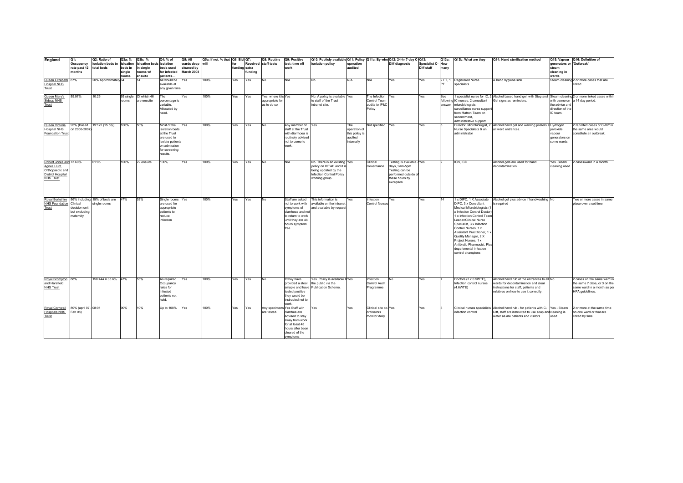| England                                                                                                  | Q1:                                                     | Q2: Ratio of                | Q3a: %            | Q3b: %                               | Q4: % of                                                                                                                     | Q5: All                  | Q5a: If not, % that Q6: Bid Q7: |               |         | Q8: Routine                                            | Q9: Positive                                                                                                                                | Q10: Publicly available Q11: Policy Q11a: By who Q12: 24-hr 7-day C-Q13:                                                               |                                                                |                                                               |                                                                                                                      |                  |            | Q13a: Q13b: What are they                                                                                                                                                                                                                                                                                                                                 | Q14: Hand sterilisation method                                                                                                                                                    |                                                    | Q15: Vapour Q16: Definition of                                                                                |
|----------------------------------------------------------------------------------------------------------|---------------------------------------------------------|-----------------------------|-------------------|--------------------------------------|------------------------------------------------------------------------------------------------------------------------------|--------------------------|---------------------------------|---------------|---------|--------------------------------------------------------|---------------------------------------------------------------------------------------------------------------------------------------------|----------------------------------------------------------------------------------------------------------------------------------------|----------------------------------------------------------------|---------------------------------------------------------------|----------------------------------------------------------------------------------------------------------------------|------------------|------------|-----------------------------------------------------------------------------------------------------------------------------------------------------------------------------------------------------------------------------------------------------------------------------------------------------------------------------------------------------------|-----------------------------------------------------------------------------------------------------------------------------------------------------------------------------------|----------------------------------------------------|---------------------------------------------------------------------------------------------------------------|
|                                                                                                          | Occupancy                                               | isolation beds to isloation |                   | isloation beds isolation             |                                                                                                                              | wards deep               | will                            | for           |         | Received staff tests                                   | test: time off                                                                                                                              | isolation policy                                                                                                                       | operation<br>audited                                           |                                                               | <b>Diff diagnosis</b>                                                                                                | Specialist C-How |            |                                                                                                                                                                                                                                                                                                                                                           |                                                                                                                                                                                   | generators or 'Outbreak'<br>steam                  |                                                                                                               |
|                                                                                                          | rate past 12<br>months                                  | total beds                  | beds in<br>single | in single<br>rooms w/                | beds used<br>for infected                                                                                                    | cleaned by<br>March 2008 |                                 | funding extra | funding |                                                        | work                                                                                                                                        |                                                                                                                                        |                                                                |                                                               |                                                                                                                      | Diff staff       | many       |                                                                                                                                                                                                                                                                                                                                                           |                                                                                                                                                                                   | cleaning in                                        |                                                                                                               |
|                                                                                                          |                                                         |                             | rooms             | ensuite                              | patients                                                                                                                     |                          |                                 |               |         |                                                        |                                                                                                                                             |                                                                                                                                        |                                                                |                                                               |                                                                                                                      |                  |            |                                                                                                                                                                                                                                                                                                                                                           |                                                                                                                                                                                   | wards                                              |                                                                                                               |
| Queen Elizabeth 87%<br><b>Hospital NHS</b><br>Trust                                                      |                                                         | 20% Approximately 64        |                   | 14                                   | All would be<br>available at<br>any given time                                                                               | Yes                      | 100%                            | Yes           | Yes     | No                                                     | N/A                                                                                                                                         | No.                                                                                                                                    | N/A                                                            | N/A                                                           | Yes                                                                                                                  | Yes              | <b>IPT</b> | 2 FT, 1 Registered Nurse<br>specialists                                                                                                                                                                                                                                                                                                                   | A hand hygiene sink                                                                                                                                                               |                                                    | Steam cleaning 2 or more cases that are<br>linked                                                             |
| Queen Mary's<br>Sidcup NHS<br>Trust                                                                      | 89.97%                                                  | 10:26                       | rooms             | 93 single Of which 46<br>are ensuite | The<br>percentage is<br>variable.<br>Allocated by<br>need.                                                                   | Yes                      | 100%                            | Yes           | Yes     | Yes, where it is Yes<br>appropriate for<br>us to do so |                                                                                                                                             | No. A policy is available Yes<br>to staff of the Trust<br>intranet site.                                                               |                                                                | The Infection Yes<br>Control Team<br>audits to IP&C<br>Policy |                                                                                                                      | Yes              | See        | following IC nurses, 2 consultant<br>answer microbiologists,<br>surveillance nurse support<br>from Matron Team on<br>secondment.<br>administrative support.                                                                                                                                                                                               | 1 specialist nurse for IC, 2 Alcohol based hand gel, with Stop and Steam cleaning 2 or more linked cases withir<br>Gel signs as reminders.                                        | the advice and<br>direction of the<br>IC team.     | with ozone on a 14 day period.                                                                                |
| Queen Victoria<br><b>Hospital NHS</b><br>Foundation Trust                                                | 95% (Based<br>on 2006-2007                              | 19:122 (15.5%)              | 100%              | 50%                                  | Most of the<br>isolation beds<br>at the Trust<br>are used to<br>isolate patient<br>on admission<br>for screening<br>results. | Yes                      | 100%                            | Yes           | Yes     | No                                                     | Any member of<br>staff at the Trust<br>with diarrhoea is<br>routinely advised<br>not to come to<br>work.                                    | Yes.                                                                                                                                   | The<br>operation of<br>this policy is<br>audited<br>internally | Not specified. Yes.                                           |                                                                                                                      | Yes              |            | Director, Microbiologist, 2<br>Nurse Specialists & an<br>administrator                                                                                                                                                                                                                                                                                    | Alcohol hand gel and warning posters atHydrogen<br>all ward entrances.                                                                                                            | peroxide<br>vapour<br>generators on<br>some wards. | 2 reported cases of C-Diff in<br>the same area would<br>constitute an outbreak.                               |
| Robert Jones and 73.69%<br>Agnes Hunt<br>Orthopaedic and<br><b>District Hospital</b><br><b>NHS Trust</b> |                                                         | 01:05                       | 100%              | 22 ensuite                           | 100%                                                                                                                         | Yes                      | 100%                            | Yes           | Yes     | <b>No</b>                                              | N/A                                                                                                                                         | No. There is an existing Yes<br>policy on ICTAP and it is<br>being updated by the<br><b>Infection Control Policy</b><br>working group. |                                                                | Clinical<br>Governance                                        | Testing is available 7Yes<br>days, 9am-5pm.<br>Testing can be<br>performed outside o<br>these hours by<br>exception. |                  |            | ICN, ICD                                                                                                                                                                                                                                                                                                                                                  | Alcohol gels are used for hand<br>decontamination                                                                                                                                 | Yes. Steam<br>cleaning used.                       | 2 cases/ward in a month.                                                                                      |
| Royal Berkshire 86% including 19% of beds are<br>NHS Foundation<br>Trust                                 | Clinical<br>decision unit<br>but excluding<br>maternity | single rooms                | 47%               | 53%                                  | Single rooms Yes<br>are used for<br>appropriate<br>patients to<br>reduce<br>infection                                        |                          | 100%                            | Yes           | Yes     | No                                                     | Staff are asked<br>not to work with<br>symptoms of<br>diarrhoea and not<br>to return to work<br>until they are 48<br>hours symptom<br>free. | This informaiton is<br>available on the intranet<br>and available by request                                                           | Yes                                                            | Infection<br><b>Control Nurses</b>                            | Yes                                                                                                                  | Yes              | 14         | DIPC, 3 x Consultant<br>Medical Microbiologists (1<br>x Infection Control Doctor)<br>1 x Infection Control Team<br>Leader/Clinical Nurse<br>Specialist, 3 x Infection<br>Control Nurses, 1 x<br>Aissistant Practitioner, 1 x<br>Quality Manager, 2 X<br>Project Nurses, 1 x<br>Antibiotic Pharmacist. Plus<br>departmental infection<br>control champions | 1 x DIPC, 1 X Associate Alcohol gel plus advice if handwashing No<br>is required                                                                                                  |                                                    | Two or more cases in same<br>place over a set time                                                            |
| Royal Brompton<br>and Harefield<br>NHS Trust                                                             | 88%                                                     | $158:444 = 35.6\%$ 47%      |                   | 53%                                  | As required.<br>Occupancy<br>rates for<br>nfected<br>patients not<br>held.                                                   | Yes                      | 100%                            | Yes           | Yes     | No.                                                    | If they have<br>provided a stool<br>tested positive<br>they would be<br>instructed not to<br>work.                                          | Yes. Policy is available to Yes<br>the public via the<br>smaple and have Publication Scheme                                            |                                                                | Infection<br>Control Audit<br>Programme                       |                                                                                                                      | Yes              |            | Doctors (2 x 0.5WTE).<br>Infection control nurses<br>(4.6WTE)                                                                                                                                                                                                                                                                                             | Alcohol hand rub at the entrances to all No<br>wards for decontamination and clear<br>instructions for staff, patients and<br>relatives on how to use it correctly.               |                                                    | 2 cases on the same ward in<br>the same 7 days, or 3 on the<br>same ward in a month as per<br>HPA guidelines. |
| Royal Comwall 80% (april 07 - 08:01<br><b>Hospitals NHS</b><br>Trust                                     | Feb 08)                                                 |                             | 90%               | 10%                                  | Up to 100%                                                                                                                   | Yes                      | 100%                            | Yes           | Yes     | Any specimens Yes Staff with<br>are tested.            | diarrhea are<br>advised to stay<br>away from work<br>for at least 48<br>hours after been<br>cleared of the<br>symptoms                      | Yes                                                                                                                                    | Yes                                                            | Clinical site co-Yes<br>ordinators<br>monitor daily           |                                                                                                                      | Yes              | 13         | infection control                                                                                                                                                                                                                                                                                                                                         | Clinical nurses specialists - Alcohol hand rub - for patients with C- Yes - Steam<br>Diff, staff are instructed to use soap and cleaning is<br>water as are patients and visitors | used                                               | 2 or more at the same time<br>on one ward or that are<br>linked by time                                       |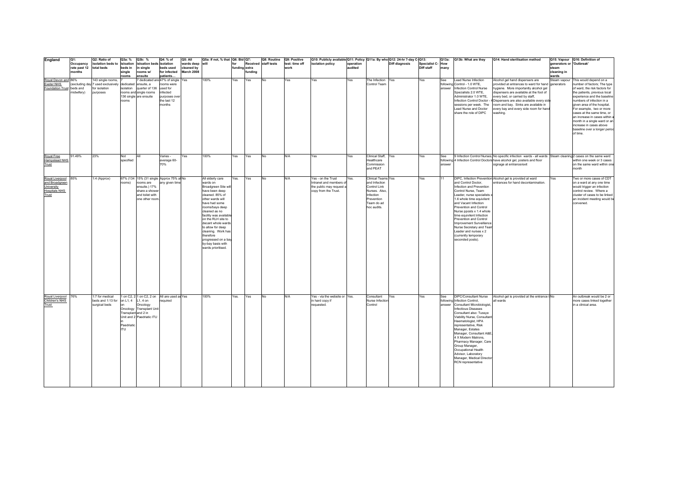| England                            | lo1:                   | Q2: Ratio of                      | Q3a: %             | Q3b: %                         | Q4: % of                                     | Q5: All                  | Q5a: If not, % that   Q6: Bid   Q7:          |               |         | Q8: Routine Q9: Positive |                | Q10: Publicly available Q11: Policy Q11a: By who Q12: 24-hr 7-day C-Q13: |           |                              |                       |                                | Q13a:  | Q13b: What are they                                 | Q14: Hand sterilisation method                                                                              |                          | Q15: Vapour Q16: Definition of                           |
|------------------------------------|------------------------|-----------------------------------|--------------------|--------------------------------|----------------------------------------------|--------------------------|----------------------------------------------|---------------|---------|--------------------------|----------------|--------------------------------------------------------------------------|-----------|------------------------------|-----------------------|--------------------------------|--------|-----------------------------------------------------|-------------------------------------------------------------------------------------------------------------|--------------------------|----------------------------------------------------------|
|                                    | Occupancy              | isolation beds to isloation       |                    | isloation beds isolation       |                                              | wards deep               | will                                         | for           |         | Received staff tests     | test: time off | isolation policy                                                         | operation |                              | <b>Diff diagnosis</b> | Specialist C-How<br>Diff staff |        |                                                     |                                                                                                             | generators or 'Outbreak' |                                                          |
|                                    | rate past 12<br>months | total beds                        | beds in<br>single  | n single<br>rooms w/           | beds used<br>for infected                    | cleaned by<br>March 2008 |                                              | funding extra | funding |                          | work           |                                                                          | audited   |                              |                       |                                | many   |                                                     |                                                                                                             | steam<br>cleaning in     |                                                          |
|                                    |                        |                                   | <b>rooms</b>       | ensuite                        | patients                                     |                          |                                              |               |         |                          |                |                                                                          |           |                              |                       |                                |        |                                                     |                                                                                                             | wards                    |                                                          |
| Royal Devon and 86%                |                        | 143 single rooms,                 |                    |                                | 7 dedicated are 47% of single Yes            |                          | 100%                                         | Yes           | Yes     | No                       | Yes            | Yes                                                                      | Yes       | The Infection Yes            |                       | Yes                            | See    | Lead Nurse Infection                                | Alcohol gel hand dispensers are                                                                             |                          | Steam vapour This would depend on a                      |
| Exeter NHS                         |                        | (excluding day 7 used exclusively | dedicated          | ensuite, a                     | rooms were                                   |                          |                                              |               |         |                          |                |                                                                          |           | Control Team                 |                       |                                |        | following Control - 1.0 WTE,                        | provided at entrances to ward for hand generators                                                           |                          | number of factors; The type                              |
| Foundation Trust beds and          |                        | for isolation                     | isolation          | quarter of 136                 | used for                                     |                          |                                              |               |         |                          |                |                                                                          |           |                              |                       |                                | answer | Infection Control Nurse                             | hygiene. More importantly alcohol gel                                                                       |                          | of ward, the risk factors for                            |
|                                    | midwifery)             | purposes                          |                    | rooms and single rooms         | nfected                                      |                          |                                              |               |         |                          |                |                                                                          |           |                              |                       |                                |        | Specialists 2.0 WTE,                                | dispensers are available at the foot of                                                                     |                          | the patients, previous local                             |
|                                    |                        |                                   | rooms              | 136 single are ensuite         | purposes ove<br>the last 12                  |                          |                                              |               |         |                          |                |                                                                          |           |                              |                       |                                |        | Administrator 1.0 WTE,                              | every bed, or carried by staff,<br>Infection Control Doctor - 4 Dispensers are also available every side    |                          | experience and the baseline<br>numbers of infection in a |
|                                    |                        |                                   |                    |                                | months                                       |                          |                                              |               |         |                          |                |                                                                          |           |                              |                       |                                |        | sessions per week. The                              | room and bay. Sinks are available in                                                                        |                          | given area of the hospital.                              |
|                                    |                        |                                   |                    |                                |                                              |                          |                                              |               |         |                          |                |                                                                          |           |                              |                       |                                |        | Lead Nurse and Doctor                               | every bay and every side room for hand                                                                      |                          | For example, two or more                                 |
|                                    |                        |                                   |                    |                                |                                              |                          |                                              |               |         |                          |                |                                                                          |           |                              |                       |                                |        | share the role of DIPC                              | washing.                                                                                                    |                          | cases at the same time, or                               |
|                                    |                        |                                   |                    |                                |                                              |                          |                                              |               |         |                          |                |                                                                          |           |                              |                       |                                |        |                                                     |                                                                                                             |                          | an increase in cases within a                            |
|                                    |                        |                                   |                    |                                |                                              |                          |                                              |               |         |                          |                |                                                                          |           |                              |                       |                                |        |                                                     |                                                                                                             |                          | month in a single ward or ar                             |
|                                    |                        |                                   |                    |                                |                                              |                          |                                              |               |         |                          |                |                                                                          |           |                              |                       |                                |        |                                                     |                                                                                                             |                          | increase in cases above<br>baseline over a longer period |
|                                    |                        |                                   |                    |                                |                                              |                          |                                              |               |         |                          |                |                                                                          |           |                              |                       |                                |        |                                                     |                                                                                                             |                          | of time.                                                 |
|                                    |                        |                                   |                    |                                |                                              |                          |                                              |               |         |                          |                |                                                                          |           |                              |                       |                                |        |                                                     |                                                                                                             |                          |                                                          |
|                                    |                        |                                   |                    |                                |                                              |                          |                                              |               |         |                          |                |                                                                          |           |                              |                       |                                |        |                                                     |                                                                                                             |                          |                                                          |
|                                    |                        |                                   |                    |                                |                                              |                          |                                              |               |         |                          |                |                                                                          |           |                              |                       |                                |        |                                                     |                                                                                                             |                          |                                                          |
|                                    |                        |                                   |                    |                                |                                              |                          |                                              |               |         |                          |                |                                                                          |           |                              |                       |                                |        |                                                     |                                                                                                             |                          |                                                          |
| Royal Free                         | 91.49%                 | 23%                               | Not                | $\Delta$ II                    | Varies -                                     | Yes                      | 100%                                         | Yes           | Yes     | No                       | N/A            | Yes                                                                      | Yes       | Clinical Staff,              | Yes                   | Yes                            | See    |                                                     | 9 Infection Control Nurses, No specific infection wards - all wards Steam cleaning 2 cases on the same ward |                          |                                                          |
| Hampstead NHS                      |                        |                                   | specified          |                                | average 60-                                  |                          |                                              |               |         |                          |                |                                                                          |           | Healthcare                   |                       |                                |        |                                                     | following 4 Infection Control Doctors have alcohol gel, posters and floor                                   |                          | within one week or 3 cases                               |
| Trust                              |                        |                                   |                    |                                | 70%                                          |                          |                                              |               |         |                          |                |                                                                          |           | Commission                   |                       |                                | answer |                                                     | signage at entrance/exit                                                                                    |                          | on the same ward within one                              |
|                                    |                        |                                   |                    |                                |                                              |                          |                                              |               |         |                          |                |                                                                          |           | and PEAT                     |                       |                                |        |                                                     |                                                                                                             |                          | month                                                    |
|                                    |                        |                                   |                    |                                |                                              |                          |                                              |               |         |                          |                |                                                                          |           |                              |                       |                                |        |                                                     |                                                                                                             |                          |                                                          |
| Royal Liverpool                    | 85%                    | 1:4 (Approx)                      |                    |                                | 67% (134 15% (31 single Approx 75% at No     |                          | All elderly care                             | Yes.          | Yes     | No                       | N/A            | Yes - on the Trust                                                       | Yes.      | <b>Clinical Teams Yes</b>    |                       | Yes                            | 11     |                                                     | DIPC, Infection Prevention Alcohol gel is provided at ward                                                  | Yes                      | Two or more cases of CDT                                 |
| and Broadgreen                     |                        |                                   | ooms)              | ooms are                       | any given time                               |                          | wards on                                     |               |         |                          |                | Intranet and members of                                                  |           | and Infection                |                       |                                |        | and Control Doctor.                                 | entrances for hand decontamination.                                                                         |                          | on a ward at any one time                                |
| University<br><b>Hospitals NHS</b> |                        |                                   |                    | ensuite.) 17%<br>share a showe |                                              |                          | Broadgreen Site will<br>have been deep       |               |         |                          |                | the public may request a<br>copy from the Trust.                         |           | Control Link<br>Nurses. Also |                       |                                |        | Infection and Prevention<br>Control Nurse, Team     |                                                                                                             |                          | would trigger an infection<br>control review. Where a    |
| Trust                              |                        |                                   |                    | and toilet with                |                                              |                          | cleaned. 85% of                              |               |         |                          |                |                                                                          |           | Infection                    |                       |                                |        | Leader, nurse specialists >                         |                                                                                                             |                          | cluster of cases to be linked                            |
|                                    |                        |                                   |                    | one other room                 |                                              |                          | other wards will                             |               |         |                          |                |                                                                          |           | Prevention                   |                       |                                |        | 1.6 whole time equivilent                           |                                                                                                             |                          | an incident meeting would be                             |
|                                    |                        |                                   |                    |                                |                                              |                          | have had some                                |               |         |                          |                |                                                                          |           | Team do ad                   |                       |                                |        | and Vacant Infection                                |                                                                                                             |                          | convened.                                                |
|                                    |                        |                                   |                    |                                |                                              |                          | rooms/bays deep                              |               |         |                          |                |                                                                          |           | hoc audits.                  |                       |                                |        | Prevention and Control                              |                                                                                                             |                          |                                                          |
|                                    |                        |                                   |                    |                                |                                              |                          | cleaned as no                                |               |         |                          |                |                                                                          |           |                              |                       |                                |        | Nurse pposts x 1.4 whole                            |                                                                                                             |                          |                                                          |
|                                    |                        |                                   |                    |                                |                                              |                          | facility was available<br>on the RLH site to |               |         |                          |                |                                                                          |           |                              |                       |                                |        | time equivilent Infection<br>Prevention and Control |                                                                                                             |                          |                                                          |
|                                    |                        |                                   |                    |                                |                                              |                          | decant whole wards                           |               |         |                          |                |                                                                          |           |                              |                       |                                |        | Improvement Surveillance                            |                                                                                                             |                          |                                                          |
|                                    |                        |                                   |                    |                                |                                              |                          | to allow for deep                            |               |         |                          |                |                                                                          |           |                              |                       |                                |        | Nurse Secretary and Team                            |                                                                                                             |                          |                                                          |
|                                    |                        |                                   |                    |                                |                                              |                          | cleaning. Work has                           |               |         |                          |                |                                                                          |           |                              |                       |                                |        | Leader and nurses x 2                               |                                                                                                             |                          |                                                          |
|                                    |                        |                                   |                    |                                |                                              |                          | therefore                                    |               |         |                          |                |                                                                          |           |                              |                       |                                |        | (currently temporary                                |                                                                                                             |                          |                                                          |
|                                    |                        |                                   |                    |                                |                                              |                          | progressed on a bay                          |               |         |                          |                |                                                                          |           |                              |                       |                                |        | seconded posts).                                    |                                                                                                             |                          |                                                          |
|                                    |                        |                                   |                    |                                |                                              |                          | by-bay basis with                            |               |         |                          |                |                                                                          |           |                              |                       |                                |        |                                                     |                                                                                                             |                          |                                                          |
|                                    |                        |                                   |                    |                                |                                              |                          | wards prioritised.                           |               |         |                          |                |                                                                          |           |                              |                       |                                |        |                                                     |                                                                                                             |                          |                                                          |
|                                    |                        |                                   |                    |                                |                                              |                          |                                              |               |         |                          |                |                                                                          |           |                              |                       |                                |        |                                                     |                                                                                                             |                          |                                                          |
|                                    |                        |                                   |                    |                                |                                              |                          |                                              |               |         |                          |                |                                                                          |           |                              |                       |                                |        |                                                     |                                                                                                             |                          |                                                          |
|                                    |                        |                                   |                    |                                |                                              |                          |                                              |               |         |                          |                |                                                                          |           |                              |                       |                                |        |                                                     |                                                                                                             |                          |                                                          |
|                                    |                        |                                   |                    |                                |                                              |                          |                                              |               |         |                          |                |                                                                          |           |                              |                       |                                |        |                                                     |                                                                                                             |                          |                                                          |
|                                    |                        |                                   |                    |                                |                                              |                          |                                              |               |         |                          |                |                                                                          |           |                              |                       |                                |        |                                                     |                                                                                                             |                          |                                                          |
|                                    |                        |                                   |                    |                                |                                              |                          |                                              |               |         |                          |                |                                                                          |           |                              |                       |                                |        |                                                     |                                                                                                             |                          |                                                          |
|                                    |                        |                                   |                    |                                |                                              |                          |                                              |               |         |                          |                |                                                                          |           |                              |                       |                                |        |                                                     |                                                                                                             |                          |                                                          |
|                                    |                        |                                   |                    |                                |                                              |                          |                                              |               |         |                          |                |                                                                          |           |                              |                       |                                |        |                                                     |                                                                                                             |                          |                                                          |
|                                    |                        |                                   |                    |                                |                                              |                          |                                              |               |         |                          |                |                                                                          |           |                              |                       |                                |        |                                                     |                                                                                                             |                          |                                                          |
|                                    | 76%                    | 1:7 for medical                   |                    |                                | 1 on C2, 2 1 on C2, 2 on All are used as Yes |                          | 100%                                         |               |         | No                       | N/A            | Yes - via the website or Yes.                                            |           |                              | <b>Yes</b>            | Yes                            | See    | DIPC/Consultant Nurse                               | Alcohol gel is provided at the entrance t No                                                                |                          | An outbreak would be 2 or                                |
| Royal Liverpool<br>Children's NHS  |                        | beds and 1:13 for                 |                    | on L1, 4 L1, 4 on              | required                                     |                          |                                              | Yes.          | Yes     |                          |                | in hard copy if                                                          |           | Consultant<br>Nurse Infectio |                       |                                |        | following Infection Control,                        | all wards                                                                                                   |                          | more cases linked together                               |
| Trust                              |                        | surgical beds                     |                    | Oncology                       |                                              |                          |                                              |               |         |                          |                | requested.                                                               |           | Control                      |                       |                                |        | answer Consultant Microbiologist,                   |                                                                                                             |                          | in a clinical area.                                      |
|                                    |                        |                                   |                    | Oncology Transplant Unit       |                                              |                          |                                              |               |         |                          |                |                                                                          |           |                              |                       |                                |        | Infectious Diseases                                 |                                                                                                             |                          |                                                          |
|                                    |                        |                                   |                    | Transplant and 2 in            |                                              |                          |                                              |               |         |                          |                |                                                                          |           |                              |                       |                                |        | Consultant also: Tussye                             |                                                                                                             |                          |                                                          |
|                                    |                        |                                   |                    | Unit and 2 Paedriatic ITU      |                                              |                          |                                              |               |         |                          |                |                                                                          |           |                              |                       |                                |        | Viability Nurse, Consultant                         |                                                                                                             |                          |                                                          |
|                                    |                        |                                   |                    |                                |                                              |                          |                                              |               |         |                          |                |                                                                          |           |                              |                       |                                |        | Haematologist, HPA                                  |                                                                                                             |                          |                                                          |
|                                    |                        |                                   | Paedriatic<br>ITH. |                                |                                              |                          |                                              |               |         |                          |                |                                                                          |           |                              |                       |                                |        | representative, Risk                                |                                                                                                             |                          |                                                          |
|                                    |                        |                                   |                    |                                |                                              |                          |                                              |               |         |                          |                |                                                                          |           |                              |                       |                                |        | Manager, Estates                                    |                                                                                                             |                          |                                                          |
|                                    |                        |                                   |                    |                                |                                              |                          |                                              |               |         |                          |                |                                                                          |           |                              |                       |                                |        | Manager, Consultant A&E,<br>4 X Modern Matrons,     |                                                                                                             |                          |                                                          |
|                                    |                        |                                   |                    |                                |                                              |                          |                                              |               |         |                          |                |                                                                          |           |                              |                       |                                |        | Pharmacy Manager, Care                              |                                                                                                             |                          |                                                          |
|                                    |                        |                                   |                    |                                |                                              |                          |                                              |               |         |                          |                |                                                                          |           |                              |                       |                                |        | Group Manager.                                      |                                                                                                             |                          |                                                          |
|                                    |                        |                                   |                    |                                |                                              |                          |                                              |               |         |                          |                |                                                                          |           |                              |                       |                                |        | Occupational Health                                 |                                                                                                             |                          |                                                          |
|                                    |                        |                                   |                    |                                |                                              |                          |                                              |               |         |                          |                |                                                                          |           |                              |                       |                                |        | Advisor, Laboratory                                 |                                                                                                             |                          |                                                          |
|                                    |                        |                                   |                    |                                |                                              |                          |                                              |               |         |                          |                |                                                                          |           |                              |                       |                                |        | Manager, Medical Director                           |                                                                                                             |                          |                                                          |
|                                    |                        |                                   |                    |                                |                                              |                          |                                              |               |         |                          |                |                                                                          |           |                              |                       |                                |        | RCN representative                                  |                                                                                                             |                          |                                                          |
|                                    |                        |                                   |                    |                                |                                              |                          |                                              |               |         |                          |                |                                                                          |           |                              |                       |                                |        |                                                     |                                                                                                             |                          |                                                          |
|                                    |                        |                                   |                    |                                |                                              |                          |                                              |               |         |                          |                |                                                                          |           |                              |                       |                                |        |                                                     |                                                                                                             |                          |                                                          |
|                                    |                        |                                   |                    |                                |                                              |                          |                                              |               |         |                          |                |                                                                          |           |                              |                       |                                |        |                                                     |                                                                                                             |                          |                                                          |
|                                    |                        |                                   |                    |                                |                                              |                          |                                              |               |         |                          |                |                                                                          |           |                              |                       |                                |        |                                                     |                                                                                                             |                          |                                                          |
|                                    |                        |                                   |                    |                                |                                              |                          |                                              |               |         |                          |                |                                                                          |           |                              |                       |                                |        |                                                     |                                                                                                             |                          |                                                          |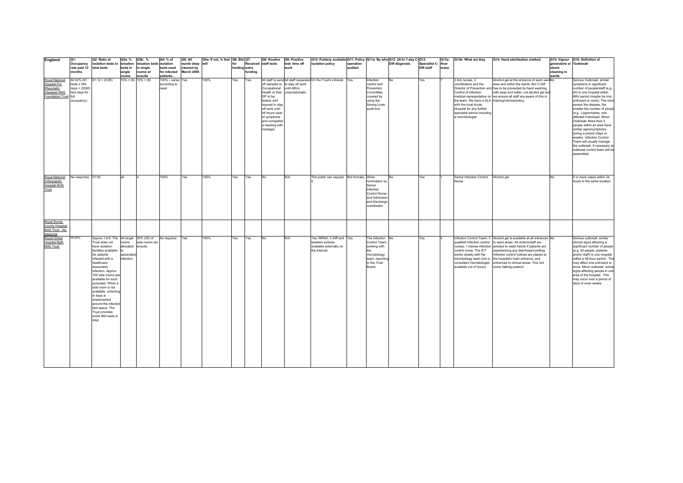| England                                                                                | Q1:                                                                                | Q2: Ratio of                                                                                                                                                                                                                                                                                                                                                                                                             | Q3a: %                                               | Q3b: %                   | Q4: % of                                  | Q5: All                  | Q5a: If not, % that   Q6: Bid   Q7: |               |         | Q8: Routine                                                                                                                                                              | Q9: Positive                                                     |                                                                                              | Q10: Publicly available Q11: Policy Q11a: By who Q12: 24-hr 7-day C-Q13:                                       |                |                  |      | Q13a: Q13b: What are they                                                                                                                                                                                                   | Q14: Hand sterilisation method                                                                                                                                                                                                                                                                                                                                                                                |                          | Q15: Vapour Q16: Definition of                                                                                                                                                                                                                                                                                                                                                                                                                                                                                                                            |
|----------------------------------------------------------------------------------------|------------------------------------------------------------------------------------|--------------------------------------------------------------------------------------------------------------------------------------------------------------------------------------------------------------------------------------------------------------------------------------------------------------------------------------------------------------------------------------------------------------------------|------------------------------------------------------|--------------------------|-------------------------------------------|--------------------------|-------------------------------------|---------------|---------|--------------------------------------------------------------------------------------------------------------------------------------------------------------------------|------------------------------------------------------------------|----------------------------------------------------------------------------------------------|----------------------------------------------------------------------------------------------------------------|----------------|------------------|------|-----------------------------------------------------------------------------------------------------------------------------------------------------------------------------------------------------------------------------|---------------------------------------------------------------------------------------------------------------------------------------------------------------------------------------------------------------------------------------------------------------------------------------------------------------------------------------------------------------------------------------------------------------|--------------------------|-----------------------------------------------------------------------------------------------------------------------------------------------------------------------------------------------------------------------------------------------------------------------------------------------------------------------------------------------------------------------------------------------------------------------------------------------------------------------------------------------------------------------------------------------------------|
|                                                                                        | Occupancy                                                                          | isolation beds to isloation                                                                                                                                                                                                                                                                                                                                                                                              |                                                      | isloation beds isolation |                                           | wards deep will          |                                     | for           |         | Received staff tests                                                                                                                                                     | test: time off                                                   | isolation policy                                                                             | operation                                                                                                      | Diff diagnosis | Specialist C-How |      |                                                                                                                                                                                                                             |                                                                                                                                                                                                                                                                                                                                                                                                               | generators or 'Outbreak' |                                                                                                                                                                                                                                                                                                                                                                                                                                                                                                                                                           |
|                                                                                        | rate past 12 total beds<br>months                                                  |                                                                                                                                                                                                                                                                                                                                                                                                                          | beds in<br>single                                    | in sinale<br>rooms w/    | beds used<br>for infected                 | cleaned by<br>March 2008 |                                     | funding extra | fundina |                                                                                                                                                                          | work                                                             |                                                                                              | audited                                                                                                        |                | Diff staff       | many |                                                                                                                                                                                                                             |                                                                                                                                                                                                                                                                                                                                                                                                               | steam<br>cleaning in     |                                                                                                                                                                                                                                                                                                                                                                                                                                                                                                                                                           |
|                                                                                        |                                                                                    |                                                                                                                                                                                                                                                                                                                                                                                                                          | rooms                                                | ensuite                  | patients                                  |                          |                                     |               |         |                                                                                                                                                                          |                                                                  |                                                                                              |                                                                                                                |                |                  |      |                                                                                                                                                                                                                             |                                                                                                                                                                                                                                                                                                                                                                                                               | wards                    |                                                                                                                                                                                                                                                                                                                                                                                                                                                                                                                                                           |
| Royal National<br>Hospital For<br>Rheumatic<br>Diseases NHS<br><b>Foundation Trust</b> | 60.52% (61<br>beds $x$ 365<br>$davs = 22265$<br>bed days for<br>full<br>occupancy) | $61:12 = (5.08)$                                                                                                                                                                                                                                                                                                                                                                                                         |                                                      | $10\% = (6)$ 10\% = (6)  | 100% - varies Yes<br>according to<br>need |                          | 100%                                | Yes.          | Yes.    | Occupational until 48hrs<br>GP to be<br>tested, and<br>request to stay<br>off work until<br>48 hours clear<br>of symptoms<br>and completed<br>a meeting with<br>manager. | off samples to to stay off work<br>Health or their unsymptomatic | All staff to send All staff requested On the Trust's intranet. Yes.                          | Infection<br>control and<br>Prevention<br>Committee:<br>covered by<br>using the<br>Saving Lives<br>audit tool. | No             | Yes              |      | 3 link nurses, 2<br>coordinators and the<br>Control of infection.<br>the team. We have a SLA training/memos/policy.<br>with the local Acute<br>Hospital for any further<br>specialist advice including<br>a microbiologist. | Alcohol gel at the entrance of each wardNo<br>area and within the wards. But C.Diff<br>Director of Prevention and has to be prevented by hand washing,<br>with soap and water, not alcohol gel and<br>medical representative on we ensure all staff are aware of this in                                                                                                                                      |                          | Serious Outbreak: similar<br>symptoms in significant<br>number of people/staff (e.g.<br>20) in one hospital within<br>48hr period (maybe be one<br>unit/ward or more). The more<br>severe the disease, the<br>smaller the number of people<br>(e.g Legionnaires, one<br>affected individual). Minor<br>Outbreak: More than 3<br>people within an area have<br>similar signs/symptoms<br>during a period (days or<br>weeks). Infection Control<br>Team will usually manage<br>the outbreak, if necessary an<br>outbreak control team will be<br>assembled. |
| Royal National<br>Orthopaedic<br><b>Hospital NHS</b><br>Trust                          | No response. 01:05                                                                 |                                                                                                                                                                                                                                                                                                                                                                                                                          |                                                      |                          | 100%                                      | Yes                      | 100%                                | Yes.          | Yes.    | No                                                                                                                                                                       | N/A                                                              | The public can request Not formally. When                                                    | nominated, by<br>Senior<br>Infection<br>Control Nurse<br>and Admission<br>and Discharge<br>coordinator.        |                | Yes              |      | Senior Infection Control<br>Nurse                                                                                                                                                                                           | Alcohol gel.                                                                                                                                                                                                                                                                                                                                                                                                  | No                       | 2 or more cases within 24<br>hours in the same location                                                                                                                                                                                                                                                                                                                                                                                                                                                                                                   |
| Royal Surrey<br>County Hospital<br>NHS Trust - No<br>response                          |                                                                                    |                                                                                                                                                                                                                                                                                                                                                                                                                          |                                                      |                          |                                           |                          |                                     |               |         |                                                                                                                                                                          |                                                                  |                                                                                              |                                                                                                                |                |                  |      |                                                                                                                                                                                                                             |                                                                                                                                                                                                                                                                                                                                                                                                               |                          |                                                                                                                                                                                                                                                                                                                                                                                                                                                                                                                                                           |
| Royal United<br><b>Hospital Bath</b><br><b>NHS Trust</b>                               | 95.94%                                                                             | Approx 1:6.6. The All single 30% (30) of<br>Trust does not<br>have isolation<br>facilities available<br>for patients<br>infected with a<br>healthcare<br>associated<br>infection. Approx<br>100 side rooms are<br>available for such<br>purposes. When a<br>side room is not<br>available, cohorting<br>in bays is<br>implemented<br>around the infecte<br>bed space. The<br>Trust provides<br>some 660 beds in<br>total | rooms<br>allocated ensuite<br>associated<br>nfection | side rooms are           | As required.                              | Yes                      | 100%                                | Yes           | Yes.    | No                                                                                                                                                                       | N/A                                                              | Yes, MRSA, C.Diff and Yes.<br>isolation policies<br>available externally on<br>the internet. | The Infection No<br>Control Team<br>working with<br>microbiology<br>team, reporting<br>to the Trust<br>Board.  |                | Yes              |      | control nurse. The ICT<br>works closely with the<br>microbiology team (incl a<br>consultant microbiologist<br>available out of hours)                                                                                       | Infection Control Team: 3 Alcohol gel is available at all entrances No<br>qualified infection control to ward areas. All visitors/staff are<br>nurses. 1 trainee infection advised to wash hands if patients are<br>experiencing any diarrhoea/vomiting.<br>Infection control notices are placed at<br>the hospital's main entrance, and<br>entrances to clinical areas. This incl<br>some 'talking posters'. |                          | Serious outbreak: similar<br>clinical signs affecting a<br>significant number of people<br>(e.g. 20 people, patients<br>and/or staff) in one hospital<br>within a 48-hour period. Thi:<br>may affect one unit/ward or<br>more. Minor outbreak: simila<br>signs affecting people in one<br>area of the hospital. This<br>may occur over a period of<br>days or even weeks.                                                                                                                                                                                 |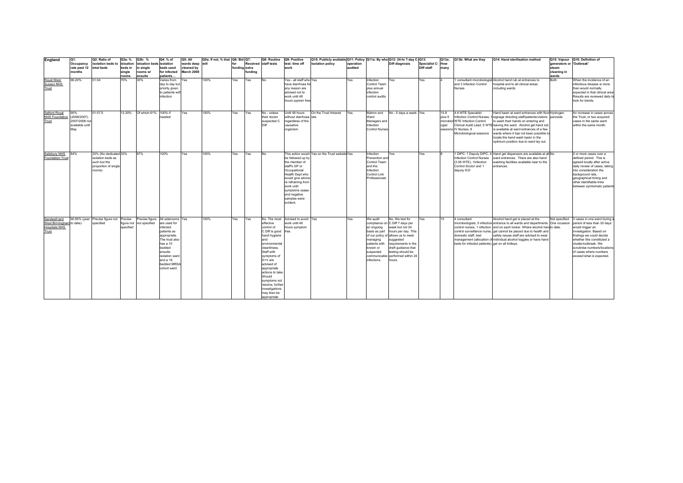| England                  | Q1:                     | Q2: Ratio of                    | Q3a: %          | Q3b: %              | Q4: % of                    | Q5: All                  | Q5a: If not, % that Q6: Bid Q7: |               |         | Q8: Routine                     | Q9: Positive                    | Q10: Publicly available Q11: Policy Q11a: By who Q12: 24-hr 7-day C-Q13: |           |                           |                                                           |                          | Q13a:             | Q13b: What are they                               | Q14: Hand sterilisation method                                                                                | Q15: Vapour              | Q16: Definition of                                  |
|--------------------------|-------------------------|---------------------------------|-----------------|---------------------|-----------------------------|--------------------------|---------------------------------|---------------|---------|---------------------------------|---------------------------------|--------------------------------------------------------------------------|-----------|---------------------------|-----------------------------------------------------------|--------------------------|-------------------|---------------------------------------------------|---------------------------------------------------------------------------------------------------------------|--------------------------|-----------------------------------------------------|
|                          | Occupancy               | isolation beds to               | isloation       | isloation beds      | isolation                   | wards deep will          |                                 | for           |         | Received staff tests            | test: time off                  | isolation policy                                                         | operation |                           | <b>Diff diagnosis</b>                                     | <b>Specialist C- How</b> |                   |                                                   |                                                                                                               | generators or 'Outbreak' |                                                     |
|                          | rate past 12 total beds |                                 | beds in         | single              | beds used                   | cleaned by<br>March 2008 |                                 | funding extra |         |                                 | work                            |                                                                          | audited   |                           |                                                           | Diff staff               | many              |                                                   |                                                                                                               | steam                    |                                                     |
|                          | months                  |                                 | single<br>rooms | rooms w/<br>ensuite | for infected<br>patients    |                          |                                 |               | fundina |                                 |                                 |                                                                          |           |                           |                                                           |                          |                   |                                                   |                                                                                                               | cleaning in<br>wards     |                                                     |
| Royal West               | 96.20%                  | 01:04                           | 70%             | 30%                 | Varies from                 | Yes                      | 100%                            | Yes           | Yes     | <b>No</b>                       | Yes - all staff who Yes         |                                                                          | Yes       | nfection                  | Yes                                                       | Yes                      |                   |                                                   | consultant microbiologist Alcohol hand rub at entrances to                                                    | Both                     | When the incidence of an                            |
| Sussex NHS               |                         |                                 |                 |                     | day to day but              |                          |                                 |               |         |                                 | have diarrhoea fo               |                                                                          |           | Control Team              |                                                           |                          |                   | and 3 Infection Control                           | hospital and to all clinical areas                                                                            |                          | infectious disease is more                          |
| Trust                    |                         |                                 |                 |                     | priority given              |                          |                                 |               |         |                                 | any reason are                  |                                                                          |           | plus annual               |                                                           |                          |                   | <b>Nurses</b>                                     | including wards                                                                                               |                          | than would normally                                 |
|                          |                         |                                 |                 |                     | to patients wit             |                          |                                 |               |         |                                 | advised not to                  |                                                                          |           | infection                 |                                                           |                          |                   |                                                   |                                                                                                               |                          | expected in that clinical area                      |
|                          |                         |                                 |                 |                     | infection                   |                          |                                 |               |         |                                 | work until 48                   |                                                                          |           | control audits            |                                                           |                          |                   |                                                   |                                                                                                               |                          | Results are reviewed daily to                       |
|                          |                         |                                 |                 |                     |                             |                          |                                 |               |         |                                 | hours syptom free               |                                                                          |           |                           |                                                           |                          |                   |                                                   |                                                                                                               |                          | look for trends.                                    |
|                          |                         |                                 |                 |                     |                             |                          |                                 |               |         |                                 |                                 |                                                                          |           |                           |                                                           |                          |                   |                                                   |                                                                                                               |                          |                                                     |
| Salford Royal            | 95%                     | 01:07.5                         | 13.30%          | Of which 61%        | 100% if                     | Yes                      | 100%                            | Yes           | Yes     | No - unless                     | Until 48 hours                  | On the Trust Intranet                                                    | Yes       | Matron and                | No - 5 days a week. Yes                                   |                          | 10.8              | 4.8 WTE Specialist                                | Hand basin at ward entrances with floor Hydrogen                                                              |                          | An increase in cases acrose                         |
| <b>NHS Foundation</b>    | (2006/2007).            |                                 |                 |                     | needed                      |                          |                                 |               |         | their doctor                    | without diarrhoea site          |                                                                          |           | Ward                      |                                                           |                          | plus <sub>6</sub> |                                                   | Infection Control Nurses, 1 signage directing staff/patients/visitors peroxide                                |                          | the Trust, or two acquired                          |
| Trust                    | 2007/2008 not           |                                 |                 |                     |                             |                          |                                 |               |         | suspected C                     | regardless of the               |                                                                          |           | Managers and              |                                                           |                          |                   | microbiol WTE Infection Control                   | to wash their hands on entering and                                                                           |                          | cases in the same ward                              |
|                          | available until         |                                 |                 |                     |                             |                          |                                 |               |         | Dift                            | causative                       |                                                                          |           | Infection                 |                                                           |                          | ogist             |                                                   | Clinical Audit Lead, 5 WTE leaving the ward. Alcohol gel hand rub                                             |                          | within the same month.                              |
|                          | May                     |                                 |                 |                     |                             |                          |                                 |               |         |                                 | organism.                       |                                                                          |           | <b>Control Nurses</b>     |                                                           |                          |                   | sessions IV Nurses, 6                             | is available at ward entrances of a few                                                                       |                          |                                                     |
|                          |                         |                                 |                 |                     |                             |                          |                                 |               |         |                                 |                                 |                                                                          |           |                           |                                                           |                          |                   | Microbiological sessions                          | wards where it has not been possible to                                                                       |                          |                                                     |
|                          |                         |                                 |                 |                     |                             |                          |                                 |               |         |                                 |                                 |                                                                          |           |                           |                                                           |                          |                   |                                                   | locate the hand wash basin in the                                                                             |                          |                                                     |
|                          |                         |                                 |                 |                     |                             |                          |                                 |               |         |                                 |                                 |                                                                          |           |                           |                                                           |                          |                   |                                                   | optimum position due to ward lay out.                                                                         |                          |                                                     |
|                          |                         |                                 |                 |                     |                             |                          |                                 |               |         |                                 |                                 |                                                                          |           |                           |                                                           |                          |                   |                                                   |                                                                                                               |                          |                                                     |
| Salisbury NHS            | 84%                     | 23% (No dedicated 33%           |                 | 67%                 | 100%                        | Yes                      | 100%                            | Yes           | Yes     | No.                             |                                 | This action would Yes on the Trust website Yes                           |           | Infection                 | Yes                                                       | Yes                      |                   |                                                   | 1 DIPC, 1 Deputy DIPC, 4 Hand gel dispensers are available at all No                                          |                          | 2 or more cases over a                              |
| <b>Foundation Trus</b>   |                         | isolation beds as               |                 |                     |                             |                          |                                 |               |         |                                 | be followed up by               |                                                                          |           | Prevention and            |                                                           |                          |                   | Infection Control Nurses                          | ward entrances. There are also hand                                                                           |                          | defined period. This is                             |
|                          |                         | such but the                    |                 |                     |                             |                          |                                 |               |         |                                 | the member of                   |                                                                          |           | Control Team              |                                                           |                          |                   | (3.56 WTE). 1Infection                            | washing facilities available near to the                                                                      |                          | agreed locally after active                         |
|                          |                         | proportion of single            |                 |                     |                             |                          |                                 |               |         |                                 | staff's GP or                   |                                                                          |           | and the                   |                                                           |                          |                   | Control Doctor and 1                              | entrances                                                                                                     |                          | daily review of cases, taking                       |
|                          |                         | rooms)                          |                 |                     |                             |                          |                                 |               |         |                                 | Occupational<br>Health Dept who |                                                                          |           | Infection<br>Control Link |                                                           |                          |                   | deputy ICD                                        |                                                                                                               |                          | into consideration the<br>background rate,          |
|                          |                         |                                 |                 |                     |                             |                          |                                 |               |         |                                 | would give advice               |                                                                          |           | Professionals             |                                                           |                          |                   |                                                   |                                                                                                               |                          | geographical timing and                             |
|                          |                         |                                 |                 |                     |                             |                          |                                 |               |         |                                 | re refraining from              |                                                                          |           |                           |                                                           |                          |                   |                                                   |                                                                                                               |                          | other identifiable links                            |
|                          |                         |                                 |                 |                     |                             |                          |                                 |               |         |                                 | work until                      |                                                                          |           |                           |                                                           |                          |                   |                                                   |                                                                                                               |                          | between symtomatic patients                         |
|                          |                         |                                 |                 |                     |                             |                          |                                 |               |         |                                 | symptoms cease                  |                                                                          |           |                           |                                                           |                          |                   |                                                   |                                                                                                               |                          |                                                     |
|                          |                         |                                 |                 |                     |                             |                          |                                 |               |         |                                 | and negative                    |                                                                          |           |                           |                                                           |                          |                   |                                                   |                                                                                                               |                          |                                                     |
|                          |                         |                                 |                 |                     |                             |                          |                                 |               |         |                                 | samples were                    |                                                                          |           |                           |                                                           |                          |                   |                                                   |                                                                                                               |                          |                                                     |
|                          |                         |                                 |                 |                     |                             |                          |                                 |               |         |                                 | evident.                        |                                                                          |           |                           |                                                           |                          |                   |                                                   |                                                                                                               |                          |                                                     |
|                          |                         |                                 |                 |                     |                             |                          |                                 |               |         |                                 |                                 |                                                                          |           |                           |                                                           |                          |                   |                                                   |                                                                                                               |                          |                                                     |
|                          |                         |                                 |                 |                     |                             |                          |                                 |               |         |                                 |                                 |                                                                          |           |                           |                                                           |                          |                   |                                                   |                                                                                                               |                          |                                                     |
| Sandwell and             |                         | 90.95% (year Precise figure not | Precise         | recise figure       | All siderooms               | Yes                      | 100%                            | Yes           | Yes     | No. The most                    | Advised to avoid Yes            |                                                                          | Yes       | We audit                  | No. We test for                                           | Yes                      | 10                | 4 consultant                                      | Alcohol hand gel is placed at the                                                                             | Not specified.           | 3 cases in one ward during                          |
| West Birmingham to date) |                         | specified                       | figure not      | not specified       | are used for                |                          |                                 |               |         | effective                       | work until 48                   |                                                                          |           |                           | compliance on C.Diff 7 days per                           |                          |                   |                                                   | microbiologists, 5 infection entrance to all wards and departments One occasion                               |                          | period of less than 30 days                         |
| <b>Hospitals NHS</b>     |                         |                                 | specified       |                     | infected                    |                          |                                 |               |         | control of                      | hours symptom                   |                                                                          |           | an ongoing                | week but not 24                                           |                          |                   |                                                   | control nurses, 1 infection and on each locker. Where alcohol handto date.                                    |                          | would trigger an                                    |
| Trust                    |                         |                                 |                 |                     | patients as<br>appropriate. |                          |                                 |               |         | C.Diff is good<br>hand hygiene  | free.                           |                                                                          |           | basis as part             | hours per day. This<br>of our policy of allows us to meet |                          |                   | domestic staff, bed                               | control surveillance nurse, gel cannot be placed due to health and<br>safety issues staff are advised to wear |                          | investigation. Based on<br>findings we could decide |
|                          |                         |                                 |                 |                     | The trust also              |                          |                                 |               |         | and                             |                                 |                                                                          |           | managing                  | suggested                                                 |                          |                   |                                                   | management (allocation of individual alcohol toggles or have hand                                             |                          | whether this constituted a                          |
|                          |                         |                                 |                 |                     | has a 10                    |                          |                                 |               |         | environmental                   |                                 |                                                                          |           | patients with             | requirements in the                                       |                          |                   | beds for infected patients). gel on all trolleys. |                                                                                                               |                          | cluster/outbreak. We                                |
|                          |                         |                                 |                 |                     | bedded                      |                          |                                 |               |         | cleanliness.                    |                                 |                                                                          |           | known or                  | draft guidance that                                       |                          |                   |                                                   |                                                                                                               |                          | scrutinise numbers/locations                        |
|                          |                         |                                 |                 |                     | ensuite                     |                          |                                 |               |         | Staff with                      |                                 |                                                                          |           | suspected                 | testing should be                                         |                          |                   |                                                   |                                                                                                               |                          | of cases where numbers                              |
|                          |                         |                                 |                 |                     | isolation ward              |                          |                                 |               |         | symptoms of                     |                                 |                                                                          |           |                           | communicable performed within 24                          |                          |                   |                                                   |                                                                                                               |                          | exceed what is expected.                            |
|                          |                         |                                 |                 |                     | and a 16                    |                          |                                 |               |         | D+V are                         |                                 |                                                                          |           | infections.               | hours.                                                    |                          |                   |                                                   |                                                                                                               |                          |                                                     |
|                          |                         |                                 |                 |                     | bedded MRS/<br>cohort ward. |                          |                                 |               |         | advised of                      |                                 |                                                                          |           |                           |                                                           |                          |                   |                                                   |                                                                                                               |                          |                                                     |
|                          |                         |                                 |                 |                     |                             |                          |                                 |               |         | appropriate<br>actions to take. |                                 |                                                                          |           |                           |                                                           |                          |                   |                                                   |                                                                                                               |                          |                                                     |
|                          |                         |                                 |                 |                     |                             |                          |                                 |               |         | Should                          |                                 |                                                                          |           |                           |                                                           |                          |                   |                                                   |                                                                                                               |                          |                                                     |
|                          |                         |                                 |                 |                     |                             |                          |                                 |               |         | symptoms not                    |                                 |                                                                          |           |                           |                                                           |                          |                   |                                                   |                                                                                                               |                          |                                                     |
|                          |                         |                                 |                 |                     |                             |                          |                                 |               |         | resolve, further                |                                 |                                                                          |           |                           |                                                           |                          |                   |                                                   |                                                                                                               |                          |                                                     |
|                          |                         |                                 |                 |                     |                             |                          |                                 |               |         | investigations                  |                                 |                                                                          |           |                           |                                                           |                          |                   |                                                   |                                                                                                               |                          |                                                     |
|                          |                         |                                 |                 |                     |                             |                          |                                 |               |         | may then be                     |                                 |                                                                          |           |                           |                                                           |                          |                   |                                                   |                                                                                                               |                          |                                                     |
|                          |                         |                                 |                 |                     |                             |                          |                                 |               |         | appropriate.                    |                                 |                                                                          |           |                           |                                                           |                          |                   |                                                   |                                                                                                               |                          |                                                     |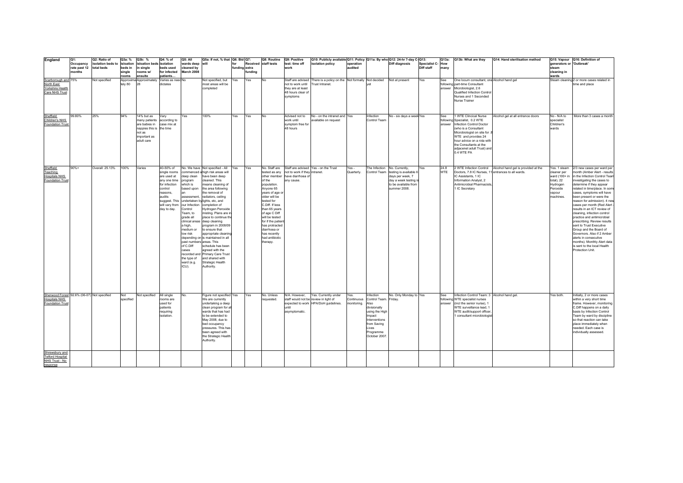| England                                     | Q1:          | Q2: Ratio of                | Q3a: %    | Q3b: %                     | Q4: % of                      | Q5: All                  | Q5a: If not, % that   Q6: Bid   Q7:          |               |         | Q8: Routine                      | Q9: Positive                                | Q10: Publicly available Q11: Policy   Q11a: By who Q12: 24-hr 7-day C-Q13: |             |                              |                          |                  |            | Q13a: Q13b: What are they                                    | Q14: Hand sterilisation method                              |                          | Q15: Vapour Q16: Definition of                        |
|---------------------------------------------|--------------|-----------------------------|-----------|----------------------------|-------------------------------|--------------------------|----------------------------------------------|---------------|---------|----------------------------------|---------------------------------------------|----------------------------------------------------------------------------|-------------|------------------------------|--------------------------|------------------|------------|--------------------------------------------------------------|-------------------------------------------------------------|--------------------------|-------------------------------------------------------|
|                                             | Occupancy    | isolation beds to isloation |           | isloation beds isolation   |                               | wards deep               | will                                         | for           |         | Received staff tests             | test: time off                              | isolation policy                                                           | operation   |                              | <b>Diff diagnosis</b>    | Specialist C-How |            |                                                              |                                                             | generators or 'Outbreak' |                                                       |
|                                             | rate past 12 | total beds                  | beds in   | in single                  | beds used                     | cleaned by               |                                              | funding extra |         |                                  | work                                        |                                                                            | audited     |                              |                          | Diff staff       | many       |                                                              |                                                             | steam                    |                                                       |
|                                             | months       |                             | single    | rooms w/                   | for infected                  | March 2008               |                                              |               | fundina |                                  |                                             |                                                                            |             |                              |                          |                  |            |                                                              |                                                             | cleaning in              |                                                       |
|                                             |              |                             | rooms     | ensuite                    | patients<br>Varies as need No |                          |                                              |               |         |                                  |                                             |                                                                            |             |                              |                          |                  |            |                                                              |                                                             | wards                    |                                                       |
| Scarborough and 75%<br>North East           |              | Not specified               |           | Approxima Approximately    | dictates                      |                          | Not specified, but                           | Yes           | Yes     | No                               | Staff are advised                           | There is a policy on the Not formally Not decided<br>Trust Intranet.       |             |                              | Not at present           | Yes              | See        | One locum consultant, one Alcohol hand gel                   |                                                             |                          | Steam cleaning 2 or more cases related in             |
| Yorkshire Health                            |              |                             | tely 80   |                            |                               |                          | most areas will be<br>completed              |               |         |                                  | not to work until<br>they are at least      |                                                                            |             |                              |                          |                  |            | following part-time Consultant<br>answer Microbiologist, 2.6 |                                                             |                          | time and place                                        |
|                                             |              |                             |           |                            |                               |                          |                                              |               |         |                                  |                                             |                                                                            |             |                              |                          |                  |            | Qualified Infection Control                                  |                                                             |                          |                                                       |
| Care NHS Trust                              |              |                             |           |                            |                               |                          |                                              |               |         |                                  | 48 hours clear of<br>symptoms               |                                                                            |             |                              |                          |                  |            | Nurses and 1 Seconded                                        |                                                             |                          |                                                       |
|                                             |              |                             |           |                            |                               |                          |                                              |               |         |                                  |                                             |                                                                            |             |                              |                          |                  |            | Nurse Trainer                                                |                                                             |                          |                                                       |
|                                             |              |                             |           |                            |                               |                          |                                              |               |         |                                  |                                             |                                                                            |             |                              |                          |                  |            |                                                              |                                                             |                          |                                                       |
|                                             |              |                             |           |                            |                               |                          |                                              |               |         |                                  |                                             |                                                                            |             |                              |                          |                  |            |                                                              |                                                             |                          |                                                       |
|                                             |              |                             |           |                            |                               |                          |                                              |               |         |                                  |                                             |                                                                            |             |                              |                          |                  |            |                                                              |                                                             |                          |                                                       |
| Sheffield                                   | 99.80%       | 25%                         | 94%       | 14% but as                 | Vary                          | Yes                      | 100%                                         | Yes           | Yes     | No.                              | Advised not to                              | No - on the intranet and Yes                                               |             | Infection                    | No - six days a week Yes |                  | See        | 1 WTE Clincical Nurse                                        | Alcohol gel at all entrance doors                           | No - N/A to              | More than 3 cases a month                             |
| Children's NHS                              |              |                             |           | many patients according to |                               |                          |                                              |               |         |                                  | work until                                  | available on request                                                       |             | Control Team                 |                          |                  |            | following Specialist, 0.2 WTE                                |                                                             | specialist               |                                                       |
| Foundation Trust                            |              |                             |           | are babies in              | case mix at                   |                          |                                              |               |         |                                  | symptom free for                            |                                                                            |             |                              |                          |                  |            | answer Infection Control Doctor                              |                                                             | Children's               |                                                       |
|                                             |              |                             |           | nappies this is the time   |                               |                          |                                              |               |         |                                  | 48 hours                                    |                                                                            |             |                              |                          |                  |            | (who is a Consultant                                         |                                                             | wards                    |                                                       |
|                                             |              |                             |           | not as                     |                               |                          |                                              |               |         |                                  |                                             |                                                                            |             |                              |                          |                  |            | Microbiologist on site for .8                                |                                                             |                          |                                                       |
|                                             |              |                             |           | important as               |                               |                          |                                              |               |         |                                  |                                             |                                                                            |             |                              |                          |                  |            | WTE and provides 24                                          |                                                             |                          |                                                       |
|                                             |              |                             |           | adult care                 |                               |                          |                                              |               |         |                                  |                                             |                                                                            |             |                              |                          |                  |            | hour advice on a rota with                                   |                                                             |                          |                                                       |
|                                             |              |                             |           |                            |                               |                          |                                              |               |         |                                  |                                             |                                                                            |             |                              |                          |                  |            | the Consultants at the                                       |                                                             |                          |                                                       |
|                                             |              |                             |           |                            |                               |                          |                                              |               |         |                                  |                                             |                                                                            |             |                              |                          |                  |            | adjacenet adult Trust) and<br>0.4 WTE PA                     |                                                             |                          |                                                       |
|                                             |              |                             |           |                            |                               |                          |                                              |               |         |                                  |                                             |                                                                            |             |                              |                          |                  |            |                                                              |                                                             |                          |                                                       |
|                                             |              |                             |           |                            |                               |                          |                                              |               |         |                                  |                                             |                                                                            |             |                              |                          |                  |            |                                                              |                                                             |                          |                                                       |
|                                             |              |                             |           |                            |                               |                          |                                              |               |         |                                  |                                             |                                                                            |             |                              |                          |                  |            |                                                              |                                                             |                          |                                                       |
| <b>Sheffield</b>                            | 90%+         | Overall: 25.13%             | 100%      | Varies                     | 40-50% of                     |                          | No. We have Not specified - All Yes          |               | Yes     |                                  |                                             | No. Staff are Staff are advised Yes - on the Trust                         | Yes-        | The Infection No. Currently, |                          | Yes              | 24.8       |                                                              | 2 WTE Infection Control Alcohol hand gel is provided at the | Yes. 1 steam             | 2/3 new cases per ward per                            |
| Teaching                                    |              |                             |           |                            | single rooms                  |                          | commenced a high risk areas will             |               |         |                                  | tested as any not to work if they intranet. |                                                                            | Quarterly.  | Control Team                 | testing is available 6   |                  | <b>WTE</b> | Doctors, 7.8 IC Nurses, 11 entrances to all wards.           |                                                             | cleaner per              | month (Amber Alert - results                          |
| <b>Hospitals NHS</b>                        |              |                             |           |                            | are used at                   | deep clean               | have been deep                               |               |         |                                  | other member have diarrhoea of              |                                                                            |             |                              | days per week, 7         |                  |            | IC Assistants, 1 IC                                          |                                                             | ward (100+ in            | in the Infection Control Team                         |
| <b>Foundation Trust</b>                     |              |                             |           |                            | any one time                  | program                  | cleaned. This                                |               |         | of the                           | any cause.                                  |                                                                            |             |                              | day a week testing i     |                  |            | Information Analyst, 2                                       |                                                             | total), 22               | investigating the cases to                            |
|                                             |              |                             |           |                            | for infection                 | which is                 | means cleaning of                            |               |         | population.                      |                                             |                                                                            |             |                              | to be available from     |                  |            | Antimicrobial Pharmacists.                                   |                                                             | Hydrogen                 | determine if they appear                              |
|                                             |              |                             |           |                            | control<br>reasons.           | based upon               | the area following<br>the removal of         |               |         | Anyone 65                        |                                             |                                                                            |             |                              | summer 2008.             |                  |            | 1 IC Secretary                                               |                                                             | Peroxide                 | related in time/place. In some                        |
|                                             |              |                             |           |                            | audits                        | assessment,              | radiators, ceiling                           |               |         | years of age or<br>older will be |                                             |                                                                            |             |                              |                          |                  |            |                                                              |                                                             | vapour<br>machines.      | cases, symptoms will have<br>been present or were the |
|                                             |              |                             |           |                            |                               |                          | suggest. This undertaken by lights, etc, and |               |         | tested for                       |                                             |                                                                            |             |                              |                          |                  |            |                                                              |                                                             |                          | reason for admission). 4 nev                          |
|                                             |              |                             |           |                            | will vary from                | our Infection            | completion of                                |               |         | C.Diff. If less                  |                                             |                                                                            |             |                              |                          |                  |            |                                                              |                                                             |                          | cases per month (Red Alert                            |
|                                             |              |                             |           |                            | day to day.                   | Control                  | Hydrogen Peroxide                            |               |         | than 65 years                    |                                             |                                                                            |             |                              |                          |                  |            |                                                              |                                                             |                          | results in an ICT review of                           |
|                                             |              |                             |           |                            |                               | Team, to                 | misting. Plans are in                        |               |         | of age C Diff                    |                                             |                                                                            |             |                              |                          |                  |            |                                                              |                                                             |                          | cleaning, infection control                           |
|                                             |              |                             |           |                            |                               | grade all                | place to continue the                        |               |         | will be tested                   |                                             |                                                                            |             |                              |                          |                  |            |                                                              |                                                             |                          | practice and antimicrobial                            |
|                                             |              |                             |           |                            |                               |                          | clinical areas deep cleaning                 |               |         | for if the patien                |                                             |                                                                            |             |                              |                          |                  |            |                                                              |                                                             |                          | prescribing. Review results                           |
|                                             |              |                             |           |                            |                               | a high,                  | program in 2008/09                           |               |         | has protracted                   |                                             |                                                                            |             |                              |                          |                  |            |                                                              |                                                             |                          | sent to Trust Executive                               |
|                                             |              |                             |           |                            |                               | medium or                | to ensure that                               |               |         | diarrhoea or                     |                                             |                                                                            |             |                              |                          |                  |            |                                                              |                                                             |                          | Group and the Board of                                |
|                                             |              |                             |           |                            |                               | low risk                 | appropriate cleaning                         |               |         | has recently                     |                                             |                                                                            |             |                              |                          |                  |            |                                                              |                                                             |                          | Governors. Also if 2 Amber                            |
|                                             |              |                             |           |                            |                               |                          | depending on is maintained in all            |               |         | had antibiotic                   |                                             |                                                                            |             |                              |                          |                  |            |                                                              |                                                             |                          | alerts in consecutive                                 |
|                                             |              |                             |           |                            |                               | past numbers areas. This |                                              |               |         | therapy.                         |                                             |                                                                            |             |                              |                          |                  |            |                                                              |                                                             |                          | months). Monthly Alert data                           |
|                                             |              |                             |           |                            |                               | of C.Diff                | schedule has been                            |               |         |                                  |                                             |                                                                            |             |                              |                          |                  |            |                                                              |                                                             |                          | is sent to the local Health                           |
|                                             |              |                             |           |                            |                               | cases                    | agreed with the                              |               |         |                                  |                                             |                                                                            |             |                              |                          |                  |            |                                                              |                                                             |                          | Protection Unit.                                      |
|                                             |              |                             |           |                            |                               |                          | recorded and Primary Care Trust              |               |         |                                  |                                             |                                                                            |             |                              |                          |                  |            |                                                              |                                                             |                          |                                                       |
|                                             |              |                             |           |                            |                               | the type of              | and shared with                              |               |         |                                  |                                             |                                                                            |             |                              |                          |                  |            |                                                              |                                                             |                          |                                                       |
|                                             |              |                             |           |                            |                               | ward (e.g.               | Strategic Health                             |               |         |                                  |                                             |                                                                            |             |                              |                          |                  |            |                                                              |                                                             |                          |                                                       |
|                                             |              |                             |           |                            |                               | ICU).                    | Authority.                                   |               |         |                                  |                                             |                                                                            |             |                              |                          |                  |            |                                                              |                                                             |                          |                                                       |
|                                             |              |                             |           |                            |                               |                          |                                              |               |         |                                  |                                             |                                                                            |             |                              |                          |                  |            |                                                              |                                                             |                          |                                                       |
|                                             |              |                             |           |                            |                               |                          |                                              |               |         |                                  |                                             |                                                                            |             |                              |                          |                  |            |                                                              |                                                             |                          |                                                       |
|                                             |              |                             |           |                            |                               |                          |                                              |               |         |                                  |                                             |                                                                            |             |                              |                          |                  |            |                                                              |                                                             |                          |                                                       |
|                                             |              |                             |           |                            |                               |                          |                                              |               |         |                                  |                                             |                                                                            |             |                              |                          |                  |            |                                                              |                                                             |                          |                                                       |
|                                             |              |                             |           |                            |                               |                          |                                              |               |         |                                  |                                             |                                                                            |             |                              |                          |                  |            |                                                              |                                                             |                          |                                                       |
| Sherwood Forest 92.6% (06-07) Not specified |              |                             | Not       | Not specified              | All single                    | No                       | Figure not specified Yes                     |               | Yes     | No. Unless                       | N/A. However,                               | Yes. Currently under                                                       | Yes.        | Infection                    | No. Only Monday to Yes   |                  | See        | Infection Control Team: 3 Alcohol hand gel.                  |                                                             | Yes both.                | Initially, 2 or more cases                            |
| <b>Hospitals NHS</b>                        |              |                             | specified |                            | rooms are                     |                          | We are currently                             |               |         | requested.                       | staff would not be review in light of       |                                                                            | Continuous  | Control Team. Friday.        |                          |                  |            | following WTE specialist nurses                              |                                                             |                          | within a very short time                              |
| Foundation Trust                            |              |                             |           |                            | used for                      |                          | undertaking a deep                           |               |         |                                  |                                             | expected to work HPA/DoH guidelines.                                       | monitoring. | Also                         |                          |                  |            | answer (incl the senior nurse), 1                            |                                                             |                          | frame. However, monitoring                            |
|                                             |              |                             |           |                            | patients                      |                          | clean program for a                          |               |         |                                  | until                                       |                                                                            |             | divisionally                 |                          |                  |            | WTE surveillance lead, 1                                     |                                                             |                          | C.Diff happens on a daily                             |
|                                             |              |                             |           |                            | requiring                     |                          | wards that has had                           |               |         |                                  | asymptomatic.                               |                                                                            |             | using the High               |                          |                  |            | WTE audit/support officer                                    |                                                             |                          | basis by Infection Control                            |
|                                             |              |                             |           |                            | isolation.                    |                          | to be extended to                            |               |         |                                  |                                             |                                                                            |             | Impact                       |                          |                  |            | consultant microbiologist                                    |                                                             |                          | Team by ward by discipline                            |
|                                             |              |                             |           |                            |                               |                          | May 2008, due to                             |               |         |                                  |                                             |                                                                            |             | Interventions                |                          |                  |            |                                                              |                                                             |                          | so that reaction can take                             |
|                                             |              |                             |           |                            |                               |                          | bed occupancy                                |               |         |                                  |                                             |                                                                            |             | from Saving                  |                          |                  |            |                                                              |                                                             |                          | place immediately when                                |
|                                             |              |                             |           |                            |                               |                          | pressures. This has                          |               |         |                                  |                                             |                                                                            |             | Lives                        |                          |                  |            |                                                              |                                                             |                          | needed. Each case is                                  |
|                                             |              |                             |           |                            |                               |                          | been agreed with                             |               |         |                                  |                                             |                                                                            |             | Programme                    |                          |                  |            |                                                              |                                                             |                          | individually assessed.                                |
|                                             |              |                             |           |                            |                               |                          | the Strategic Health                         |               |         |                                  |                                             |                                                                            |             | October 2007                 |                          |                  |            |                                                              |                                                             |                          |                                                       |
|                                             |              |                             |           |                            |                               |                          | Authority.                                   |               |         |                                  |                                             |                                                                            |             |                              |                          |                  |            |                                                              |                                                             |                          |                                                       |
|                                             |              |                             |           |                            |                               |                          |                                              |               |         |                                  |                                             |                                                                            |             |                              |                          |                  |            |                                                              |                                                             |                          |                                                       |
| Shrewsbury and                              |              |                             |           |                            |                               |                          |                                              |               |         |                                  |                                             |                                                                            |             |                              |                          |                  |            |                                                              |                                                             |                          |                                                       |
| <b>Telford Hospital</b>                     |              |                             |           |                            |                               |                          |                                              |               |         |                                  |                                             |                                                                            |             |                              |                          |                  |            |                                                              |                                                             |                          |                                                       |
| NHS Trust - No                              |              |                             |           |                            |                               |                          |                                              |               |         |                                  |                                             |                                                                            |             |                              |                          |                  |            |                                                              |                                                             |                          |                                                       |
| response                                    |              |                             |           |                            |                               |                          |                                              |               |         |                                  |                                             |                                                                            |             |                              |                          |                  |            |                                                              |                                                             |                          |                                                       |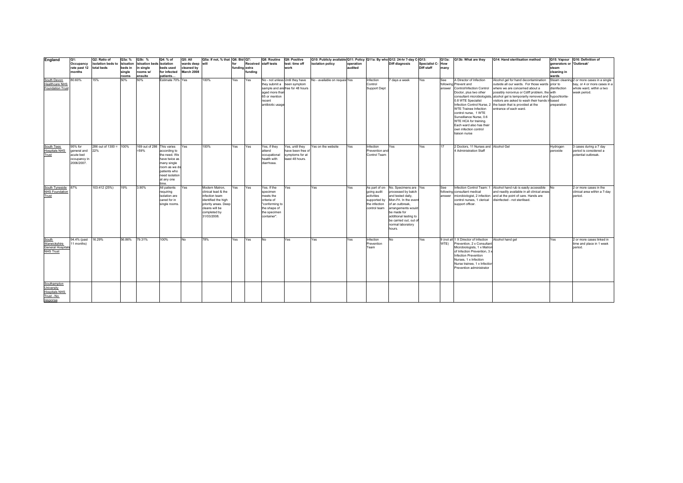| England                                      | Q1:                        | Q2: Ratio of           | Q3a: %            | Q3b: %                   | Q4: % of                      | Q5: All                  | Q5a: If not, % that Q6: Bid Q7:       |               |         | Q8: Routine                     | Q9: Positive                     | Q10: Publicly available Q11: Policy   Q11a: By who Q12: 24-hr 7-day C-Q13: |           |                            |                                                |                          |      | Q13a: Q13b: What are they                                   | Q14: Hand sterilisation method                                                                                                    |                          | Q15: Vapour Q16: Definition of             |
|----------------------------------------------|----------------------------|------------------------|-------------------|--------------------------|-------------------------------|--------------------------|---------------------------------------|---------------|---------|---------------------------------|----------------------------------|----------------------------------------------------------------------------|-----------|----------------------------|------------------------------------------------|--------------------------|------|-------------------------------------------------------------|-----------------------------------------------------------------------------------------------------------------------------------|--------------------------|--------------------------------------------|
|                                              | Occupancy                  | isolation beds to      | isloation         | isloation beds isolation |                               | wards deep will          |                                       | for           |         | Received staff tests            | test: time off                   | isolation policy                                                           | operation |                            | Diff diagnosis                                 | <b>Specialist C- How</b> |      |                                                             |                                                                                                                                   | generators or 'Outbreak' |                                            |
|                                              | rate past 12<br>months     | total beds             | beds in<br>sinale | in sinale<br>rooms w/    | beds used<br>for infected     | cleaned by<br>March 2008 |                                       | funding extra | fundina |                                 | work                             |                                                                            | audited   |                            |                                                | Diff staff               | many |                                                             |                                                                                                                                   | steam<br>cleaning in     |                                            |
|                                              |                            |                        | rooms             | ensuite                  | patients                      |                          |                                       |               |         |                                 |                                  |                                                                            |           |                            |                                                |                          |      |                                                             |                                                                                                                                   | wards                    |                                            |
| South Devon                                  | 80.60%                     | 15%                    | 50%               | 50%                      | Estimate 70% Yes              |                          | 100%                                  | Yes           | Yes     |                                 | No - not unless Until they have  | No - available on requestYes                                               |           | Infection                  | 7 days a week                                  | Yes                      | See  | A Director of Infection                                     | Alcohol gel for hand decontamination                                                                                              |                          | Steam cleaning 2 or more cases in a single |
| <b>Healthcare NHS</b>                        |                            |                        |                   |                          |                               |                          |                                       |               |         |                                 | they submit a been symptom       |                                                                            |           | Control                    |                                                |                          |      | following Prevent and                                       | outside all our wards. For those wards prior to                                                                                   |                          | bay, or 4 or more cases in a               |
| Foundation Trust                             |                            |                        |                   |                          |                               |                          |                                       |               |         |                                 | sample and are free for 48 hours |                                                                            |           | Support Dept               |                                                |                          |      | answer Control/Infection Control                            | where we are concerned about a                                                                                                    | disinfection             | whole ward, within a two                   |
|                                              |                            |                        |                   |                          |                               |                          |                                       |               |         | aged more than<br>65 or mention |                                  |                                                                            |           |                            |                                                |                          |      | Doctor, plus two other                                      | possibly norovirus or Cdiff problem, the with<br>consultant microbiologists, alcohol gel is temporarily removed and hypochlorite- |                          | week period.                               |
|                                              |                            |                        |                   |                          |                               |                          |                                       |               |         | recent                          |                                  |                                                                            |           |                            |                                                |                          |      | 0.8 WTE Specialist                                          | visitors are asked to wash their hands inbased                                                                                    |                          |                                            |
|                                              |                            |                        |                   |                          |                               |                          |                                       |               |         | antibiotic usage                |                                  |                                                                            |           |                            |                                                |                          |      |                                                             | Infection Control Nurse, 2 the basin that is provided at the                                                                      | preparation              |                                            |
|                                              |                            |                        |                   |                          |                               |                          |                                       |               |         |                                 |                                  |                                                                            |           |                            |                                                |                          |      | <b>WTE Trainee Infection</b>                                | entrance of each ward.                                                                                                            |                          |                                            |
|                                              |                            |                        |                   |                          |                               |                          |                                       |               |         |                                 |                                  |                                                                            |           |                            |                                                |                          |      | control nurse. 1 WTE<br>Surveillance Nurse, 0.6             |                                                                                                                                   |                          |                                            |
|                                              |                            |                        |                   |                          |                               |                          |                                       |               |         |                                 |                                  |                                                                            |           |                            |                                                |                          |      | WTE HCA for training.                                       |                                                                                                                                   |                          |                                            |
|                                              |                            |                        |                   |                          |                               |                          |                                       |               |         |                                 |                                  |                                                                            |           |                            |                                                |                          |      | Each ward also has their                                    |                                                                                                                                   |                          |                                            |
|                                              |                            |                        |                   |                          |                               |                          |                                       |               |         |                                 |                                  |                                                                            |           |                            |                                                |                          |      | own infection control                                       |                                                                                                                                   |                          |                                            |
|                                              |                            |                        |                   |                          |                               |                          |                                       |               |         |                                 |                                  |                                                                            |           |                            |                                                |                          |      | liaison nurse                                               |                                                                                                                                   |                          |                                            |
|                                              |                            |                        |                   |                          |                               |                          |                                       |               |         |                                 |                                  |                                                                            |           |                            |                                                |                          |      |                                                             |                                                                                                                                   |                          |                                            |
| South Tees                                   | 95% for                    | 286 out of 1300 = 100% |                   |                          | 169 out of 286 This varies    | Yes                      | 100%                                  | Yes           | Yes     | Yes, if they                    | Yes, until they                  | Yes on the website                                                         | Yes       | Infection                  | Yes                                            | Yes                      | 17   | 2 Doctors, 11 Nurses and Alcohol Gel                        |                                                                                                                                   | Hydrogen                 | 3 cases during a 7 day                     |
| <b>Hospitals NHS</b>                         | general and                | 22%                    |                   | =59%                     | according to                  |                          |                                       |               |         | attend                          | have been free of                |                                                                            |           | Prevention and             |                                                |                          |      | 4 Administration Staff                                      |                                                                                                                                   | peroxide                 | period is considered a                     |
| Trust                                        | acute bed                  |                        |                   |                          | the need. We                  |                          |                                       |               |         | occupational                    | symptoms for at                  |                                                                            |           | Control Team               |                                                |                          |      |                                                             |                                                                                                                                   |                          | potential outbreak.                        |
|                                              | occupancy in<br>2006/2007. |                        |                   |                          | have twice as<br>many single  |                          |                                       |               |         | health with<br>diarrhoea.       | least 48 hours.                  |                                                                            |           |                            |                                                |                          |      |                                                             |                                                                                                                                   |                          |                                            |
|                                              |                            |                        |                   |                          | room as we do                 |                          |                                       |               |         |                                 |                                  |                                                                            |           |                            |                                                |                          |      |                                                             |                                                                                                                                   |                          |                                            |
|                                              |                            |                        |                   |                          | patients who                  |                          |                                       |               |         |                                 |                                  |                                                                            |           |                            |                                                |                          |      |                                                             |                                                                                                                                   |                          |                                            |
|                                              |                            |                        |                   |                          | need isolation                |                          |                                       |               |         |                                 |                                  |                                                                            |           |                            |                                                |                          |      |                                                             |                                                                                                                                   |                          |                                            |
|                                              |                            |                        |                   |                          | at any one<br>time.           |                          |                                       |               |         |                                 |                                  |                                                                            |           |                            |                                                |                          |      |                                                             |                                                                                                                                   |                          |                                            |
| South Tyneside 87%                           |                            | 103:412 (25%)          | 19%               | 3.90%                    | All patients                  | Yes                      | Modern Matron.                        | Yes           | Yes     | Yes, If the                     | Yes                              | Yes                                                                        | Yes       | As part of on-             | No. Specimens are Yes                          |                          | See  | Infection Control Team: 1                                   | Alcohol hand rub is easily accessible                                                                                             | No                       | 2 or more cases in the                     |
| <b>NHS Foundation</b>                        |                            |                        |                   |                          | requiring                     |                          | clinical lead & the                   |               |         | specimen                        |                                  |                                                                            |           | going audit                | processed by batch                             |                          |      | following consultant medical                                | and readily available in all clinical areas                                                                                       |                          | clinical area within a 7-day               |
| Trust                                        |                            |                        |                   |                          | isolation are<br>cared for in |                          | infection team<br>identified the high |               |         | meets the<br>criteria of        |                                  |                                                                            |           | activities<br>supported by | and tested daily.<br>Mon-Fri. In the event     |                          |      | control nurses, 1 clerical                                  | answer microbiologist, 2 infection and at the point of care. Hands are<br>disinfected - not sterilised.                           |                          | period.                                    |
|                                              |                            |                        |                   |                          | single rooms.                 |                          | priority areas. Deep                  |               |         | "conforming to                  |                                  |                                                                            |           | the infection              | of an outbreak,                                |                          |      | support officer.                                            |                                                                                                                                   |                          |                                            |
|                                              |                            |                        |                   |                          |                               |                          | cleans will be                        |               |         | the shape of                    |                                  |                                                                            |           | control team               | arrangements would                             |                          |      |                                                             |                                                                                                                                   |                          |                                            |
|                                              |                            |                        |                   |                          |                               |                          | completed by                          |               |         | the specimen                    |                                  |                                                                            |           |                            | be made for                                    |                          |      |                                                             |                                                                                                                                   |                          |                                            |
|                                              |                            |                        |                   |                          |                               |                          | 31/03/2008.                           |               |         | container".                     |                                  |                                                                            |           |                            | additional testing to<br>be carried out, out o |                          |      |                                                             |                                                                                                                                   |                          |                                            |
|                                              |                            |                        |                   |                          |                               |                          |                                       |               |         |                                 |                                  |                                                                            |           |                            | normal laboratory                              |                          |      |                                                             |                                                                                                                                   |                          |                                            |
|                                              |                            |                        |                   |                          |                               |                          |                                       |               |         |                                 |                                  |                                                                            |           |                            | hours.                                         |                          |      |                                                             |                                                                                                                                   |                          |                                            |
|                                              |                            |                        |                   |                          |                               |                          |                                       |               |         |                                 |                                  |                                                                            |           |                            |                                                |                          |      |                                                             |                                                                                                                                   |                          |                                            |
| <b>South</b>                                 | 94.4% (past                | 16.29%                 | 56.86%            | 79.31%                   | 100%                          | No                       | 78%                                   | Yes           | Yes     | <b>No</b>                       | Yes                              | Yes                                                                        | Yes       | Infection                  | No                                             | Yes                      |      | 9 (not all 1 X Director of Infection                        | Alcohol hand gel                                                                                                                  | Yes                      | 2 or more cases linked in                  |
| Warwickshire                                 | 11 months)                 |                        |                   |                          |                               |                          |                                       |               |         |                                 |                                  |                                                                            |           | Prevention                 |                                                |                          | WTE) | Prevention, 2 x Consultant                                  |                                                                                                                                   |                          | time and place in 1 week                   |
| <b>General Hospitals</b><br><b>NHS Trust</b> |                            |                        |                   |                          |                               |                          |                                       |               |         |                                 |                                  |                                                                            |           | Team                       |                                                |                          |      | Microbiologists, 1 x Matror<br>of Infection Prevention, 3 > |                                                                                                                                   |                          | period.                                    |
|                                              |                            |                        |                   |                          |                               |                          |                                       |               |         |                                 |                                  |                                                                            |           |                            |                                                |                          |      | Infection Prevention                                        |                                                                                                                                   |                          |                                            |
|                                              |                            |                        |                   |                          |                               |                          |                                       |               |         |                                 |                                  |                                                                            |           |                            |                                                |                          |      | Nurses, 1 x Infection                                       |                                                                                                                                   |                          |                                            |
|                                              |                            |                        |                   |                          |                               |                          |                                       |               |         |                                 |                                  |                                                                            |           |                            |                                                |                          |      | Nurse trainee, 1 x Infection                                |                                                                                                                                   |                          |                                            |
|                                              |                            |                        |                   |                          |                               |                          |                                       |               |         |                                 |                                  |                                                                            |           |                            |                                                |                          |      | Prevention administrator                                    |                                                                                                                                   |                          |                                            |
|                                              |                            |                        |                   |                          |                               |                          |                                       |               |         |                                 |                                  |                                                                            |           |                            |                                                |                          |      |                                                             |                                                                                                                                   |                          |                                            |
|                                              |                            |                        |                   |                          |                               |                          |                                       |               |         |                                 |                                  |                                                                            |           |                            |                                                |                          |      |                                                             |                                                                                                                                   |                          |                                            |
| Southampton<br>University                    |                            |                        |                   |                          |                               |                          |                                       |               |         |                                 |                                  |                                                                            |           |                            |                                                |                          |      |                                                             |                                                                                                                                   |                          |                                            |
| <b>Hospitals NHS</b>                         |                            |                        |                   |                          |                               |                          |                                       |               |         |                                 |                                  |                                                                            |           |                            |                                                |                          |      |                                                             |                                                                                                                                   |                          |                                            |
| Trust - No                                   |                            |                        |                   |                          |                               |                          |                                       |               |         |                                 |                                  |                                                                            |           |                            |                                                |                          |      |                                                             |                                                                                                                                   |                          |                                            |
| response                                     |                            |                        |                   |                          |                               |                          |                                       |               |         |                                 |                                  |                                                                            |           |                            |                                                |                          |      |                                                             |                                                                                                                                   |                          |                                            |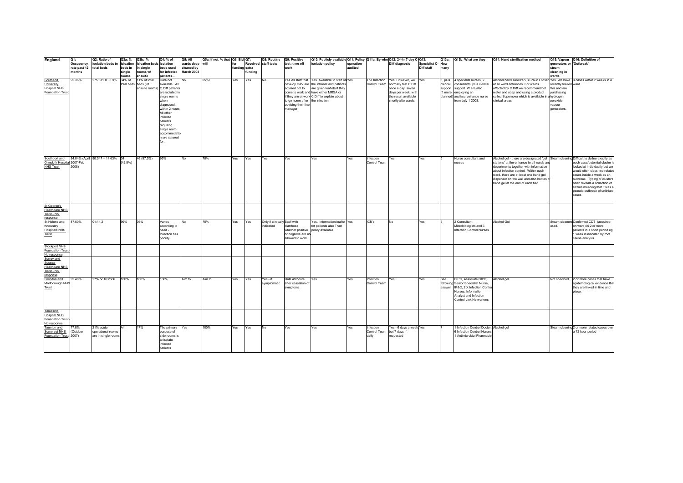| England                                     | Q1:                     | Q2: Ratio of                             | Q3a: %          | Q3b: %                   | Q4: % of                    | Q5: All         | Q5a: If not, % that Q6: Bid Q7: |               |         | Q8: Routine                   | Q9: Positive                      | Q10: Publicly available Q11: Policy Q11a: By who Q12: 24-hr 7-day C-Q13: |           |              |                                         |                  | Q13a:    | Q13b: What are they                                      | Q14: Hand sterilisation method                                                                                                      |                          | Q15: Vapour Q16: Definition of              |
|---------------------------------------------|-------------------------|------------------------------------------|-----------------|--------------------------|-----------------------------|-----------------|---------------------------------|---------------|---------|-------------------------------|-----------------------------------|--------------------------------------------------------------------------|-----------|--------------|-----------------------------------------|------------------|----------|----------------------------------------------------------|-------------------------------------------------------------------------------------------------------------------------------------|--------------------------|---------------------------------------------|
|                                             | Occupancy               | isolation beds to isloation              |                 | isloation beds isolation |                             | wards deep will |                                 | for           |         | Received staff tests          | test: time off                    | isolation policy                                                         | operation |              | <b>Diff diagnosis</b>                   | Specialist C-How |          |                                                          |                                                                                                                                     | generators or 'Outbreak' |                                             |
|                                             | rate past 12 total beds |                                          | beds in         | in single                | beds used                   | cleaned by      |                                 | funding extra |         |                               | work                              |                                                                          | audited   |              |                                         | Diff staff       | many     |                                                          |                                                                                                                                     | steam                    |                                             |
|                                             | months                  |                                          | single          | rooms w/                 | for infected                | March 2008      |                                 |               | funding |                               |                                   |                                                                          |           |              |                                         |                  |          |                                                          |                                                                                                                                     | cleaning in              |                                             |
| Southend                                    | 92.36%                  | $275:811 = 33.9\%$                       | rooms<br>34% of | ensuite<br>11% of total  | patients<br>Data not        | No.             | 65%+                            | Yes           | Yes     | No.                           |                                   | Yes All staff that Yes. Available to staff on Yes                        |           |              | The Infection Yes. However, we Yes      |                  | 6, plus  | 4 specialist nurses, 2                                   | Alcohol hand sanitizer (B Braun Lifosan Yes. We have 3 cases within 2 weeks in a                                                    | wards                    |                                             |
| University                                  |                         |                                          | total beds      | beds (91                 | available, All              |                 |                                 |               |         |                               |                                   | develop D&V are the intranet and patients                                |           |              | Control Team normally test C.Diff       |                  | clerical | consultants, plus clerical                               | at all ward entrances. For wards                                                                                                    | recently trialled ward.  |                                             |
| <b>Hospital NHS</b>                         |                         |                                          |                 | ensuite rooms            | C.Diff patients             |                 |                                 |               |         |                               |                                   | advised not to are given leaflets if they                                |           |              | once a day, seven                       |                  | support  | support. W are also                                      | affected by C.Diff we recommend hot                                                                                                 | this and are             |                                             |
| Foundation Trust                            |                         |                                          |                 |                          | are isolated in             |                 |                                 |               |         |                               |                                   | come to work and have either MRSA or                                     |           |              | days per week, with                     |                  |          | (1 more employing an                                     | water and soap and using a product                                                                                                  | purchasing               |                                             |
|                                             |                         |                                          |                 |                          | single rooms                |                 |                                 |               |         |                               |                                   | if they are at work C.Diff to explain about                              |           |              | the result available                    |                  |          | planned) audit/surveillance nurse                        | called Supernova which is available in a hydrogen                                                                                   |                          |                                             |
|                                             |                         |                                          |                 |                          | when                        |                 |                                 |               |         |                               | to go home after the infection    |                                                                          |           |              | shortly afterwards.                     |                  |          | from July 1 2008.                                        | clinical areas.                                                                                                                     | peroxide                 |                                             |
|                                             |                         |                                          |                 |                          | diagnosed,                  |                 |                                 |               |         |                               | advising their line               |                                                                          |           |              |                                         |                  |          |                                                          |                                                                                                                                     | vapour                   |                                             |
|                                             |                         |                                          |                 |                          | within 2 hours.             |                 |                                 |               |         |                               | manager.                          |                                                                          |           |              |                                         |                  |          |                                                          |                                                                                                                                     | generators.              |                                             |
|                                             |                         |                                          |                 |                          | All other                   |                 |                                 |               |         |                               |                                   |                                                                          |           |              |                                         |                  |          |                                                          |                                                                                                                                     |                          |                                             |
|                                             |                         |                                          |                 |                          | infected<br>patients        |                 |                                 |               |         |                               |                                   |                                                                          |           |              |                                         |                  |          |                                                          |                                                                                                                                     |                          |                                             |
|                                             |                         |                                          |                 |                          | requiring                   |                 |                                 |               |         |                               |                                   |                                                                          |           |              |                                         |                  |          |                                                          |                                                                                                                                     |                          |                                             |
|                                             |                         |                                          |                 |                          | single room                 |                 |                                 |               |         |                               |                                   |                                                                          |           |              |                                         |                  |          |                                                          |                                                                                                                                     |                          |                                             |
|                                             |                         |                                          |                 |                          | accommodatio                |                 |                                 |               |         |                               |                                   |                                                                          |           |              |                                         |                  |          |                                                          |                                                                                                                                     |                          |                                             |
|                                             |                         |                                          |                 |                          | n are catered               |                 |                                 |               |         |                               |                                   |                                                                          |           |              |                                         |                  |          |                                                          |                                                                                                                                     |                          |                                             |
|                                             |                         |                                          |                 |                          |                             |                 |                                 |               |         |                               |                                   |                                                                          |           |              |                                         |                  |          |                                                          |                                                                                                                                     |                          |                                             |
|                                             |                         |                                          |                 |                          |                             |                 |                                 |               |         |                               |                                   |                                                                          |           |              |                                         |                  |          |                                                          |                                                                                                                                     |                          |                                             |
|                                             |                         |                                          |                 |                          |                             |                 |                                 |               |         |                               |                                   |                                                                          |           |              |                                         |                  |          |                                                          |                                                                                                                                     |                          |                                             |
|                                             |                         |                                          |                 | 46 (57.5%)               | 95%                         | <b>No</b>       | 70%                             | Yes           | Yes     |                               |                                   | Yes                                                                      | Yes       | Infection    | Yes                                     |                  |          | Nurse consultant and                                     |                                                                                                                                     |                          |                                             |
| Southport and<br>Ormskirk Hospital 2007-Feb |                         | 84.04% (April 80:547 = 14.63% 34         | $(42.5\%)$      |                          |                             |                 |                                 |               |         | Yes                           | Yes                               |                                                                          |           | Control Team |                                         | Yes              |          | nurses                                                   | Alcohol gel - there are designated 'gel Steam cleaning Difficult to define exactly as<br>stations' at the entrance to all wards and |                          | each case/potential cluster                 |
| <b>NHS Trust</b>                            | 2008)                   |                                          |                 |                          |                             |                 |                                 |               |         |                               |                                   |                                                                          |           |              |                                         |                  |          |                                                          | departments together with information                                                                                               |                          | looked at individually but we               |
|                                             |                         |                                          |                 |                          |                             |                 |                                 |               |         |                               |                                   |                                                                          |           |              |                                         |                  |          |                                                          | about infection control. Within each                                                                                                |                          | would often class two relate                |
|                                             |                         |                                          |                 |                          |                             |                 |                                 |               |         |                               |                                   |                                                                          |           |              |                                         |                  |          |                                                          | ward, there are at least one hand gel                                                                                               |                          | cases inside a week as an                   |
|                                             |                         |                                          |                 |                          |                             |                 |                                 |               |         |                               |                                   |                                                                          |           |              |                                         |                  |          |                                                          | dispenser on the wall and also bottles o                                                                                            |                          | outbreak. Typing of cluster                 |
|                                             |                         |                                          |                 |                          |                             |                 |                                 |               |         |                               |                                   |                                                                          |           |              |                                         |                  |          |                                                          | hand gel at the end of each bed.                                                                                                    |                          | often reveals a collection of               |
|                                             |                         |                                          |                 |                          |                             |                 |                                 |               |         |                               |                                   |                                                                          |           |              |                                         |                  |          |                                                          |                                                                                                                                     |                          | strains meaning that it was                 |
|                                             |                         |                                          |                 |                          |                             |                 |                                 |               |         |                               |                                   |                                                                          |           |              |                                         |                  |          |                                                          |                                                                                                                                     |                          | pseudo-outbreak of unlinked                 |
|                                             |                         |                                          |                 |                          |                             |                 |                                 |               |         |                               |                                   |                                                                          |           |              |                                         |                  |          |                                                          |                                                                                                                                     |                          | cases                                       |
|                                             |                         |                                          |                 |                          |                             |                 |                                 |               |         |                               |                                   |                                                                          |           |              |                                         |                  |          |                                                          |                                                                                                                                     |                          |                                             |
| St George's                                 |                         |                                          |                 |                          |                             |                 |                                 |               |         |                               |                                   |                                                                          |           |              |                                         |                  |          |                                                          |                                                                                                                                     |                          |                                             |
| <b>Healthcare NHS</b><br>Trust - No         |                         |                                          |                 |                          |                             |                 |                                 |               |         |                               |                                   |                                                                          |           |              |                                         |                  |          |                                                          |                                                                                                                                     |                          |                                             |
| response                                    |                         |                                          |                 |                          |                             |                 |                                 |               |         |                               |                                   |                                                                          |           |              |                                         |                  |          |                                                          |                                                                                                                                     |                          |                                             |
| St Helens and                               | 87.50%                  | 01:14.2                                  | 99%             | 36%                      | Varies                      | No              | 75%                             | Yes           | Yes     | Only if clinically Staff with |                                   | Yes. Information leaflet Yes                                             |           | ICN's        | No                                      | Yes              |          | 2 Consultant                                             | Alcohol Gel                                                                                                                         |                          | Steam cleaners Confirmed CDT (acquired      |
| Knowsley                                    |                         |                                          |                 |                          | according to                |                 |                                 |               |         | indicated                     | diarrhoea.                        | for patients also Trust                                                  |           |              |                                         |                  |          | Microbiologists and 3                                    |                                                                                                                                     | used                     | on ward) in 2 or more                       |
| <b>Hospitals NHS</b>                        |                         |                                          |                 |                          | need -                      |                 |                                 |               |         |                               | whether positive policy available |                                                                          |           |              |                                         |                  |          | <b>Infection Control Nurses</b>                          |                                                                                                                                     |                          | patients in a short period eg               |
| Trust                                       |                         |                                          |                 |                          | Infection has               |                 |                                 |               |         |                               | or negative are no                |                                                                          |           |              |                                         |                  |          |                                                          |                                                                                                                                     |                          | 1 week if indicated by root                 |
|                                             |                         |                                          |                 |                          | priority                    |                 |                                 |               |         |                               | allowed to work                   |                                                                          |           |              |                                         |                  |          |                                                          |                                                                                                                                     |                          | cause analysis                              |
| Stockport NHS                               |                         |                                          |                 |                          |                             |                 |                                 |               |         |                               |                                   |                                                                          |           |              |                                         |                  |          |                                                          |                                                                                                                                     |                          |                                             |
| Foundation Trust                            |                         |                                          |                 |                          |                             |                 |                                 |               |         |                               |                                   |                                                                          |           |              |                                         |                  |          |                                                          |                                                                                                                                     |                          |                                             |
| No response                                 |                         |                                          |                 |                          |                             |                 |                                 |               |         |                               |                                   |                                                                          |           |              |                                         |                  |          |                                                          |                                                                                                                                     |                          |                                             |
| Surrey and                                  |                         |                                          |                 |                          |                             |                 |                                 |               |         |                               |                                   |                                                                          |           |              |                                         |                  |          |                                                          |                                                                                                                                     |                          |                                             |
| Sussex                                      |                         |                                          |                 |                          |                             |                 |                                 |               |         |                               |                                   |                                                                          |           |              |                                         |                  |          |                                                          |                                                                                                                                     |                          |                                             |
| <b>Healthcare NHS</b>                       |                         |                                          |                 |                          |                             |                 |                                 |               |         |                               |                                   |                                                                          |           |              |                                         |                  |          |                                                          |                                                                                                                                     |                          |                                             |
| Trust - No<br>response                      |                         |                                          |                 |                          |                             |                 |                                 |               |         |                               |                                   |                                                                          |           |              |                                         |                  |          |                                                          |                                                                                                                                     |                          |                                             |
| Swindon and                                 | 92.40%                  | 27% or 163/606                           | 100%            | 100%                     | 100%                        | Aim to          | Aim to                          | Yes           | Yes     | Yes - if                      | Until 48 hours                    | Yes                                                                      | Yes       | Infection    | Yes                                     | Yes              | See      | DIPC, Associate DIPC,                                    | Alcohol gel                                                                                                                         |                          | Not specified 2 or more cases that have     |
| Marlborough NHS                             |                         |                                          |                 |                          |                             |                 |                                 |               |         | symptomatic                   | after cessation of                |                                                                          |           | Control Team |                                         |                  |          | following Senior Specialist Nurse,                       |                                                                                                                                     |                          | epidemological evidence tha                 |
| Trust                                       |                         |                                          |                 |                          |                             |                 |                                 |               |         |                               | symptoms                          |                                                                          |           |              |                                         |                  |          | answer IP&C, 2 X Infection Contro                        |                                                                                                                                     |                          | they are linked in time and                 |
|                                             |                         |                                          |                 |                          |                             |                 |                                 |               |         |                               |                                   |                                                                          |           |              |                                         |                  |          | Nurses, Information                                      |                                                                                                                                     |                          | place.                                      |
|                                             |                         |                                          |                 |                          |                             |                 |                                 |               |         |                               |                                   |                                                                          |           |              |                                         |                  |          | Analyst and Infection                                    |                                                                                                                                     |                          |                                             |
|                                             |                         |                                          |                 |                          |                             |                 |                                 |               |         |                               |                                   |                                                                          |           |              |                                         |                  |          | Control Link Networkers                                  |                                                                                                                                     |                          |                                             |
|                                             |                         |                                          |                 |                          |                             |                 |                                 |               |         |                               |                                   |                                                                          |           |              |                                         |                  |          |                                                          |                                                                                                                                     |                          |                                             |
| Tameside                                    |                         |                                          |                 |                          |                             |                 |                                 |               |         |                               |                                   |                                                                          |           |              |                                         |                  |          |                                                          |                                                                                                                                     |                          |                                             |
| Hospital NHS                                |                         |                                          |                 |                          |                             |                 |                                 |               |         |                               |                                   |                                                                          |           |              |                                         |                  |          |                                                          |                                                                                                                                     |                          |                                             |
| Foundation Trust                            |                         |                                          |                 |                          |                             |                 |                                 |               |         |                               |                                   |                                                                          |           |              |                                         |                  |          |                                                          |                                                                                                                                     |                          |                                             |
| No response                                 |                         |                                          |                 |                          |                             |                 |                                 |               |         |                               |                                   |                                                                          |           |              |                                         |                  |          |                                                          |                                                                                                                                     |                          |                                             |
| Taunton and                                 | 77.8%                   | 21% acute                                | All             | 17%                      | The primary                 | Yes             | 100%                            | Yes           | Yes     | No                            | Yes                               | Yes                                                                      | Yes       | Infection    | Yes - 6 days a week Yes                 |                  |          | 1 Infection Control Doctor, Alcohol gel                  |                                                                                                                                     |                          | Steam cleaning 2 or more related cases over |
| Somerset NHS<br>Foundation Trust 2007)      | (October                | operational rooms<br>are in single rooms |                 |                          | purpose of<br>side rooms is |                 |                                 |               |         |                               |                                   |                                                                          |           | daily        | Control Team but 7 days if<br>requested |                  |          | 6 Infection Control Nurses<br>1 Antimicrobial Pharmacist |                                                                                                                                     |                          | a 72 hour period                            |
|                                             |                         |                                          |                 |                          | to isolate                  |                 |                                 |               |         |                               |                                   |                                                                          |           |              |                                         |                  |          |                                                          |                                                                                                                                     |                          |                                             |
|                                             |                         |                                          |                 |                          | infected                    |                 |                                 |               |         |                               |                                   |                                                                          |           |              |                                         |                  |          |                                                          |                                                                                                                                     |                          |                                             |
|                                             |                         |                                          |                 |                          | patients                    |                 |                                 |               |         |                               |                                   |                                                                          |           |              |                                         |                  |          |                                                          |                                                                                                                                     |                          |                                             |
|                                             |                         |                                          |                 |                          |                             |                 |                                 |               |         |                               |                                   |                                                                          |           |              |                                         |                  |          |                                                          |                                                                                                                                     |                          |                                             |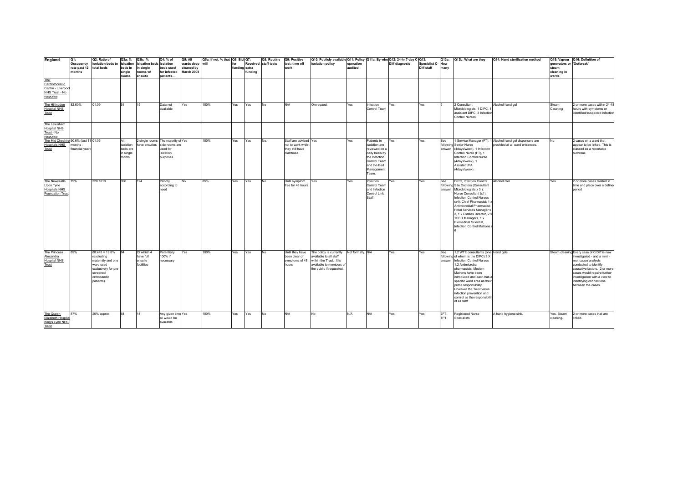| England                                                                       | Q1:<br>Occupancy<br>rate past 12<br>months | Q2: Ratio of<br>isolation beds to isloation<br>total beds                                                                         | Q3a: %<br>beds in<br>single<br>rooms               | Q3b: %<br>isloation beds isolation<br>in single<br>rooms w/<br>ensuite | Q4: % of<br>beds used<br>for infected<br>patients                           | Q5: All<br>wards deep will<br>cleaned by<br>March 2008 | Q5a: If not, % that Q6: Bid Q7: | for<br>funding extra | funding | Q8: Routine<br>Received staff tests | Q9: Positive<br>test: time off<br>work                                       | Q10: Publicly available Q11: Policy Q11a: By who Q12: 24-hr 7-day C-Q13:<br>isolation policy                                      | operation<br>audited |                                                                                                                                        | <b>Diff diagnosis</b> | Specialist C-How<br>Diff staff | Q13a:<br>many | Q13b: What are they                                                                                                                                                                                                                                                                                                                                                      | Q14: Hand sterilisation method                                                               | generators or 'Outbreak'<br>steam<br>cleaning in<br>wards | Q15: Vapour Q16: Definition of                                                                                                                                                                                                                                            |
|-------------------------------------------------------------------------------|--------------------------------------------|-----------------------------------------------------------------------------------------------------------------------------------|----------------------------------------------------|------------------------------------------------------------------------|-----------------------------------------------------------------------------|--------------------------------------------------------|---------------------------------|----------------------|---------|-------------------------------------|------------------------------------------------------------------------------|-----------------------------------------------------------------------------------------------------------------------------------|----------------------|----------------------------------------------------------------------------------------------------------------------------------------|-----------------------|--------------------------------|---------------|--------------------------------------------------------------------------------------------------------------------------------------------------------------------------------------------------------------------------------------------------------------------------------------------------------------------------------------------------------------------------|----------------------------------------------------------------------------------------------|-----------------------------------------------------------|---------------------------------------------------------------------------------------------------------------------------------------------------------------------------------------------------------------------------------------------------------------------------|
| The<br>Cardiothoracic<br>Centre - Liverpoo<br>NHS Trust - No<br>response      |                                            |                                                                                                                                   |                                                    |                                                                        |                                                                             |                                                        |                                 |                      |         |                                     |                                                                              |                                                                                                                                   |                      |                                                                                                                                        |                       |                                |               |                                                                                                                                                                                                                                                                                                                                                                          |                                                                                              |                                                           |                                                                                                                                                                                                                                                                           |
| The Hillingdon<br><b>Hospital NHS</b><br>Trust                                | 82.60%                                     | 01:09                                                                                                                             | 51                                                 | 15                                                                     | Data not<br>available                                                       | Yes                                                    | 100%                            | Yes                  | Yes     | No                                  | N/A                                                                          | On request                                                                                                                        | Yes                  | Infection<br>Control Team                                                                                                              | Yes                   | Yes                            |               | 2 Consultant<br>Microbiologists, 1 DIPC,<br>assistant DIPC, 3 Infection<br><b>Control Nurses</b>                                                                                                                                                                                                                                                                         | Alcohol hand gel                                                                             | Steam<br>Cleaning                                         | 2 or more cases within 24-4<br>hours with symptoms or<br>identified/suspected infection                                                                                                                                                                                   |
| The Lewisham<br><b>Hospital NHS</b><br>Trust - No<br>response                 |                                            |                                                                                                                                   |                                                    |                                                                        |                                                                             |                                                        |                                 |                      |         |                                     |                                                                              |                                                                                                                                   |                      |                                                                                                                                        |                       |                                |               |                                                                                                                                                                                                                                                                                                                                                                          |                                                                                              |                                                           |                                                                                                                                                                                                                                                                           |
| The Mid Cheshire 90.6% (last 11 01:05<br><b>Hospitals NHS</b><br>Trust        | months -<br>financial year)                |                                                                                                                                   | ΔIΙ<br>isolation<br>beds are<br>in single<br>rooms | single rooms<br>ave ensuites                                           | The majority of Yes<br>side rooms are<br>used for<br>isolation<br>purposes. |                                                        | 100%                            | Yes                  | Yes     | No.                                 | Staff are advised Yes<br>not to work whilst<br>they still have<br>diarrhoea. |                                                                                                                                   | Yes                  | Patients in<br>isolation are<br>reviewed on a<br>daily basis by<br>the Infection<br>Control Team<br>and the Bed<br>Management<br>Team. | Yes.                  | Yes                            | See<br>answer | following Senior Nurse<br>(4days/week), 1 Infection<br>Control Nurse (FT), 1<br>Infection Control Nurse<br>(4davs/week). 1<br>Assistant/PA<br>(4days/week).                                                                                                                                                                                                              | 1 Service Manager (FT), 1 Alcohol hand gel dispensers are<br>provided at all ward entrances. | No                                                        | 2 cases on a ward that<br>appear to be linked. This is<br>classed as a reportable<br>outbreak.                                                                                                                                                                            |
| The Newcastle<br>Upon Tyne<br><b>Hospitals NHS</b><br><b>Foundation Trust</b> | 79%                                        | 520:1613                                                                                                                          | 396                                                | 124                                                                    | Priority<br>according to<br>need                                            | No                                                     | 85%                             | Yes                  | Yes     | No                                  | Until symptom<br>free for 48 hours                                           | Yes                                                                                                                               | Yes                  | Infection<br>Control Team<br>and Infection<br>Control Link<br>Staff                                                                    | Yes                   | Yes                            | See           | DIPC, Infection Control<br>following Site Doctors (Consultant<br>answer Microbiologists x 3);<br>Nurse Consultant (x1):<br>Infection Control Nurses<br>(x4): Chief Pharmacist: 1<br>Antimicrobial Pharmacist;<br>Hotel Services Manager ><br>2, 1 x Estates Director, 2 x<br>TSSU Managers, 1 x<br><b>Biomedical Scientist,</b><br>Infection Control Matrons :           | Alcohol Gel                                                                                  | Yes                                                       | 2 or more cases related in<br>time and place over a define<br>period                                                                                                                                                                                                      |
| The Princess<br>Alexandra<br><b>Hospital NHS</b><br>Trust                     | 89%                                        | $88:445 = 19.8%$<br>(excluding<br>maternity and one<br>ward used<br>exclusively for pre-<br>screened<br>orthopaedic<br>patients). | 84                                                 | Of which 4<br>have full<br>ensuite<br>facilities                       | Potentially<br>100% if<br>necessary                                         | Yes                                                    | 100%                            | Yes                  | Yes     | No                                  | Until they have<br>been clear of<br>symptoms of 48<br>hours                  | The policy is currently<br>vailable to all staff<br>within the Trust. It is<br>available to members o<br>the public if requested. | Nof formally. N/A    |                                                                                                                                        | Yes                   | Yes                            | See           | 1.2 WTE consultants (one Hand gels<br>following of whom is the DIPC) 3 X<br>answer Infection Control Nurses<br>1.2 Antimicrobal<br>pharmacists. Modern<br>Matrons have been<br>introduced and each has a<br>specific ward area as their<br>prime responsibility.<br>However the Trust views<br>infection prevention and<br>control as the responsibility<br>of all staff |                                                                                              |                                                           | Steam cleaning Every case of C Diff is now<br>investigated - and a mini -<br>root cause analysis<br>conducted to identify<br>causative factors. 2 or more<br>cases would require further<br>investigation with a view to<br>identifying connections<br>between the cases. |
| The Queen<br>Elizabeth Hospita<br>King's Lynn NHS<br>Trust                    | 87%                                        | 20% approx                                                                                                                        | 64                                                 | 14                                                                     | Any given time Yes<br>all would be<br>available                             |                                                        | 100%                            | Yes                  | Yes     | No                                  | N/A                                                                          | No                                                                                                                                | N/A                  | N/A                                                                                                                                    | Yes                   | Yes                            | 2FT,<br>1PT   | <b>Registered Nurse</b><br>Specialists                                                                                                                                                                                                                                                                                                                                   | A hand hygiene sink.                                                                         | Yes. Steam<br>cleaning.                                   | 2 or more cases that are<br>linked.                                                                                                                                                                                                                                       |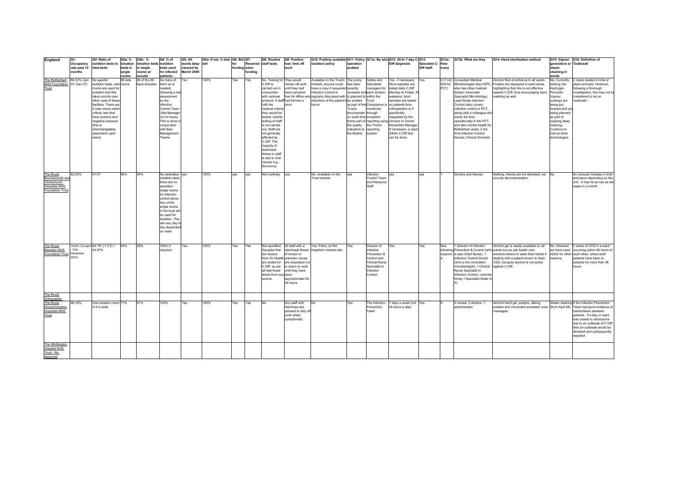| England                                  | Q1:                               | Q2: Ratio of                              | Q3a: %          | Q3b: %                   | Q4: % of                      | Q5: All                  | Q5a: If not, % that Q6: Bid Q7: |               |         | Q8: Routine                       | Q9: Positive                       | Q10: Publicly available Q11: Policy   Q11a: By who   Q12: 24-hr 7-day C-Q13: |                                |                              |                                                   |                          | Q13a:   | Q13b: What are they                                                    | Q14: Hand sterilisation method                                                 |                                 | Q15: Vapour Q16: Definition of                                                     |
|------------------------------------------|-----------------------------------|-------------------------------------------|-----------------|--------------------------|-------------------------------|--------------------------|---------------------------------|---------------|---------|-----------------------------------|------------------------------------|------------------------------------------------------------------------------|--------------------------------|------------------------------|---------------------------------------------------|--------------------------|---------|------------------------------------------------------------------------|--------------------------------------------------------------------------------|---------------------------------|------------------------------------------------------------------------------------|
|                                          | Occupancy                         | isolation beds to                         | isloation       | isloation beds isolation |                               | wards deep will          |                                 | for           |         | Received staff tests              | test: time off                     | isolation policy                                                             | operation                      |                              | <b>Diff diagnosis</b>                             | <b>Specialist C- How</b> |         |                                                                        |                                                                                | generators or 'Outbreak'        |                                                                                    |
|                                          | rate past 12 total beds<br>monthe |                                           | beds in         | in single                | beds used                     | cleaned by<br>March 2008 |                                 | funding extra |         |                                   | work                               |                                                                              | audited                        |                              |                                                   | Diff staff               | many    |                                                                        |                                                                                | steam<br>cleaning in            |                                                                                    |
|                                          |                                   |                                           | single<br>rooms | rooms w/<br>ensuite      | for infected<br>patients      |                          |                                 |               | funding |                                   |                                    |                                                                              |                                |                              |                                                   |                          |         |                                                                        |                                                                                | wards                           |                                                                                    |
| The Rotherham 88.33% (Jan                |                                   | No specific                               | 99 side         | 36 of the 99             | As many of                    | Yes                      | 100%                            | Yes           | Yes     | No. Testing for They would        |                                    | Available on the Trust's The policy                                          |                                | Safety and                   | Yes-if necessary Yes                              |                          |         | 6 (7 incl Consultant Medical                                           | Alcohol Rub at entrance to all wards.                                          | No. Currently                   | 2 cases related in time or                                                         |
| NHS Foundation 07- Dec 07)               |                                   | solation beds, side rooms                 |                 | have ensuites            | them as is                    |                          |                                 |               |         | C.Diff is                         | remain off work                    | intranet; anyone could has been                                              |                                | Standards                    | Stool samples are                                 |                          | ICN for | Microbiologist (also DIPC,                                             | Posters are displayed in ward areas                                            | looking into                    | place principle. However,                                                          |
| Trust                                    |                                   | rooms are used for                        |                 |                          | needed,                       |                          |                                 |               |         | carried out in                    | until they had                     | have a copy if requested recently                                            |                                | managers for                 | tested daily C.Diff                               |                          | PCT)    | also has other medical                                                 | highlighting that this is not effective                                        | Hydrogen                        | following a thorough                                                               |
|                                          |                                   | isolation and this                        |                 |                          | following a risk              |                          |                                 |               |         | conjunction                       | been symptom                       | Infection Control is                                                         |                                | reviewed and each division   | Monday to Friday. A                               |                          |         | duties); Associate                                                     | against C.Diff, thus encouraging hand                                          | Peroxide                        | investigation, this may not be                                                     |
|                                          |                                   | takes priority over                       |                 |                          | assessment                    |                          |                                 |               |         | with national                     |                                    | free for 48hrs and regularly discussed with is planned to within the         |                                |                              | weekend, stool                                    |                          |         | Specialist Microbiology;                                               | washing as well.                                                               | Vapour,                         | considered to be an                                                                |
|                                          |                                   | other uses of these                       |                 |                          | by the                        |                          |                                 |               |         | protocol. If staff had formed a   |                                    | members of the patient's be audited Trust.                                   |                                |                              | samples are tested                                |                          |         | Lead Nurse Infection                                                   |                                                                                | costings are                    | 'outbreak'.                                                                        |
|                                          |                                   | facilities. There are                     |                 |                          | Infection                     |                          |                                 |               |         | fulfil the                        | stool.                             | forum.                                                                       |                                | as part of the Compliance is | on patients from                                  |                          |         | Control (also covers                                                   |                                                                                | being put                       |                                                                                    |
|                                          |                                   | 2 side rooms within<br>critical care that |                 |                          | Control Team<br>(Site Manager |                          |                                 |               |         | medical criteria<br>they would be |                                    |                                                                              | Trust's<br>documentati through | monitored                    | orthopaedics or if<br>specifically                |                          |         | infection control in PCT<br>along with a colleague who                 |                                                                                | forward and ar<br>being planned |                                                                                    |
|                                          |                                   | have positive and                         |                 |                          | out of hours).                |                          |                                 |               |         | tested, routine                   |                                    |                                                                              | on audit (this exception       |                              | requested by the                                  |                          |         | works full time                                                        |                                                                                | as part of                      |                                                                                    |
|                                          |                                   | negative pressure                         |                 |                          | This is done in               |                          |                                 |               |         | testing of staff                  |                                    |                                                                              |                                |                              | forms part of reporting using clinician or Senior |                          |         | operationally in the PCT.                                              |                                                                                | ongoing deep                    |                                                                                    |
|                                          |                                   | (this is                                  |                 |                          | conjunction                   |                          |                                 |               |         | is not carried                    |                                    |                                                                              | the quality                    | the Trust's                  | Nurse/Site Manager                                |                          |         | and also mental health for                                             |                                                                                | cleaning.                       |                                                                                    |
|                                          |                                   | interchangeable,                          |                 |                          | with Bed                      |                          |                                 |               |         | out. Staff are                    |                                    |                                                                              | indicators to reporting        |                              | If necessary, a rapid                             |                          |         | Rotherham area); 2 full-                                               |                                                                                | Continue to                     |                                                                                    |
|                                          |                                   | dependent upon                            |                 |                          | Management                    |                          |                                 |               |         | not generally                     |                                    |                                                                              | the Board). system.            |                              | (DNA) C.Diff test                                 |                          |         | time Infection Control                                                 |                                                                                | look at other                   |                                                                                    |
|                                          |                                   | need).                                    |                 |                          | Teams.                        |                          |                                 |               |         | affected by                       |                                    |                                                                              |                                |                              | can be done.                                      |                          |         | Nurses; Clinical Scientist                                             |                                                                                | technologies.                   |                                                                                    |
|                                          |                                   |                                           |                 |                          |                               |                          |                                 |               |         | C.Diff. The<br>majority of        |                                    |                                                                              |                                |                              |                                                   |                          |         |                                                                        |                                                                                |                                 |                                                                                    |
|                                          |                                   |                                           |                 |                          |                               |                          |                                 |               |         | diarrhoeal                        |                                    |                                                                              |                                |                              |                                                   |                          |         |                                                                        |                                                                                |                                 |                                                                                    |
|                                          |                                   |                                           |                 |                          |                               |                          |                                 |               |         | illness in staff                  |                                    |                                                                              |                                |                              |                                                   |                          |         |                                                                        |                                                                                |                                 |                                                                                    |
|                                          |                                   |                                           |                 |                          |                               |                          |                                 |               |         | is due to viral                   |                                    |                                                                              |                                |                              |                                                   |                          |         |                                                                        |                                                                                |                                 |                                                                                    |
|                                          |                                   |                                           |                 |                          |                               |                          |                                 |               |         | causes e.g                        |                                    |                                                                              |                                |                              |                                                   |                          |         |                                                                        |                                                                                |                                 |                                                                                    |
|                                          |                                   |                                           |                 |                          |                               |                          |                                 |               |         | Novovirus.                        |                                    |                                                                              |                                |                              |                                                   |                          |         |                                                                        |                                                                                |                                 |                                                                                    |
|                                          | 82.20%                            | 01:07                                     | 66%             | 34%                      | No dedicated ves              |                          | 100%                            |               | yes     | Not routinely ves                 |                                    | No. Available on the                                                         | yes                            | Infection                    | yes                                               | ves                      |         | Doctors and Nurses                                                     | Nothing. Hands are not sterilised, we No                                       |                                 | An unusual increase in time                                                        |
| The Royal<br>Bournemouth and             |                                   |                                           |                 |                          | isolation beds                |                          |                                 | yes           |         |                                   |                                    | Trust intranet                                                               |                                | Control Team                 |                                                   |                          |         |                                                                        | provide decontamination.                                                       |                                 | and place depending on the                                                         |
| Christchurch                             |                                   |                                           |                 |                          | there are no                  |                          |                                 |               |         |                                   |                                    |                                                                              |                                | and Resource                 |                                                   |                          |         |                                                                        |                                                                                |                                 | unit. It may be as low as two                                                      |
| <b>Hospitals NHS</b>                     |                                   |                                           |                 |                          | specified                     |                          |                                 |               |         |                                   |                                    |                                                                              |                                | Staff                        |                                                   |                          |         |                                                                        |                                                                                |                                 | cases in a month.                                                                  |
| Foundation Trust                         |                                   |                                           |                 |                          | single rooms                  |                          |                                 |               |         |                                   |                                    |                                                                              |                                |                              |                                                   |                          |         |                                                                        |                                                                                |                                 |                                                                                    |
|                                          |                                   |                                           |                 |                          | for infection                 |                          |                                 |               |         |                                   |                                    |                                                                              |                                |                              |                                                   |                          |         |                                                                        |                                                                                |                                 |                                                                                    |
|                                          |                                   |                                           |                 |                          | control alone<br>Anv of the   |                          |                                 |               |         |                                   |                                    |                                                                              |                                |                              |                                                   |                          |         |                                                                        |                                                                                |                                 |                                                                                    |
|                                          |                                   |                                           |                 |                          | single rooms                  |                          |                                 |               |         |                                   |                                    |                                                                              |                                |                              |                                                   |                          |         |                                                                        |                                                                                |                                 |                                                                                    |
|                                          |                                   |                                           |                 |                          | in the trust will             |                          |                                 |               |         |                                   |                                    |                                                                              |                                |                              |                                                   |                          |         |                                                                        |                                                                                |                                 |                                                                                    |
|                                          |                                   |                                           |                 |                          | be used for                   |                          |                                 |               |         |                                   |                                    |                                                                              |                                |                              |                                                   |                          |         |                                                                        |                                                                                |                                 |                                                                                    |
|                                          |                                   |                                           |                 |                          | isolation. This               |                          |                                 |               |         |                                   |                                    |                                                                              |                                |                              |                                                   |                          |         |                                                                        |                                                                                |                                 |                                                                                    |
|                                          |                                   |                                           |                 |                          | will vary day to              |                          |                                 |               |         |                                   |                                    |                                                                              |                                |                              |                                                   |                          |         |                                                                        |                                                                                |                                 |                                                                                    |
|                                          |                                   |                                           |                 |                          | day dependent                 |                          |                                 |               |         |                                   |                                    |                                                                              |                                |                              |                                                   |                          |         |                                                                        |                                                                                |                                 |                                                                                    |
|                                          |                                   |                                           |                 |                          | on need                       |                          |                                 |               |         |                                   |                                    |                                                                              |                                |                              |                                                   |                          |         |                                                                        |                                                                                |                                 |                                                                                    |
|                                          |                                   |                                           |                 |                          |                               |                          |                                 |               |         |                                   |                                    |                                                                              |                                |                              |                                                   |                          |         |                                                                        |                                                                                |                                 |                                                                                    |
|                                          |                                   |                                           |                 |                          |                               |                          |                                 |               |         |                                   |                                    |                                                                              |                                |                              |                                                   |                          |         |                                                                        |                                                                                |                                 |                                                                                    |
| The Roval                                | 31st                              | 79.8% (1st April 84:191 (1:2.3) =         | 44%             | 39%                      | 100% if                       | Yes                      | 100%                            | Yes           | Yes     | Not specified.                    | All staff with a                   | Yes. Policy on the                                                           | Yes                            | Director of                  | Yes                                               | Yes                      |         | 1 Director of Infection                                                | Alcohol gel is readily available on all                                        |                                 | No. However, 2 cases of CCD in a ward                                              |
| Marsden NHS<br>Foundation Trust December |                                   | 43.97%                                    |                 |                          | required                      |                          |                                 |               |         | Samples that                      | of known or                        | diarrhoeal illness hospital's intranet site.                                 |                                | Infection                    |                                                   |                          |         | following Prevention & Control (who<br>respons is also Chief Nurse). 1 | wards but we ask health care<br>workers/visitors to wash their hands if        |                                 | we have used occurring within 48 hours of<br>H2O2 for other each other, where both |
|                                          | 2007)                             |                                           |                 |                          |                               |                          |                                 |               |         | we receive                        | from Oc Health unknown cause.      |                                                                              |                                | Prevention &<br>Control and  |                                                   |                          |         | Infection Control Doctor                                               | dealing with a patient known to have                                           | reasons                         | patients have been in-                                                             |
|                                          |                                   |                                           |                 |                          |                               |                          |                                 |               |         |                                   | are tested for are requested no    |                                                                              |                                | <b>Clinical Nurse</b>        |                                                   |                          |         | (who is the consultant                                                 | CDD, because alcohol is not active                                             |                                 | patients for more than 48                                                          |
|                                          |                                   |                                           |                 |                          |                               |                          |                                 |               |         |                                   | C.Diff, as are to return to work   |                                                                              |                                | Specialist in                |                                                   |                          |         | microbiologist), 1 Clinical                                            | against C.Diff.                                                                |                                 | hours.                                                                             |
|                                          |                                   |                                           |                 |                          |                               |                          |                                 |               |         | all diarrhoeal until they have    |                                    |                                                                              |                                | Infection                    |                                                   |                          |         | Nurse Specialist in                                                    |                                                                                |                                 |                                                                                    |
|                                          |                                   |                                           |                 |                          |                               |                          |                                 |               |         | stools from any been              |                                    |                                                                              |                                | Control.                     |                                                   |                          |         | Infection Control, currentl                                            |                                                                                |                                 |                                                                                    |
|                                          |                                   |                                           |                 |                          |                               |                          |                                 |               |         | source.                           | asymptomatic for                   |                                                                              |                                |                              |                                                   |                          |         | hiring 1 Specialist Sister i                                           |                                                                                |                                 |                                                                                    |
|                                          |                                   |                                           |                 |                          |                               |                          |                                 |               |         |                                   | 48 hours.                          |                                                                              |                                |                              |                                                   |                          |         |                                                                        |                                                                                |                                 |                                                                                    |
|                                          |                                   |                                           |                 |                          |                               |                          |                                 |               |         |                                   |                                    |                                                                              |                                |                              |                                                   |                          |         |                                                                        |                                                                                |                                 |                                                                                    |
| The Royal                                |                                   |                                           |                 |                          |                               |                          |                                 |               |         |                                   |                                    |                                                                              |                                |                              |                                                   |                          |         |                                                                        |                                                                                |                                 |                                                                                    |
| Orthopaedic                              |                                   |                                           |                 |                          |                               |                          |                                 |               |         |                                   |                                    |                                                                              |                                |                              |                                                   |                          |         |                                                                        |                                                                                |                                 |                                                                                    |
| The Royal                                | 88.10%                            | One isolation room 71%                    |                 | 61%                      | 100%                          | Yes                      | 100%                            | res           | Yes     | N <sub>0</sub>                    | Any staff with                     | No                                                                           | Yes                            | The Infection                | 7 days a week (not Yes                            |                          |         | 5 nurses, 3 doctors, 1                                                 | Alcohol hand gel, posters, talking                                             |                                 | Steam cleaning If the Infection Prevention                                         |
| Wolverhampton                            |                                   | to 5.4 beds                               |                 |                          |                               |                          |                                 |               |         |                                   | diarrhoea are<br>advised to stay o |                                                                              |                                | Prevention                   | 24 hours a day)                                   |                          |         | administrator                                                          | posters and movement activated voice (from April 08) Team had good evidence of |                                 | transmission between                                                               |
| <b>Hospitals NHS</b><br>Trust            |                                   |                                           |                 |                          |                               |                          |                                 |               |         |                                   | work whilst                        |                                                                              |                                | Team                         |                                                   |                          |         |                                                                        | messages                                                                       |                                 | patients. If a bay or ward                                                         |
|                                          |                                   |                                           |                 |                          |                               |                          |                                 |               |         |                                   | symptomatic                        |                                                                              |                                |                              |                                                   |                          |         |                                                                        |                                                                                |                                 | was closed to admissions                                                           |
|                                          |                                   |                                           |                 |                          |                               |                          |                                 |               |         |                                   |                                    |                                                                              |                                |                              |                                                   |                          |         |                                                                        |                                                                                |                                 | due to an outbreak of C Diff                                                       |
|                                          |                                   |                                           |                 |                          |                               |                          |                                 |               |         |                                   |                                    |                                                                              |                                |                              |                                                   |                          |         |                                                                        |                                                                                |                                 | then an outbreak would be                                                          |
|                                          |                                   |                                           |                 |                          |                               |                          |                                 |               |         |                                   |                                    |                                                                              |                                |                              |                                                   |                          |         |                                                                        |                                                                                |                                 | declared and subsequently                                                          |
|                                          |                                   |                                           |                 |                          |                               |                          |                                 |               |         |                                   |                                    |                                                                              |                                |                              |                                                   |                          |         |                                                                        |                                                                                |                                 | reported.                                                                          |
|                                          |                                   |                                           |                 |                          |                               |                          |                                 |               |         |                                   |                                    |                                                                              |                                |                              |                                                   |                          |         |                                                                        |                                                                                |                                 |                                                                                    |
| The Whittington                          |                                   |                                           |                 |                          |                               |                          |                                 |               |         |                                   |                                    |                                                                              |                                |                              |                                                   |                          |         |                                                                        |                                                                                |                                 |                                                                                    |
| <b>Hospital NHS</b>                      |                                   |                                           |                 |                          |                               |                          |                                 |               |         |                                   |                                    |                                                                              |                                |                              |                                                   |                          |         |                                                                        |                                                                                |                                 |                                                                                    |
| Trust - No<br>response                   |                                   |                                           |                 |                          |                               |                          |                                 |               |         |                                   |                                    |                                                                              |                                |                              |                                                   |                          |         |                                                                        |                                                                                |                                 |                                                                                    |
|                                          |                                   |                                           |                 |                          |                               |                          |                                 |               |         |                                   |                                    |                                                                              |                                |                              |                                                   |                          |         |                                                                        |                                                                                |                                 |                                                                                    |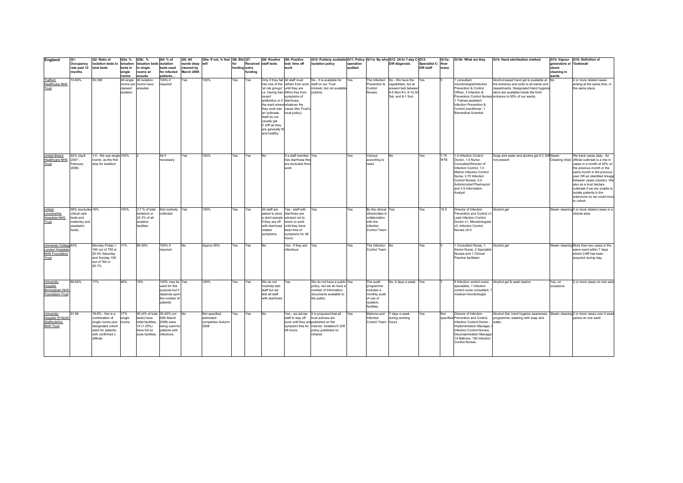| England                                                                      | Q1:<br>Occupancy                                                                       | Q2: Ratio of<br>isolation beds to                                                                                                          | Q3a: %<br>isloation  | Q3b: %<br>isloation beds isolation                                                                                | Q4: % of                                                                                        | <b>Q5: All</b><br>wards deep | Q5a: If not, % that Q6: Bid Q7:<br>will                  |               |         | Q8: Routine<br>Received staff tests                                                                                                                                                                           | Q9: Positive<br>test: time off                                                                       | Q10: Publicly available Q11: Policy Q11a: By who Q12: 24-hr 7-day C-Q13:<br>isolation policy                                                                                                               | operation |                                                                                                   | Diff diagnosis                                                                                                              | Specialist C-How | Q13a:              | Q13b: What are they                                                                                                                                                                                                        | Q14: Hand sterilisation method                                                                                                                                                                                                  | generators or 'Outbreak' | Q15: Vapour Q16: Definition of                                                                                                                                                                                                       |
|------------------------------------------------------------------------------|----------------------------------------------------------------------------------------|--------------------------------------------------------------------------------------------------------------------------------------------|----------------------|-------------------------------------------------------------------------------------------------------------------|-------------------------------------------------------------------------------------------------|------------------------------|----------------------------------------------------------|---------------|---------|---------------------------------------------------------------------------------------------------------------------------------------------------------------------------------------------------------------|------------------------------------------------------------------------------------------------------|------------------------------------------------------------------------------------------------------------------------------------------------------------------------------------------------------------|-----------|---------------------------------------------------------------------------------------------------|-----------------------------------------------------------------------------------------------------------------------------|------------------|--------------------|----------------------------------------------------------------------------------------------------------------------------------------------------------------------------------------------------------------------------|---------------------------------------------------------------------------------------------------------------------------------------------------------------------------------------------------------------------------------|--------------------------|--------------------------------------------------------------------------------------------------------------------------------------------------------------------------------------------------------------------------------------|
|                                                                              | rate past 12 total beds                                                                |                                                                                                                                            | beds in              | in sinale                                                                                                         | beds used                                                                                       | cleaned by                   |                                                          | funding extra |         |                                                                                                                                                                                                               | work                                                                                                 |                                                                                                                                                                                                            | audited   |                                                                                                   |                                                                                                                             | Diff staff       | many               |                                                                                                                                                                                                                            |                                                                                                                                                                                                                                 | steam                    |                                                                                                                                                                                                                                      |
|                                                                              | months                                                                                 |                                                                                                                                            | single<br>rooms      | rooms w/<br>ensuite                                                                                               | for infected<br>patients                                                                        | March 2008                   |                                                          |               | fundina |                                                                                                                                                                                                               |                                                                                                      |                                                                                                                                                                                                            |           |                                                                                                   |                                                                                                                             |                  |                    |                                                                                                                                                                                                                            |                                                                                                                                                                                                                                 | cleaning in<br>wards     |                                                                                                                                                                                                                                      |
| Trafford<br><b>Healthcare NHS</b><br>Trust                                   | 74.80%                                                                                 | 55:398                                                                                                                                     | classed<br>isolation | All single 46 isolation<br>rooms are rooms have<br>ensuites                                                       | 100% if<br>required                                                                             | Yes                          | 100%                                                     | Yes           | Yes     | Only if they fall All staff must<br>'at risk groups' until they are<br>recent<br>antibiotics or if diarrhoea,<br>the ward where whatever the<br>an outbreak.<br>Staff do not<br>usually get<br>C.Diff as they | i.e. having had 48hrs free from<br>symptoms of<br>they work has cause (the Trust's<br>local policy). | No - It is available for<br>into one of the refrain from work staff on our Trust<br>intranet, but not available<br>publicly.                                                                               | Yes       | Prevention &<br>Control<br>Nurses.                                                                | The Infection No - We have the<br>capabilities, but at<br>present test between<br>9-5 Mon-Fri. 8-12.30<br>Sat, and 9-1 Sun. | Yes              |                    | consultant<br>microbiologist/Infection<br>Prevention & Control<br>Officer, 2 Infection &<br>1 Trainee assistant<br>Infection Prevention &<br>Control practitioner, 1<br><b>Biomedical Scientist.</b>                       | Alcohol-based hand gel is available at No<br>the entrance and exits to all wards and<br>departments. Designated Hand hygiene<br>skins are available inside the front<br>Prevention Control Nurses entrance to 65% of our wards. |                          | 2 or more related cases<br>arising at the same time, in<br>the same place.                                                                                                                                                           |
| <b>United Bristol</b><br><b>Healthcare NHS</b><br>Trust                      | 82% (April<br>$2007 -$<br>February<br>2008)                                            | 1:5 - We use single 100%<br>rooms as the first<br>stop for isolation                                                                       |                      |                                                                                                                   | All if<br>necessary                                                                             | Yes                          | 100%                                                     | Yes           | Yes     | are generally f<br>and healthy.<br><b>No</b>                                                                                                                                                                  | If a staff member Yes<br>has diarrhoea they<br>are excluded from<br>work                             |                                                                                                                                                                                                            | Yes       | Various<br>according to<br>need                                                                   | No                                                                                                                          | Yes              | 7.75<br><b>WTE</b> | 1.0 Infection Control<br>Doctor, 1.0 Nurse<br>Consultant/Director of<br>Infection Control, 1.0<br>Matron Infection Control<br>Nurse, 3.75 Infection<br>Control Nurses, 0.5                                                 | Soap and water and alcohol gel if C Diff Steam<br>not present                                                                                                                                                                   |                          | We track cases daily. An<br>Cleaning (trial) official outbreak is a rise in<br>cases in a month of 30% on<br>the previous month or the<br>same month in the previous<br>year OR an identified linkage<br>between cases (cluster). We |
| United<br>Lincolnshire<br><b>Hospitals NHS</b><br>Trust                      | 98% (excludes 16%<br>critical care<br>beds and<br>naternity and<br>paediatric<br>beds) |                                                                                                                                            | 100%                 | 3.7 % of total<br>bedstock or<br>23.3% of all<br>isolation<br>facilities                                          | Not routinely Yes<br>collected                                                                  |                              | 100%                                                     | Yes           | Yes     | All staff are<br>asked to send diarrhoea are<br>a stool sample advised not to<br>if they are off<br>with diarrhoea until they have<br>related                                                                 | Yes - staff with<br>return to work<br>been free of                                                   | Yes                                                                                                                                                                                                        | Yes       | By the clinical Yes<br>directorates in<br>collaboration<br>with the<br>Infection<br>Control Team. |                                                                                                                             | Yes              | 10.5               | Antimicrobial Pharmacist<br>and 0.5 Information<br>Analyst<br>Director of Infection<br>Prevention and Control x1.<br>Lead Infection Control<br>Doctor x1, Microbiologists<br>x3, Infection Control<br>Nurses x5.5          | Alcohol gel.                                                                                                                                                                                                                    |                          | also as a trust declare<br>outbreak if we are unable to<br>isolate patients in the<br>siderooms so we could mov<br>to cohort.<br>Steam cleaning 2 or more related cases in a<br>clinical area.                                       |
| University College 83%<br>London Hospitals<br><b>NHS Foundation</b><br>Trust |                                                                                        | Monday-Friday =<br>160 out of 782 or<br>20.4% Saturday<br>and Sunday 158<br>out of 764 or<br>20.7%                                         | 17%                  | 89.30%                                                                                                            | 100% if<br>required                                                                             | <b>No</b>                    | Approx 90%                                               | Yes           | Yes     | symptoms.<br><b>No</b>                                                                                                                                                                                        | symptoms for 48<br>hours.<br>Yes - if they are Yes<br>infectious                                     |                                                                                                                                                                                                            | Yes       | The Infection No<br>Control Team                                                                  |                                                                                                                             | Yes              |                    | 1 Consultant Nurse, 1<br>Senior Nurse, 2 Specialist<br>Nurses and 1 Clinical<br>Practice facilitator                                                                                                                       | Alcohol gel                                                                                                                                                                                                                     |                          | Steam cleaning More than two cases in the<br>same ward within 7 days<br>where Cdiff has been<br>acquired during stay.                                                                                                                |
| University<br>Hospital<br><b>Birmingham NHS</b><br>Foundation Trust          | 89.50%                                                                                 | 17%                                                                                                                                        | 46%                  | 19%                                                                                                               | 100% may be Yes<br>used for this<br>purpose but it<br>depends upon<br>the number of<br>patients |                              | 100%                                                     | Yes           | Yes     | We do not<br>routinely test<br>staff but we<br>test all staff<br>with diarrhoea                                                                                                                               | Yes                                                                                                  | We do not have a public Yes<br>policy, but we do have a<br>number of information<br>documents available to<br>the public.                                                                                  |           | The audit<br>programme<br>includes a<br>monthly audit<br>of use of<br>isolation<br>facilities     | No, 6 days a week Yes                                                                                                       |                  |                    | specialists, 1 infection<br>control nurse consultant,<br>medical microbiologist                                                                                                                                            | 5 Infection control nurse Alcohol gel & wash basins                                                                                                                                                                             | Yes, on<br>occasions     | 2 or more cases on one ward                                                                                                                                                                                                          |
| University<br><b>Hospital Of North</b><br>Staffordshire<br><b>NHS Trust</b>  | 91.96                                                                                  | 18.6% - this is a<br>combination of<br>single rooms plus rooms<br>designated cohort<br>ward for patients<br>with confirmed c<br>difficile. | 17%<br>single        | 50 (4% of total 35-40% (on<br>beds) have<br>toilet facilities.<br>14 (1.25%)<br>have full en<br>suite facilities. | 26th March<br>2008) were<br>being used for<br>patients with<br>infections.                      |                              | Not specified.<br>estimated<br>completion Autumn<br>2008 | Yes           | Yes     | <b>No</b>                                                                                                                                                                                                     | 48 hours.                                                                                            | Yes - we advise It is proposed that all<br>staff to stay off trust policies are<br>work until they are published on the<br>symptom free for internet. Isolation/C-Diff<br>policy published on<br>intranet. | Yes       | Matrons and 7 days a week<br>Infection<br>Control Team. hours                                     | during working                                                                                                              | Yes              | Not                | Director of Infection<br>specified Prevention and Control,<br>Infection Control Doctor,<br>Implementation Manager,<br>Infection Control Nurses,<br>Decontamination Manager<br>14 Matrons, 150 Infection<br>Control Nurses. | Alcohol Gel, hand hygeine awareness<br>programme, washing with soap and<br>water                                                                                                                                                |                          | Steam cleaning 2 or more cases over 4 week<br>period on one ward.                                                                                                                                                                    |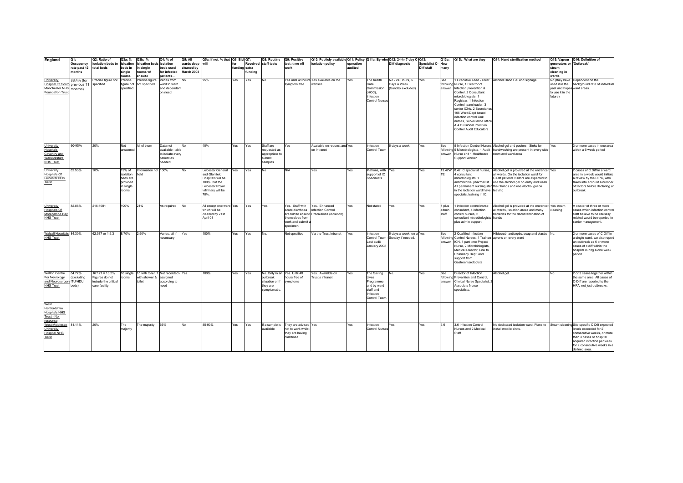| England                                | Q1:          | Q2: Ratio of                    | Q3a: %                | Q3b: %                               | Q4: % of                | Q5: All    | Q5a: If not, % that   Q6: Bid   Q7: |               |        | Q8: Routine                  | Q9: Positive                               | Q10: Publicly available Q11: Policy Q11a: By who Q12: 24-hr 7-day C-Q13: |            |                                    |                                  |                          | Q13a:  | Q13b: What are they                                      | Q14: Hand sterilisation method                                                  |                            | Q15: Vapour Q16: Definition of                                        |
|----------------------------------------|--------------|---------------------------------|-----------------------|--------------------------------------|-------------------------|------------|-------------------------------------|---------------|--------|------------------------------|--------------------------------------------|--------------------------------------------------------------------------|------------|------------------------------------|----------------------------------|--------------------------|--------|----------------------------------------------------------|---------------------------------------------------------------------------------|----------------------------|-----------------------------------------------------------------------|
|                                        | Occupancy    | solation beds to isloation      |                       | isloation beds isolation             |                         | wards deep | will                                | for           |        | Received staff tests         | test: time off                             | isolation policy                                                         | operation  |                                    | Diff diagnosis                   | <b>Specialist C- How</b> |        |                                                          |                                                                                 | generators or 'Outbreak'   |                                                                       |
|                                        | rate past 12 | total beds                      | beds in               | n single                             | beds used               | cleaned by |                                     | funding extra |        |                              | work                                       |                                                                          | audited    |                                    |                                  | Diff staff               | many   |                                                          |                                                                                 | steam                      |                                                                       |
|                                        | months       |                                 | single                | rooms w/                             | for infected            | March 2008 |                                     |               | undina |                              |                                            |                                                                          |            |                                    |                                  |                          |        |                                                          |                                                                                 | cleaning in                |                                                                       |
|                                        |              |                                 | rooms                 | ensuite                              | patients<br>Varies from | No         | 95%                                 | Yes           |        | No                           |                                            | Yes until 48 hours Yes available on the                                  | Yes        | The health                         | No - 24 Hours, 6                 | Yes                      | See    |                                                          | 1 Executive Lead - Chief Alcohol Hand Gel and signage                           | wards                      | No (they have Dependent on the                                        |
| University<br><b>Hospital Of Soutl</b> | 88.4% (for   | Precise figure not<br>specified | Precise<br>figure not | Precise figure<br>not specified      | ward to ward            |            |                                     |               | Yes    |                              | symptom free                               | website                                                                  |            | Care                               | Days a Week                      |                          |        | following Nurse, 1 Director of                           |                                                                                 | used it in the             | background rate of individual                                         |
| Manchester NHS                         | previous 11  |                                 | specified             |                                      | and dependar            |            |                                     |               |        |                              |                                            |                                                                          |            | Commission                         | (Sunday excluded)                |                          |        | answer Infection prevention &                            |                                                                                 | past and hopes ward areas. |                                                                       |
| <b>Foundation Trust</b>                | months)      |                                 |                       |                                      | on need.                |            |                                     |               |        |                              |                                            |                                                                          |            | (HCC),                             |                                  |                          |        | Control. 2 Consultant                                    |                                                                                 | to use it in the           |                                                                       |
|                                        |              |                                 |                       |                                      |                         |            |                                     |               |        |                              |                                            |                                                                          |            | Infection                          |                                  |                          |        | microbiologists, 1                                       |                                                                                 | future).                   |                                                                       |
|                                        |              |                                 |                       |                                      |                         |            |                                     |               |        |                              |                                            |                                                                          |            | <b>Control Nurses</b>              |                                  |                          |        | Registrar, 1 Infection                                   |                                                                                 |                            |                                                                       |
|                                        |              |                                 |                       |                                      |                         |            |                                     |               |        |                              |                                            |                                                                          |            |                                    |                                  |                          |        | Control team leader, 3                                   |                                                                                 |                            |                                                                       |
|                                        |              |                                 |                       |                                      |                         |            |                                     |               |        |                              |                                            |                                                                          |            |                                    |                                  |                          |        | senior ICNs, 2 Secretaries                               |                                                                                 |                            |                                                                       |
|                                        |              |                                 |                       |                                      |                         |            |                                     |               |        |                              |                                            |                                                                          |            |                                    |                                  |                          |        | 106 Ward/Dept based                                      |                                                                                 |                            |                                                                       |
|                                        |              |                                 |                       |                                      |                         |            |                                     |               |        |                              |                                            |                                                                          |            |                                    |                                  |                          |        | infection control Link                                   |                                                                                 |                            |                                                                       |
|                                        |              |                                 |                       |                                      |                         |            |                                     |               |        |                              |                                            |                                                                          |            |                                    |                                  |                          |        | nurses, Surveillance office<br>& 4 Divisional Infection  |                                                                                 |                            |                                                                       |
|                                        |              |                                 |                       |                                      |                         |            |                                     |               |        |                              |                                            |                                                                          |            |                                    |                                  |                          |        | <b>Control Audit Educators</b>                           |                                                                                 |                            |                                                                       |
|                                        |              |                                 |                       |                                      |                         |            |                                     |               |        |                              |                                            |                                                                          |            |                                    |                                  |                          |        |                                                          |                                                                                 |                            |                                                                       |
|                                        |              |                                 |                       |                                      |                         |            |                                     |               |        |                              |                                            |                                                                          |            |                                    |                                  |                          |        |                                                          |                                                                                 |                            |                                                                       |
|                                        |              |                                 |                       |                                      |                         |            |                                     |               |        |                              |                                            |                                                                          |            |                                    |                                  |                          |        |                                                          |                                                                                 |                            |                                                                       |
| University                             | 90-95%       | 20%                             | Not                   | All of them                          | Data not                | No         | 40%                                 | Yes           | Yes    | Staff are                    | Yes                                        | Available on request and Yes                                             |            | Infection                          | 6 days a week                    | Yes                      | See    |                                                          | 5 Infection Control Nurses, Alcohol gel and posters. Sinks for                  | Yes                        | 3 or more cases in one area                                           |
| <b>Hospitals</b>                       |              |                                 | answered              |                                      | available - able        |            |                                     |               |        | requested as                 |                                            | on Intranet                                                              |            | Control Team                       |                                  |                          |        |                                                          | following 5 Microbiologists, 1 Audit handwashing are present in every side      |                            | within a 6 week period                                                |
| Coventry and                           |              |                                 |                       |                                      | to isolate even         |            |                                     |               |        | appropriate to               |                                            |                                                                          |            |                                    |                                  |                          |        | answer Nurse and 1 Healthcare                            | room and ward area                                                              |                            |                                                                       |
| Warwickshire                           |              |                                 |                       |                                      | patient as<br>eeded     |            |                                     |               |        | submit                       |                                            |                                                                          |            |                                    |                                  |                          |        | Support Worker                                           |                                                                                 |                            |                                                                       |
| <b>NHS Trust</b>                       |              |                                 |                       |                                      |                         |            |                                     |               |        | samples                      |                                            |                                                                          |            |                                    |                                  |                          |        |                                                          |                                                                                 |                            |                                                                       |
| University                             | 82.53%       | 20%                             | 19% of                | Information not 100%                 |                         | <b>No</b>  | Leicester General                   | Yes           | Yes    | No                           | N/A                                        | Yes                                                                      | Yes        | Matrons, with Yes                  |                                  | Yes                      |        |                                                          | 13.42W 8.42 IC specialist nurses. Alcohol gel is provided at the entrance tiYes |                            | 2 cases of C.Diff in a ward                                           |
| <b>Hospitals Of</b>                    |              |                                 | isolation             | ield                                 |                         |            | and Glenfield                       |               |        |                              |                                            |                                                                          |            | support of IC                      |                                  |                          | TE     | 4 consultant                                             | all wards. On the isolation ward for                                            |                            | area in a week would initiate                                         |
| Leicester NHS                          |              |                                 | beds are              |                                      |                         |            | Hospitals will be                   |               |        |                              |                                            |                                                                          |            | Specialists                        |                                  |                          |        | microbiologists, 1                                       | C.Diff patients visitors are expected to                                        |                            | a review by the DIPC, who                                             |
| Trust                                  |              |                                 | provided              |                                      |                         |            | 100%, but the                       |               |        |                              |                                            |                                                                          |            |                                    |                                  |                          |        |                                                          | antimicrobial pharmacist. use the alcohol gel on entry and wash                 |                            | takes into account a number                                           |
|                                        |              |                                 | n single              |                                      |                         |            | Leicester Royal                     |               |        |                              |                                            |                                                                          |            |                                    |                                  |                          |        |                                                          | All permanent nursing staff their hands and use alcohol gel on                  |                            | of factors before declaring an                                        |
|                                        |              |                                 | rooms.                |                                      |                         |            | Infirmary will be                   |               |        |                              |                                            |                                                                          |            |                                    |                                  |                          |        | in the isolation ward have leaving.                      |                                                                                 |                            | outbreak.                                                             |
|                                        |              |                                 |                       |                                      |                         |            | 70%.                                |               |        |                              |                                            |                                                                          |            |                                    |                                  |                          |        | specialist training in IC.                               |                                                                                 |                            |                                                                       |
|                                        |              |                                 |                       |                                      |                         |            |                                     |               |        |                              |                                            |                                                                          |            |                                    |                                  |                          |        |                                                          |                                                                                 |                            |                                                                       |
| University                             | 82.88%       | 215:1081                        | 100%                  | 21%                                  | As required             | <b>No</b>  | All except one ward Yes             |               | Yes    | Yes                          | res. Staff with                            | Yes. Enhanced                                                            | Yes        | Not stated                         | Yes                              | Yes                      | 7 plus | 1 infection control nurse                                | Alcohol gel is provided at the entrance t Yes steam                             |                            | A cluster of three or more                                            |
| <b>Hospitals Of</b>                    |              |                                 |                       |                                      |                         |            | which will be                       |               |        |                              | acute diarrhoea                            | nfection Control                                                         |            |                                    |                                  |                          | admin  | consultant. 4 infection                                  | all wards, isolation areas and many                                             | cleaning                   | cases which infection control                                         |
| Morecambe Bay                          |              |                                 |                       |                                      |                         |            | cleaned by 21st                     |               |        |                              |                                            | are told to absent Precautions (isolation)                               |            |                                    |                                  |                          | staff  | control nurses, 2                                        | bedsides for the decontamination of                                             |                            | staff believe to be causally                                          |
| <b>NHS Trust</b>                       |              |                                 |                       |                                      |                         |            | 80 IndA                             |               |        |                              | themselves from                            |                                                                          |            |                                    |                                  |                          |        | consultant microbiologists hands                         |                                                                                 |                            | related would be reported to                                          |
|                                        |              |                                 |                       |                                      |                         |            |                                     |               |        |                              | work and submit<br>specimen                |                                                                          |            |                                    |                                  |                          |        | plus admin support                                       |                                                                                 |                            | senior management.                                                    |
|                                        |              |                                 |                       |                                      |                         |            |                                     |               |        |                              |                                            |                                                                          |            |                                    |                                  |                          |        |                                                          |                                                                                 |                            |                                                                       |
| Walsall Hospitals 84.30%               |              | 62:577 or 1:9.3                 | 8.70%                 | 2.90%                                | Varies, all if          | Yes        | 100%                                | Yes           | Yes    | No                           | Not specified                              | Via the Trust Intranet                                                   | <b>Yes</b> | Infection                          | 6 days a week, on a Yes          |                          | See    | 2 Qualified Infection                                    | Hibiscrub, antiseptic, soap and plastic No.                                     |                            | 2 or more cases of C Diff in                                          |
| <b>NHS Trust</b>                       |              |                                 |                       |                                      | necessary               |            |                                     |               |        |                              |                                            |                                                                          |            |                                    | Control Team - Sunday if needed. |                          |        | following Control Nurses, 1 Trainee aprons on every ward |                                                                                 |                            | a single ward, we also report                                         |
|                                        |              |                                 |                       |                                      |                         |            |                                     |               |        |                              |                                            |                                                                          |            | Last audit                         |                                  |                          |        | answer ICN, 1 part time Project                          |                                                                                 |                            | an outbreak as 6 or more                                              |
|                                        |              |                                 |                       |                                      |                         |            |                                     |               |        |                              |                                            |                                                                          |            | January 2008                       |                                  |                          |        | Nurse, 2 Microbiologists.<br>Medical Director, Link to   |                                                                                 |                            | cases of c diff within the<br>hospital during a one week              |
|                                        |              |                                 |                       |                                      |                         |            |                                     |               |        |                              |                                            |                                                                          |            |                                    |                                  |                          |        | Pharmacy Dept, and                                       |                                                                                 |                            | period                                                                |
|                                        |              |                                 |                       |                                      |                         |            |                                     |               |        |                              |                                            |                                                                          |            |                                    |                                  |                          |        | support from                                             |                                                                                 |                            |                                                                       |
|                                        |              |                                 |                       |                                      |                         |            |                                     |               |        |                              |                                            |                                                                          |            |                                    |                                  |                          |        | Gastroenterologists                                      |                                                                                 |                            |                                                                       |
|                                        |              |                                 |                       |                                      |                         |            |                                     |               |        |                              |                                            |                                                                          |            |                                    |                                  |                          |        |                                                          |                                                                                 |                            |                                                                       |
| Walton Centre                          | 84.77%       | $16:121 = 13.2%$                | 16 single             | 15 with toilet, 1 Not recorded - Yes |                         |            | 100%                                | Yes           | Yes    | No. Only in an Yes. Until 48 |                                            | Yes. Available on                                                        | Yes.       | The Saving                         | No                               | Yes.                     | See    | Director of Infection                                    | Alcohol gel.                                                                    | <b>No</b>                  | 2 or 3 cases together within                                          |
| For Neurology                          | (excluding   | Figures do not                  | ooms                  | with shower & assigned               |                         |            |                                     |               |        | outbreak                     | hours free of                              | Trust's intranet.                                                        |            | Lives                              |                                  |                          |        | following Prevention and Control,                        |                                                                                 |                            | the same area. All cases of                                           |
| and Neurosurgery ITU/HDU               |              | include the critical            |                       | toilet                               | according to            |            |                                     |               |        | situation or if              | symptoms                                   |                                                                          |            | Programme                          |                                  |                          |        | answer Clinical Nurse Specialist, 2                      |                                                                                 |                            | C-Diff are reported to the                                            |
| <b>NHS Trust</b>                       | beds)        | care facility.                  |                       |                                      | eed                     |            |                                     |               |        | they are                     |                                            |                                                                          |            | and by ward                        |                                  |                          |        | Associate Nurse                                          |                                                                                 |                            | HPA, not just outbreaks.                                              |
|                                        |              |                                 |                       |                                      |                         |            |                                     |               |        | symptomatic.                 |                                            |                                                                          |            | staff and                          |                                  |                          |        | specialists.                                             |                                                                                 |                            |                                                                       |
|                                        |              |                                 |                       |                                      |                         |            |                                     |               |        |                              |                                            |                                                                          |            | Infection                          |                                  |                          |        |                                                          |                                                                                 |                            |                                                                       |
|                                        |              |                                 |                       |                                      |                         |            |                                     |               |        |                              |                                            |                                                                          |            | Control Team                       |                                  |                          |        |                                                          |                                                                                 |                            |                                                                       |
| West                                   |              |                                 |                       |                                      |                         |            |                                     |               |        |                              |                                            |                                                                          |            |                                    |                                  |                          |        |                                                          |                                                                                 |                            |                                                                       |
| Hertfordshire                          |              |                                 |                       |                                      |                         |            |                                     |               |        |                              |                                            |                                                                          |            |                                    |                                  |                          |        |                                                          |                                                                                 |                            |                                                                       |
| <b>Hospitals NHS</b>                   |              |                                 |                       |                                      |                         |            |                                     |               |        |                              |                                            |                                                                          |            |                                    |                                  |                          |        |                                                          |                                                                                 |                            |                                                                       |
| Trust - No                             |              |                                 |                       |                                      |                         |            |                                     |               |        |                              |                                            |                                                                          |            |                                    |                                  |                          |        |                                                          |                                                                                 |                            |                                                                       |
| response                               |              |                                 |                       |                                      |                         |            |                                     |               |        |                              |                                            |                                                                          |            |                                    |                                  |                          |        |                                                          |                                                                                 |                            |                                                                       |
| West Middlesex 81.11%<br>University    |              | 20%                             | The<br>majority       | The majority                         | 65%                     | No         | 85-90%                              | Yes           | Yes    | If a sample is<br>available  | They are advised Yes<br>not to work whilst |                                                                          | Yes        | Infection<br><b>Control Nurses</b> | Yes                              | Yes                      | 5.6    | 3.6 Infection Control<br>Nurses and 2 Medical            | No dedicated isolation ward. Plans to<br>install mobile sinks                   |                            | Steam cleaning Site specific C Dfif expected<br>levels exceeded for 2 |
| <b>Hospital NHS</b>                    |              |                                 |                       |                                      |                         |            |                                     |               |        |                              | they are having                            |                                                                          |            |                                    |                                  |                          |        | Staff                                                    |                                                                                 |                            | consecutive weeks, or more                                            |
| Trust                                  |              |                                 |                       |                                      |                         |            |                                     |               |        |                              | diarrhoea                                  |                                                                          |            |                                    |                                  |                          |        |                                                          |                                                                                 |                            | than 3 cases or hospital                                              |
|                                        |              |                                 |                       |                                      |                         |            |                                     |               |        |                              |                                            |                                                                          |            |                                    |                                  |                          |        |                                                          |                                                                                 |                            | acquired infection per week                                           |
|                                        |              |                                 |                       |                                      |                         |            |                                     |               |        |                              |                                            |                                                                          |            |                                    |                                  |                          |        |                                                          |                                                                                 |                            | for 2 consecutive weeks in a                                          |
|                                        |              |                                 |                       |                                      |                         |            |                                     |               |        |                              |                                            |                                                                          |            |                                    |                                  |                          |        |                                                          |                                                                                 |                            | defined area                                                          |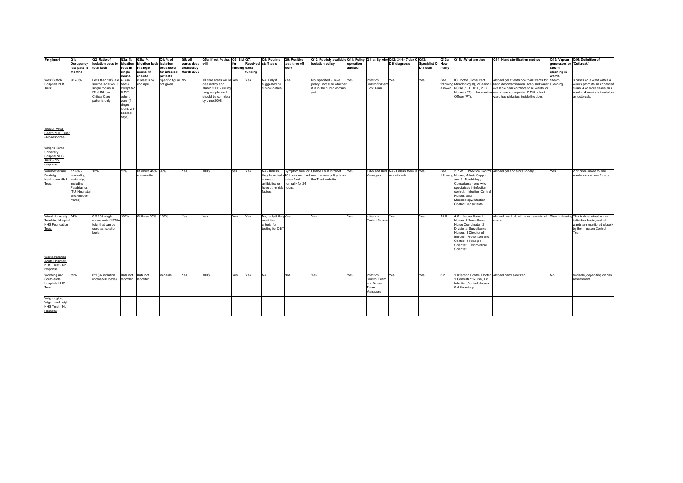| England                                                                            | $Q1$ :<br>Occupancy                                                                                        | Q2: Ratio of<br>isolation beds to isloation                                                   | Q3a: %                                                                   | Q3b: %<br>sloation beds isolation | Q4: % of                       | Q5: All<br>wards deep    | Q5a: If not, % that   Q6: Bid   Q7:<br>will                                                       | for           |         | Q8: Routine<br>Received staff tests                                             | Q9: Positive<br>test: time off | Q10: Publicly available Q11: Policy Q11a: By who Q12: 24-hr 7-day C-Q13:<br>isolation policy                             | operation  |                                                            | <b>Diff diagnosis</b>                                | Specialist C-How | Q13a: | Q13b: What are they                                                                                                                                                                                                    | Q14: Hand sterilisation method                                                                                                                                                                                                     | generators or 'Outbreak' | Q15: Vapour Q16: Definition of                                                                                                          |
|------------------------------------------------------------------------------------|------------------------------------------------------------------------------------------------------------|-----------------------------------------------------------------------------------------------|--------------------------------------------------------------------------|-----------------------------------|--------------------------------|--------------------------|---------------------------------------------------------------------------------------------------|---------------|---------|---------------------------------------------------------------------------------|--------------------------------|--------------------------------------------------------------------------------------------------------------------------|------------|------------------------------------------------------------|------------------------------------------------------|------------------|-------|------------------------------------------------------------------------------------------------------------------------------------------------------------------------------------------------------------------------|------------------------------------------------------------------------------------------------------------------------------------------------------------------------------------------------------------------------------------|--------------------------|-----------------------------------------------------------------------------------------------------------------------------------------|
|                                                                                    | rate past 12<br>months                                                                                     | total beds                                                                                    | beds in<br>single                                                        | in sinale<br>rooms w/             | beds used<br>for infected      | cleaned by<br>March 2008 |                                                                                                   | funding extra | funding |                                                                                 | work                           |                                                                                                                          | audited    |                                                            |                                                      | Diff staff       | many  |                                                                                                                                                                                                                        |                                                                                                                                                                                                                                    | steam<br>cleaning in     |                                                                                                                                         |
| <b>West Suffolk</b>                                                                | 96.40%                                                                                                     | Less than 10% are All (34                                                                     | rooms                                                                    | ensuite<br>at least 3 by          | patients<br>Specific figure No |                          | All core areas will be Yes                                                                        |               | Yes     | No. Only if                                                                     | Yes                            | Not specified - Have                                                                                                     | Yes        | Infection                                                  | Yes                                                  | Yes              | See   | IC Doctor (Consultant                                                                                                                                                                                                  | Alcohol gel at entrance to all wards for                                                                                                                                                                                           | wards<br>Steam           | 3 cases on a ward within 4                                                                                                              |
| <b>Hospitals NHS</b><br>Trust                                                      |                                                                                                            | source isolation. 2 beds)<br>single rooms in<br>ITU/HDU for<br>Critical Care<br>patients only | except for<br>C.Diff<br>cohort<br>ward (1<br>single<br>room, 2<br>bedded | end April.                        | not given                      |                          | cleaned by end<br>March 2008 - rolling<br>program planned,<br>should be complete<br>by June 2008. |               |         | suggested by<br>clinical details.                                               |                                | policy - not sure whether<br>it is in the public domain<br>vet.                                                          |            | Control/Patien<br>Flow Team                                |                                                      |                  |       | answer Nurse (1FT, 1PT), 2 IC<br>Officer (PT).                                                                                                                                                                         | following Microbiologist), 2 Senior IC hand decontamination; soap and water<br>available near entrance to all wards for<br>Nurses (FT), 1 Information use where appropriate. C.Diff cohort<br>ward has sinks just inside the door. | Cleaning.                | weeks prompts an enhanced<br>clean. 4 or more cases on a<br>ward in 4 weeks is treated as<br>an outbreak.                               |
|                                                                                    |                                                                                                            |                                                                                               | bavs)                                                                    |                                   |                                |                          |                                                                                                   |               |         |                                                                                 |                                |                                                                                                                          |            |                                                            |                                                      |                  |       |                                                                                                                                                                                                                        |                                                                                                                                                                                                                                    |                          |                                                                                                                                         |
| Weston Area<br><b>Health NHS Trus</b><br>- No response                             |                                                                                                            |                                                                                               |                                                                          |                                   |                                |                          |                                                                                                   |               |         |                                                                                 |                                |                                                                                                                          |            |                                                            |                                                      |                  |       |                                                                                                                                                                                                                        |                                                                                                                                                                                                                                    |                          |                                                                                                                                         |
| <b>Whipps Cross</b><br>University<br><b>Hospital NHS</b><br>Trust - No<br>response |                                                                                                            |                                                                                               |                                                                          |                                   |                                |                          |                                                                                                   |               |         |                                                                                 |                                |                                                                                                                          |            |                                                            |                                                      |                  |       |                                                                                                                                                                                                                        |                                                                                                                                                                                                                                    |                          |                                                                                                                                         |
| Winchester and<br>Eastleigh<br><b>Healthcare NHS</b><br>Trust                      | 87.3% -<br>(excluding<br>maternity,<br>including<br>Paedriatrics.<br>ITU, Neonata<br>and Andover<br>wards) | 12%                                                                                           | 12%                                                                      | Of which 45% 99%<br>are ensuite   |                                | Yes                      | 100%                                                                                              | ves           | Yes     | No - Unless<br>course of<br>antibiotics or<br>have other risk hours.<br>factors | eaten food<br>normally for 24  | Symptom free for On the Trust Intranet<br>they have had a 48 hours and had and the new policy is on<br>the Trust website | <b>Yes</b> | Managers                                                   | ICNs and Bed No - Unless there is Yes<br>an outbreak |                  | See   | following Nurses, Admin Support<br>and 2 Microbiology<br>Consultants - one who<br>specialises in infection<br>control. Infection Control<br>Nurses, and<br>Microbiology/Infection<br><b>Control Consultants</b>        | 2.7 WTE Infection Control Alcohol gel and sinks shortly.                                                                                                                                                                           | Yes                      | 2 or more linked to one<br>ward/location over 7 days                                                                                    |
| Wirral University 84%<br><b>Teaching Hospita</b><br><b>NHS Foundation</b><br>Trust |                                                                                                            | 6:3 139 single<br>rooms out of 875 in<br>total that can be<br>used as isolation<br>beds.      | 100%                                                                     | Of these 35%                      | 100%                           | Yes                      | Yes                                                                                               | Yes           | Yes     | No, only if they Yes<br>meet the<br>criteria for<br>testing for Cdift           |                                | Yes                                                                                                                      | Yes        | Infection<br><b>Control Nurses</b>                         | Yes                                                  | Yes              | 10.6  | 4.6 Infection Control<br>Nurses 1 Surveillance<br>Nurse Coordinator, 2<br>Divisional Surveillance<br>Nurses, 1 Director of<br>Infection Prevention and<br>Control, 1 Principle<br>Scientist, 1 Biomedical<br>Scientist | Alcohol hand rub at the entrance to all<br>wards                                                                                                                                                                                   |                          | Steam cleaning This is determined on an<br>individual basis, and all<br>wards are monitored closely<br>by the Infection Control<br>Team |
| Worcestershire<br><b>Acute Hospitals</b><br>NHS Trust - No<br>response             |                                                                                                            |                                                                                               |                                                                          |                                   |                                |                          |                                                                                                   |               |         |                                                                                 |                                |                                                                                                                          |            |                                                            |                                                      |                  |       |                                                                                                                                                                                                                        |                                                                                                                                                                                                                                    |                          |                                                                                                                                         |
| Worthing and<br>Southlands<br><b>Hospitals NHS</b><br>Trust                        | 89%                                                                                                        | 6:1 (92 isolation<br>rooms/530 beds)                                                          | Data not<br>ecorded                                                      | Data not<br>recorded              | Variable                       | Yes                      | 100%                                                                                              | Yes           | Yes     | <b>No</b>                                                                       | N/A                            | Yes                                                                                                                      | Yes        | Infection<br>Control Team<br>and Nurse<br>Team<br>Managers | Yes                                                  | Yes              | 6.2   | 1 Infection Control Doctor. Alcohol hand sanitizer<br>1 Consultant Nurse, 1.8<br>Infection Control Nurses,<br>0.4 Secretary                                                                                            |                                                                                                                                                                                                                                    | No                       | Variable, depending on risk<br>assessment.                                                                                              |
| Wrightington,<br>Wigan and Leigh<br>NHS Trust - No<br>response                     |                                                                                                            |                                                                                               |                                                                          |                                   |                                |                          |                                                                                                   |               |         |                                                                                 |                                |                                                                                                                          |            |                                                            |                                                      |                  |       |                                                                                                                                                                                                                        |                                                                                                                                                                                                                                    |                          |                                                                                                                                         |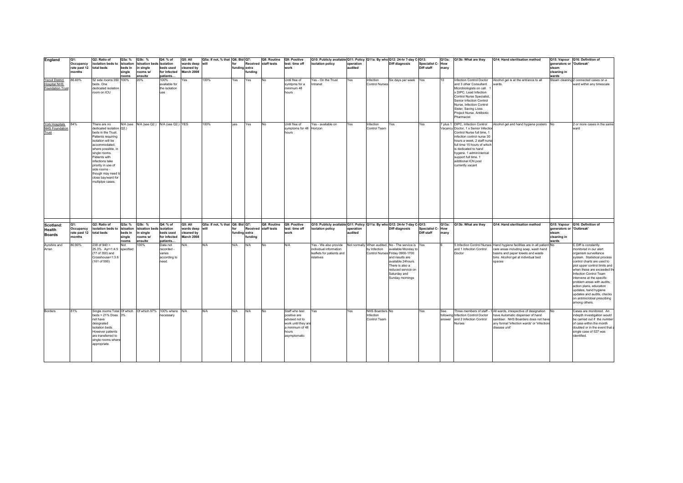| England                                       | Q1:          | Q2: Ratio of                                  | Q3a: %       | Q3b: %                          | Q4: % of               | Q5: All         | Q5a: If not, % that Q6: Bid Q7: |                 | Q8: Routine              | Q9: Positive                             | Q10: Publicly available Q11: Policy Q11a: By who Q12: 24-hr 7-day C-Q13: |           |                                    |                                                                           |                          | Q13a: | Q13b: What are they                                                    | Q14: Hand sterilisation method                                                                                   |                          | Q15: Vapour Q16: Definition of                                     |
|-----------------------------------------------|--------------|-----------------------------------------------|--------------|---------------------------------|------------------------|-----------------|---------------------------------|-----------------|--------------------------|------------------------------------------|--------------------------------------------------------------------------|-----------|------------------------------------|---------------------------------------------------------------------------|--------------------------|-------|------------------------------------------------------------------------|------------------------------------------------------------------------------------------------------------------|--------------------------|--------------------------------------------------------------------|
|                                               | Occupancy    | isolation beds to isloation                   |              | isloation beds isolation        |                        | wards deep will |                                 | for             | Received staff tests     | test: time off                           | isolation policy                                                         | operation |                                    | <b>Diff diagnosis</b>                                                     | Specialist C-How         |       |                                                                        |                                                                                                                  | generators or 'Outbreak' |                                                                    |
|                                               | rate past 12 | total beds                                    | beds in      | in single                       | beds used              | cleaned by      |                                 | funding extra   |                          | work                                     |                                                                          | audited   |                                    |                                                                           | Diff staff               | many  |                                                                        |                                                                                                                  | steam                    |                                                                    |
|                                               | months       |                                               | single       | rooms w/                        | for infected           | March 2008      |                                 | funding         |                          |                                          |                                                                          |           |                                    |                                                                           |                          |       |                                                                        |                                                                                                                  | cleaning in              |                                                                    |
|                                               |              |                                               | rooms        | ensuite                         | patients               |                 |                                 |                 |                          |                                          |                                                                          |           |                                    |                                                                           |                          |       |                                                                        |                                                                                                                  | wards                    |                                                                    |
| <b>Yeovil District</b><br><b>Hospital NHS</b> | 86.60%       | 52 side rooms:350 100%<br>beds, One           |              | 20%                             | 100%<br>available for  | Yes             | 100%                            | Yes<br>Yes      | No                       | Until free of<br>symtoms for a           | Yes - On the Trust<br>ntranet                                            | Yes       | Infection<br><b>Control Nurses</b> | Six days per week                                                         | Yes                      | 10    | Infection Control Doctor<br>and 3 other Consultant                     | Alcohol gel is at the entrance to all<br>wards.                                                                  |                          | Steam cleaning 2 connected cases on a<br>ward within any timescale |
| <b>Foundation Trust</b>                       |              | dedicated isolation                           |              |                                 | the isolation          |                 |                                 |                 |                          | minimum 48                               |                                                                          |           |                                    |                                                                           |                          |       | Microbiologists on call.                                               |                                                                                                                  |                          |                                                                    |
|                                               |              | room on ICU                                   |              |                                 | use                    |                 |                                 |                 |                          | hours                                    |                                                                          |           |                                    |                                                                           |                          |       | x DIPC. Lead Infection                                                 |                                                                                                                  |                          |                                                                    |
|                                               |              |                                               |              |                                 |                        |                 |                                 |                 |                          |                                          |                                                                          |           |                                    |                                                                           |                          |       | <b>Control Nurse Specialist</b>                                        |                                                                                                                  |                          |                                                                    |
|                                               |              |                                               |              |                                 |                        |                 |                                 |                 |                          |                                          |                                                                          |           |                                    |                                                                           |                          |       | Senior Infection Control                                               |                                                                                                                  |                          |                                                                    |
|                                               |              |                                               |              |                                 |                        |                 |                                 |                 |                          |                                          |                                                                          |           |                                    |                                                                           |                          |       | Nurse, Infection Control                                               |                                                                                                                  |                          |                                                                    |
|                                               |              |                                               |              |                                 |                        |                 |                                 |                 |                          |                                          |                                                                          |           |                                    |                                                                           |                          |       | Sister, Saving Lives                                                   |                                                                                                                  |                          |                                                                    |
|                                               |              |                                               |              |                                 |                        |                 |                                 |                 |                          |                                          |                                                                          |           |                                    |                                                                           |                          |       | Project Nurse, Antibiotic                                              |                                                                                                                  |                          |                                                                    |
|                                               |              |                                               |              |                                 |                        |                 |                                 |                 |                          |                                          |                                                                          |           |                                    |                                                                           |                          |       | Pharmacist                                                             |                                                                                                                  |                          |                                                                    |
|                                               |              |                                               |              |                                 |                        |                 |                                 |                 |                          |                                          |                                                                          |           |                                    |                                                                           |                          |       |                                                                        |                                                                                                                  |                          |                                                                    |
| York Hospitals<br><b>NHS Foundation</b>       | 84%          | There are no<br>dedicated isolation Q2.)      | N/A (see     | N/A (see Q2.) N/A (see Q2.) YES |                        |                 | 100%                            | yes<br>Yes      | No                       | Until free of<br>symptoms for 48 Horizon | Yes - available on                                                       | Yes       | Infection<br>Control Team          | Yes                                                                       | Yes                      |       | plus 1 DIPC, Infection Control<br>Vacancy Doctor, 1 x Senior Infection | Alcohol gel and hand hygiene posters No                                                                          |                          | 2 or more cases in the same<br>ward                                |
| Trust                                         |              | beds in the Trust.                            |              |                                 |                        |                 |                                 |                 |                          | hours                                    |                                                                          |           |                                    |                                                                           |                          |       | Control Nurse full time, 1                                             |                                                                                                                  |                          |                                                                    |
|                                               |              | Patients requiring                            |              |                                 |                        |                 |                                 |                 |                          |                                          |                                                                          |           |                                    |                                                                           |                          |       | infection control nurse 30                                             |                                                                                                                  |                          |                                                                    |
|                                               |              | isolation will be                             |              |                                 |                        |                 |                                 |                 |                          |                                          |                                                                          |           |                                    |                                                                           |                          |       | hours a week, 2 staff nurse                                            |                                                                                                                  |                          |                                                                    |
|                                               |              | accommodated,                                 |              |                                 |                        |                 |                                 |                 |                          |                                          |                                                                          |           |                                    |                                                                           |                          |       | full time 15 hours of which                                            |                                                                                                                  |                          |                                                                    |
|                                               |              | where possible, in                            |              |                                 |                        |                 |                                 |                 |                          |                                          |                                                                          |           |                                    |                                                                           |                          |       | is dedicated to hand                                                   |                                                                                                                  |                          |                                                                    |
|                                               |              | single rooms.                                 |              |                                 |                        |                 |                                 |                 |                          |                                          |                                                                          |           |                                    |                                                                           |                          |       | hygene. 1 admin/clerical                                               |                                                                                                                  |                          |                                                                    |
|                                               |              | Patients with                                 |              |                                 |                        |                 |                                 |                 |                          |                                          |                                                                          |           |                                    |                                                                           |                          |       | support full time. 1                                                   |                                                                                                                  |                          |                                                                    |
|                                               |              | infections take                               |              |                                 |                        |                 |                                 |                 |                          |                                          |                                                                          |           |                                    |                                                                           |                          |       | additional ICN post                                                    |                                                                                                                  |                          |                                                                    |
|                                               |              | priority in use of                            |              |                                 |                        |                 |                                 |                 |                          |                                          |                                                                          |           |                                    |                                                                           |                          |       | currently vacant                                                       |                                                                                                                  |                          |                                                                    |
|                                               |              | side rooms -                                  |              |                                 |                        |                 |                                 |                 |                          |                                          |                                                                          |           |                                    |                                                                           |                          |       |                                                                        |                                                                                                                  |                          |                                                                    |
|                                               |              | though may need t                             |              |                                 |                        |                 |                                 |                 |                          |                                          |                                                                          |           |                                    |                                                                           |                          |       |                                                                        |                                                                                                                  |                          |                                                                    |
|                                               |              | close bay/ward for<br>multiplpe cases.        |              |                                 |                        |                 |                                 |                 |                          |                                          |                                                                          |           |                                    |                                                                           |                          |       |                                                                        |                                                                                                                  |                          |                                                                    |
|                                               |              |                                               |              |                                 |                        |                 |                                 |                 |                          |                                          |                                                                          |           |                                    |                                                                           |                          |       |                                                                        |                                                                                                                  |                          |                                                                    |
|                                               |              |                                               |              |                                 |                        |                 |                                 |                 |                          |                                          |                                                                          |           |                                    |                                                                           |                          |       |                                                                        |                                                                                                                  |                          |                                                                    |
|                                               |              |                                               |              |                                 |                        |                 |                                 |                 |                          |                                          |                                                                          |           |                                    |                                                                           |                          |       |                                                                        |                                                                                                                  |                          |                                                                    |
|                                               |              |                                               |              |                                 |                        |                 |                                 |                 |                          |                                          |                                                                          |           |                                    |                                                                           |                          |       |                                                                        |                                                                                                                  |                          |                                                                    |
|                                               |              |                                               |              |                                 |                        |                 |                                 |                 |                          |                                          |                                                                          |           |                                    |                                                                           |                          |       |                                                                        |                                                                                                                  |                          |                                                                    |
|                                               |              |                                               |              |                                 |                        |                 |                                 |                 |                          |                                          |                                                                          |           |                                    |                                                                           |                          |       |                                                                        |                                                                                                                  |                          |                                                                    |
|                                               |              |                                               |              |                                 |                        |                 |                                 |                 |                          |                                          |                                                                          |           |                                    |                                                                           |                          |       |                                                                        |                                                                                                                  |                          |                                                                    |
|                                               |              |                                               |              |                                 |                        |                 |                                 |                 |                          |                                          |                                                                          |           |                                    |                                                                           |                          |       |                                                                        |                                                                                                                  |                          |                                                                    |
|                                               |              |                                               |              |                                 |                        |                 |                                 |                 |                          |                                          |                                                                          |           |                                    |                                                                           |                          |       |                                                                        |                                                                                                                  |                          |                                                                    |
|                                               |              |                                               |              |                                 |                        |                 |                                 |                 |                          |                                          |                                                                          |           |                                    |                                                                           |                          |       |                                                                        |                                                                                                                  |                          |                                                                    |
| Scotland:                                     | Q1:          | Q2: Ratio of                                  | Q3a: %       | Q3b: %                          | Q4: % of               | Q5: All         | Q5a: If not, % that Q6: Bid Q7: |                 | Q8: Routine Q9: Positive |                                          | Q10: Publicly available Q11: Policy Q11a: By who Q12: 24-hr 7-day C-Q13: |           |                                    |                                                                           |                          | Q13a: | Q13b: What are they                                                    | Q14: Hand sterilisation method                                                                                   |                          | Q15: Vapour Q16: Definition of                                     |
| Health                                        | Occupancy    | isolation beds to                             | isloation    | sloation beds                   | isolation              | wards deep      | will                            | Received<br>for | staff tests              | test: time off                           | isolation policy                                                         | operation |                                    | Diff diagnosis                                                            | <b>Specialist C- How</b> |       |                                                                        |                                                                                                                  | generators or 'Outbreak' |                                                                    |
| <b>Boards</b>                                 | rate past 12 | total beds                                    | beds in      | in single                       | beds used              | cleaned by      |                                 | funding extra   |                          | work                                     |                                                                          | audited   |                                    |                                                                           | Diff staff               | many  |                                                                        |                                                                                                                  | steam                    |                                                                    |
|                                               | months       |                                               | single       | rooms w/                        | for infected           | March 2008      |                                 | fundina         |                          |                                          |                                                                          |           |                                    |                                                                           |                          |       |                                                                        |                                                                                                                  | cleaning in              |                                                                    |
|                                               |              |                                               | rooms<br>Not | ensuite                         | patients               |                 | N/A                             | N/A<br>N/A      |                          | N/A                                      |                                                                          |           |                                    |                                                                           |                          |       |                                                                        |                                                                                                                  | wards                    |                                                                    |
| Ayrshire and<br>Arran                         | 80.90%       | $238$ of $940 =$<br>25.3% Ayr=1:4.5 specified |              | 100%                            | Data not<br>recorded - | N/A             |                                 |                 | No                       |                                          | Yes - We also provide<br>individual information                          |           | by Infection                       | Not normally When audited, No - The service is Yes<br>available Monday to |                          |       | and 1 Infeciton Control                                                | 5 Infection Control Nurses Hand hygiene facilities are in all patient No<br>care areas including soap, wash hand |                          | C Diff is constantly<br>monitored in our alert                     |
|                                               |              | (77 of 350) and                               |              |                                 | varies                 |                 |                                 |                 |                          |                                          | leaflets for patients and                                                |           |                                    | Control Nurses Friday 0900-1700                                           |                          |       | Doctor                                                                 | basins and paper towels and waste                                                                                |                          | organism surveillance                                              |
|                                               |              | Crosshouse=1:3.6                              |              |                                 | according to           |                 |                                 |                 |                          |                                          | relatives                                                                |           |                                    | and results are                                                           |                          |       |                                                                        | bins. Alcohol gel at individual bed                                                                              |                          | system. Statistical process                                        |
|                                               |              | (161 of 590)                                  |              |                                 | need.                  |                 |                                 |                 |                          |                                          |                                                                          |           |                                    | available 24hours.                                                        |                          |       |                                                                        | spaces                                                                                                           |                          | control charts are used to                                         |
|                                               |              |                                               |              |                                 |                        |                 |                                 |                 |                          |                                          |                                                                          |           |                                    | There is also a                                                           |                          |       |                                                                        |                                                                                                                  |                          | plot upper control limits and                                      |
|                                               |              |                                               |              |                                 |                        |                 |                                 |                 |                          |                                          |                                                                          |           |                                    | reduced service on                                                        |                          |       |                                                                        |                                                                                                                  |                          | when these are exceeded th                                         |
|                                               |              |                                               |              |                                 |                        |                 |                                 |                 |                          |                                          |                                                                          |           |                                    | Saturday and                                                              |                          |       |                                                                        |                                                                                                                  |                          | Infection Control Team                                             |
|                                               |              |                                               |              |                                 |                        |                 |                                 |                 |                          |                                          |                                                                          |           |                                    | Sunday mornings                                                           |                          |       |                                                                        |                                                                                                                  |                          | intervene at the specific                                          |
|                                               |              |                                               |              |                                 |                        |                 |                                 |                 |                          |                                          |                                                                          |           |                                    |                                                                           |                          |       |                                                                        |                                                                                                                  |                          | problem areas with audits,                                         |
|                                               |              |                                               |              |                                 |                        |                 |                                 |                 |                          |                                          |                                                                          |           |                                    |                                                                           |                          |       |                                                                        |                                                                                                                  |                          | action plans, education                                            |
|                                               |              |                                               |              |                                 |                        |                 |                                 |                 |                          |                                          |                                                                          |           |                                    |                                                                           |                          |       |                                                                        |                                                                                                                  |                          | updates, hand hygiene                                              |
|                                               |              |                                               |              |                                 |                        |                 |                                 |                 |                          |                                          |                                                                          |           |                                    |                                                                           |                          |       |                                                                        |                                                                                                                  |                          | updates and audits, checks                                         |
|                                               |              |                                               |              |                                 |                        |                 |                                 |                 |                          |                                          |                                                                          |           |                                    |                                                                           |                          |       |                                                                        |                                                                                                                  |                          | on antimicrobial prescibing<br>among others.                       |
|                                               |              |                                               |              |                                 |                        |                 |                                 |                 |                          |                                          |                                                                          |           |                                    |                                                                           |                          |       |                                                                        |                                                                                                                  |                          |                                                                    |
| Borders                                       | 81%          | Single rooms: Total Of which Of which 97%     |              |                                 | 100% where N/A         |                 | N/A                             | N/A<br>N/A      | No                       | Staff who test                           | Yes                                                                      | Yes       | NHS Boarders No                    |                                                                           | Yes                      | See   |                                                                        | Three members of staff - 1 All wards, irrespective of designation                                                | <b>No</b>                | Cases are monitored. An                                            |
|                                               |              | beds = $21\%$ Does $3\%$                      |              |                                 | necessary              |                 |                                 |                 |                          | positive are                             |                                                                          |           | Infection                          |                                                                           |                          |       | following Infection Control Doctor                                     | have Automatic dispenser of hand                                                                                 |                          | indepth investigation would                                        |
|                                               |              | not have                                      |              |                                 |                        |                 |                                 |                 |                          | advised not to                           |                                                                          |           | Control Team                       |                                                                           |                          |       | answer and 2 Infection Control                                         | sanitiser. NHS Boarders does not have                                                                            |                          | be carried out if the number                                       |
|                                               |              | designated                                    |              |                                 |                        |                 |                                 |                 |                          | work until they are                      |                                                                          |           |                                    |                                                                           |                          |       | <b>Nurses</b>                                                          | any formal 'infection wards' or 'infections                                                                      |                          | of case within the month                                           |
|                                               |              | isolation beds.                               |              |                                 |                        |                 |                                 |                 |                          | a minimum of 48                          |                                                                          |           |                                    |                                                                           |                          |       |                                                                        | disease unit'                                                                                                    |                          | doubled or in the event that a                                     |
|                                               |              | However patients                              |              |                                 |                        |                 |                                 |                 |                          | hours                                    |                                                                          |           |                                    |                                                                           |                          |       |                                                                        |                                                                                                                  |                          | single case of 027 was                                             |
|                                               |              | are transferred to                            |              |                                 |                        |                 |                                 |                 |                          | asymptomatic                             |                                                                          |           |                                    |                                                                           |                          |       |                                                                        |                                                                                                                  |                          | identified.                                                        |
|                                               |              | single rooms where                            |              |                                 |                        |                 |                                 |                 |                          |                                          |                                                                          |           |                                    |                                                                           |                          |       |                                                                        |                                                                                                                  |                          |                                                                    |
|                                               |              | appropriate.                                  |              |                                 |                        |                 |                                 |                 |                          |                                          |                                                                          |           |                                    |                                                                           |                          |       |                                                                        |                                                                                                                  |                          |                                                                    |
|                                               |              |                                               |              |                                 |                        |                 |                                 |                 |                          |                                          |                                                                          |           |                                    |                                                                           |                          |       |                                                                        |                                                                                                                  |                          |                                                                    |
|                                               |              |                                               |              |                                 |                        |                 |                                 |                 |                          |                                          |                                                                          |           |                                    |                                                                           |                          |       |                                                                        |                                                                                                                  |                          |                                                                    |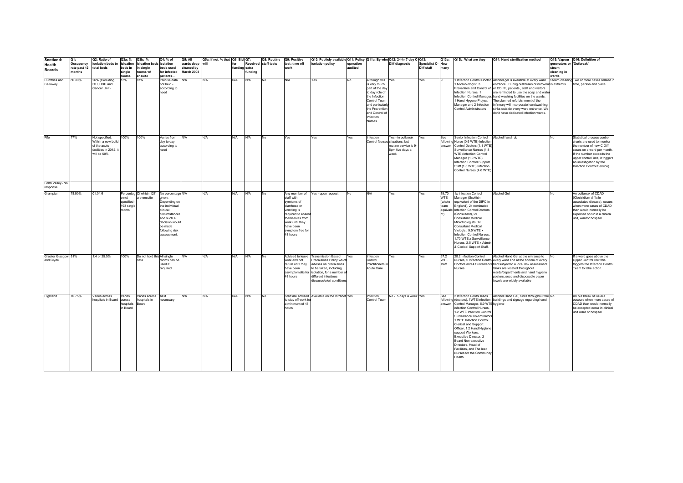| Scotland:                        | lQ1:                   | Q2: Ratio of                                                                               | Q3a: %                                    | Q3b: %                                       | Q4: % of                                                                                                                                                               | Q5: All                  | Q5a: If not, % that   Q6: Bid   Q7: |               |        | Q8: Routine          | Q9: Positive                                                                                                                                                                     | Q10: Publicly available Q11: Policy Q11a: By who Q12: 24-hr 7-day C-Q13:                                                                                                                              |           |                                                                                                                                                                                       |                                                               |                   | Q13a:                                        | Q13b: What are they                                                                                                                                                                                                                                                                                                                                                          | Q14: Hand sterilisation method                                                                                                                                                                                                                                                                                                                                                                                                                                           |                          | Q15: Vapour Q16: Definition of                                                                                                                                                                                                               |
|----------------------------------|------------------------|--------------------------------------------------------------------------------------------|-------------------------------------------|----------------------------------------------|------------------------------------------------------------------------------------------------------------------------------------------------------------------------|--------------------------|-------------------------------------|---------------|--------|----------------------|----------------------------------------------------------------------------------------------------------------------------------------------------------------------------------|-------------------------------------------------------------------------------------------------------------------------------------------------------------------------------------------------------|-----------|---------------------------------------------------------------------------------------------------------------------------------------------------------------------------------------|---------------------------------------------------------------|-------------------|----------------------------------------------|------------------------------------------------------------------------------------------------------------------------------------------------------------------------------------------------------------------------------------------------------------------------------------------------------------------------------------------------------------------------------|--------------------------------------------------------------------------------------------------------------------------------------------------------------------------------------------------------------------------------------------------------------------------------------------------------------------------------------------------------------------------------------------------------------------------------------------------------------------------|--------------------------|----------------------------------------------------------------------------------------------------------------------------------------------------------------------------------------------------------------------------------------------|
| Health                           | Occupancy              | isolation beds to isloation                                                                |                                           | isloation beds isolation                     |                                                                                                                                                                        | wards deep will          |                                     | for           |        | Received staff tests | test: time off                                                                                                                                                                   | isolation policy                                                                                                                                                                                      | operation |                                                                                                                                                                                       | <b>Diff diagnosis</b>                                         | Specialist C- How |                                              |                                                                                                                                                                                                                                                                                                                                                                              |                                                                                                                                                                                                                                                                                                                                                                                                                                                                          | generators or 'Outbreak' |                                                                                                                                                                                                                                              |
| <b>Boards</b>                    | rate past 12<br>nonths | total beds                                                                                 | beds in<br>single                         | in single<br>rooms w/                        | beds used<br>for infected                                                                                                                                              | cleaned by<br>March 2008 |                                     | funding extra | unding |                      | work                                                                                                                                                                             |                                                                                                                                                                                                       | audited   |                                                                                                                                                                                       |                                                               | Diff staff        | many                                         |                                                                                                                                                                                                                                                                                                                                                                              |                                                                                                                                                                                                                                                                                                                                                                                                                                                                          | steam<br>cleaning in     |                                                                                                                                                                                                                                              |
|                                  |                        |                                                                                            | rooms                                     | ensuite                                      | patients                                                                                                                                                               |                          |                                     |               |        |                      |                                                                                                                                                                                  |                                                                                                                                                                                                       |           |                                                                                                                                                                                       |                                                               |                   |                                              |                                                                                                                                                                                                                                                                                                                                                                              |                                                                                                                                                                                                                                                                                                                                                                                                                                                                          | wards                    |                                                                                                                                                                                                                                              |
| Dumfries and<br>Galloway         | 80.30%                 | 26% (excluding<br>ITU, HDU and<br>Cancer Unit)                                             | 13%                                       | 87%                                          | Precise data<br>not held -<br>according to<br>need                                                                                                                     | N/A                      | N/A                                 | N/A           | N/A    | <b>No</b>            | N/A                                                                                                                                                                              | Yes                                                                                                                                                                                                   | <b>No</b> | Although this Yes<br>is very much<br>part of the day<br>to day role of<br>the Infection<br>Control Team<br>and particular<br>the Prevention<br>and Control of<br>Infection<br>Nurses. |                                                               | Yes               |                                              | 1 Microbiologist, 3<br>Infection Nurses, 1<br>1 Hand Hygene Project<br>Manager and 2 Infection<br><b>Control Administrators</b>                                                                                                                                                                                                                                              | Infection Control Doctor, Alcohol gel is available at every ward<br>entrance. During outbreaks of norovirus in extremis<br>Prevention and Control of or CDIFF, patients, staff and visitors<br>are reminded to use the soap and wate<br>Infection Control Manager, hand washing facilities on the wards.<br>The planned refurbishment of the<br>infirmary will incorporate handwashing<br>sinks outside every ward entrance. We<br>don't have dedicated infection wards. |                          | Steam cleaning Two or more cases related<br>time, person and place.                                                                                                                                                                          |
| Fife                             | 77%                    | Not specified.<br>Within a new build<br>of the acute<br>facilities in 2012.<br>will be 50% | 100%                                      | 100%                                         | Varies from<br>day to day<br>according to<br>need                                                                                                                      | N/A                      | N/A                                 | N/A           | N/A    | <b>No</b>            | Yes                                                                                                                                                                              | Yes                                                                                                                                                                                                   | Yes       | Infection<br>Control Nurses situations, but<br>week.                                                                                                                                  | Yes - in outbreak<br>routine service is 9-<br>5pm five days a | Yes               | See                                          | Senior Infection Control Alcohol hand rub<br>following Nurse (0.6 WTE) Infection<br>answer Control Doctors (1.1 WTE)<br>Surveillance Nurses (1.8<br>WTE) Infection Control<br>Manager (1.0 WTE)<br>Infection Control Support<br>Staff (1.8 WTE) Infection<br>Control Nurses (4.6 WTE)                                                                                        |                                                                                                                                                                                                                                                                                                                                                                                                                                                                          | No                       | Statistical process control<br>charts are used to monitor<br>the number of new C Diff<br>cases on a ward per month<br>If the number exceeds the<br>upper control limit, it triggers<br>an investigation by the<br>Infection Control Service) |
| Forth Valley-No<br>response      |                        |                                                                                            |                                           |                                              |                                                                                                                                                                        |                          |                                     |               |        |                      |                                                                                                                                                                                  |                                                                                                                                                                                                       |           |                                                                                                                                                                                       |                                                               |                   |                                              |                                                                                                                                                                                                                                                                                                                                                                              |                                                                                                                                                                                                                                                                                                                                                                                                                                                                          |                          |                                                                                                                                                                                                                                              |
| Grampian                         | 78.90%                 | 01:04.6                                                                                    | e not<br>specified<br>193 single<br>rooms | Percentag Of which 127<br>are ensuite        | No percentage N/A<br>given.<br>Depending on<br>the individual<br>clinical<br>circumstances<br>and such a<br>decision would<br>be made<br>following risk<br>assessment. |                          | N/A                                 | N/A           | N/A    | <b>No</b>            | Any member of<br>staff with<br>symtoms of<br>diarrhoea or<br>vomiting is<br>required to absen<br>themselves from<br>work until they<br>have been<br>symptom free for<br>48 hours | Yes - upon request                                                                                                                                                                                    | No        | N/A<br>Yes                                                                                                                                                                            |                                                               | Yes               | 19.70<br><b>WTE</b><br>(whole<br>team<br>nt) | 1x Infection Control<br>Manager (Scottish<br>equivalent of the DIPC in<br>England), 2x nominated<br>equivale Infection Control Doctors<br>(Consultant), 2x<br>Consultant Medical<br>Microbiologists, 1x<br>Consultant Medical<br>Viologist, 9.5 WTE x<br>Infection Control Nurses.<br>1.70 WTE x Surveillance<br>Nurses, 2.5 WTE x Admin<br>& Clerical Support Staff.        | Alcohol Gel                                                                                                                                                                                                                                                                                                                                                                                                                                                              | No.                      | An outbreak of CDAD<br>(Clostridium difficile<br>associated disease), occurs<br>when more cases of CDAD<br>than would normally be<br>expected occur in a clinical<br>unit, wardor hospital.                                                  |
| Greater Glasgow 81%<br>and Clyde |                        | 1:4 or 25.5%                                                                               | 100%                                      | Do not hold this All single<br>data          | rooms can be<br>used if<br>required                                                                                                                                    | N/A                      | N/A                                 | N/A           | N/A    | <b>No</b>            | work and not<br>return until they<br>have been<br>asymptomatic for<br>48 hours                                                                                                   | Advised to leave Transmission Based<br>Precautions Policy which<br>advises on precautions<br>to be taken, including<br>isolation, for a number o<br>different infectious<br>diseases/alert conditions | Yes       | Infection<br>Yes<br>Control<br>Practitioners i<br>Acute Care                                                                                                                          |                                                               | Yes               | 37.2<br>WTE<br>staff                         | 28.2 Infection Control<br>Nurses                                                                                                                                                                                                                                                                                                                                             | Alcohol Hand Gel at the entrance to<br>Nurses, 5 Infection Control every ward and at the bottom of every<br>Doctors and 4 Surveillance bed subject to a local risk assessment.<br>Sinks are located throughout<br>wards/departments and hand hygiene<br>posters, soap and disposable paper<br>towels are widely available                                                                                                                                                | No.                      | If a ward goes above the<br>Upper Control limit this<br>triggers the Infection Control<br>Team to take action.                                                                                                                               |
| Highland                         | 70.75%                 | Varies across<br>hospitals in Board                                                        | Varies<br>across<br>hospitals<br>Board    | Varies across All if<br>ospitals in<br>Board | necessarv                                                                                                                                                              | N/A                      | N/A                                 | N/A           | N/A    | <b>No</b>            | to stav off work fo<br>a minimum of 48<br>hours                                                                                                                                  | Staff are advised Available on the Intranet Yes                                                                                                                                                       |           | Infection<br>Control Team                                                                                                                                                             | No - 5 days a week Yes                                        |                   | See                                          | answer Control Manager, 6.9 WTE hygiene<br>infection Control Nurses,<br>1.2 WTE Infection Control<br>Surveillance Co-ordinators<br>1 WTE Infection Control<br>Clerical and Support<br>Officer, 1.2 Hand Hygiene<br>support Workers.<br>Executive Director, 2<br>Board Non executive<br>Directors, Head of<br>Facilities, and The lead<br>Nurses for the Community<br>Health. | 2 Infection Contol leads Alcohol Hand Gel, sinks throughout the No<br>following (doctors), 1WTE infection buildings and signage regarding hand                                                                                                                                                                                                                                                                                                                           |                          | An out break of CDAD<br>occours when more cases of<br>CDAD than would normally<br>be excepted occur in clinical<br>unit ward or hospital                                                                                                     |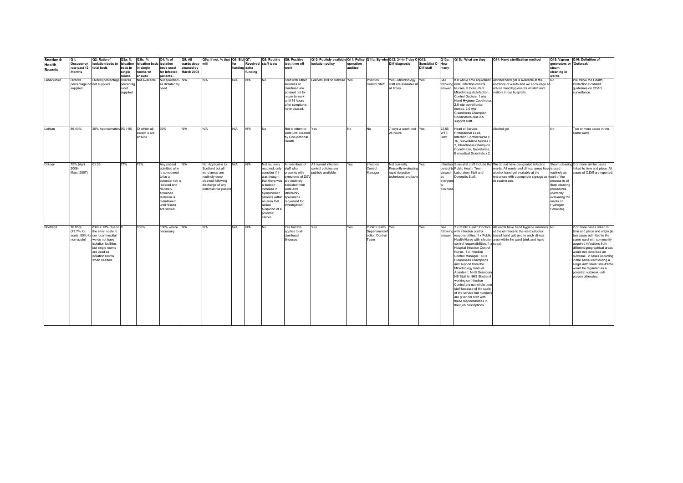| Scotland:     | Q1:                         | Q2: Ratio of                      | Q3a: %    | Q3b: %                   | Q4: % of                       | Q5: All    | Q5a: If not, % that   Q6: Bid   Q7:       |               |         | Q8: Routine                | Q9: Positive                   | Q10: Publicly available Q11: Policy Q11a: By who Q12: 24-hr 7-day C-Q13: |           |                       |                        |                  | Q13a:      | Q13b: What are they                                  | Q14: Hand sterilisation method                                             |                             | Q15: Vapour Q16: Definition of         |
|---------------|-----------------------------|-----------------------------------|-----------|--------------------------|--------------------------------|------------|-------------------------------------------|---------------|---------|----------------------------|--------------------------------|--------------------------------------------------------------------------|-----------|-----------------------|------------------------|------------------|------------|------------------------------------------------------|----------------------------------------------------------------------------|-----------------------------|----------------------------------------|
| Health        | Occupancy                   | isolation beds to isloation       |           | isloation beds isolation |                                | wards deep | will                                      | for           |         | Received staff tests       | test: time off                 | isolation policy                                                         | operation |                       | Diff diagnosis         | Specialist C-How |            |                                                      |                                                                            | generators or 'Outbreak'    |                                        |
| <b>Boards</b> | rate past 12 total beds     |                                   | beds in   | single                   | beds used                      | cleaned by |                                           | funding extra |         |                            | work                           |                                                                          | audited   |                       |                        | Diff staff       | many       |                                                      |                                                                            | steam                       |                                        |
|               | months                      |                                   | single    | rooms w/                 | for infected                   | March 2008 |                                           |               | funding |                            |                                |                                                                          |           |                       |                        |                  |            |                                                      |                                                                            | cleaning in                 |                                        |
|               |                             |                                   | rooms     | ensuite                  | patients                       |            |                                           |               |         |                            |                                |                                                                          |           |                       |                        |                  |            |                                                      |                                                                            | wards                       |                                        |
| Lanarkshire   | Overall                     | Overall percentage Overall        |           | Not Available            | Not specified - N/A            |            | N/A                                       | N/A           | N/A     | No                         | Staff with either              | Leaflets and on website Yes                                              |           | nfection              | res - Microbiology     | Yes              | See        |                                                      | 8.0 whole time equivalent Alcohol hand gel is available at the             | No                          | We follow the Health                   |
|               | percentage not not supplied |                                   | percentag |                          | as dictated by                 |            |                                           |               |         |                            | sickness or                    |                                                                          |           | Control Staff         | staff are available at |                  |            | following (wte) Infection control                    | entrance of wards and we encourage an                                      |                             | Protection Scotland                    |
|               | supplied                    |                                   | e not     |                          | need                           |            |                                           |               |         |                            | diarrhoea are                  |                                                                          |           |                       | all times.             |                  |            | answer Nurses, 5 Consultant                          | advise hand hygiene for all staff and                                      |                             | guidelines on CDAD                     |
|               |                             |                                   | supplied  |                          |                                |            |                                           |               |         |                            | advised not to                 |                                                                          |           |                       |                        |                  |            | Microbiologists/infection                            | visitors in our hospitals.                                                 |                             | surveillance.                          |
|               |                             |                                   |           |                          |                                |            |                                           |               |         |                            | return to work                 |                                                                          |           |                       |                        |                  |            | Control Doctors, 1 wte                               |                                                                            |                             |                                        |
|               |                             |                                   |           |                          |                                |            |                                           |               |         |                            | until 48 hours                 |                                                                          |           |                       |                        |                  |            | Hand Hygiene Coodinator,                             |                                                                            |                             |                                        |
|               |                             |                                   |           |                          |                                |            |                                           |               |         |                            | after symptoms                 |                                                                          |           |                       |                        |                  |            | 2.0 wte surveillance                                 |                                                                            |                             |                                        |
|               |                             |                                   |           |                          |                                |            |                                           |               |         |                            | have ceased                    |                                                                          |           |                       |                        |                  |            | nurses, 2.0 wte                                      |                                                                            |                             |                                        |
|               |                             |                                   |           |                          |                                |            |                                           |               |         |                            |                                |                                                                          |           |                       |                        |                  |            | Cleanliness Champion                                 |                                                                            |                             |                                        |
|               |                             |                                   |           |                          |                                |            |                                           |               |         |                            |                                |                                                                          |           |                       |                        |                  |            | Coodinators plus 2.5                                 |                                                                            |                             |                                        |
|               |                             |                                   |           |                          |                                |            |                                           |               |         |                            |                                |                                                                          |           |                       |                        |                  |            | support staff.                                       |                                                                            |                             |                                        |
| Lothian       | 86.40%                      | 20% Approximately 9% (16)         |           | Of which all             | 39%                            | N/A        | N/A                                       | N/A           | N/A     | No                         | Not to return to               | Yes                                                                      | No        | No                    | 7 days a week, not Yes |                  | 22.56      | Head of Service,                                     | Alcohol gel                                                                | No                          | Two or more cases in the               |
|               |                             |                                   |           | except 4 are             |                                |            |                                           |               |         |                            | work until cleared             |                                                                          |           |                       | 24 hours               |                  | <b>WTE</b> | Professional Lead.                                   |                                                                            |                             | same ward.                             |
|               |                             |                                   |           | ensuite                  |                                |            |                                           |               |         |                            | by Occupational                |                                                                          |           |                       |                        |                  | Staff      | Infection Control Nurse x                            |                                                                            |                             |                                        |
|               |                             |                                   |           |                          |                                |            |                                           |               |         |                            | Health                         |                                                                          |           |                       |                        |                  |            | 16. Surveillance Nurses x                            |                                                                            |                             |                                        |
|               |                             |                                   |           |                          |                                |            |                                           |               |         |                            |                                |                                                                          |           |                       |                        |                  |            | 2. Cleanliness Champion                              |                                                                            |                             |                                        |
|               |                             |                                   |           |                          |                                |            |                                           |               |         |                            |                                |                                                                          |           |                       |                        |                  |            | Coordinator, Secretaries,                            |                                                                            |                             |                                        |
|               |                             |                                   |           |                          |                                |            |                                           |               |         |                            |                                |                                                                          |           |                       |                        |                  |            | Biomedical Scientists x 2                            |                                                                            |                             |                                        |
|               |                             |                                   |           |                          |                                |            |                                           |               |         |                            |                                |                                                                          |           |                       |                        |                  |            |                                                      |                                                                            |                             |                                        |
|               |                             |                                   |           |                          |                                |            |                                           |               |         |                            |                                |                                                                          |           |                       |                        |                  |            |                                                      |                                                                            |                             |                                        |
| Orkney        | 75% (April                  | 01:06                             | 27%       | 73%                      | Any patient                    | N/A        | Not Applicable to                         | N/A           | N/A     | Not routinely              | All members of                 | All current infection                                                    | Yes       | Infection             | Not currently.         | Yes.             |            |                                                      | Infection Specialist staff include the We do not have designated infection |                             | Steam cleaning 2 or more similar cases |
|               | 2006-                       |                                   |           |                          | admitted who                   |            | Scotland but all                          |               |         | required, only             | staff who                      | control policies are                                                     |           | Control               | Presently evaluating   |                  |            | control is Public Health Team,                       | wards. All wards and clinical areas have is used                           |                             | linked to time and place. All          |
|               | March2007)                  |                                   |           |                          | is considered                  |            | ward areas are                            |               |         | consider if it             | presents with                  | publicly available.                                                      |           | Manager               | rapid detection        |                  |            | viewed Laboratory Staff and                          | alcohol hand-gel available at the                                          | routinely as                | cases of C.Diff are reported           |
|               |                             |                                   |           |                          | to be a                        |            | routinely deep                            |               |         | was thought                | symptoms of D&V                |                                                                          |           |                       | techniques available   |                  | as         | Domestic Staff.                                      | entrances with appropriate signage as tipart of the                        |                             |                                        |
|               |                             |                                   |           |                          | potential risk<br>isolated and |            | cleaned following                         |               |         | that there was<br>a sudden | are routinely<br>excluded from |                                                                          |           |                       |                        |                  | everyone   |                                                      | its routine use.                                                           | process in all              |                                        |
|               |                             |                                   |           |                          | routinely                      |            | discharge of any<br>potential risk patien |               |         | increase in                | work and                       |                                                                          |           |                       |                        |                  | business   |                                                      |                                                                            | deep cleaning<br>procedures |                                        |
|               |                             |                                   |           |                          | screened.                      |            |                                           |               |         | symptomatic                | laboratory                     |                                                                          |           |                       |                        |                  |            |                                                      |                                                                            | (currently                  |                                        |
|               |                             |                                   |           |                          | <b>Isolation</b> is            |            |                                           |               |         | patients within            | specimens                      |                                                                          |           |                       |                        |                  |            |                                                      |                                                                            | evaluating the              |                                        |
|               |                             |                                   |           |                          | maintained                     |            |                                           |               |         | an area that               | requested for                  |                                                                          |           |                       |                        |                  |            |                                                      |                                                                            | merits of                   |                                        |
|               |                             |                                   |           |                          | until results                  |            |                                           |               |         | raised                     | investigation.                 |                                                                          |           |                       |                        |                  |            |                                                      |                                                                            | Hydrogen                    |                                        |
|               |                             |                                   |           |                          | are known.                     |            |                                           |               |         | suspicion of a             |                                |                                                                          |           |                       |                        |                  |            |                                                      |                                                                            | Peroxide).                  |                                        |
|               |                             |                                   |           |                          |                                |            |                                           |               |         | potential                  |                                |                                                                          |           |                       |                        |                  |            |                                                      |                                                                            |                             |                                        |
|               |                             |                                   |           |                          |                                |            |                                           |               |         | carrier.                   |                                |                                                                          |           |                       |                        |                  |            |                                                      |                                                                            |                             |                                        |
|               |                             |                                   |           |                          |                                |            |                                           |               |         |                            |                                |                                                                          |           |                       |                        |                  |            |                                                      |                                                                            |                             |                                        |
| Shetland      | 76.85%                      | $8:60 = 13\%$ Due to $8$          |           | 100%                     | 100% where N/A                 |            | N/A                                       | N/A           | N/A     | <b>No</b>                  | Yes but this                   | Yes                                                                      | Yes       | Public Health Yes     |                        | Yes.             | See        |                                                      | 2 x Public Health Doctors   All wards have hand hygiene materials No       |                             | 2 or more cases linked in              |
|               | (73.7% for                  | the small scale fo                |           |                          | necessary                      |            |                                           |               |         |                            | applies to all                 |                                                                          |           | <b>Department/inf</b> |                        |                  |            | following with infection control                     | at the entrance to the ward (alcohol                                       |                             | time and place and origin (ie          |
|               |                             | acute, 80% for our local hospital |           |                          |                                |            |                                           |               |         |                            | diarrhoeal                     |                                                                          |           | ection Control        |                        |                  | answer     |                                                      | responsibilities. 1 x Public based hand gel) and to each clinical          |                             | two cases admitted to the              |
|               | non-acute)                  | we do not have                    |           |                          |                                |            |                                           |               |         |                            | illnesses                      |                                                                          |           | <b>Team</b>           |                        |                  |            |                                                      | Health Nurse with infection area within the ward (sink and liquid          |                             | same ward with community               |
|               |                             | isolation facilities              |           |                          |                                |            |                                           |               |         |                            |                                |                                                                          |           |                       |                        |                  |            | control responsibilities, 1 x soap)                  |                                                                            |                             | acquired infections from               |
|               |                             | but single rooms                  |           |                          |                                |            |                                           |               |         |                            |                                |                                                                          |           |                       |                        |                  |            | <b>Hospital Infection Control</b>                    |                                                                            |                             | different geographical areas           |
|               |                             | are used as                       |           |                          |                                |            |                                           |               |         |                            |                                |                                                                          |           |                       |                        |                  |            | Nurse. 1 x Infection                                 |                                                                            |                             | would not constitute an                |
|               |                             | isolation rooms                   |           |                          |                                |            |                                           |               |         |                            |                                |                                                                          |           |                       |                        |                  |            | Control Manager. 43 x                                |                                                                            |                             | outbreak. 2 cases occurring            |
|               |                             | when needed.                      |           |                          |                                |            |                                           |               |         |                            |                                |                                                                          |           |                       |                        |                  |            | <b>Cleanliness Champions</b>                         |                                                                            |                             | in the same ward during a              |
|               |                             |                                   |           |                          |                                |            |                                           |               |         |                            |                                |                                                                          |           |                       |                        |                  |            | and support from the                                 |                                                                            |                             | single admission time-frame            |
|               |                             |                                   |           |                          |                                |            |                                           |               |         |                            |                                |                                                                          |           |                       |                        |                  |            | Microbiology team at                                 |                                                                            |                             | would be regarded as a                 |
|               |                             |                                   |           |                          |                                |            |                                           |               |         |                            |                                |                                                                          |           |                       |                        |                  |            | Aberdeen, NHS Grampian                               |                                                                            |                             | potential outbreak until               |
|               |                             |                                   |           |                          |                                |            |                                           |               |         |                            |                                |                                                                          |           |                       |                        |                  |            | NB Staff in NHS Shetland                             |                                                                            |                             | proven otherwise.                      |
|               |                             |                                   |           |                          |                                |            |                                           |               |         |                            |                                |                                                                          |           |                       |                        |                  |            | working on Infection                                 |                                                                            |                             |                                        |
|               |                             |                                   |           |                          |                                |            |                                           |               |         |                            |                                |                                                                          |           |                       |                        |                  |            | Control are not whole time                           |                                                                            |                             |                                        |
|               |                             |                                   |           |                          |                                |            |                                           |               |         |                            |                                |                                                                          |           |                       |                        |                  |            | staff because of the scale                           |                                                                            |                             |                                        |
|               |                             |                                   |           |                          |                                |            |                                           |               |         |                            |                                |                                                                          |           |                       |                        |                  |            | of the service but numbers                           |                                                                            |                             |                                        |
|               |                             |                                   |           |                          |                                |            |                                           |               |         |                            |                                |                                                                          |           |                       |                        |                  |            | are given for staff with                             |                                                                            |                             |                                        |
|               |                             |                                   |           |                          |                                |            |                                           |               |         |                            |                                |                                                                          |           |                       |                        |                  |            | these responsibilities in<br>their job descriptions. |                                                                            |                             |                                        |
|               |                             |                                   |           |                          |                                |            |                                           |               |         |                            |                                |                                                                          |           |                       |                        |                  |            |                                                      |                                                                            |                             |                                        |
|               |                             |                                   |           |                          |                                |            |                                           |               |         |                            |                                |                                                                          |           |                       |                        |                  |            |                                                      |                                                                            |                             |                                        |
|               |                             |                                   |           |                          |                                |            |                                           |               |         |                            |                                |                                                                          |           |                       |                        |                  |            |                                                      |                                                                            |                             |                                        |
|               |                             |                                   |           |                          |                                |            |                                           |               |         |                            |                                |                                                                          |           |                       |                        |                  |            |                                                      |                                                                            |                             |                                        |
|               |                             |                                   |           |                          |                                |            |                                           |               |         |                            |                                |                                                                          |           |                       |                        |                  |            |                                                      |                                                                            |                             |                                        |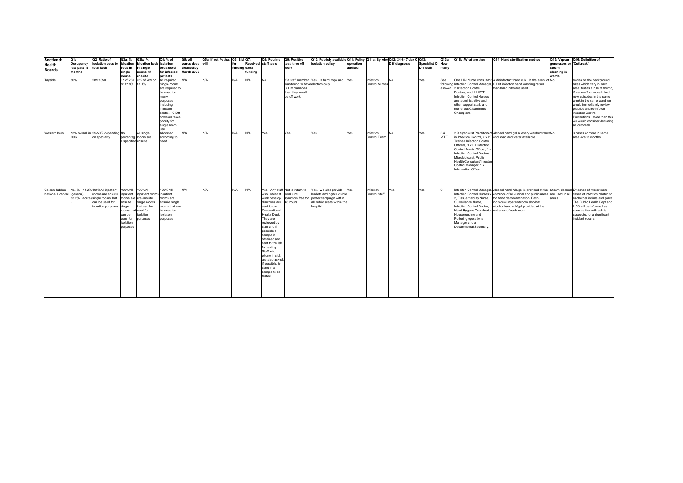| Scotland:                   | Q1:          | Q2: Ratio of                       | Q3a: %              | Q3b: %                   | Q4: % of               | Q5: All         | Q5a: If not, % that Q6: Bid Q7: |               |         | Q8: Routine               | Q9: Positive                     | Q10: Publicly available Q11: Policy   Q11a: By who   Q12: 24-hr 7-day C-Q13: |           |                       |                       |                          | Q13a:      | Q13b: What are they                              | Q14: Hand sterilisation method                                                                            |                          | Q15: Vapour Q16: Definition of                      |
|-----------------------------|--------------|------------------------------------|---------------------|--------------------------|------------------------|-----------------|---------------------------------|---------------|---------|---------------------------|----------------------------------|------------------------------------------------------------------------------|-----------|-----------------------|-----------------------|--------------------------|------------|--------------------------------------------------|-----------------------------------------------------------------------------------------------------------|--------------------------|-----------------------------------------------------|
| Health                      | Occupancy    | isolation beds to isloation        |                     | isloation beds isolation |                        | wards deep will |                                 | for           |         | Received staff tests      | test: time off                   | isolation policy                                                             | operation |                       | <b>Diff diagnosis</b> | <b>Specialist C- How</b> |            |                                                  |                                                                                                           | generators or 'Outbreak' |                                                     |
| <b>Boards</b>               | rate past 12 | total beds                         | beds in             | a single                 | beds used              | cleaned by      |                                 | funding extra |         |                           | work                             |                                                                              | audited   |                       |                       | Diff staff               | many       |                                                  |                                                                                                           | steam                    |                                                     |
|                             | months       |                                    | single              | rooms w/                 | for infected           | March 2008      |                                 |               | fundina |                           |                                  |                                                                              |           |                       |                       |                          |            |                                                  |                                                                                                           | cleaning in              |                                                     |
|                             |              |                                    | rooms               | ensuite                  | patients               |                 |                                 |               |         |                           |                                  |                                                                              |           |                       |                       |                          |            |                                                  |                                                                                                           | wards                    |                                                     |
| Tayside                     | 80%          | 289:1350                           | 37 of 289           | 252 of 289 or            | As required.           | N/A             | N/A                             | N/A           | N/A     | No                        |                                  | If a staff member Yes. In hard copy and Yes                                  |           | Infection             | No                    | Yes.                     | See        |                                                  | One HAI Nurse consultant. A disinfectant hand rub. In the event of No                                     |                          | Varies on the background                            |
|                             |              |                                    | or 12.8%            | 87.1%                    | Single rooms           |                 |                                 |               |         |                           | was found to have electronically |                                                                              |           | <b>Control Nurses</b> |                       |                          |            |                                                  | following Infection Control Manager, C Diff infection hand washing rather                                 |                          | rates which vary in each                            |
|                             |              |                                    |                     |                          | are required t         |                 |                                 |               |         |                           | C Diff diarrhoea                 |                                                                              |           |                       |                       |                          |            | answer 2 Infection Control                       | than hand rubs are used.                                                                                  |                          | area, but as a rule of thumb,                       |
|                             |              |                                    |                     |                          | be used for            |                 |                                 |               |         |                           | then they would                  |                                                                              |           |                       |                       |                          |            | Doctors, and 11 WTE                              |                                                                                                           |                          | if we see 2 or more linked                          |
|                             |              |                                    |                     |                          | many                   |                 |                                 |               |         |                           | be off work.                     |                                                                              |           |                       |                       |                          |            | <b>Infection Control Nurses</b>                  |                                                                                                           |                          | new episodes in the same                            |
|                             |              |                                    |                     |                          | purposes               |                 |                                 |               |         |                           |                                  |                                                                              |           |                       |                       |                          |            | and administrative and                           |                                                                                                           |                          | week in the same ward we                            |
|                             |              |                                    |                     |                          | including<br>infection |                 |                                 |               |         |                           |                                  |                                                                              |           |                       |                       |                          |            | other support staff, and<br>numerous Cleanliness |                                                                                                           |                          | would immediately review<br>practice and re-inforce |
|                             |              |                                    |                     |                          | control. C Dif         |                 |                                 |               |         |                           |                                  |                                                                              |           |                       |                       |                          |            | Champions.                                       |                                                                                                           |                          | infection Control                                   |
|                             |              |                                    |                     |                          | however takes          |                 |                                 |               |         |                           |                                  |                                                                              |           |                       |                       |                          |            |                                                  |                                                                                                           |                          | Precautions. More than this                         |
|                             |              |                                    |                     |                          | priority for           |                 |                                 |               |         |                           |                                  |                                                                              |           |                       |                       |                          |            |                                                  |                                                                                                           |                          | we would consider declaring                         |
|                             |              |                                    |                     |                          | single room            |                 |                                 |               |         |                           |                                  |                                                                              |           |                       |                       |                          |            |                                                  |                                                                                                           |                          | an outbreak.                                        |
|                             |              |                                    |                     |                          |                        |                 |                                 |               |         |                           |                                  |                                                                              |           |                       |                       |                          |            |                                                  |                                                                                                           |                          |                                                     |
| Western Isles               |              | 73% overall in 25-50% depending No |                     | All single               | Allocated              | N/A             | N/A                             | N/A           | N/A     | Yes                       | Yes                              | Yes                                                                          | Yes       | Infection             | No.                   | Yes                      | 3.4        |                                                  | 2 X Specialist Practitioners Alcohol hand gel at every ward/entranceNo                                    |                          | 3 cases or more in same                             |
|                             | 2007         | on speciality                      |                     | percentag rooms are      | according to           |                 |                                 |               |         |                           |                                  |                                                                              |           | Control Team          |                       |                          | <b>WTE</b> |                                                  | in Infection Control, 2 x PT and soap and water available                                                 |                          | area over 3 months                                  |
|                             |              |                                    | specified ensuite   |                          | need                   |                 |                                 |               |         |                           |                                  |                                                                              |           |                       |                       |                          |            | <b>Trainee Infection Control</b>                 |                                                                                                           |                          |                                                     |
|                             |              |                                    |                     |                          |                        |                 |                                 |               |         |                           |                                  |                                                                              |           |                       |                       |                          |            | Officers, 1 x PT Infection                       |                                                                                                           |                          |                                                     |
|                             |              |                                    |                     |                          |                        |                 |                                 |               |         |                           |                                  |                                                                              |           |                       |                       |                          |            | Control Admin Officer. 1 x                       |                                                                                                           |                          |                                                     |
|                             |              |                                    |                     |                          |                        |                 |                                 |               |         |                           |                                  |                                                                              |           |                       |                       |                          |            | Infection Control Doctor/                        |                                                                                                           |                          |                                                     |
|                             |              |                                    |                     |                          |                        |                 |                                 |               |         |                           |                                  |                                                                              |           |                       |                       |                          |            | Microbiologist, Public                           |                                                                                                           |                          |                                                     |
|                             |              |                                    |                     |                          |                        |                 |                                 |               |         |                           |                                  |                                                                              |           |                       |                       |                          |            | Health Consultant/Infection                      |                                                                                                           |                          |                                                     |
|                             |              |                                    |                     |                          |                        |                 |                                 |               |         |                           |                                  |                                                                              |           |                       |                       |                          |            | Control Manager, 1 x                             |                                                                                                           |                          |                                                     |
|                             |              |                                    |                     |                          |                        |                 |                                 |               |         |                           |                                  |                                                                              |           |                       |                       |                          |            | Information Officer                              |                                                                                                           |                          |                                                     |
|                             |              |                                    |                     |                          |                        |                 |                                 |               |         |                           |                                  |                                                                              |           |                       |                       |                          |            |                                                  |                                                                                                           |                          |                                                     |
|                             |              |                                    |                     |                          |                        |                 |                                 |               |         |                           |                                  |                                                                              |           |                       |                       |                          |            |                                                  |                                                                                                           |                          |                                                     |
|                             |              |                                    |                     |                          |                        |                 |                                 |               |         |                           |                                  |                                                                              |           |                       |                       |                          |            |                                                  |                                                                                                           |                          |                                                     |
| Golden Jubilee              |              | 78.7% (74.2% 100%All inpatient     | 100%All             | 100%All                  | 100% All               | N/A             | N/A                             | N/A           | N/A     |                           | Yes - Any staff Not to return to | Yes. We also provide Yes                                                     |           | Infection             | Yes                   | Yes                      | la         |                                                  | Infeciton Control Manager, Alcohol hand rub/gel is provided at the Steam cleaners Evidence of two or more |                          |                                                     |
| National Hospital (general) |              | rooms are ensuite                  | inpatient           | npatient rooms inpatient |                        |                 |                                 |               |         | who, whilst at work until |                                  | leaflets and highly visible                                                  |           | Control Staff         |                       |                          |            |                                                  | Infection Control Nurses x entrance of all clinical and public areas are used in all                      |                          | cases of infection related to                       |
|                             |              | 83.2% (acute) single rooms that    | rooms are           | are ensuite              | rooms are              |                 |                                 |               |         | work develop              |                                  | symptom free for poster campaign within                                      |           |                       |                       |                          |            | 2, Tissue viability Nurse,                       | for hand decontamination. Each                                                                            | areas                    | eachother in time and place                         |
|                             |              | can be used for                    | ensuite             | single rooms             | ensuite single         |                 |                                 |               |         | diarrhoea are             | 48 hours                         | all public areas within the                                                  |           |                       |                       |                          |            | Surveillance Nurse,                              | individual inpatient room also has                                                                        |                          | The Public Health Dept and                          |
|                             |              | isolation purposes single          |                     | that can be              | rooms that car         |                 |                                 |               |         | sent to our               |                                  | hospital.                                                                    |           |                       |                       |                          |            | Infection Control Doctor,                        | alcohol hand rub/gel provided at the                                                                      |                          | HPS will be informed as                             |
|                             |              |                                    | rooms that used for |                          | be used for            |                 |                                 |               |         | Occupational              |                                  |                                                                              |           |                       |                       |                          |            | Hand Hygene Coordinator, entrance of each room   |                                                                                                           |                          | soon as the outbreak is                             |
|                             |              |                                    | can be              | solation                 | isolation              |                 |                                 |               |         | Health Dept.              |                                  |                                                                              |           |                       |                       |                          |            | Housekeeping and                                 |                                                                                                           |                          | suspected or a significant                          |
|                             |              |                                    | used for            | ourposes                 | purposes               |                 |                                 |               |         | They are                  |                                  |                                                                              |           |                       |                       |                          |            | Portering operations                             |                                                                                                           |                          | incident occurs.                                    |
|                             |              |                                    | isolation           |                          |                        |                 |                                 |               |         | reviewed by               |                                  |                                                                              |           |                       |                       |                          |            | Manager and a                                    |                                                                                                           |                          |                                                     |
|                             |              |                                    | purposes            |                          |                        |                 |                                 |               |         | staff and if              |                                  |                                                                              |           |                       |                       |                          |            | Departmental Secretary.                          |                                                                                                           |                          |                                                     |
|                             |              |                                    |                     |                          |                        |                 |                                 |               |         | possible a                |                                  |                                                                              |           |                       |                       |                          |            |                                                  |                                                                                                           |                          |                                                     |
|                             |              |                                    |                     |                          |                        |                 |                                 |               |         | sample is                 |                                  |                                                                              |           |                       |                       |                          |            |                                                  |                                                                                                           |                          |                                                     |
|                             |              |                                    |                     |                          |                        |                 |                                 |               |         | obtained and              |                                  |                                                                              |           |                       |                       |                          |            |                                                  |                                                                                                           |                          |                                                     |
|                             |              |                                    |                     |                          |                        |                 |                                 |               |         | sent to the lab           |                                  |                                                                              |           |                       |                       |                          |            |                                                  |                                                                                                           |                          |                                                     |
|                             |              |                                    |                     |                          |                        |                 |                                 |               |         | for testing.              |                                  |                                                                              |           |                       |                       |                          |            |                                                  |                                                                                                           |                          |                                                     |
|                             |              |                                    |                     |                          |                        |                 |                                 |               |         | Staff who                 |                                  |                                                                              |           |                       |                       |                          |            |                                                  |                                                                                                           |                          |                                                     |
|                             |              |                                    |                     |                          |                        |                 |                                 |               |         | phone in sick             |                                  |                                                                              |           |                       |                       |                          |            |                                                  |                                                                                                           |                          |                                                     |
|                             |              |                                    |                     |                          |                        |                 |                                 |               |         | are also asked,           |                                  |                                                                              |           |                       |                       |                          |            |                                                  |                                                                                                           |                          |                                                     |
|                             |              |                                    |                     |                          |                        |                 |                                 |               |         | if possible, to           |                                  |                                                                              |           |                       |                       |                          |            |                                                  |                                                                                                           |                          |                                                     |
|                             |              |                                    |                     |                          |                        |                 |                                 |               |         | send in a<br>sample to be |                                  |                                                                              |           |                       |                       |                          |            |                                                  |                                                                                                           |                          |                                                     |
|                             |              |                                    |                     |                          |                        |                 |                                 |               |         | tested.                   |                                  |                                                                              |           |                       |                       |                          |            |                                                  |                                                                                                           |                          |                                                     |
|                             |              |                                    |                     |                          |                        |                 |                                 |               |         |                           |                                  |                                                                              |           |                       |                       |                          |            |                                                  |                                                                                                           |                          |                                                     |
|                             |              |                                    |                     |                          |                        |                 |                                 |               |         |                           |                                  |                                                                              |           |                       |                       |                          |            |                                                  |                                                                                                           |                          |                                                     |
|                             |              |                                    |                     |                          |                        |                 |                                 |               |         |                           |                                  |                                                                              |           |                       |                       |                          |            |                                                  |                                                                                                           |                          |                                                     |
|                             |              |                                    |                     |                          |                        |                 |                                 |               |         |                           |                                  |                                                                              |           |                       |                       |                          |            |                                                  |                                                                                                           |                          |                                                     |
|                             |              |                                    |                     |                          |                        |                 |                                 |               |         |                           |                                  |                                                                              |           |                       |                       |                          |            |                                                  |                                                                                                           |                          |                                                     |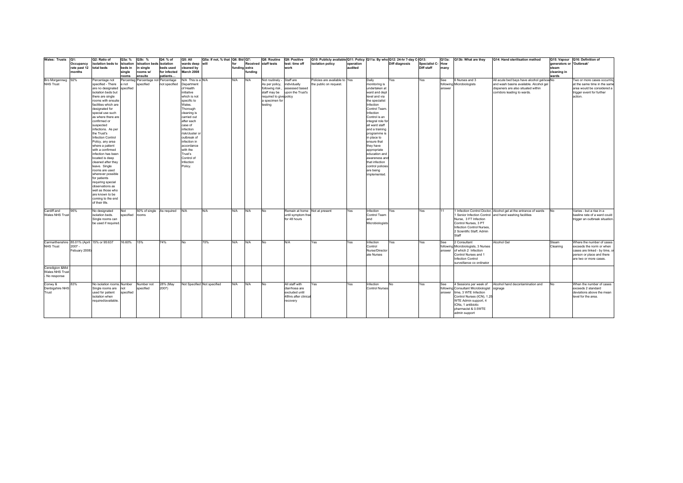| Wales: Trusts   Q1:                         |              | Q2: Ratio of                         | Q3a: %    | Q3b: %     | Q4: % of                      | Q5: All           | Q5a: If not, % that   Q6: Bid   Q7: |               |         | Q8: Routine             | Q9: Positive                  | Q10: Publicly available Q11: Policy Q11a: By who Q12: 24-hr 7-day C-Q13: |           |                       |                |                  | Q13a:  | Q13b: What are they                         | Q14: Hand sterilisation method                                   |                          | Q15: Vapour Q16: Definition of |
|---------------------------------------------|--------------|--------------------------------------|-----------|------------|-------------------------------|-------------------|-------------------------------------|---------------|---------|-------------------------|-------------------------------|--------------------------------------------------------------------------|-----------|-----------------------|----------------|------------------|--------|---------------------------------------------|------------------------------------------------------------------|--------------------------|--------------------------------|
|                                             | Occupancy    | isolation beds to                    | isloation |            | isloation beds isolation      | wards deep        | lwill                               | for           |         | Received staff tests    | test: time off                | isolation policy                                                         | operation |                       | Diff diagnosis | Specialist C-How |        |                                             |                                                                  | generators or 'Outbreak' |                                |
|                                             | rate past 12 | total beds                           | beds in   | in sinale  | beds used                     | cleaned by        |                                     | funding extra |         |                         | work                          |                                                                          | audited   |                       |                | Diff staff       | many   |                                             |                                                                  | steam                    |                                |
|                                             | months       |                                      | single    | rooms w/   | for infected                  | March 2008        |                                     |               | funding |                         |                               |                                                                          |           |                       |                |                  |        |                                             |                                                                  | cleaning in              |                                |
|                                             |              |                                      | rooms     | ensuite    | patients                      |                   |                                     |               |         |                         |                               |                                                                          |           |                       |                |                  |        |                                             |                                                                  | wards                    |                                |
| Bro Morgannwg 92%                           |              | Percentage not                       | ercentag  |            | Percentage not Percentage     | N/A This is a N/A |                                     | N/A           | N/A     | Not routinely -         | Staff are                     | Policies are available to Yes                                            |           | Daily                 | Yes            | Yes              | See    | 6 Nurses and 3                              | All acute bed bays have alcohol gel/soa No                       |                          | Two or more cases occurrin     |
| <b>NHS Trust</b>                            |              | specified - There                    | not       | specified  | not specified                 | Department        |                                     |               |         | As per policy,          | individually                  | the public on request.                                                   |           | monitoring is         |                |                  |        | following Microbiologists                   | and wash basins available. Alcohol gel                           |                          | at the same time in the sam    |
|                                             |              | are no designated                    | specified |            |                               | of Health         |                                     |               |         | following risk          | assessed based                |                                                                          |           | undertaken at         |                |                  | answer |                                             | dispeners are also situated within                               |                          | area would be considered a     |
|                                             |              | isolation beds but                   |           |            |                               | initiative        |                                     |               |         | staff may be            | upon the Trust's              |                                                                          |           | ward and dept         |                |                  |        |                                             | corridors leading to wards.                                      |                          | trigger event for further      |
|                                             |              | there are single                     |           |            |                               | which is not      |                                     |               |         | required to give policy |                               |                                                                          |           | level and via         |                |                  |        |                                             |                                                                  |                          | action.                        |
|                                             |              | rooms with ensuite                   |           |            |                               | specific to       |                                     |               |         | a specimen for          |                               |                                                                          |           | the specialist        |                |                  |        |                                             |                                                                  |                          |                                |
|                                             |              | facilities which are                 |           |            |                               | Wales.            |                                     |               |         | testing                 |                               |                                                                          |           | Infection             |                |                  |        |                                             |                                                                  |                          |                                |
|                                             |              | designated for                       |           |            |                               | Thorough          |                                     |               |         |                         |                               |                                                                          |           | Control Team          |                |                  |        |                                             |                                                                  |                          |                                |
|                                             |              | special use such                     |           |            |                               | cleaning is       |                                     |               |         |                         |                               |                                                                          |           | Infection             |                |                  |        |                                             |                                                                  |                          |                                |
|                                             |              | as where there are                   |           |            |                               | carried out       |                                     |               |         |                         |                               |                                                                          |           | Control is an         |                |                  |        |                                             |                                                                  |                          |                                |
|                                             |              | confirmed or                         |           |            |                               | after each        |                                     |               |         |                         |                               |                                                                          |           | integral role fo      |                |                  |        |                                             |                                                                  |                          |                                |
|                                             |              | suspected                            |           |            |                               | case of           |                                     |               |         |                         |                               |                                                                          |           | all ward staff        |                |                  |        |                                             |                                                                  |                          |                                |
|                                             |              | infections. As per                   |           |            |                               | infection         |                                     |               |         |                         |                               |                                                                          |           | and a training        |                |                  |        |                                             |                                                                  |                          |                                |
|                                             |              | the Trust's                          |           |            |                               | risk/cluster o    |                                     |               |         |                         |                               |                                                                          |           | programme is          |                |                  |        |                                             |                                                                  |                          |                                |
|                                             |              | <b>Infection Control</b>             |           |            |                               | outbreak of       |                                     |               |         |                         |                               |                                                                          |           | in place to           |                |                  |        |                                             |                                                                  |                          |                                |
|                                             |              | Policy, any area                     |           |            |                               | infection in      |                                     |               |         |                         |                               |                                                                          |           | ensure that           |                |                  |        |                                             |                                                                  |                          |                                |
|                                             |              | where a patient                      |           |            |                               | accordance        |                                     |               |         |                         |                               |                                                                          |           | they have             |                |                  |        |                                             |                                                                  |                          |                                |
|                                             |              | with a confirmed                     |           |            |                               | with the          |                                     |               |         |                         |                               |                                                                          |           | appropriate           |                |                  |        |                                             |                                                                  |                          |                                |
|                                             |              | infection has been                   |           |            |                               | Trust's           |                                     |               |         |                         |                               |                                                                          |           | education and         |                |                  |        |                                             |                                                                  |                          |                                |
|                                             |              | located is deep                      |           |            |                               | Control of        |                                     |               |         |                         |                               |                                                                          |           | awareness an          |                |                  |        |                                             |                                                                  |                          |                                |
|                                             |              | cleaned after they                   |           |            |                               | Infection         |                                     |               |         |                         |                               |                                                                          |           | that infection        |                |                  |        |                                             |                                                                  |                          |                                |
|                                             |              | leave. Single                        |           |            |                               | Policy.           |                                     |               |         |                         |                               |                                                                          |           | control policies      |                |                  |        |                                             |                                                                  |                          |                                |
|                                             |              | rooms are used                       |           |            |                               |                   |                                     |               |         |                         |                               |                                                                          |           | are being             |                |                  |        |                                             |                                                                  |                          |                                |
|                                             |              | wherever possible                    |           |            |                               |                   |                                     |               |         |                         |                               |                                                                          |           | implemented.          |                |                  |        |                                             |                                                                  |                          |                                |
|                                             |              | for patients                         |           |            |                               |                   |                                     |               |         |                         |                               |                                                                          |           |                       |                |                  |        |                                             |                                                                  |                          |                                |
|                                             |              | requiring special                    |           |            |                               |                   |                                     |               |         |                         |                               |                                                                          |           |                       |                |                  |        |                                             |                                                                  |                          |                                |
|                                             |              | observations as<br>well as those who |           |            |                               |                   |                                     |               |         |                         |                               |                                                                          |           |                       |                |                  |        |                                             |                                                                  |                          |                                |
|                                             |              |                                      |           |            |                               |                   |                                     |               |         |                         |                               |                                                                          |           |                       |                |                  |        |                                             |                                                                  |                          |                                |
|                                             |              | are known to be<br>coming to the end |           |            |                               |                   |                                     |               |         |                         |                               |                                                                          |           |                       |                |                  |        |                                             |                                                                  |                          |                                |
|                                             |              | of their life.                       |           |            |                               |                   |                                     |               |         |                         |                               |                                                                          |           |                       |                |                  |        |                                             |                                                                  |                          |                                |
|                                             |              |                                      |           |            |                               |                   |                                     |               |         |                         |                               |                                                                          |           |                       |                |                  |        |                                             |                                                                  |                          |                                |
| Cardiff and                                 | 95%          | No designated                        | Not       |            | 50% of single As required N/A |                   | N/A                                 | N/A           | N/A     | <b>No</b>               | Remain at home Not at present |                                                                          | Yes       | Infection             | Yes            | Yes              | 11     |                                             | 1 Infection Control Doctor, Alcohol gel at the entrance of wards | No                       | Varies - but a rise in a       |
| Wales NHS Trust                             |              | isolation beds.                      | specified | rooms      |                               |                   |                                     |               |         |                         | until symptom free            |                                                                          |           | Control Team          |                |                  |        |                                             | 1 Senior Infection Control and hand washing facilities           |                          | basline rate of a ward could   |
|                                             |              | Single rooms can                     |           |            |                               |                   |                                     |               |         |                         | for 48 hours                  |                                                                          |           | and                   |                |                  |        | Nurse, 3 FT Infection                       |                                                                  |                          | trigger an outbreak situation  |
|                                             |              | be used if required                  |           |            |                               |                   |                                     |               |         |                         |                               |                                                                          |           | Microbiologists       |                |                  |        | Control Nurses, 3 PT                        |                                                                  |                          |                                |
|                                             |              |                                      |           |            |                               |                   |                                     |               |         |                         |                               |                                                                          |           |                       |                |                  |        | Infection Control Nurses,                   |                                                                  |                          |                                |
|                                             |              |                                      |           |            |                               |                   |                                     |               |         |                         |                               |                                                                          |           |                       |                |                  |        | 2 Scientific Staff, Admin                   |                                                                  |                          |                                |
|                                             |              |                                      |           |            |                               |                   |                                     |               |         |                         |                               |                                                                          |           |                       |                |                  |        |                                             |                                                                  |                          |                                |
|                                             |              |                                      |           |            |                               |                   |                                     |               |         |                         |                               |                                                                          |           |                       |                |                  |        |                                             |                                                                  |                          |                                |
| Carmarthenshire 85.01% (April 15% or 95:637 |              |                                      | 16.60%    | 15%        | 74%                           | <b>No</b>         | 70%                                 | N/A           | N/A     | <b>No</b>               | N/A                           | Yes                                                                      | Yes       | Infection             | Yes            | Yes              | See    | 2 Consultant                                | Alcohol Gel                                                      | Steam                    | Where the number of cases      |
| <b>NHS Trust</b>                            | $2007 -$     |                                      |           |            |                               |                   |                                     |               |         |                         |                               |                                                                          |           | Control               |                |                  |        | following Microbiologists, 3 Nurses         |                                                                  | Cleaning                 | exceeds the norm or when       |
|                                             | Febuary 2008 |                                      |           |            |                               |                   |                                     |               |         |                         |                               |                                                                          |           | Nurse/Director        |                |                  |        | answer of which 2 Infection                 |                                                                  |                          | cases are linked - by time,    |
|                                             |              |                                      |           |            |                               |                   |                                     |               |         |                         |                               |                                                                          |           | ate Nurses            |                |                  |        | Control Nurses and 1                        |                                                                  |                          | person or place and there      |
|                                             |              |                                      |           |            |                               |                   |                                     |               |         |                         |                               |                                                                          |           |                       |                |                  |        | Infection Control                           |                                                                  |                          | are two or more cases.         |
|                                             |              |                                      |           |            |                               |                   |                                     |               |         |                         |                               |                                                                          |           |                       |                |                  |        | surveillance co ordinator                   |                                                                  |                          |                                |
| Ceredigion &Mid                             |              |                                      |           |            |                               |                   |                                     |               |         |                         |                               |                                                                          |           |                       |                |                  |        |                                             |                                                                  |                          |                                |
| Wales NHS Trust                             |              |                                      |           |            |                               |                   |                                     |               |         |                         |                               |                                                                          |           |                       |                |                  |        |                                             |                                                                  |                          |                                |
| - No response                               |              |                                      |           |            |                               |                   |                                     |               |         |                         |                               |                                                                          |           |                       |                |                  |        |                                             |                                                                  |                          |                                |
|                                             |              |                                      |           |            |                               |                   |                                     |               |         |                         |                               |                                                                          |           |                       |                |                  |        |                                             |                                                                  |                          |                                |
| Conwy &                                     | 83%          | No isolation rooms. Number           |           | Number not | 28% (May                      |                   | Not Specified Not specified         | <b>N/A</b>    | N/A     | <b>No</b>               | All staff with                | Yes                                                                      | Yes       | Infection             | No             | Yes              | See    | 4 Sessions per week of                      | Alcohol hand decontamination and                                 | No                       | When the number of cases       |
| Denbigshire NHS                             |              | Single rooms are                     | not       | specified  | 2007)                         |                   |                                     |               |         |                         | diarrhoea are                 |                                                                          |           | <b>Control Nurses</b> |                |                  |        | following Consultant Microbiologist signage |                                                                  |                          | exceeds 2 standard             |
| Trust                                       |              | used for patient                     | specified |            |                               |                   |                                     |               |         |                         | excluded until                |                                                                          |           |                       |                |                  |        | answer time, 3 WTE Infection                |                                                                  |                          | deviations above the mean      |
|                                             |              | isolation when                       |           |            |                               |                   |                                     |               |         |                         | 48hrs after clinica           |                                                                          |           |                       |                |                  |        | Control Nurses (ICN), 1.25                  |                                                                  |                          | level for the area.            |
|                                             |              | required/available                   |           |            |                               |                   |                                     |               |         |                         | recovery                      |                                                                          |           |                       |                |                  |        | WTE Admin support, 4                        |                                                                  |                          |                                |
|                                             |              |                                      |           |            |                               |                   |                                     |               |         |                         |                               |                                                                          |           |                       |                |                  |        | ICNs, 1 antibiotic                          |                                                                  |                          |                                |
|                                             |              |                                      |           |            |                               |                   |                                     |               |         |                         |                               |                                                                          |           |                       |                |                  |        | pharmacist & 0.5WTE                         |                                                                  |                          |                                |
|                                             |              |                                      |           |            |                               |                   |                                     |               |         |                         |                               |                                                                          |           |                       |                |                  |        | admin support                               |                                                                  |                          |                                |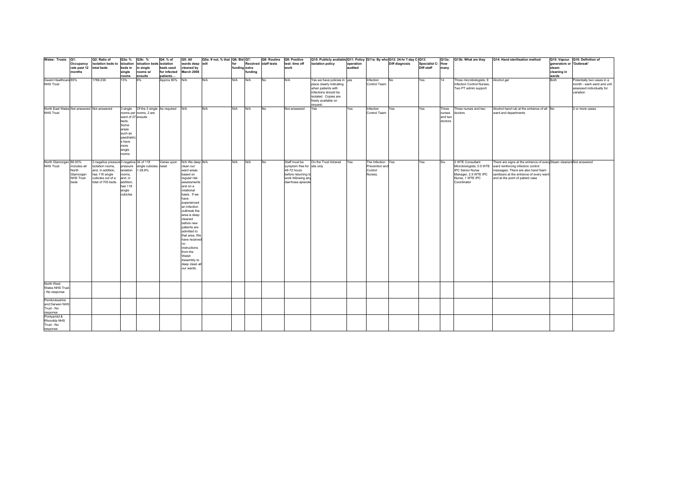| Wales: Trusts Q1:                                              |                                                         | Q2: Ratio of                                                                                                                                  | Q3a: %                                                                                                                 | Q3b: %                                                | Q4: % of                  | Q5: All                                                                                                                                                                                                                                                                                                                                                                                   | Q5a: If not, % that   Q6: Bid   Q7: |               |         | Q8: Routine          | Q9: Positive                                                                                                                 | Q10: Publicly available Q11: Policy Q11a: By who Q12: 24-hr 7-day C-Q13:                                                                                        |           |                                                           |                |                  |                                       | Q13a: Q13b: What are they                                                                                                          | Q14: Hand sterilisation method                                                                                                                                                                                                  |                          | Q15: Vapour Q16: Definition of                                                                     |
|----------------------------------------------------------------|---------------------------------------------------------|-----------------------------------------------------------------------------------------------------------------------------------------------|------------------------------------------------------------------------------------------------------------------------|-------------------------------------------------------|---------------------------|-------------------------------------------------------------------------------------------------------------------------------------------------------------------------------------------------------------------------------------------------------------------------------------------------------------------------------------------------------------------------------------------|-------------------------------------|---------------|---------|----------------------|------------------------------------------------------------------------------------------------------------------------------|-----------------------------------------------------------------------------------------------------------------------------------------------------------------|-----------|-----------------------------------------------------------|----------------|------------------|---------------------------------------|------------------------------------------------------------------------------------------------------------------------------------|---------------------------------------------------------------------------------------------------------------------------------------------------------------------------------------------------------------------------------|--------------------------|----------------------------------------------------------------------------------------------------|
|                                                                | Occupancy                                               | isolation beds to isloation                                                                                                                   |                                                                                                                        | isloation beds isolation                              |                           | wards deep will                                                                                                                                                                                                                                                                                                                                                                           |                                     | for           |         | Received staff tests | test: time off                                                                                                               | isolation policy                                                                                                                                                | operation |                                                           | Diff diagnosis | Specialist C-How |                                       |                                                                                                                                    |                                                                                                                                                                                                                                 | generators or 'Outbreak' |                                                                                                    |
|                                                                | rate past 12 total beds<br>months                       |                                                                                                                                               | beds in<br>single                                                                                                      | single<br>rooms w/                                    | beds used<br>for infected | cleaned by<br>March 2008                                                                                                                                                                                                                                                                                                                                                                  |                                     | funding extra | funding |                      | work                                                                                                                         |                                                                                                                                                                 | audited   |                                                           |                | Diff staff       | many                                  |                                                                                                                                    |                                                                                                                                                                                                                                 | steam<br>cleaning in     |                                                                                                    |
|                                                                |                                                         |                                                                                                                                               | rooms                                                                                                                  | ensuite                                               | patients                  |                                                                                                                                                                                                                                                                                                                                                                                           |                                     |               |         |                      |                                                                                                                              |                                                                                                                                                                 |           |                                                           |                |                  |                                       |                                                                                                                                    |                                                                                                                                                                                                                                 | wards                    |                                                                                                    |
| Gwent Healthcare 85%<br><b>NHS Trust</b>                       |                                                         | 1786:236                                                                                                                                      | 13%                                                                                                                    | 6%                                                    | Approx 80%                | N/A                                                                                                                                                                                                                                                                                                                                                                                       | N/A                                 | <b>N/A</b>    | N/A     | No                   | N/A                                                                                                                          | Yes we have policies in yes<br>place clearly indicating<br>when patients with<br>infections should be<br>isolated. Copies are<br>freely available on<br>equest. |           | Infection<br>No<br>Control Team                           |                | Yes              | 14                                    | Three microbiologists, 9 Alcohol gel<br>Infection Control Nurses,<br>Two PT admin support                                          |                                                                                                                                                                                                                                 | Both                     | Potentially two cases in a<br>month - each ward and unit<br>assessed individually for<br>variation |
| North East Wales Not answered Not answered<br><b>NHS Trust</b> |                                                         |                                                                                                                                               | 3 single<br>ward of 27 ensuite<br>beds.<br>Some<br>areas<br>such as<br>paedriatri<br>s have<br>more<br>single<br>rooms | Of the 3 single As required<br>rooms per rooms, 2 are |                           | N/A                                                                                                                                                                                                                                                                                                                                                                                       | N/A                                 | N/A           | N/A     | No                   | Not answered                                                                                                                 | Yes                                                                                                                                                             | Yes       | Yes<br>Infection<br>Control Team                          |                | Yes              | Three<br>nurses<br>and two<br>doctors | Three nurses and two<br>doctors                                                                                                    | Alcohol hand rub at the entrance of all No<br>ward and departments                                                                                                                                                              |                          | 2 or more cases                                                                                    |
| North Glamorgan 86.93%<br><b>NHS Trust</b>                     | includes all<br>North<br>Glamorgan<br>NHS Trust<br>beds | 3 negative pressure3 negative 34 of 118<br>isolation rooms,<br>and, in addition,<br>has 118 single<br>cubicles out of a<br>total of 705 beds. | pressure<br>isolation<br>rooms,<br>and, in<br>addition,<br>has 118<br>single<br>cubicles                               | single cubicles need<br>$= 28.8%$                     | Varies upon               | N/A We deep N/A<br>clean our<br>ward areas<br>based on<br>regular risk<br>assessment<br>and on a<br>rotational<br>basis. If we<br>have<br>experienced<br>an infection<br>outbreak the<br>area is deep<br>cleaned<br>before new<br>patients are<br>admitted to<br>that area. We<br>have received<br>no<br>instructions<br>from the<br>Welsh<br>Assembly to<br>deep clean all<br>our wards. |                                     | N/A           | N/A     | No                   | Staff must be<br>symptom free for site only<br>48-72 hours<br>before returning to<br>work following any<br>diarrhoea episode | On the Trust Intranet                                                                                                                                           | Yes       | The Infection Yes<br>Prevention and<br>Control<br>Nurses. |                | Yes              | Six                                   | 2 WTE Consultant<br>Microbiologists, 0.5 WTE<br><b>IPC Senior Nurse</b><br>Manager, 2.5 WTE IPC<br>Nurse, 1 WTE IPC<br>Coordinator | There are signs at the entrance of everySteam cleaners Not answered<br>ward reinforcing infection control<br>messages. There are also hand foam<br>sanitizers at the entrance of every ward<br>and at the point of patient case |                          |                                                                                                    |
| North West<br>Wales NHS Trust<br>No response                   |                                                         |                                                                                                                                               |                                                                                                                        |                                                       |                           |                                                                                                                                                                                                                                                                                                                                                                                           |                                     |               |         |                      |                                                                                                                              |                                                                                                                                                                 |           |                                                           |                |                  |                                       |                                                                                                                                    |                                                                                                                                                                                                                                 |                          |                                                                                                    |
| Pembrokeshire<br>and Derwen NHS<br>Trust - No<br>response      |                                                         |                                                                                                                                               |                                                                                                                        |                                                       |                           |                                                                                                                                                                                                                                                                                                                                                                                           |                                     |               |         |                      |                                                                                                                              |                                                                                                                                                                 |           |                                                           |                |                  |                                       |                                                                                                                                    |                                                                                                                                                                                                                                 |                          |                                                                                                    |
| Pontypridd &<br>Rhondda NHS<br>Trust - No<br>response          |                                                         |                                                                                                                                               |                                                                                                                        |                                                       |                           |                                                                                                                                                                                                                                                                                                                                                                                           |                                     |               |         |                      |                                                                                                                              |                                                                                                                                                                 |           |                                                           |                |                  |                                       |                                                                                                                                    |                                                                                                                                                                                                                                 |                          |                                                                                                    |